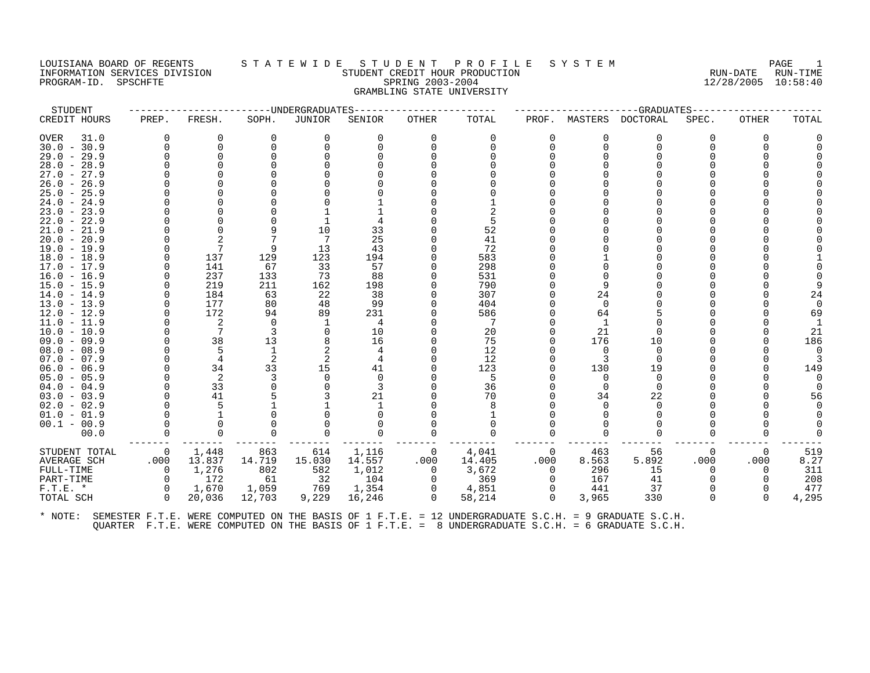#### LOUISIANA BOARD OF REGENTS STATEWIDE STUDENT PROFILE SYSTEM NAGE 1 INFORMATION SERVICES DIVISION SUNGLERICAL STUDENT CREDIT HOUR PRODUCTION SUNGLERIC RUN-DATE RUN-TIME RUN-TIME<br>PROGRAM-ID. SPSCHFTE SERING 2003-2004 SPRING 2003-2004 PROGRAM-ID. SPSCHFTE SPRING 2003-2004 GRAMBLING STATE UNIVERSITY

| STUDENT       |                |          | ------------------DNDERGRADUATES |                |        |             |        |                |              | --GRADUATES----- |          |              |       |
|---------------|----------------|----------|----------------------------------|----------------|--------|-------------|--------|----------------|--------------|------------------|----------|--------------|-------|
| CREDIT HOURS  | PREP.          | FRESH.   | SOPH.                            | JUNIOR         | SENIOR | OTHER       | TOTAL  | PROF.          | MASTERS      | DOCTORAL         | SPEC.    | <b>OTHER</b> | TOTAL |
| OVER<br>31.0  | $\Omega$       | 0        | 0                                | $\Omega$       | 0      | $\Omega$    | 0      | $\Omega$       | 0            | $\Omega$         | 0        | $\Omega$     |       |
| $30.0 - 30.9$ | $\Omega$       | $\Omega$ |                                  |                |        |             |        | 0              | $\Omega$     | $\Omega$         |          |              |       |
| $29.0 - 29.9$ |                | $\Omega$ |                                  |                |        |             |        |                |              |                  |          |              |       |
| $28.0 - 28.9$ |                |          |                                  |                |        |             |        |                |              |                  |          |              |       |
| $27.0 - 27.9$ |                |          |                                  |                |        |             |        |                |              |                  |          |              |       |
| $26.0 - 26.9$ |                |          |                                  |                |        |             |        |                |              |                  |          |              |       |
| $25.0 - 25.9$ |                |          |                                  |                |        |             |        |                |              |                  |          |              |       |
| $24.0 - 24.9$ |                |          |                                  |                |        |             |        |                |              |                  |          |              |       |
| $23.0 - 23.9$ |                |          |                                  |                |        |             |        |                |              |                  |          |              |       |
| $22.0 - 22.9$ |                |          |                                  |                |        |             |        |                |              |                  |          |              |       |
| $21.0 - 21.9$ |                |          |                                  | 10             | 33     |             | 52     |                |              |                  |          |              |       |
| $20.0 - 20.9$ |                |          |                                  |                | 25     |             | 41     |                |              |                  |          |              |       |
| $19.0 - 19.9$ |                |          | 9                                | 13             | 43     |             | 72     |                |              |                  |          |              |       |
| $18.0 - 18.9$ |                | 137      | 129                              | 123            | 194    |             | 583    |                |              |                  |          |              |       |
| $17.0 - 17.9$ |                | 141      | 67                               | 33             | 57     |             | 298    |                |              |                  |          |              |       |
| $16.0 - 16.9$ |                | 237      | 133                              | 73             | 88     |             | 531    |                |              |                  |          |              |       |
| $15.0 - 15.9$ |                | 219      | 211                              | 162            | 198    |             | 790    |                |              |                  |          |              |       |
| $14.0 - 14.9$ |                | 184      | 63                               | 22             | 38     |             | 307    |                | 24           |                  |          |              | 24    |
| $13.0 - 13.9$ |                | 177      | 80                               | 48             | 99     |             | 404    |                | $\Omega$     |                  |          |              |       |
| $12.0 - 12.9$ | $\Omega$       | 172      | 94                               | 89             | 231    |             | 586    |                | 64           |                  |          |              | 69    |
| $11.0 - 11.9$ |                | 2        | $\Omega$                         |                | 4      |             | 7      |                | $\mathbf{1}$ |                  |          |              |       |
| $10.0 - 10.9$ |                | 7        |                                  |                | 10     |             | 20     |                | 21           | n                |          |              | 21    |
| $09.0 - 09.9$ |                | 38       | 13                               |                | 16     |             | 75     | 0              | 176          | 10               |          |              | 186   |
| $08.0 - 08.9$ |                | 5        | $\mathbf{1}$                     | $\overline{c}$ |        |             | 12     |                | $\Omega$     | $\Omega$         |          |              |       |
| $07.0 - 07.9$ |                | 4        |                                  |                |        |             | 12     |                | 3            | $\Omega$         |          |              |       |
| $06.0 - 06.9$ |                | 34       | 33                               | 15             | 41     |             | 123    |                | 130          | 19               |          |              | 149   |
| $05.0 - 05.9$ |                | 2        |                                  |                | 0      |             | 5      |                | $\Omega$     | $\Omega$         |          |              |       |
| $04.0 - 04.9$ |                | 33       |                                  |                |        |             | 36     |                | $\Omega$     | $\Omega$         |          |              |       |
| $03.0 - 03.9$ |                | 41       |                                  |                | 21     |             | 70     |                | 34           | 22               |          |              | 56    |
| $02.0 - 02.9$ |                | 5        |                                  |                |        |             |        |                | ∩            | $\Omega$         |          |              |       |
| $01.0 - 01.9$ |                |          |                                  |                |        |             |        |                |              |                  |          |              |       |
| $00.1 - 00.9$ |                |          |                                  |                |        |             |        |                |              |                  |          |              |       |
| 00.0          | $\Omega$       | $\Omega$ |                                  |                | U      |             |        | 0              | ∩            | $\Omega$         |          |              |       |
| STUDENT TOTAL | $\overline{0}$ | 1,448    | 863                              | 614            | 1,116  | - 0         | 4,041  | $\overline{0}$ | 463          | 56               | $\Omega$ | $\Omega$     | 519   |
| AVERAGE SCH   | .000           | 13.837   | 14.719                           | 15.030         | 14.557 | .000        | 14.405 | .000           | 8.563        | 5.892            | .000     | .000         | 8.27  |
| FULL-TIME     | $\Omega$       | 1,276    | 802                              | 582            | 1,012  | $\Omega$    | 3,672  | $\Omega$       | 296          | 15               | 0        | $\Omega$     | 311   |
| PART-TIME     | $\Omega$       | 172      | 61                               | 32             | 104    | 0           | 369    | $\Omega$       | 167          | 41               |          |              | 208   |
| $F.T.E. *$    | $\Omega$       | 1,670    | 1,059                            | 769            | 1,354  | $\mathbf 0$ | 4,851  | $\Omega$       | 441          | 37               |          |              | 477   |
| TOTAL SCH     | $\Omega$       | 20,036   | 12,703                           | 9,229          | 16,246 | $\Omega$    | 58,214 | $\cap$         | 3,965        | 330              | 0        | $\cap$       | 4,295 |
|               |                |          |                                  |                |        |             |        |                |              |                  |          |              |       |
|               |                |          |                                  |                |        |             |        |                |              |                  |          |              |       |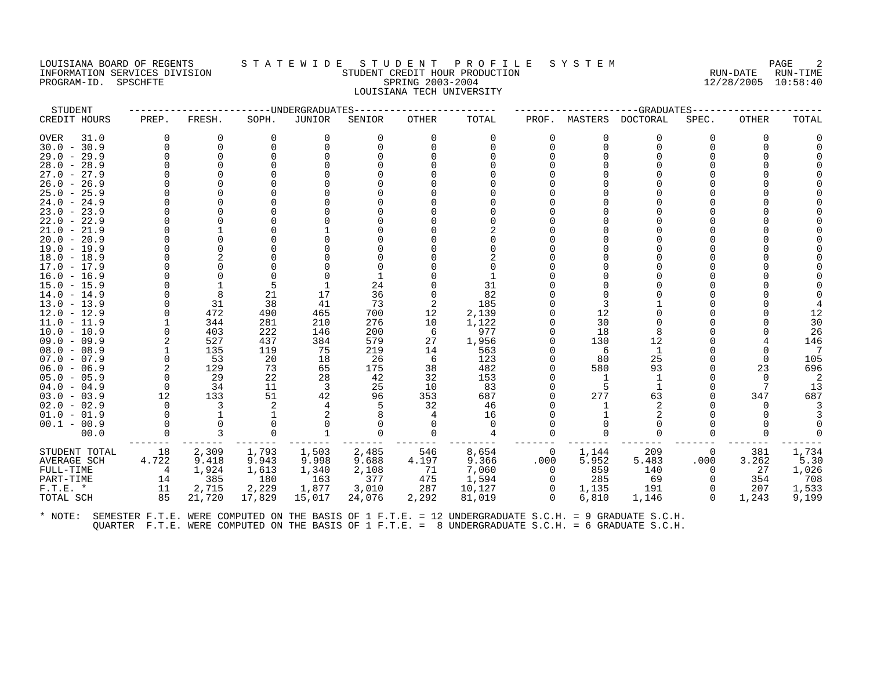#### LOUISIANA BOARD OF REGENTS STATEWIDE STUDE NT PROFILE SYSTEM PAGE 2<br>INFORMATION SERVICES DIVISION STATE WILL STUDENT CREDIT HOUR PRODUCTION INGUISIANA BOARD OF REGISTION SERVICES DIVISION SUBSERVICES SUBSERVICES SUBSERVICES SUBSERVICES SUBSERVICES SU<br>INFORMATION SERVICES DIVISION STUDENT STUDENT CREDIT HOUR PRODUCTION SUBSERVICES SUBSERVICES SUBSERVICES SUBSE PROGRAM-ID. SPSCHFTE SPRING 2003-2004 LOUISIANA TECH UNIVERSITY

| STUDENT                        |          |            |            | ----UNDERGRADUATES |            |         |              |          |           | -GRADUATES   |          |       |          |
|--------------------------------|----------|------------|------------|--------------------|------------|---------|--------------|----------|-----------|--------------|----------|-------|----------|
| CREDIT HOURS                   | PREP.    | FRESH.     | SOPH.      | JUNIOR             | SENIOR     | OTHER   | TOTAL        | PROF.    | MASTERS   | DOCTORAL     | SPEC.    | OTHER | TOTAL    |
| 31.0<br>OVER                   |          | 0          | 0          | 0                  |            | 0       | 0            |          | 0         | 0            |          | 0     |          |
| $30.0 - 30.9$                  |          | $\Omega$   | $\Omega$   | $\Omega$           |            |         | $\Omega$     | ∩        | $\Omega$  | $\Omega$     |          |       |          |
| $29.0 - 29.9$                  |          | ∩          |            |                    |            |         |              |          |           |              |          |       |          |
| $28.0 - 28.9$                  |          |            |            |                    |            |         |              |          |           |              |          |       |          |
| $27.0 - 27.9$                  |          |            |            |                    |            |         |              |          |           |              |          |       |          |
| $26.0 - 26.9$                  |          |            |            |                    |            |         |              |          |           |              |          |       |          |
| $25.0 - 25.9$                  |          |            |            |                    |            |         |              |          |           |              |          |       |          |
| $24.0 - 24.9$                  |          |            |            |                    |            |         |              |          |           |              |          |       |          |
| $23.0 - 23.9$                  |          |            |            |                    |            |         |              |          |           |              |          |       |          |
| 22.0 - 22.9                    |          |            |            |                    |            |         |              |          |           |              |          |       |          |
| $21.0 - 21.9$                  |          |            |            |                    |            |         |              |          |           |              |          |       |          |
| $20.0 - 20.9$                  |          |            |            |                    |            |         |              |          |           |              |          |       |          |
| $19.0 - 19.9$                  |          |            |            |                    |            |         |              |          |           |              |          |       |          |
| $18.0 - 18.9$                  |          |            |            |                    |            |         |              |          |           |              |          |       |          |
| $17.0 - 17.9$                  |          |            |            |                    |            |         |              |          |           |              |          |       |          |
| 16.0 - 16.9                    |          |            |            |                    |            |         |              |          |           |              |          |       |          |
| 15.0 - 15.9                    |          |            |            |                    | 24         |         | 31           |          |           |              |          |       |          |
| 14.0 - 14.9                    |          | 8          | 21         | 17                 | 36         |         | 82           |          |           |              |          |       |          |
| $13.0 - 13.9$                  |          | 31         | 38         | 41                 | 73         |         | 185          |          |           |              |          |       |          |
| 12.0 - 12.9                    |          | 472        | 490        | 465                | 700        | 12      | 2,139        |          | 12        |              |          |       | 12       |
| 11.0 - 11.9                    |          | 344        | 281        | 210                | 276        | 10      | 1,122<br>977 |          | 30        |              |          |       | 30<br>26 |
| $10.0 - 10.9$<br>$09.0 - 09.9$ |          | 403<br>527 | 222<br>437 | 146<br>384         | 200<br>579 | 6<br>27 | 1,956        |          | 18<br>130 | 8<br>12      |          |       | 146      |
| $08.0 - 08.9$                  |          | 135        | 119        | 75                 | 219        | 14      | 563          |          | -6        | 1            |          |       |          |
| $07.0 - 07.9$                  |          | 53         | 20         | 18                 | 26         | 6       | 123          |          | 80        | 25           |          |       | 105      |
| $06.0 - 06.9$                  | 2        | 129        | 73         | 65                 | 175        | 38      | 482          |          | 580       | 93           |          | 23    | 696      |
| $05.0 - 05.9$                  |          | 29         | 22         | 28                 | 42         | 32      | 153          |          |           |              |          |       |          |
| $04.0 - 04.9$                  | $\Omega$ | 34         | 11         | 3                  | 25         | 10      | 83           |          |           | $\mathbf{1}$ |          |       | 13       |
| $03.0 - 03.9$                  | 12       | 133        | 51         | 42                 | 96         | 353     | 687          |          | 277       | 63           |          | 347   | 687      |
| $02.0 - 02.9$                  |          | 3          |            |                    |            | 32      | 46           |          |           |              |          | 0     |          |
| $01.0 - 01.9$                  |          |            |            |                    |            |         | 16           |          |           |              |          |       |          |
| $00.1 - 00.9$                  |          |            |            |                    |            |         | $\Omega$     |          |           |              |          |       |          |
| 00.0                           |          | 3          |            |                    |            |         |              |          |           |              |          |       |          |
| STUDENT TOTAL                  | 18       | 2,309      | 1,793      | 1,503              | 2,485      | 546     | 8,654        | $\Omega$ | 1,144     | 209          | $\Omega$ | 381   | 1,734    |
| AVERAGE SCH                    | 4.722    | 9.418      | 9.943      | 9.998              | 9.688      | 4.197   | 9.366        | .000     | 5.952     | 5.483        | .000     | 3.262 | 5.30     |
| FULL-TIME                      | 4        | 1,924      | 1,613      | 1,340              | 2,108      | 71      | 7,060        | $\Omega$ | 859       | 140          | $\Omega$ | 27    | 1,026    |
| PART-TIME                      | 14       | 385        | 180        | 163                | 377        | 475     | 1,594        |          | 285       | 69           |          | 354   | 708      |
| $F.T.E. *$                     | 11       | 2,715      | 2,229      | 1,877              | 3,010      | 287     | 10,127       | 0        | 1,135     | 191          |          | 207   | 1,533    |
| TOTAL SCH                      | 85       | 21,720     | 17,829     | 15,017             | 24,076     | 2,292   | 81,019       | $\Omega$ | 6,810     | 1,146        | $\Omega$ | 1,243 | 9,199    |
|                                |          |            |            |                    |            |         |              |          |           |              |          |       |          |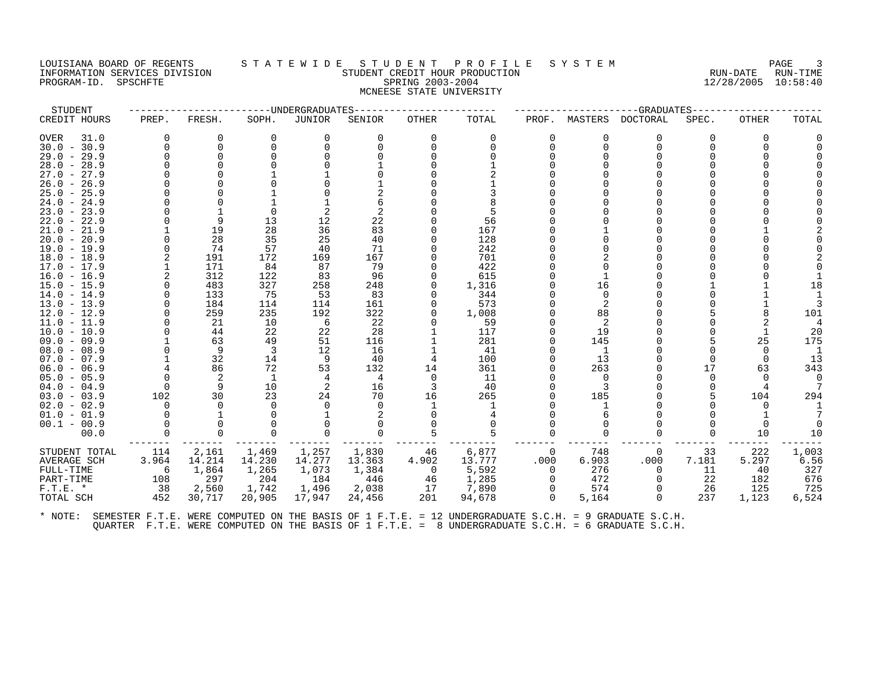# LOUISIANA BOARD OF REGENTS STATEWIDE STUDE NT PROFILE SYSTEM MANUSIANA BOARD OF REGENTS STATEWIDE STUDENT CREDIT HOUR PRODUCTION THE RUN-DATE RUN-TIME INFORMATION SERVICES DIVISION STUDENT CREDIT HOUR PRODUCTION RUN-DATE RUN-TIME PROGRAM-ID. SPSCHFTE SPRING 2003-2004 12/28/2005 10:58:40 MCNEESE STATE UNIVERSITY

STUDENT ------------------------UNDERGRADUATES------------------------ ---------------------GRADUATES----------------------

CREDIT HOURS PREP. FRESH. SOPH. JUNIOR SENIOR OTHER TOTAL PROF. MASTERS DOCTORAL SPEC. OTHER TOTAL OVER 31.0 0 0 0 0 0 0 0 0 0 0 0 0 0 30.0 - 30.9 0 0 0 0 0 0 0 0 0 0 0 0 0 29.0 - 29.9 0 0 0 0 0 0 0 0 0 0 0 0 0 28.0 - 28.9 0 0 0 0 1 0 1 0 0 0 0 0 0 27.0 - 27.9 0 0 1 1 0 0 2 0 0 0 0 0 0 26.0 - 26.9 0 0 0 0 1 0 1 0 0 0 0 0 0 25.0 - 25.9 0 0 1 0 2 0 3 0 0 0 0 0 0 24.0 - 24.9 0 0 1 1 6 0 8 0 0 0 0 0 0 23.0 - 23.9 0 1 0 2 2 0 5 0 0 0 0 0 0 22.0 - 22.9 0 9 13 12 22 0 56 0 0 0 0 0 0 21.0 - 21.9 1 19 28 36 83 0 167 0 1 0 0 1 2 20.0 - 20.9 0 28 35 25 40 0 128 0 0 0 0 0 0 19.0 - 19.9 0 74 57 40 71 0 242 0 0 0 0 0 0 18.0 - 18.9 2 191 172 169 167 0 701 0 2 0 0 0 2 17.0 - 17.9 1 171 84 87 79 0 422 0 0 0 0 0 0 16.0 - 16.9 2 312 122 83 96 0 615 0 1 0 0 0 1 15.0 - 15.9 0 483 327 258 248 0 1,316 0 16 0 1 1 18 14.0 - 14.9 0 133 75 53 83 0 344 0 0 0 0 1 1 13.0 - 13.9 0 184 114 114 161 0 573 0 2 0 0 1 3 12.0 - 12.9 0 259 235 192 322 0 1,008 0 88 0 5 8 101 11.0 - 11.9 0 21 10 6 22 0 59 0 2 0 0 2 4 10.0 - 10.9 0 44 22 22 28 1 117 0 19 0 0 1 20 09.0 - 09.9 1 63 49 51 116 1 281 0 145 0 5 25 175 08.0 - 08.9 0 9 3 12 16 1 41 0 1 0 0 0 1 07.0 - 07.9 1 32 14 9 40 4 100 0 13 0 0 0 13 06.0 - 06.9 4 86 72 53 132 14 361 0 263 0 17 63 343 05.0 - 05.9 0 2 1 4 4 0 11 0 0 0 0 0 0 04.0 - 04.9 0 9 10 2 16 3 40 0 3 0 0 4 7 03.0 - 03.9 102 30 23 24 70 16 265 0 185 0 5 104 294 02.0 - 02.9 0 0 0 0 0 1 1 0 1 0 0 0 1 01.0 - 01.9 0 1 0 1 2 0 4 0 6 0 0 1 7 00.1 - 00.9 0 0 0 0 0 0 0 0 0 0 0 0 0 00.0 0 0 0 0 0 5 5 0 0 0 0 10 10 ------- ------- ------- ------- ------- ------- -------- ------- ------- ------- ------- ------- ------- STUDENT TOTAL 114 2,161 1,469 1,257 1,830 46 6,877 0 748 0 33 222 1,003 AVERAGE SCH 3.964 14.214 14.230 14.277 13.363 4.902 13.777 .000 6.903 .000 7.181 5.297 6.56 FULL-TIME 6 1,864 1,265 1,073 1,384 0 5,592 0 276 0 11 40 327 PART-TIME 108 297 204 184 446 46 1,285 0 472 0 22 182 676 F.T.E. \* 38 2,560 1,742 1,496 2,038 17 7,890 0 574 0 26 125 725 TOTAL SCH 452 30,717 20,905 17,947 24,456 201 94,678 0 5,164 0 237 1,123 6,524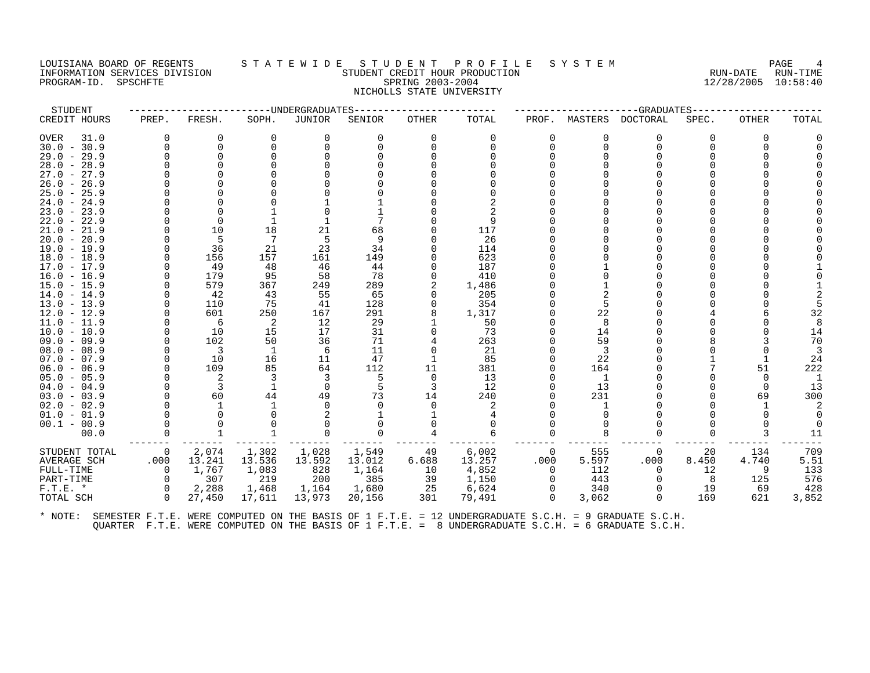#### LOUISIANA BOARD OF REGENTS STATEWIDE STUDE NT PROFILE SYSTEM PAGE 4<br>INFORMATION SERVICES DIVISION STATE WILL STUDENT CREDIT HOUR PRODUCTION INFORMATION SERVICES DIVISION SUBSERVICES ON A SUBSERVICES ON SUBSERVICES SUBSERVICES ON SUBSERVICES ON SUBSER<br>PROGRAM-ID. SPSCHFTE STUDENT SPRING 2003-2004 SPRING 2003-2004 2003-2004 PROGRAM-ID. SPSCHFTE SERIES SPRING 2003-2004 NICHOLLS STATE UNIVERSITY

| STUDENT                         |              |          |        | ---UNDERGRADUATES |        |          |          |          |          | -GRADUATES |       |          |       |
|---------------------------------|--------------|----------|--------|-------------------|--------|----------|----------|----------|----------|------------|-------|----------|-------|
| CREDIT HOURS                    | PREP.        | FRESH.   | SOPH.  | JUNIOR            | SENIOR | OTHER    | TOTAL    | PROF.    | MASTERS  | DOCTORAL   | SPEC. | OTHER    | TOTAL |
| 31.0<br>OVER                    |              | 0        | 0      | 0                 |        | 0        | 0        |          | 0        | 0          |       | 0        |       |
| $30.0 - 30.9$                   |              | $\Omega$ | $\cap$ | $\Omega$          |        |          | $\Omega$ |          | $\Omega$ | $\Omega$   |       |          |       |
| $29.0 - 29.9$                   |              | ∩        |        |                   |        |          |          |          |          |            |       |          |       |
| $28.0 - 28.9$                   |              |          |        |                   |        |          |          |          |          |            |       |          |       |
| $27.0 - 27.9$                   |              |          |        |                   |        |          |          |          |          |            |       |          |       |
| $26.0 - 26.9$                   |              |          |        |                   |        |          |          |          |          |            |       |          |       |
| $25.0 - 25.9$                   |              |          |        |                   |        |          |          |          |          |            |       |          |       |
| $24.0 - 24.9$                   |              |          |        |                   |        |          |          |          |          |            |       |          |       |
| $23.0 - 23.9$                   |              |          |        |                   |        |          |          |          |          |            |       |          |       |
| $22.0 - 22.9$                   |              | 10       | 18     | 21                | 68     |          | 117      |          |          |            |       |          |       |
| 21.0 -<br>21.9<br>$20.0 - 20.9$ |              | 5        | 7      | 5                 |        |          | 26       |          |          |            |       |          |       |
| $19.0 - 19.9$                   |              | 36       | 21     | 23                | 34     |          | 114      |          |          |            |       |          |       |
| 18.0 - 18.9                     |              | 156      | 157    | 161               | 149    |          | 623      |          |          |            |       |          |       |
| $17.0 - 17.9$                   |              | 49       | 48     | 46                | 44     |          | 187      |          |          |            |       |          |       |
| $16.0 - 16.9$                   |              | 179      | 95     | 58                | 78     |          | 410      |          |          |            |       |          |       |
| $15.0 - 15.9$                   |              | 579      | 367    | 249               | 289    |          | 1,486    |          |          |            |       |          |       |
| $14.0 - 14.9$                   |              | 42       | 43     | 55                | 65     |          | 205      |          |          |            |       |          |       |
| $13.0 - 13.9$                   |              | 110      | 75     | 41                | 128    |          | 354      |          |          |            |       |          |       |
| $12.0 - 12.9$                   |              | 601      | 250    | 167               | 291    |          | 1,317    |          | 22       |            |       |          | 32    |
| $11.0 - 11.9$                   |              | 6        | 2      | 12                | 29     |          | 50       |          | 8        |            |       |          |       |
| $10.0 - 10.9$                   |              | 10       | 15     | 17                | 31     |          | 73       |          | 14       |            |       |          | 14    |
| $09.0 - 09.9$                   |              | 102      | 50     | 36                | 71     |          | 263      |          | 59       |            |       |          | 70    |
| $08.0 - 08.9$                   |              | 3        |        | 6                 | 11     |          | 21       |          |          |            |       |          |       |
| $07.0 - 07.9$                   |              | 10       | 16     | 11                | 47     |          | 85       |          | 22       |            |       |          | 24    |
| $06.0 - 06.9$                   |              | 109      | 85     | 64                | 112    | 11       | 381      |          | 164      |            |       | 51       | 222   |
| $05.0 - 05.9$                   |              | 2        |        | 3                 | 5      | $\Omega$ | 13       |          |          |            |       |          |       |
| $04.0 - 04.9$                   |              | 3        |        | <sup>0</sup>      |        | 3        | 12       |          | 13       |            |       | $\Omega$ | 13    |
| $03.0 - 03.9$                   |              | 60       | 44     | 49                | 73     | 14       | 240      |          | 231      |            |       | 69       | 300   |
| $02.0 - 02.9$<br>$01.0 - 01.9$  |              |          |        |                   |        |          |          |          |          |            |       |          |       |
| $00.1 - 00.9$                   |              | O        |        |                   |        |          |          |          |          |            |       |          |       |
| 00.0                            |              |          |        |                   |        |          |          |          |          |            |       |          | 11    |
|                                 |              |          |        |                   |        |          |          |          |          |            |       |          |       |
| STUDENT TOTAL                   | 0            | 2,074    | 1,302  | 1,028             | 1,549  | 49       | 6,002    | 0        | 555      | 0          | 20    | 134      | 709   |
| AVERAGE SCH                     | .000         | 13.241   | 13.536 | 13.592            | 13.012 | 6.688    | 13.257   | .000     | 5.597    | .000       | 8.450 | 4.740    | 5.51  |
| FULL-TIME                       | <sup>n</sup> | 1,767    | 1,083  | 828               | 1,164  | 10       | 4,852    | $\Omega$ | 112      | 0          | 12    | 9        | 133   |
| PART-TIME                       |              | 307      | 219    | 200               | 385    | 39       | 1,150    |          | 443      |            |       | 125      | 576   |
| $F.T.E. *$                      | $\Omega$     | 2,288    | 1,468  | 1,164             | 1,680  | 25       | 6,624    | 0        | 340      | 0          | 19    | 69       | 428   |
| TOTAL SCH                       | $\Omega$     | 27,450   | 17,611 | 13,973            | 20,156 | 301      | 79,491   | $\Omega$ | 3,062    | $\Omega$   | 169   | 621      | 3,852 |
|                                 |              |          |        |                   |        |          |          |          |          |            |       |          |       |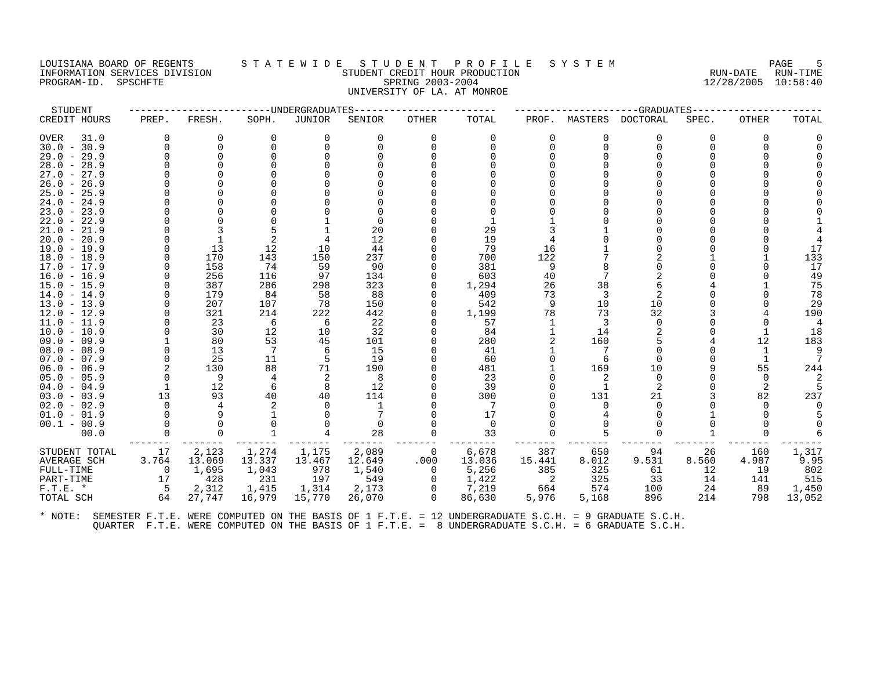#### LOUISIANA BOARD OF REGENTS STATEWIDE STUDENT PROFILE SYSTEM PAGE 5<br>INFORMATION SERVICES DIVISION STATEWIDENT CREDIT HOUR PRODUCTION 10.000 PRODUCTION INFORMATION STUDENT CREDIT HOUR PRODUCTION SERVICES AND SERVICE SUN-TIME SERVING 2003-2004 PROGRAM-ID. SPSCHFTE SERING 2003-2004 UNIVERSITY OF LA. AT MONROE

| FRESH.<br>SOPH.<br>JUNIOR<br>OTHER<br>TOTAL<br>DOCTORAL<br>SPEC.<br>TOTAL<br>PREP.<br>SENIOR<br>PROF.<br>MASTERS<br>OTHER<br>31.0<br>0<br>O<br>0<br>$\Omega$<br>0<br>0<br>0<br>0<br>$\Omega$<br>0<br>0<br>$\Omega$<br>$\Omega$<br>O<br>0<br>$\Omega$<br>∩<br>∩<br>$\Omega$<br>$29.0 - 29.9$<br>$\cap$<br>$28.0 - 28.9$<br>$27.0 - 27.9$<br>$26.0 - 26.9$<br>$25.0 - 25.9$<br>$24.0 - 24.9$<br>$23.0 - 23.9$<br>$22.0 - 22.9$<br>20<br>29<br>$21.0 - 21.9$<br>3<br>12<br>$\overline{2}$<br>19<br>$20.0 - 20.9$<br>13<br>12<br>79<br>$19.0 - 19.9$<br>10<br>44<br>16<br>17<br>122<br>133<br>170<br>143<br>150<br>237<br>700<br>$18.0 - 18.9$<br>158<br>90<br>381<br>17<br>$17.0 - 17.9$<br>74<br>59<br>603<br>49<br>$16.0 - 16.9$<br>256<br>116<br>97<br>134<br>40<br>286<br>323<br>38<br>75<br>$15.0 - 15.9$<br>387<br>298<br>1,294<br>26<br>78<br>179<br>84<br>88<br>409<br>73<br>2<br>$14.0 - 14.9$<br>58<br>3<br>207<br>542<br>10<br>29<br>$13.0 - 13.9$<br>107<br>78<br>150<br>9<br>10<br>190<br>321<br>222<br>442<br>1,199<br>78<br>73<br>32<br>$12.0 - 12.9$<br>214<br>U<br>23<br>3<br>$11.0 - 11.9$<br>6<br>22<br>57<br>6<br>$\Omega$<br>32<br>$10.0 - 10.9$<br>30<br>12<br>10<br>14<br>18<br>84<br>53<br>45<br>12<br>183<br>$09.0 - 09.9$<br>80<br>101<br>280<br>160<br>13<br>7<br>15<br>$08.0 - 08.9$<br>41<br>6<br>25<br>11<br>19<br>5<br>$07.0 - 07.9$<br>60<br>-6<br>$\Omega$<br>88<br>71<br>55<br>244<br>$06.0 - 06.9$<br>130<br>190<br>481<br>169<br>10<br>8<br>23<br>$05.0 - 05.9$<br>9<br>∩<br>12<br>12<br>39<br>$04.0 - 04.9$<br>6<br>8<br>2<br>237<br>$03.0 - 03.9$<br>13<br>93<br>40<br>40<br>114<br>300<br>131<br>21<br>82<br>$02.0 - 02.9$<br>∩<br>17<br>9<br>$01.0 - 01.9$<br>$00.1 - 00.9$<br>$\Omega$<br>0<br>28<br>33<br>00.0<br>$\Omega$<br>$\Omega$<br>1,317<br>2,123<br>1,175<br>2,089<br>STUDENT TOTAL<br>1,274<br>$\overline{0}$<br>6,678<br>387<br>650<br>94<br>26<br>160<br>17<br>3.764<br>13.069<br>13.036<br>9.95<br>13.337<br>13.467<br>12.649<br>.000<br>15.441<br>8.012<br>9.531<br>8.560<br>4.987<br>AVERAGE SCH<br>1,695<br>978<br>5,256<br>325<br>802<br>1,043<br>1,540<br>385<br>$\Omega$<br>$\Omega$<br>61<br>12<br>19<br>17<br>428<br>197<br>549<br>515<br>231<br>1,422<br>325<br>33<br>141<br>PART-TIME<br>2<br>14<br>$\Omega$<br>2,312<br>1,314<br>574<br>$F.T.E. *$<br>1,415<br>2,173<br>7,219<br>664<br>100<br>24<br>89<br>1,450<br>-5<br>0<br>64<br>27,747<br>16,979<br>15,770<br>26,070<br>$\Omega$<br>86,630<br>5,976<br>5,168<br>896<br>214<br>798<br>13,052 | STUDENT       |  | ---UNDERGRADUATES |  |  | --GRADUATES-- |  |  |
|----------------------------------------------------------------------------------------------------------------------------------------------------------------------------------------------------------------------------------------------------------------------------------------------------------------------------------------------------------------------------------------------------------------------------------------------------------------------------------------------------------------------------------------------------------------------------------------------------------------------------------------------------------------------------------------------------------------------------------------------------------------------------------------------------------------------------------------------------------------------------------------------------------------------------------------------------------------------------------------------------------------------------------------------------------------------------------------------------------------------------------------------------------------------------------------------------------------------------------------------------------------------------------------------------------------------------------------------------------------------------------------------------------------------------------------------------------------------------------------------------------------------------------------------------------------------------------------------------------------------------------------------------------------------------------------------------------------------------------------------------------------------------------------------------------------------------------------------------------------------------------------------------------------------------------------------------------------------------------------------------------------------------------------------------------------------------------------------------------------------------------------------------------------------------------------------------------------------------------------------------------------------------------------------------------------------------------------------------------------------------------------------------------------------------------------------------------------------------------------------------------------|---------------|--|-------------------|--|--|---------------|--|--|
|                                                                                                                                                                                                                                                                                                                                                                                                                                                                                                                                                                                                                                                                                                                                                                                                                                                                                                                                                                                                                                                                                                                                                                                                                                                                                                                                                                                                                                                                                                                                                                                                                                                                                                                                                                                                                                                                                                                                                                                                                                                                                                                                                                                                                                                                                                                                                                                                                                                                                                                | CREDIT HOURS  |  |                   |  |  |               |  |  |
|                                                                                                                                                                                                                                                                                                                                                                                                                                                                                                                                                                                                                                                                                                                                                                                                                                                                                                                                                                                                                                                                                                                                                                                                                                                                                                                                                                                                                                                                                                                                                                                                                                                                                                                                                                                                                                                                                                                                                                                                                                                                                                                                                                                                                                                                                                                                                                                                                                                                                                                | OVER          |  |                   |  |  |               |  |  |
|                                                                                                                                                                                                                                                                                                                                                                                                                                                                                                                                                                                                                                                                                                                                                                                                                                                                                                                                                                                                                                                                                                                                                                                                                                                                                                                                                                                                                                                                                                                                                                                                                                                                                                                                                                                                                                                                                                                                                                                                                                                                                                                                                                                                                                                                                                                                                                                                                                                                                                                | $30.0 - 30.9$ |  |                   |  |  |               |  |  |
|                                                                                                                                                                                                                                                                                                                                                                                                                                                                                                                                                                                                                                                                                                                                                                                                                                                                                                                                                                                                                                                                                                                                                                                                                                                                                                                                                                                                                                                                                                                                                                                                                                                                                                                                                                                                                                                                                                                                                                                                                                                                                                                                                                                                                                                                                                                                                                                                                                                                                                                |               |  |                   |  |  |               |  |  |
|                                                                                                                                                                                                                                                                                                                                                                                                                                                                                                                                                                                                                                                                                                                                                                                                                                                                                                                                                                                                                                                                                                                                                                                                                                                                                                                                                                                                                                                                                                                                                                                                                                                                                                                                                                                                                                                                                                                                                                                                                                                                                                                                                                                                                                                                                                                                                                                                                                                                                                                |               |  |                   |  |  |               |  |  |
|                                                                                                                                                                                                                                                                                                                                                                                                                                                                                                                                                                                                                                                                                                                                                                                                                                                                                                                                                                                                                                                                                                                                                                                                                                                                                                                                                                                                                                                                                                                                                                                                                                                                                                                                                                                                                                                                                                                                                                                                                                                                                                                                                                                                                                                                                                                                                                                                                                                                                                                |               |  |                   |  |  |               |  |  |
|                                                                                                                                                                                                                                                                                                                                                                                                                                                                                                                                                                                                                                                                                                                                                                                                                                                                                                                                                                                                                                                                                                                                                                                                                                                                                                                                                                                                                                                                                                                                                                                                                                                                                                                                                                                                                                                                                                                                                                                                                                                                                                                                                                                                                                                                                                                                                                                                                                                                                                                |               |  |                   |  |  |               |  |  |
|                                                                                                                                                                                                                                                                                                                                                                                                                                                                                                                                                                                                                                                                                                                                                                                                                                                                                                                                                                                                                                                                                                                                                                                                                                                                                                                                                                                                                                                                                                                                                                                                                                                                                                                                                                                                                                                                                                                                                                                                                                                                                                                                                                                                                                                                                                                                                                                                                                                                                                                |               |  |                   |  |  |               |  |  |
|                                                                                                                                                                                                                                                                                                                                                                                                                                                                                                                                                                                                                                                                                                                                                                                                                                                                                                                                                                                                                                                                                                                                                                                                                                                                                                                                                                                                                                                                                                                                                                                                                                                                                                                                                                                                                                                                                                                                                                                                                                                                                                                                                                                                                                                                                                                                                                                                                                                                                                                |               |  |                   |  |  |               |  |  |
|                                                                                                                                                                                                                                                                                                                                                                                                                                                                                                                                                                                                                                                                                                                                                                                                                                                                                                                                                                                                                                                                                                                                                                                                                                                                                                                                                                                                                                                                                                                                                                                                                                                                                                                                                                                                                                                                                                                                                                                                                                                                                                                                                                                                                                                                                                                                                                                                                                                                                                                |               |  |                   |  |  |               |  |  |
|                                                                                                                                                                                                                                                                                                                                                                                                                                                                                                                                                                                                                                                                                                                                                                                                                                                                                                                                                                                                                                                                                                                                                                                                                                                                                                                                                                                                                                                                                                                                                                                                                                                                                                                                                                                                                                                                                                                                                                                                                                                                                                                                                                                                                                                                                                                                                                                                                                                                                                                |               |  |                   |  |  |               |  |  |
|                                                                                                                                                                                                                                                                                                                                                                                                                                                                                                                                                                                                                                                                                                                                                                                                                                                                                                                                                                                                                                                                                                                                                                                                                                                                                                                                                                                                                                                                                                                                                                                                                                                                                                                                                                                                                                                                                                                                                                                                                                                                                                                                                                                                                                                                                                                                                                                                                                                                                                                |               |  |                   |  |  |               |  |  |
|                                                                                                                                                                                                                                                                                                                                                                                                                                                                                                                                                                                                                                                                                                                                                                                                                                                                                                                                                                                                                                                                                                                                                                                                                                                                                                                                                                                                                                                                                                                                                                                                                                                                                                                                                                                                                                                                                                                                                                                                                                                                                                                                                                                                                                                                                                                                                                                                                                                                                                                |               |  |                   |  |  |               |  |  |
|                                                                                                                                                                                                                                                                                                                                                                                                                                                                                                                                                                                                                                                                                                                                                                                                                                                                                                                                                                                                                                                                                                                                                                                                                                                                                                                                                                                                                                                                                                                                                                                                                                                                                                                                                                                                                                                                                                                                                                                                                                                                                                                                                                                                                                                                                                                                                                                                                                                                                                                |               |  |                   |  |  |               |  |  |
|                                                                                                                                                                                                                                                                                                                                                                                                                                                                                                                                                                                                                                                                                                                                                                                                                                                                                                                                                                                                                                                                                                                                                                                                                                                                                                                                                                                                                                                                                                                                                                                                                                                                                                                                                                                                                                                                                                                                                                                                                                                                                                                                                                                                                                                                                                                                                                                                                                                                                                                |               |  |                   |  |  |               |  |  |
|                                                                                                                                                                                                                                                                                                                                                                                                                                                                                                                                                                                                                                                                                                                                                                                                                                                                                                                                                                                                                                                                                                                                                                                                                                                                                                                                                                                                                                                                                                                                                                                                                                                                                                                                                                                                                                                                                                                                                                                                                                                                                                                                                                                                                                                                                                                                                                                                                                                                                                                |               |  |                   |  |  |               |  |  |
|                                                                                                                                                                                                                                                                                                                                                                                                                                                                                                                                                                                                                                                                                                                                                                                                                                                                                                                                                                                                                                                                                                                                                                                                                                                                                                                                                                                                                                                                                                                                                                                                                                                                                                                                                                                                                                                                                                                                                                                                                                                                                                                                                                                                                                                                                                                                                                                                                                                                                                                |               |  |                   |  |  |               |  |  |
|                                                                                                                                                                                                                                                                                                                                                                                                                                                                                                                                                                                                                                                                                                                                                                                                                                                                                                                                                                                                                                                                                                                                                                                                                                                                                                                                                                                                                                                                                                                                                                                                                                                                                                                                                                                                                                                                                                                                                                                                                                                                                                                                                                                                                                                                                                                                                                                                                                                                                                                |               |  |                   |  |  |               |  |  |
|                                                                                                                                                                                                                                                                                                                                                                                                                                                                                                                                                                                                                                                                                                                                                                                                                                                                                                                                                                                                                                                                                                                                                                                                                                                                                                                                                                                                                                                                                                                                                                                                                                                                                                                                                                                                                                                                                                                                                                                                                                                                                                                                                                                                                                                                                                                                                                                                                                                                                                                |               |  |                   |  |  |               |  |  |
|                                                                                                                                                                                                                                                                                                                                                                                                                                                                                                                                                                                                                                                                                                                                                                                                                                                                                                                                                                                                                                                                                                                                                                                                                                                                                                                                                                                                                                                                                                                                                                                                                                                                                                                                                                                                                                                                                                                                                                                                                                                                                                                                                                                                                                                                                                                                                                                                                                                                                                                |               |  |                   |  |  |               |  |  |
|                                                                                                                                                                                                                                                                                                                                                                                                                                                                                                                                                                                                                                                                                                                                                                                                                                                                                                                                                                                                                                                                                                                                                                                                                                                                                                                                                                                                                                                                                                                                                                                                                                                                                                                                                                                                                                                                                                                                                                                                                                                                                                                                                                                                                                                                                                                                                                                                                                                                                                                |               |  |                   |  |  |               |  |  |
|                                                                                                                                                                                                                                                                                                                                                                                                                                                                                                                                                                                                                                                                                                                                                                                                                                                                                                                                                                                                                                                                                                                                                                                                                                                                                                                                                                                                                                                                                                                                                                                                                                                                                                                                                                                                                                                                                                                                                                                                                                                                                                                                                                                                                                                                                                                                                                                                                                                                                                                |               |  |                   |  |  |               |  |  |
|                                                                                                                                                                                                                                                                                                                                                                                                                                                                                                                                                                                                                                                                                                                                                                                                                                                                                                                                                                                                                                                                                                                                                                                                                                                                                                                                                                                                                                                                                                                                                                                                                                                                                                                                                                                                                                                                                                                                                                                                                                                                                                                                                                                                                                                                                                                                                                                                                                                                                                                |               |  |                   |  |  |               |  |  |
|                                                                                                                                                                                                                                                                                                                                                                                                                                                                                                                                                                                                                                                                                                                                                                                                                                                                                                                                                                                                                                                                                                                                                                                                                                                                                                                                                                                                                                                                                                                                                                                                                                                                                                                                                                                                                                                                                                                                                                                                                                                                                                                                                                                                                                                                                                                                                                                                                                                                                                                |               |  |                   |  |  |               |  |  |
|                                                                                                                                                                                                                                                                                                                                                                                                                                                                                                                                                                                                                                                                                                                                                                                                                                                                                                                                                                                                                                                                                                                                                                                                                                                                                                                                                                                                                                                                                                                                                                                                                                                                                                                                                                                                                                                                                                                                                                                                                                                                                                                                                                                                                                                                                                                                                                                                                                                                                                                |               |  |                   |  |  |               |  |  |
|                                                                                                                                                                                                                                                                                                                                                                                                                                                                                                                                                                                                                                                                                                                                                                                                                                                                                                                                                                                                                                                                                                                                                                                                                                                                                                                                                                                                                                                                                                                                                                                                                                                                                                                                                                                                                                                                                                                                                                                                                                                                                                                                                                                                                                                                                                                                                                                                                                                                                                                |               |  |                   |  |  |               |  |  |
|                                                                                                                                                                                                                                                                                                                                                                                                                                                                                                                                                                                                                                                                                                                                                                                                                                                                                                                                                                                                                                                                                                                                                                                                                                                                                                                                                                                                                                                                                                                                                                                                                                                                                                                                                                                                                                                                                                                                                                                                                                                                                                                                                                                                                                                                                                                                                                                                                                                                                                                |               |  |                   |  |  |               |  |  |
|                                                                                                                                                                                                                                                                                                                                                                                                                                                                                                                                                                                                                                                                                                                                                                                                                                                                                                                                                                                                                                                                                                                                                                                                                                                                                                                                                                                                                                                                                                                                                                                                                                                                                                                                                                                                                                                                                                                                                                                                                                                                                                                                                                                                                                                                                                                                                                                                                                                                                                                |               |  |                   |  |  |               |  |  |
|                                                                                                                                                                                                                                                                                                                                                                                                                                                                                                                                                                                                                                                                                                                                                                                                                                                                                                                                                                                                                                                                                                                                                                                                                                                                                                                                                                                                                                                                                                                                                                                                                                                                                                                                                                                                                                                                                                                                                                                                                                                                                                                                                                                                                                                                                                                                                                                                                                                                                                                |               |  |                   |  |  |               |  |  |
|                                                                                                                                                                                                                                                                                                                                                                                                                                                                                                                                                                                                                                                                                                                                                                                                                                                                                                                                                                                                                                                                                                                                                                                                                                                                                                                                                                                                                                                                                                                                                                                                                                                                                                                                                                                                                                                                                                                                                                                                                                                                                                                                                                                                                                                                                                                                                                                                                                                                                                                |               |  |                   |  |  |               |  |  |
|                                                                                                                                                                                                                                                                                                                                                                                                                                                                                                                                                                                                                                                                                                                                                                                                                                                                                                                                                                                                                                                                                                                                                                                                                                                                                                                                                                                                                                                                                                                                                                                                                                                                                                                                                                                                                                                                                                                                                                                                                                                                                                                                                                                                                                                                                                                                                                                                                                                                                                                |               |  |                   |  |  |               |  |  |
|                                                                                                                                                                                                                                                                                                                                                                                                                                                                                                                                                                                                                                                                                                                                                                                                                                                                                                                                                                                                                                                                                                                                                                                                                                                                                                                                                                                                                                                                                                                                                                                                                                                                                                                                                                                                                                                                                                                                                                                                                                                                                                                                                                                                                                                                                                                                                                                                                                                                                                                |               |  |                   |  |  |               |  |  |
|                                                                                                                                                                                                                                                                                                                                                                                                                                                                                                                                                                                                                                                                                                                                                                                                                                                                                                                                                                                                                                                                                                                                                                                                                                                                                                                                                                                                                                                                                                                                                                                                                                                                                                                                                                                                                                                                                                                                                                                                                                                                                                                                                                                                                                                                                                                                                                                                                                                                                                                |               |  |                   |  |  |               |  |  |
|                                                                                                                                                                                                                                                                                                                                                                                                                                                                                                                                                                                                                                                                                                                                                                                                                                                                                                                                                                                                                                                                                                                                                                                                                                                                                                                                                                                                                                                                                                                                                                                                                                                                                                                                                                                                                                                                                                                                                                                                                                                                                                                                                                                                                                                                                                                                                                                                                                                                                                                |               |  |                   |  |  |               |  |  |
|                                                                                                                                                                                                                                                                                                                                                                                                                                                                                                                                                                                                                                                                                                                                                                                                                                                                                                                                                                                                                                                                                                                                                                                                                                                                                                                                                                                                                                                                                                                                                                                                                                                                                                                                                                                                                                                                                                                                                                                                                                                                                                                                                                                                                                                                                                                                                                                                                                                                                                                |               |  |                   |  |  |               |  |  |
|                                                                                                                                                                                                                                                                                                                                                                                                                                                                                                                                                                                                                                                                                                                                                                                                                                                                                                                                                                                                                                                                                                                                                                                                                                                                                                                                                                                                                                                                                                                                                                                                                                                                                                                                                                                                                                                                                                                                                                                                                                                                                                                                                                                                                                                                                                                                                                                                                                                                                                                | FULL-TIME     |  |                   |  |  |               |  |  |
|                                                                                                                                                                                                                                                                                                                                                                                                                                                                                                                                                                                                                                                                                                                                                                                                                                                                                                                                                                                                                                                                                                                                                                                                                                                                                                                                                                                                                                                                                                                                                                                                                                                                                                                                                                                                                                                                                                                                                                                                                                                                                                                                                                                                                                                                                                                                                                                                                                                                                                                |               |  |                   |  |  |               |  |  |
|                                                                                                                                                                                                                                                                                                                                                                                                                                                                                                                                                                                                                                                                                                                                                                                                                                                                                                                                                                                                                                                                                                                                                                                                                                                                                                                                                                                                                                                                                                                                                                                                                                                                                                                                                                                                                                                                                                                                                                                                                                                                                                                                                                                                                                                                                                                                                                                                                                                                                                                |               |  |                   |  |  |               |  |  |
|                                                                                                                                                                                                                                                                                                                                                                                                                                                                                                                                                                                                                                                                                                                                                                                                                                                                                                                                                                                                                                                                                                                                                                                                                                                                                                                                                                                                                                                                                                                                                                                                                                                                                                                                                                                                                                                                                                                                                                                                                                                                                                                                                                                                                                                                                                                                                                                                                                                                                                                | TOTAL SCH     |  |                   |  |  |               |  |  |
|                                                                                                                                                                                                                                                                                                                                                                                                                                                                                                                                                                                                                                                                                                                                                                                                                                                                                                                                                                                                                                                                                                                                                                                                                                                                                                                                                                                                                                                                                                                                                                                                                                                                                                                                                                                                                                                                                                                                                                                                                                                                                                                                                                                                                                                                                                                                                                                                                                                                                                                |               |  |                   |  |  |               |  |  |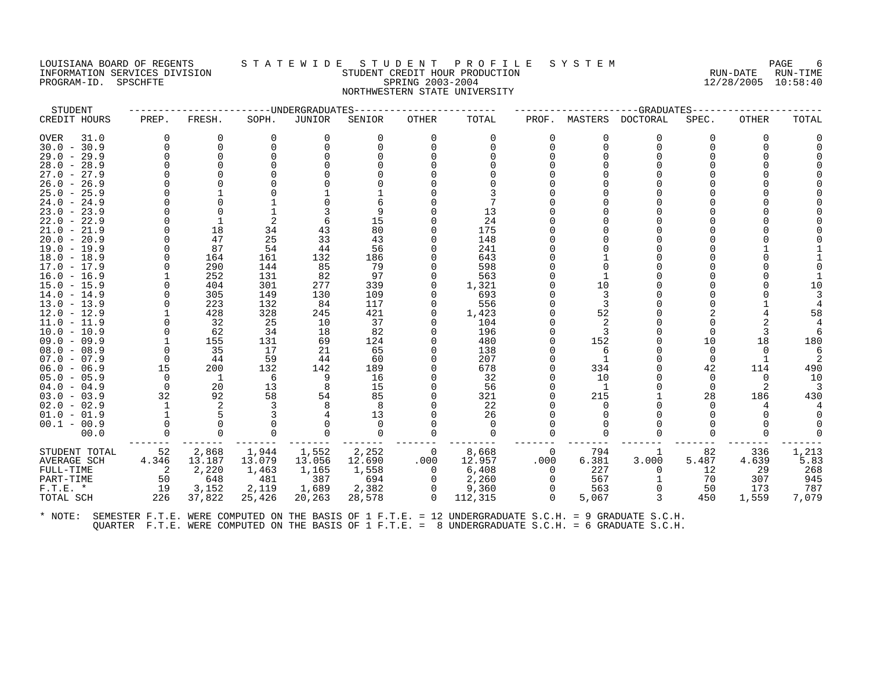# LOUISIANA BOARD OF REGENTS STATEWIDE STUDENT PROFILE SYSTEM PAGE FOR THE RUN-DATE RUN-TIME<br>INFORMATION SERVICES DIVISION STUDENT CREDIT HOUR PRODUCTION PROPOSITION INFORMATION SERVICES DIVISION STUDENT CREDIT HOUR PRODUCTION RUN-DATE RUN-TIME PROGRAM-ID. SPSCHFTE SPRING 2003-2004 12/28/2005 10:58:40 NORTHWESTERN STATE UNIVERSITY

STUDENT ------------------------UNDERGRADUATES------------------------ ---------------------GRADUATES---------------------- CREDIT HOURS PREP. FRESH. SOPH. JUNIOR SENIOR OTHER TOTAL PROF. MASTERS DOCTORAL SPEC. OTHER TOTAL OVER 31.0 0 0 0 0 0 0 0 0 0 0 0 0 0 30.0 - 30.9 0 0 0 0 0 0 0 0 0 0 0 0 0 29.0 - 29.9 0 0 0 0 0 0 0 0 0 0 0 0 0 28.0 - 28.9 0 0 0 0 0 0 0 0 0 0 0 0 0 27.0 - 27.9 0 0 0 0 0 0 0 0 0 0 0 0 0 26.0 - 26.9 0 0 0 0 0 0 0 0 0 0 0 0 0 25.0 - 25.9 0 1 0 1 1 0 3 0 0 0 0 0 0 24.0 - 24.9 0 0 1 0 6 0 7 0 0 0 0 0 0 23.0 - 23.9 0 0 1 3 9 0 13 0 0 0 0 0 0 22.0 - 22.9 0 1 2 6 15 0 24 0 0 0 0 0 0 21.0 - 21.9 0 18 34 43 80 0 175 0 0 0 0 0 0 20.0 - 20.9 0 47 25 33 43 0 148 0 0 0 0 0 0 19.0 - 19.9 0 87 54 44 56 0 241 0 0 0 0 1 1 18.0 - 18.9 0 164 161 132 186 0 643 0 1 0 0 0 1 17.0 - 17.9 0 290 144 85 79 0 598 0 0 0 0 0 0 16.0 - 16.9 1 252 131 82 97 0 563 0 1 0 0 0 1 15.0 - 15.9 0 404 301 277 339 0 1,321 0 10 0 0 0 10 14.0 - 14.9 0 305 149 130 109 0 693 0 3 0 0 0 3 13.0 - 13.9 0 223 132 84 117 0 556 0 3 0 0 1 4 12.0 - 12.9 1 428 328 245 421 0 1,423 0 52 0 2 4 58 11.0 - 11.9 0 32 25 10 37 0 104 0 2 0 0 2 4 10.0 - 10.9 0 62 34 18 82 0 196 0 3 0 0 3 6 09.0 - 09.9 1 155 131 69 124 0 480 0 152 0 10 18 180 08.0 - 08.9 0 35 17 21 65 0 138 0 6 0 0 0 6 07.0 - 07.9 0 44 59 44 60 0 207 0 1 0 0 1 2 06.0 - 06.9 15 200 132 142 189 0 678 0 334 0 42 114 490 05.0 - 05.9 0 1 6 9 16 0 32 0 10 0 0 0 10 04.0 - 04.9 0 20 13 8 15 0 56 0 1 0 0 2 3 03.0 - 03.9 32 92 58 54 85 0 321 0 215 1 28 186 430 02.0 - 02.9 1 2 3 8 8 0 22 0 0 0 0 4 4 01.0 - 01.9 1 5 3 4 13 0 26 0 0 0 0 0 0 00.1 - 00.9 0 0 0 0 0 0 0 0 0 0 0 0 0 00.0 0 0 0 0 0 0 0 0 0 0 0 0 0 ------- ------- ------- ------- ------- ------- -------- ------- ------- ------- ------- ------- ------- STUDENT TOTAL 52 2,868 1,944 1,552 2,252 0 8,668 0 794 1 82 336 1,213 AVERAGE SCH 4.346 13.187 13.079 13.056 12.690 .000 12.957 .000 6.381 3.000 5.487 4.639 5.83 FULL-TIME 2 2,220 1,463 1,165 1,558 0 6,408 0 227 0 12 29 268 PART-TIME 50 648 481 387 694 0 2,260 0 567 1 70 307 945 F.T.E. \* 19 3,152 2,119 1,689 2,382 0 9,360 0 563 0 50 173 787 TOTAL SCH 226 37,822 25,426 20,263 28,578 0 112,315 0 5,067 3 450 1,559 7,079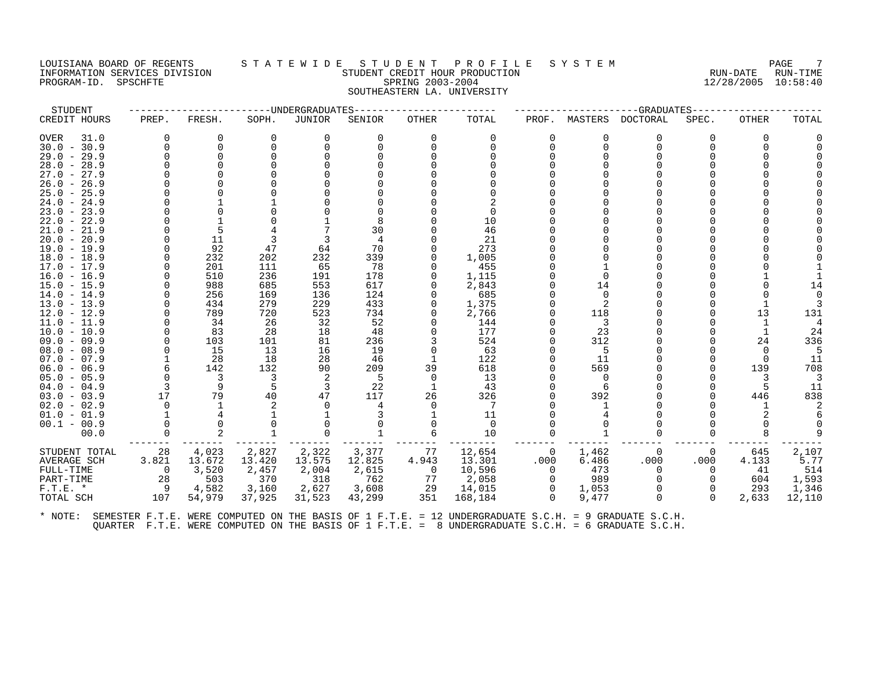## LOUISIANA BOARD OF REGENTS STATEWIDE STUDENT PROFILE SYSTEM PAGE 7<br>INFORMATION SERVICES DIVISION STUDENT CREDIT HOUR PRODUCTION PROPOSE 10:00/2005 10:58:40 INFORMATION SERVICES DIVISION STUDENT CREDIT HOUR PRODUCTION RUN-DATE RUN-TIME PROGRAM-ID. SPSCHFTE SPRING 2003-2004 12/28/2005 10:58:40 SOUTHEASTERN LA. UNIVERSITY

# STUDENT ------------------------UNDERGRADUATES------------------------ ---------------------GRADUATES---------------------- CREDIT HOURS PREP. FRESH. SOPH. JUNIOR SENIOR OTHER TOTAL PROF. MASTERS DOCTORAL SPEC. OTHER TOTAL OVER 31.0 0 0 0 0 0 0 0 0 0 0 0 0 0 30.0 - 30.9 0 0 0 0 0 0 0 0 0 0 0 0 0 29.0 - 29.9 0 0 0 0 0 0 0 0 0 0 0 0 0 28.0 - 28.9 0 0 0 0 0 0 0 0 0 0 0 0 0 27.0 - 27.9 0 0 0 0 0 0 0 0 0 0 0 0 0 26.0 - 26.9 0 0 0 0 0 0 0 0 0 0 0 0 0 25.0 - 25.9 0 0 0 0 0 0 0 0 0 0 0 0 0 24.0 - 24.9 0 1 1 0 0 0 2 0 0 0 0 0 0 23.0 - 23.9 0 0 0 0 0 0 0 0 0 0 0 0 0 22.0 - 22.9 0 1 0 1 8 0 10 0 0 0 0 0 0 21.0 - 21.9 0 5 4 7 30 0 46 0 0 0 0 0 0 20.0 - 20.9 0 11 3 3 4 0 21 0 0 0 0 0 0 19.0 - 19.9 0 92 47 64 70 0 273 0 0 0 0 0 0 18.0 - 18.9 0 232 202 232 339 0 1,005 0 0 0 0 0 0 17.0 - 17.9 0 201 111 65 78 0 455 0 1 0 0 0 1 16.0 - 16.9 0 510 236 191 178 0 1,115 0 0 0 0 1 1 15.0 - 15.9 0 988 685 553 617 0 2,843 0 14 0 0 0 14 14.0 - 14.9 0 256 169 136 124 0 685 0 0 0 0 0 0 13.0 - 13.9 0 434 279 229 433 0 1,375 0 2 0 0 1 3 12.0 - 12.9 0 789 720 523 734 0 2,766 0 118 0 0 13 131 11.0 - 11.9 0 34 26 32 52 0 144 0 3 0 0 1 4 10.0 - 10.9 0 83 28 18 48 0 177 0 23 0 0 1 24 09.0 - 09.9 0 103 101 81 236 3 524 0 312 0 0 24 336 08.0 - 08.9 0 15 13 16 19 0 63 0 5 0 0 0 5 07.0 - 07.9 1 28 18 28 46 1 122 0 11 0 0 0 11 06.0 - 06.9 6 142 132 90 209 39 618 0 569 0 0 139 708  $\begin{array}{cccccccccccc} 08.0 & -& 08.9 & 0 & 15 & 13 & 16 & 19 & 0 & 63 & 0 & 5 & 0 & 0 & 0 & 5 \ 07.0 & -& 07.9 & 1 & 28 & 18 & 28 & 46 & 1 & 122 & 0 & 11 & 0 & 0 & 0 & 11 \ 06.0 & -& 06.9 & 6 & 142 & 132 & 90 & 209 & 39 & 618 & 0 & 569 & 0 & 0 & 139 & 708 \ 05.0 & -& 05.9 & 0 & 3 & 3 &$ 04.0 - 04.9 3 9 5 3 22 1 43 0 6 0 0 5 11 03.0 - 03.9 17 79 40 47 117 26 326 0 392 0 0 446 838 02.0 - 02.9 0 1 2 0 4 0 7 0 1 0 0 1 2 01.0 - 01.9 1 4 1 1 3 1 11 0 4 0 0 2 6 00.1 - 00.9 0 0 0 0 0 0 0 0 0 0 0 0 0 00.0 0 2 1 0 1 6 10 0 1 0 0 8 9 ------- ------- ------- ------- ------- ------- -------- ------- ------- ------- ------- ------- ------- STUDENT TOTAL 28 4,023 2,827 2,322 3,377 77 12,654 0 1,462 0 0 645 2,107 AVERAGE SCH 3.821 13.672 13.420 13.575 12.825 4.943 13.301 .000 6.486 .000 .000 4.133 5.77 FULL-TIME 0 3,520 2,457 2,004 2,615 0 10,596 0 473 0 0 41 514 PART-TIME 28 503 370 318 762 77 2,058 0 989 0 0 604 1,593 F.T.E. \* 9 4,582 3,160 2,627 3,608 29 14,015 0 1,053 0 0 293 1,346 TOTAL SCH 107 54,979 37,925 31,523 43,299 351 168,184 0 9,477 0 0 2,633 12,110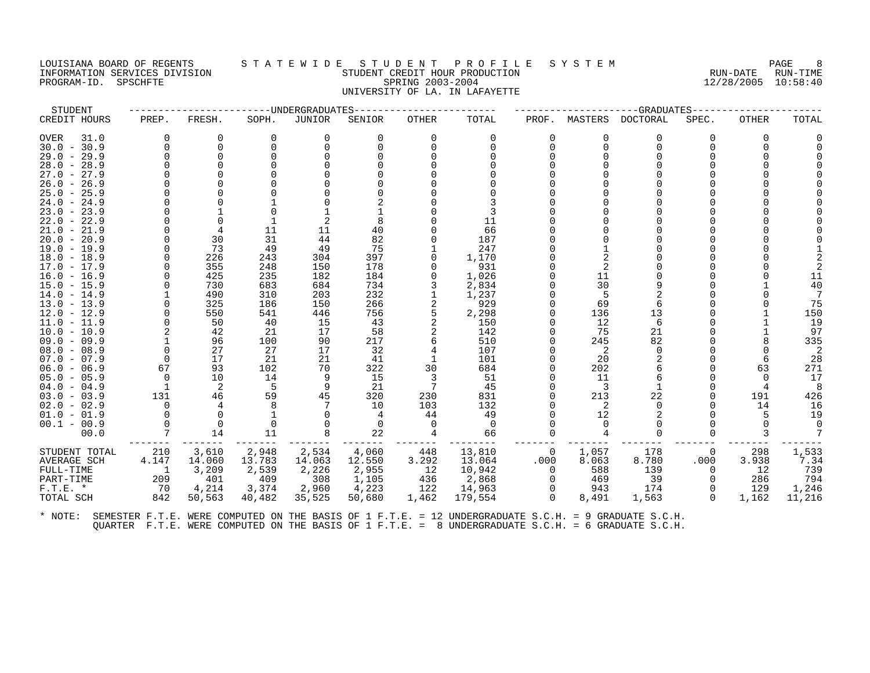#### LOUISIANA BOARD OF REGENTS STATEWIDE STUDENT PROFILE SYSTEM NAGE 8 INDESS DIVISION SERVICES DIVISION SERVICES DE LA LIBRO DE LA LIBRO DE LA LIBRO DE LA LIBRO DE LA LIBRO DE LA L<br>INFORMATION STUDENT CREDIT STUDENT CREDIT HOUR PRODUCTION PRODUCTION 19/99/99/900 10:59:49 PROGRAM-ID. SPSCHFTE 12-23... (2003) 2004 12/28/2005 10:58:40 UNIVERSITY OF LA. IN LAFAYETTE

| STUDENT                  |          |             |            | ---UNDERGRADUATES |            |                |              |                |                      | --GRADUATES    |          |          |          |
|--------------------------|----------|-------------|------------|-------------------|------------|----------------|--------------|----------------|----------------------|----------------|----------|----------|----------|
| CREDIT HOURS             | PREP.    | FRESH.      | SOPH.      | <b>JUNIOR</b>     | SENIOR     | OTHER          | TOTAL        | PROF.          | MASTERS              | DOCTORAL       | SPEC.    | OTHER    | TOTAL    |
| <b>OVER</b><br>31.0      | $\Omega$ | $\mathbf 0$ | $\Omega$   | $\Omega$          | $\Omega$   | $\Omega$       | $\Omega$     | $\Omega$       | $\Omega$             | $\Omega$       | ∩        | $\Omega$ |          |
| $30.0 - 30.9$            | $\Omega$ | $\Omega$    |            | $\Omega$          | $\Omega$   | $\Omega$       | $\Omega$     | $\Omega$       | $\Omega$             | $\Omega$       |          | $\Omega$ |          |
| $29.0 - 29.9$            |          | $\Omega$    |            | 0                 |            |                |              | $\Omega$       | 0                    | $\Omega$       |          | 0        |          |
| $28.0 - 28.9$            |          |             |            |                   |            |                |              |                | $\Omega$             |                |          |          |          |
| $27.0 - 27.9$            |          |             |            |                   |            |                |              |                |                      |                |          |          |          |
| $26.0 - 26.9$            |          |             |            |                   |            |                |              |                | U                    | $\Omega$       |          |          |          |
| $25.0 - 25.9$            |          |             |            |                   |            |                |              |                |                      |                |          |          |          |
| $24.0 - 24.9$            |          |             |            |                   |            |                |              |                |                      |                |          |          |          |
| $23.0 - 23.9$            |          |             |            |                   |            |                |              |                |                      | $\cap$         |          |          |          |
| $22.0 - 22.9$            |          | $\Omega$    |            | 2                 | 8          |                | 11           |                |                      |                |          |          |          |
| $21.0 - 21.9$            |          | 4           | 11         | 11                | 40         |                | 66           |                |                      |                |          |          |          |
| $20.0 - 20.9$            |          | 30          | 31         | 44                | 82         |                | 187          |                |                      | $\cap$         |          |          |          |
| $19.0 - 19.9$            |          | 73          | 49         | 49                | 75         |                | 247          |                |                      | $\Omega$       |          |          |          |
| $18.0 - 18.9$            |          | 226         | 243        | 304               | 397        |                | 1,170        |                |                      | $\Omega$       |          |          |          |
| $17.0 - 17.9$            |          | 355         | 248        | 150               | 178        |                | 931          |                | $\overline{2}$<br>11 | $\cap$         |          |          |          |
| $16.0 - 16.9$            |          | 425         | 235        | 182               | 184        |                | 1,026        |                | 30                   | 9              |          |          | 11       |
| $15.0 - 15.9$<br>$-14.9$ |          | 730<br>490  | 683<br>310 | 684<br>203        | 734        | 3              | 2,834        |                | .5                   | $\overline{a}$ |          |          | 40       |
| 14.0<br>$13.0 - 13.9$    |          |             |            |                   | 232<br>266 | $\overline{2}$ | 1,237<br>929 |                | 69                   | 6              |          |          | 75       |
| $12.0 - 12.9$            |          | 325<br>550  | 186<br>541 | 150<br>446        | 756        | 5              | 2,298        |                | 136                  | 13             |          |          | 150      |
| $11.0 - 11.9$            |          | 50          | 40         | 15                | 43         |                | 150          |                | 12                   | 6              |          |          | 19       |
| $10.0 - 10.9$            |          | 42          | 21         | 17                | 58         |                | 142          |                | 75                   | 21             |          |          | 97       |
| $09.0 - 09.9$            |          | 96          | 100        | 90                | 217        |                | 510          |                | 245                  | 82             |          |          | 335      |
| $08.0 - 08.9$            |          | 27          | 27         | 17                | 32         |                | 107          |                | 2                    | $\mathbf 0$    |          | $\Omega$ | 2        |
| $07.0 - 07.9$            | $\Omega$ | 17          | 21         | 21                | 41         |                | 101          |                | 20                   | 2              |          | 6        | 28       |
| $06.0 - 06.9$            | 67       | 93          | 102        | 70                | 322        | 30             | 684          |                | 202                  | 6              |          | 63       | 271      |
| $05.0 - 05.9$            | $\Omega$ | 10          | 14         | 9                 | 15         | 3              | 51           |                | 11                   | 6              |          | $\Omega$ | 17       |
| $04.0 - 04.9$            |          | -2          | 5          | 9                 | 21         | 7              | 45           |                | 3                    | $\mathbf{1}$   |          |          | 8        |
| $03.0 - 03.9$            | 131      | 46          | 59         | 45                | 320        | 230            | 831          | $\Omega$       | 213                  | 22             |          | 191      | 426      |
| $02.0 - 02.9$            | $\Omega$ | 4           |            |                   | 10         | 103            | 132          |                | 2                    | $\Omega$       |          | 14       | 16       |
| $01.0 - 01.9$            | $\Omega$ | $\Omega$    |            | $\Omega$          | 4          | 44             | 49           | 0              | 12                   | $\overline{2}$ |          | 5        | 19       |
| $00.1 - 00.9$            | $\Omega$ | $\mathbf 0$ |            | $\Omega$          | $\Omega$   | $\Omega$       | $\Omega$     |                | $\Omega$             | $\Omega$       |          | $\Omega$ | $\Omega$ |
| 00.0                     | 7        | 14          | 11         | 8                 | 22         |                | 66           |                |                      | $\Omega$       |          |          | 7        |
| STUDENT TOTAL            | 210      | 3,610       | 2,948      | 2,534             | 4,060      | 448            | 13,810       | $\overline{0}$ | 1,057                | 178            | 0        | 298      | 1,533    |
| AVERAGE SCH              | 4.147    | 14.060      | 13.783     | 14.063            | 12.550     | 3.292          | 13.064       | .000           | 8.063                | 8.780          | .000     | 3.938    | 7.34     |
| FULL-TIME                | 1        | 3,209       | 2,539      | 2,226             | 2,955      | 12             | 10,942       | $\Omega$       | 588                  | 139            | $\Omega$ | 12       | 739      |
| PART-TIME                | 209      | 401         | 409        | 308               | 1,105      | 436            | 2,868        | $\Omega$       | 469                  | 39             | $\Omega$ | 286      | 794      |
| $F.T.E.$ *               | 70       | 4,214       | 3,374      | 2,960             | 4,223      | 122            | 14,963       | $\mathbf 0$    | 943                  | 174            |          | 129      | 1,246    |
| TOTAL SCH                | 842      | 50,563      | 40,482     | 35,525            | 50,680     | 1,462          | 179,554      | $\Omega$       | 8,491                | 1,563          | $\cap$   | 1,162    | 11,216   |
|                          |          |             |            |                   |            |                |              |                |                      |                |          |          |          |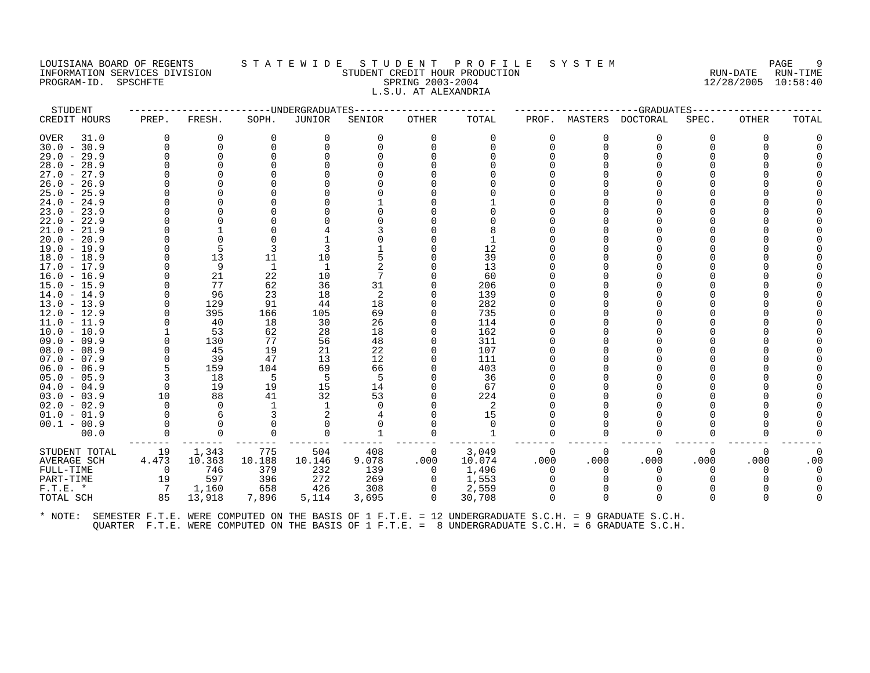#### LOUISIANA BOARD OF REGENTS STATEWIDE STUDENT PROFILE SYSTEM PAGE 9<br>INFORMATION SERVICES DIVISION STATEWIST STUDENT CREDIT HOUR PRODUCTION THE STUDENT CREDIT HOUR PRODUCTION SERVICES AND SERVICES ON SERVICES SERVICES SERVICES SERVICES SERVICES SERVICES SERVICES SERVICES SERVICES SERVICES SERVICES SERVICES SERVICES SERVICES SERVICES SERVICES SERVICES SERVICES PROGRAM-ID. SPSCHFTE SERING 2003-2004 L.S.U. AT ALEXANDRIA

| STUDENT       |                |          |          | -----------------------WNDERGRADUATES |        | -------------- |                |          |          | -------------------GRADUATES----- |       |              |       |
|---------------|----------------|----------|----------|---------------------------------------|--------|----------------|----------------|----------|----------|-----------------------------------|-------|--------------|-------|
| CREDIT HOURS  | PREP.          | FRESH.   | SOPH.    | JUNIOR                                | SENIOR | OTHER          | TOTAL          | PROF.    |          | MASTERS DOCTORAL                  | SPEC. | <b>OTHER</b> | TOTAL |
| OVER<br>31.0  | $\Omega$       | 0        | $\Omega$ | $\Omega$                              | 0      | $\Omega$       | 0              | $\Omega$ | 0        | $\Omega$                          | 0     | $\Omega$     |       |
| $30.0 - 30.9$ | $\Omega$       | $\Omega$ |          |                                       |        |                |                | $\Omega$ | $\Omega$ | $\Omega$                          |       |              |       |
| $29.0 - 29.9$ | $\Omega$       | $\Omega$ |          |                                       |        |                |                |          |          |                                   |       |              |       |
| $28.0 - 28.9$ |                |          |          |                                       |        |                |                |          |          |                                   |       |              |       |
| $27.0 - 27.9$ |                |          |          |                                       |        |                |                |          |          |                                   |       |              |       |
| $26.0 - 26.9$ |                |          |          |                                       |        |                |                |          |          |                                   |       |              |       |
| $25.0 - 25.9$ |                |          |          |                                       |        |                |                |          |          |                                   |       |              |       |
| $24.0 - 24.9$ |                |          |          |                                       |        |                |                |          |          |                                   |       |              |       |
| $23.0 - 23.9$ |                |          |          |                                       |        |                |                |          |          |                                   |       |              |       |
| $22.0 - 22.9$ |                |          |          |                                       |        |                |                |          |          |                                   |       |              |       |
| $21.0 - 21.9$ |                |          |          |                                       |        |                |                |          |          |                                   |       |              |       |
| $20.0 - 20.9$ |                | $\Omega$ |          |                                       |        |                |                |          |          |                                   |       |              |       |
| $19.0 - 19.9$ | 0              | 5        |          |                                       |        |                | 12             |          |          |                                   |       |              |       |
| $18.0 - 18.9$ | $\Omega$       | 13       | 11       | 10                                    |        |                | 39             |          |          |                                   |       |              |       |
| $17.0 - 17.9$ | $\Omega$       | 9        | -1       |                                       |        |                | 13             |          |          |                                   |       |              |       |
| $16.0 - 16.9$ | $\Omega$       | 21       | 22       | 10                                    |        |                | 60             |          |          |                                   |       |              |       |
| $15.0 - 15.9$ |                | 77       | 62       | 36                                    | 31     |                | 206            |          |          |                                   |       |              |       |
| $14.0 - 14.9$ | $\Omega$       | 96       | 23       | 18                                    | 2      |                | 139            |          |          |                                   |       |              |       |
| $13.0 - 13.9$ | $\Omega$       | 129      | 91       | 44                                    | 18     |                | 282            |          |          |                                   |       |              |       |
| $12.0 - 12.9$ | $\Omega$       | 395      | 166      | 105                                   | 69     |                | 735            |          |          |                                   |       |              |       |
| 11.0 - 11.9   |                | 40       | 18       | 30                                    | 26     |                | 114            |          |          |                                   |       |              |       |
| $10.0 - 10.9$ |                | 53       | 62       | 28                                    | 18     |                | 162            |          |          |                                   |       |              |       |
| $09.0 - 09.9$ | $\Omega$       | 130      | 77       | 56                                    | 48     |                | 311            |          |          |                                   |       |              |       |
| $08.0 - 08.9$ | $\Omega$       | 45       | 19       | 21                                    | 22     |                | 107            |          |          |                                   |       |              |       |
| $07.0 - 07.9$ | $\Omega$       | 39       | 47       | 13                                    | 12     |                | 111            |          |          |                                   |       |              |       |
| $06.0 - 06.9$ | 5              | 159      | 104      | 69                                    | 66     |                | 403            |          |          |                                   |       |              |       |
| $05.0 - 05.9$ | 3              | 18       | - 5      | -5                                    | 5      |                | 36             |          |          |                                   |       |              |       |
| $04.0 - 04.9$ | 0              | 19       | 19       | 15                                    | 14     |                | 67             |          |          |                                   |       |              |       |
| $03.0 - 03.9$ | 10             | 88       | 41       | 32                                    | 53     |                | 224            |          |          |                                   |       |              |       |
| $02.0 - 02.9$ | $\mathbf 0$    | $\Omega$ |          | 1                                     |        |                | $\overline{2}$ |          |          |                                   |       |              |       |
| $01.0 - 01.9$ | $\Omega$       | 6        |          |                                       |        |                | 15             |          |          |                                   |       |              |       |
| $00.1 - 00.9$ | $\Omega$       |          |          |                                       |        |                | $\Omega$       |          |          |                                   |       |              |       |
| 00.0          | $\Omega$       | $\Omega$ | $\Omega$ |                                       |        |                | 1              | $\Omega$ | 0        | $\Omega$                          |       |              |       |
| STUDENT TOTAL | 19             | 1,343    | 775      | 504                                   | 408    | - 0            | 3,049          | 0        | 0        | 0                                 | 0     | 0            |       |
| AVERAGE SCH   | 4.473          | 10.363   | 10.188   | 10.146                                | 9.078  | .000           | 10.074         | .000     | .000     | .000                              | .000  | .000         | .00   |
| FULL-TIME     | $\overline{0}$ | 746      | 379      | 232                                   | 139    | 0              | 1,496          | 0        | O        | 0                                 |       |              |       |
| PART-TIME     | 19             | 597      | 396      | 272                                   | 269    | 0              | 1,553          | $\Omega$ |          | $\Omega$                          |       |              |       |
| $F.T.E. *$    | $\overline{7}$ | 1,160    | 658      | 426                                   | 308    | 0              | 2,559          |          |          |                                   |       |              |       |
| TOTAL SCH     | 85             | 13,918   | 7,896    | 5,114                                 | 3,695  | $\Omega$       | 30,708         | $\Omega$ | $\Omega$ | $\Omega$                          | 0     | $\Omega$     |       |
|               |                |          |          |                                       |        |                |                |          |          |                                   |       |              |       |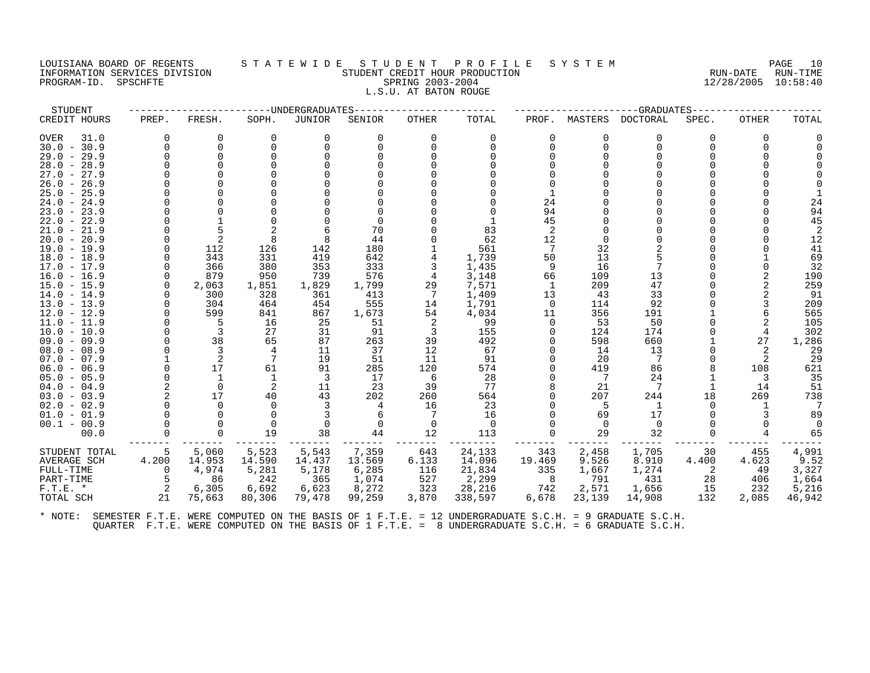#### LOUISIANA BOARD OF REGENTS S T A T E W I D E S T U D E N T P R O F I L E S Y S T E M PAGE 10 INFORMATION SERVICES DIVISION STUDENT CREDIT HOUR PRODUCTION RUN-DATE RUN-TIME PROGRAM-ID. SPSCHFTE SPRING 2003-2004 12/28/2005 10:58:40 L.S.U. AT BATON ROUGE

| STUDENT             |                |          |          | --UNDERGRADUATES |        |              |          |          |          | -GRADUATES      |       |       |        |
|---------------------|----------------|----------|----------|------------------|--------|--------------|----------|----------|----------|-----------------|-------|-------|--------|
| CREDIT HOURS        | PREP.          | FRESH.   | SOPH.    | <b>JUNIOR</b>    | SENIOR | <b>OTHER</b> | TOTAL    | PROF.    | MASTERS  | <b>DOCTORAL</b> | SPEC. | OTHER | TOTAL  |
| <b>OVER</b><br>31.0 | ∩              | 0        | $\Omega$ | 0                |        |              | $\Omega$ | 0        | O        | 0               | U     |       |        |
| $30.0 - 30.9$       |                | $\Omega$ |          |                  |        |              |          | U        | $\cap$   | $\Omega$        |       |       |        |
| $29.0 - 29.9$       |                | $\Omega$ |          |                  |        |              |          |          |          | $\Omega$        |       |       |        |
| $28.0 - 28.9$       |                |          |          |                  |        |              |          |          |          |                 |       |       |        |
| $27.0 - 27.9$       |                |          |          |                  |        |              |          |          |          |                 |       |       |        |
| $26.0 - 26.9$       |                |          |          |                  |        |              |          | U        |          |                 |       |       |        |
| $25.0 - 25.9$       |                |          |          |                  |        |              |          |          |          |                 |       |       |        |
| $24.0 - 24.9$       |                |          |          |                  |        |              |          | 24       |          |                 |       |       | 24     |
| $23.0 - 23.9$       |                |          |          |                  |        |              |          | 94       |          |                 |       |       | 94     |
| $22.0 - 22.9$       |                |          |          |                  |        |              |          | 45       |          |                 |       |       | 45     |
| $21.0 - 21.9$       |                |          |          |                  | 70     |              | 83       | 2        |          |                 |       |       |        |
| $20.0 - 20.9$       |                |          | 8        | 8                | 44     |              | 62       | 12       |          |                 |       |       | 12     |
| $19.0 - 19.9$       |                | 112      | 126      | 142              | 180    |              | 561      | 7        | 32       |                 |       |       | 41     |
| $18.0 - 18.9$       |                | 343      | 331      | 419              | 642    |              | 1,739    | 50       | 13       |                 |       |       | 69     |
| $17.0 - 17.9$       |                | 366      | 380      | 353              | 333    |              | 1,435    | 9        | 16       |                 |       |       | 32     |
| $16.0 - 16.9$       |                | 879      | 950      | 739              | 576    |              | 3,148    | 66       | 109      | 13              |       |       | 190    |
| $15.0 - 15.9$       | ∩              | 2,063    | 1,851    | 1,829            | 1,799  | 29           | 7,571    |          | 209      | 47              |       |       | 259    |
| $14.0 - 14.9$       |                | 300      | 328      | 361              | 413    |              | 1,409    | 13       | 43       | 33              |       |       | 91     |
| $13.0 - 13.9$       |                | 304      | 464      | 454              | 555    | 14           | 1,791    | $\Omega$ | 114      | 92              |       |       | 209    |
| $12.0 - 12.9$       |                | 599      | 841      | 867              | 1,673  | 54           | 4,034    | 11       | 356      | 191             |       |       | 565    |
| $11.0 - 11.9$       |                | 5        | 16       | 25               | 51     | -2           | 99       | $\Omega$ | 53       | 50              |       |       | 105    |
| $10.0 - 10.9$       |                | 3        | 27       | 31               | 91     |              | 155      | O        | 124      | 174             |       |       | 302    |
| $09.0 - 09.9$       |                | 38       | 65       | 87               | 263    | 39           | 492      |          | 598      | 660             |       | 27    | 1,286  |
| $08.0 - 08.9$       |                | 3        |          | 11               | 37     | 12           | 67       |          | 14       | 13              |       |       | 29     |
| $07.0 - 07.9$       |                | 2        |          | 19               | 51     | 11           | 91       |          | 20       | 7               |       |       | 29     |
| $06.0 - 06.9$       |                | 17       | 61       | 91               | 285    | 120          | 574      |          | 419      | 86              |       | 108   | 621    |
| $05.0 - 05.9$       |                |          |          | 3                | 17     | -6           | 28       |          |          | 24              |       | 3     | 35     |
| $04.0 - 04.9$       | $\overline{2}$ | $\Omega$ |          | 11               | 23     | 39           | 77       |          | 21       | 7               |       | 14    | 51     |
| $03.0 - 03.9$       |                | 17       | 40       | 43               | 202    | 260          | 564      |          | 207      | 244             | 18    | 269   | 738    |
| $02.0 - 02.9$       |                | $\Omega$ | $\Omega$ |                  | 4      | 16           | 23       |          | 5        | 1               |       |       |        |
| $01.0 - 01.9$       |                | $\cap$   |          |                  |        |              | 16       |          | 69       | 17              |       |       | 89     |
| $00.1 - 00.9$       |                | $\Omega$ | $\Omega$ |                  |        |              | $\Omega$ | U        | $\Omega$ | $\Omega$        |       |       |        |
| 00.0                |                | $\Omega$ | 19       | 38               | 44     | 12           | 113      | 0        | 29       | 32              |       |       | 65     |
| STUDENT TOTAL       | 5              | 5,060    | 5,523    | 5,543            | 7,359  | 643          | 24,133   | 343      | 2,458    | 1,705           | 30    | 455   | 4,991  |
| <b>AVERAGE SCH</b>  | 4.200          | 14.953   | 14.590   | 14.437           | 13.569 | 6.133        | 14.096   | 19.469   | 9.526    | 8.910           | 4.400 | 4.623 | 9.52   |
| FULL-TIME           | $\Omega$       | 4,974    | 5,281    | 5,178            | 6,285  | 116          | 21,834   | 335      | 1,667    | 1,274           | 2     | 49    | 3,327  |
| PART-TIME           |                | 86       | 242      | 365              | 1,074  | 527          | 2,299    | 8        | 791      | 431             | 28    | 406   | 1,664  |
| $F.T.E.$ *          | 2              | 6,305    | 6,692    | 6,623            | 8,272  | 323          | 28,216   | 742      | 2,571    | 1,656           | 15    | 232   | 5,216  |
| TOTAL SCH           | 21             | 75,663   | 80,306   | 79,478           | 99,259 | 3,870        | 338,597  | 6,678    | 23,139   | 14,908          | 132   | 2,085 | 46,942 |
|                     |                |          |          |                  |        |              |          |          |          |                 |       |       |        |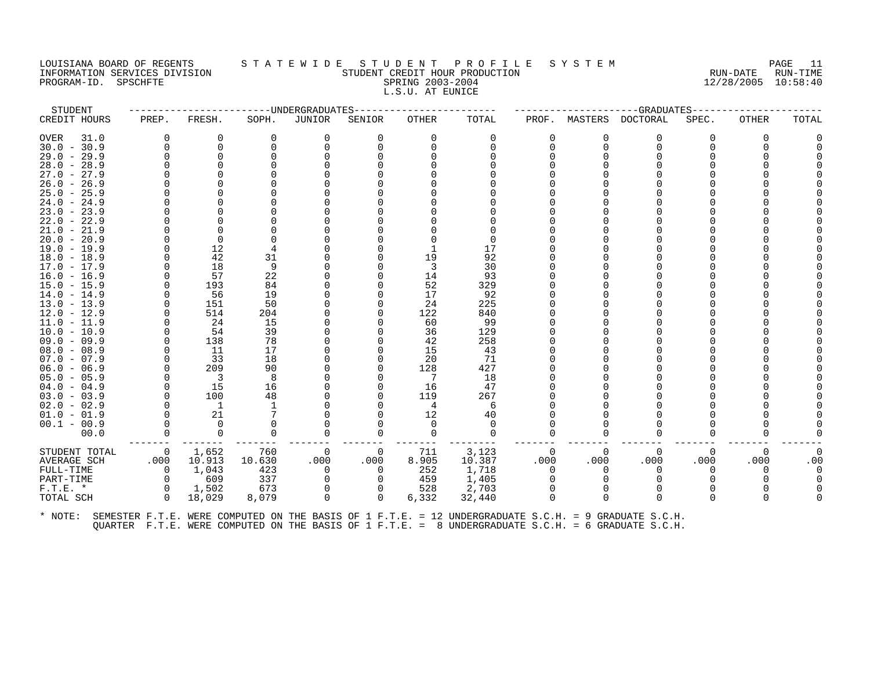## LOUISIANA BOARD OF REGENTS STATEWIDE STUDENT PROFILE SYSTEM NAGE 11 INFORMATION SERVICES DIVISION SANCE IN THE STUDENT CREDIT HOUR PRODUCTION SERVICES DIVISION SUM-TIME<br>INFORMATION SERVICES DIVISION STUDENT STUDENT CREDIT HOUR PRODUCTION SERVICES (12/28/2005 10:58:40 PROGRAM-ID. SPSCHFTE SPRING 2003-2004 L.S.U. AT EUNICE

| STUDENT                        |          |                         | --------------DNDERGRADUATES |          |             |                |                                                                                                      |              |          | -----------------GRADUATES----- |          |          |          |
|--------------------------------|----------|-------------------------|------------------------------|----------|-------------|----------------|------------------------------------------------------------------------------------------------------|--------------|----------|---------------------------------|----------|----------|----------|
| CREDIT HOURS                   | PREP.    | FRESH.                  | SOPH.                        | JUNIOR   | SENIOR      | OTHER          | TOTAL                                                                                                | PROF.        | MASTERS  | DOCTORAL                        | SPEC.    | OTHER    | TOTAL    |
| <b>OVER</b><br>31.0            | $\Omega$ | $\Omega$                | $\Omega$                     | $\Omega$ | $\Omega$    | $\Omega$       | $\Omega$                                                                                             | $\Omega$     | $\Omega$ | $\Omega$                        | $\Omega$ | $\Omega$ |          |
| $30.0 - 30.9$                  |          | 0                       |                              | $\Omega$ |             | $\cap$         | $\Omega$                                                                                             | $\Omega$     | $\Omega$ | $\Omega$                        |          |          |          |
| $29.0 - 29.9$                  |          | $\Omega$                |                              |          |             |                |                                                                                                      | $\Omega$     |          | ∩                               |          |          |          |
| $28.0 - 28.9$                  |          |                         |                              |          |             |                |                                                                                                      |              |          |                                 |          |          |          |
| $27.0 - 27.9$                  |          |                         |                              |          |             |                |                                                                                                      |              |          |                                 |          |          |          |
| $26.0 - 26.9$                  |          |                         |                              |          |             |                |                                                                                                      |              |          |                                 |          |          |          |
| $25.0 - 25.9$                  |          |                         |                              |          |             |                |                                                                                                      |              |          |                                 |          |          |          |
| $24.0 - 24.9$                  |          |                         |                              |          |             |                |                                                                                                      |              |          |                                 |          |          |          |
| $23.0 - 23.9$                  |          |                         |                              |          |             |                |                                                                                                      |              |          |                                 |          |          |          |
| $22.0 - 22.9$                  |          |                         |                              |          |             |                |                                                                                                      |              |          |                                 |          |          |          |
| $21.0 - 21.9$                  |          |                         |                              |          |             |                |                                                                                                      |              |          |                                 |          |          |          |
| $20.0 - 20.9$                  |          | $\Omega$                |                              |          |             |                |                                                                                                      |              |          |                                 |          |          |          |
| $19.0 - 19.9$                  |          | 12                      |                              |          |             |                | 17                                                                                                   |              |          |                                 |          |          |          |
| $18.0 - 18.9$                  |          | 42                      | 31                           |          |             | 19             | 92                                                                                                   |              |          |                                 |          |          |          |
| $17.0 - 17.9$                  |          | 18                      | 9                            |          |             | 3              | 30                                                                                                   |              |          |                                 |          |          |          |
| $16.0 - 16.9$                  |          | 57                      | 22                           |          |             | 14             | 93                                                                                                   |              |          |                                 |          |          |          |
| $15.0 - 15.9$                  |          | 193                     | 84                           |          |             | 52             | 329                                                                                                  |              |          |                                 |          |          |          |
| $14.0 - 14.9$                  |          | 56                      | 19                           |          |             | 17             | 92                                                                                                   |              |          |                                 |          |          |          |
| $13.0 - 13.9$                  |          | 151                     | 50                           |          |             | 24             | 225                                                                                                  |              |          |                                 |          |          |          |
| $12.0 - 12.9$                  |          | 514                     | 204                          |          |             | 122            | 840                                                                                                  |              |          |                                 |          |          |          |
| $11.0 - 11.9$                  |          | 24                      | 15                           |          |             | 60             | 99                                                                                                   |              |          |                                 |          |          |          |
| $10.0 - 10.9$                  |          | 54                      | 39                           |          |             | 36             | 129                                                                                                  |              |          |                                 |          |          |          |
| $09.0 - 09.9$                  |          | 138                     | 78                           |          |             | 42             | 258                                                                                                  |              |          |                                 |          |          |          |
| $08.0 - 08.9$                  |          | -11                     | 17                           |          |             | 15             | 43<br>71                                                                                             |              |          |                                 |          |          |          |
| $07.0 - 07.9$                  |          | 33<br>209               | 18<br>90                     |          |             | 20             |                                                                                                      |              |          |                                 |          |          |          |
| $06.0 - 06.9$                  |          | $\overline{\mathbf{3}}$ | 8                            |          |             | 128            | 427                                                                                                  |              |          |                                 |          |          |          |
| $05.0 - 05.9$<br>$04.0 - 04.9$ |          | 15                      | 16                           |          |             | - 7<br>16      | 18<br>47                                                                                             |              |          |                                 |          |          |          |
| $03.0 - 03.9$                  |          | 100                     | 48                           |          |             | 119            | 267                                                                                                  |              |          |                                 |          |          |          |
| $02.0 - 02.9$                  |          | $\overline{1}$          |                              |          |             | $\overline{4}$ | 6                                                                                                    |              |          |                                 |          |          |          |
| $01.0 - 01.9$                  |          | 21                      |                              |          |             | 12             | 40                                                                                                   |              |          |                                 |          |          |          |
| $00.1 - 00.9$                  |          | 0                       |                              |          |             | $\Omega$       | 0                                                                                                    |              |          |                                 |          |          |          |
| 00.0                           |          | $\mathbf 0$             | 0                            | $\Omega$ | $\Omega$    | $\Omega$       | $\Omega$                                                                                             |              | ∩        | ∩                               |          |          |          |
|                                |          |                         |                              |          |             |                |                                                                                                      |              |          |                                 |          |          |          |
| STUDENT TOTAL                  | 0        | 1,652                   | 760                          | 0        | 0           | 711            | 3,123                                                                                                | 0            | $\Omega$ | $\Omega$                        | 0        | 0        | $\Omega$ |
| <b>AVERAGE SCH</b>             | .000     | 10.913                  | 10.630                       | .000     | .000        | 8.905          | 10.387                                                                                               | .000         | .000     | .000                            | .000     | .000     | .00      |
| FULL-TIME                      | $\Omega$ | 1,043                   | 423                          | $\Omega$ | $\Omega$    | 252            | 1,718                                                                                                | $\Omega$     | $\Omega$ | $\Omega$                        |          | $\Omega$ |          |
| PART-TIME                      | $\Omega$ | 609                     | 337                          | $\Omega$ |             | 459            | 1,405                                                                                                | <sup>n</sup> |          |                                 |          |          |          |
| $F.T.E.$ *                     | 0        | 1,502                   | 673                          | 0        | 0           | 528            | 2,703                                                                                                | $\Omega$     | $\Omega$ | $\Omega$                        |          |          |          |
| TOTAL SCH                      | $\Omega$ | 18,029                  | 8,079                        | $\Omega$ | $\mathbf 0$ | 6,332          | 32,440                                                                                               | $\Omega$     | $\Omega$ | $\Omega$                        |          |          |          |
| * NOTE:                        |          |                         |                              |          |             |                | SEMESTER F.T.E. WERE COMPUTED ON THE BASIS OF 1 F.T.E. = 12 UNDERGRADUATE S.C.H. = 9 GRADUATE S.C.H. |              |          |                                 |          |          |          |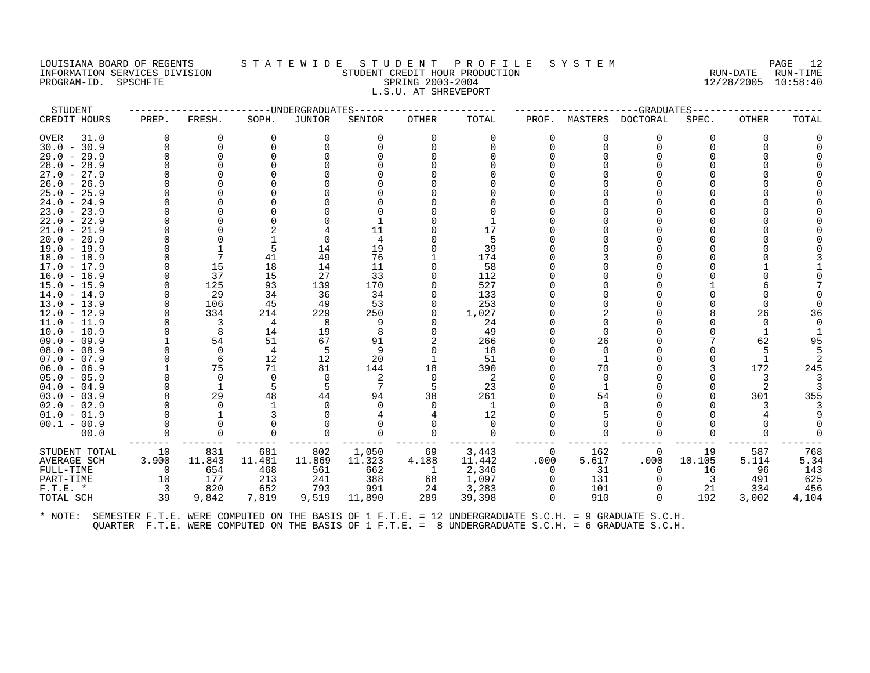#### LOUISIANA BOARD OF REGENTS S T A T E W I D E S T U D E N T P R O F I L E S Y S T E M PAGE 12 INFORMATION SERVICES DIVISION STUDENT CREDIT HOUR PRODUCTION RUN-DATE RUN-TIME PROGRAM-ID. SPSCHFTE SPRING 2003-2004 12/28/2005 10:58:40 L.S.U. AT SHREVEPORT

| STUDENT       |                |          | -------------UNDERGRADUATES |          |          |          |                      |          |          | --GRADUATES |          |              |       |
|---------------|----------------|----------|-----------------------------|----------|----------|----------|----------------------|----------|----------|-------------|----------|--------------|-------|
| CREDIT HOURS  | PREP.          | FRESH.   | SOPH.                       | JUNIOR   | SENIOR   | OTHER    | TOTAL                | PROF.    | MASTERS  | DOCTORAL    | SPEC.    | <b>OTHER</b> | TOTAL |
| OVER<br>31.0  |                | $\Omega$ | $\Omega$                    | $\Omega$ | $\Omega$ | $\Omega$ | 0                    |          | 0        | 0           | $\Omega$ | $\Omega$     |       |
| $30.0 - 30.9$ |                | $\Omega$ |                             |          |          |          |                      |          | 0        | $\Omega$    |          |              |       |
| $29.0 - 29.9$ |                | $\Omega$ |                             |          |          |          |                      |          |          |             |          |              |       |
| $28.0 - 28.9$ |                |          |                             |          |          |          |                      |          |          |             |          |              |       |
| $27.0 - 27.9$ |                |          |                             |          |          |          |                      |          |          |             |          |              |       |
| $26.0 - 26.9$ |                |          |                             |          |          |          |                      |          |          |             |          |              |       |
| $25.0 - 25.9$ |                |          |                             |          |          |          |                      |          |          |             |          |              |       |
| $24.0 - 24.9$ |                |          |                             |          |          |          |                      |          |          |             |          |              |       |
| $23.0 - 23.9$ |                |          |                             |          |          |          |                      |          |          |             |          |              |       |
| $22.0 - 22.9$ |                |          |                             |          |          |          |                      |          |          |             |          |              |       |
| $21.0 - 21.9$ |                |          |                             |          | 11       |          | 17                   |          |          |             |          |              |       |
| $20.0 - 20.9$ |                |          |                             | $\Omega$ |          |          | .5                   |          |          |             |          |              |       |
| 19.0 - 19.9   |                |          | .5                          | 14       | 19       |          | 39                   |          |          |             |          |              |       |
| $18.0 - 18.9$ |                |          | 41                          | 49       | 76       |          | 174                  |          |          |             |          |              |       |
| 17.0 - 17.9   |                | 15       | 18                          | 14       | 11       |          | 58                   |          |          |             |          |              |       |
| 16.0 - 16.9   |                | 37       | 15                          | 27       | 33       |          | 112                  |          |          |             |          |              |       |
| $15.0 - 15.9$ |                | 125      | 93                          | 139      | 170      |          | 527                  |          |          |             |          |              |       |
| $14.0 - 14.9$ |                | 29       | 34                          | 36       | 34       |          | 133                  |          |          |             |          |              |       |
| $13.0 - 13.9$ |                | 106      | 45                          | 49       | 53       |          | 253                  |          |          |             |          |              |       |
| 12.0 - 12.9   |                | 334      | 214                         | 229      | 250      | $\Omega$ | 1,027                |          |          |             |          | 26           | 36    |
| 11.0 - 11.9   |                | 3        | 4                           | 8        | 9        |          | 24                   |          |          |             |          |              |       |
| $10.0 - 10.9$ |                | -8       | 14                          | 19       | 8        |          | 49                   |          |          |             |          |              |       |
| 09.0 - 09.9   |                | 54       | 51                          | 67       | 91       |          | 266                  |          | 26       |             |          | 62           | 95    |
| $08.0 - 08.9$ |                | $\Omega$ | 4                           | 5        | 9        |          | 18                   |          | $\Omega$ |             |          |              |       |
| $07.0 - 07.9$ |                | 6        | 12                          | 12       | 20       |          | 51                   |          |          |             |          |              |       |
| $06.0 - 06.9$ |                | 75       | 71                          | 81       | 144      | 18       | 390                  |          | 70       |             |          | 172          | 245   |
| $05.0 - 05.9$ |                | $\Omega$ | $\Omega$                    | $\Omega$ | 2        | $\Omega$ | -2                   |          | $\Omega$ |             |          |              |       |
| $04.0 - 04.9$ |                | 1        |                             |          | 7        | 5        | 23                   |          |          |             |          |              |       |
| $03.0 - 03.9$ |                | 29       | 48                          | 44       | 94       | 38       | 261                  |          | 54       |             |          | 301          | 355   |
| $02.0 - 02.9$ |                | $\Omega$ |                             | 0        |          | $\Omega$ | 1                    |          |          |             |          |              |       |
| $01.0 - 01.9$ |                | $\Omega$ |                             |          |          |          | 12                   |          |          |             |          |              |       |
| $00.1 - 00.9$ |                | $\Omega$ |                             |          |          |          | $\Omega$<br>$\Omega$ |          |          | ∩           |          |              |       |
| 00.0          |                |          |                             |          |          |          |                      |          |          |             |          |              |       |
| STUDENT TOTAL | 10             | 831      | 681                         | 802      | 1,050    | 69       | 3,443                | $\Omega$ | 162      | 0           | 19       | 587          | 768   |
| AVERAGE SCH   | 3.900          | 11.843   | 11.481                      | 11.869   | 11.323   | 4.188    | 11.442               | .000     | 5.617    | .000        | 10.105   | 5.114        | 5.34  |
| FULL-TIME     | $\Omega$       | 654      | 468                         | 561      | 662      | -1       | 2,346                | $\Omega$ | 31       | $\Omega$    | 16       | 96           | 143   |
| PART-TIME     | 10             | 177      | 213                         | 241      | 388      | 68       | 1,097                |          | 131      | $\Omega$    | 3        | 491          | 625   |
| $F.T.E. *$    | $\overline{3}$ | 820      | 652                         | 793      | 991      | 24       | 3,283                |          | 101      | $\Omega$    | 21       | 334          | 456   |
| TOTAL SCH     | 39             | 9,842    | 7,819                       | 9,519    | 11,890   | 289      | 39,398               |          | 910      | $\Omega$    | 192      | 3,002        | 4,104 |
|               |                |          |                             |          |          |          |                      |          |          |             |          |              |       |
|               |                |          |                             |          |          |          |                      |          |          |             |          |              |       |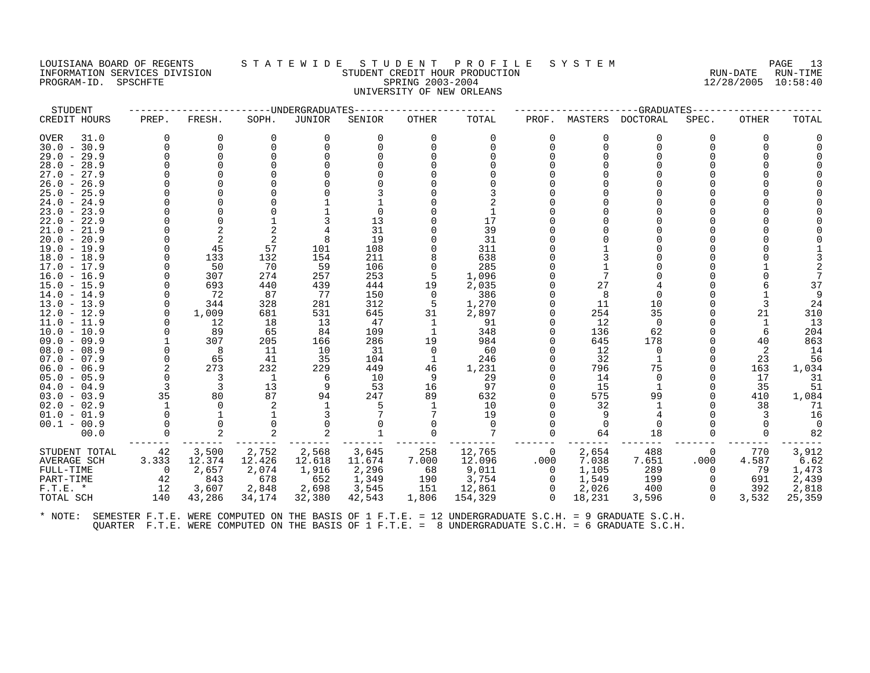#### LOUISIANA BOARD OF REGENTS STATEWIDE STUDENT PROFILE SYSTEM PAGE 13<br>INFORMATION SERVICES DIVISION STATEWIDES STUDENT CREDIT HOUR PRODUCTION AND SERVICE RUN-DATE RUN-FOLLA INFORMATION SERVICES DIVISION STUDENT CREDIT HOUR PRODUCTION RUN-DATE RUN-TIME PROGRAM-ID. SPSCHFTE SERIES SPRING 2003-2004 UNIVERSITY OF NEW ORLEANS

| STUDENT                        |          |          |                          | -------------UNDERGRADUATES |           |                |           |                |          | -GRADUATES- |          |              |          |
|--------------------------------|----------|----------|--------------------------|-----------------------------|-----------|----------------|-----------|----------------|----------|-------------|----------|--------------|----------|
| CREDIT HOURS                   | PREP.    | FRESH.   | SOPH.                    | JUNIOR                      | SENIOR    | OTHER          | TOTAL     | PROF.          | MASTERS  | DOCTORAL    | SPEC.    | <b>OTHER</b> | TOTAL    |
| OVER<br>31.0                   | $\Omega$ | O        | $\Omega$                 | O                           | U         |                | $\Omega$  | 0              | ∩        | $\Omega$    | 0        | $\Omega$     |          |
| $30.0 - 30.9$                  | U        | ∩        |                          |                             |           |                |           | 0              | $\Omega$ | $\Omega$    |          |              |          |
| $29.0 - 29.9$                  |          | $\Omega$ |                          |                             |           |                |           |                |          |             |          |              |          |
| $28.0 - 28.9$                  |          |          |                          |                             |           |                |           |                |          |             |          |              |          |
| $27.0 - 27.9$                  |          |          |                          |                             |           |                |           |                |          |             |          |              |          |
| $26.0 - 26.9$                  |          |          |                          |                             |           |                |           |                |          |             |          |              |          |
| $25.0 - 25.9$                  |          |          |                          |                             |           |                |           |                |          |             |          |              |          |
| $24.0 - 24.9$                  |          |          |                          |                             |           |                |           |                |          |             |          |              |          |
| $23.0 - 23.9$                  |          |          |                          |                             |           |                |           |                |          |             |          |              |          |
| $22.0 - 22.9$                  |          |          |                          |                             | 13        |                | 17        |                |          |             |          |              |          |
| $21.0 - 21.9$                  |          |          |                          |                             | 31        |                | 39        |                |          |             |          |              |          |
| $20.0 - 20.9$                  |          |          |                          |                             | 19        |                | 31        |                |          |             |          |              |          |
| $19.0 - 19.9$                  |          | 45       | 57                       | 101                         | 108       |                | 311       |                |          |             |          |              |          |
| $18.0 - 18.9$                  |          | 133      | 132                      | 154                         | 211       |                | 638       |                |          |             |          |              |          |
| $17.0 - 17.9$                  | $\Omega$ | 50       | 70                       | 59                          | 106       |                | 285       |                |          |             |          |              |          |
| $16.0 - 16.9$                  |          | 307      | 274                      | 257                         | 253       |                | 1,096     |                |          |             |          |              |          |
| $15.0 - 15.9$                  |          | 693      | 440                      | 439                         | 444       | 19             | 2,035     |                | 27       |             |          |              | 37       |
| $14.0 - 14.9$                  | $\Omega$ | 72       | 87                       | 77                          | 150       | $\Omega$       | 386       |                | 8        | $\Omega$    |          |              |          |
| $13.0 - 13.9$                  | $\Omega$ | 344      | 328                      | 281                         | 312       |                | 1,270     |                | 11       | 10          |          |              | 24       |
| $12.0 - 12.9$                  | $\Omega$ | 1,009    | 681                      | 531                         | 645       | 31             | 2,897     |                | 254      | 35          |          | 21           | 310      |
| $11.0 - 11.9$                  | $\Omega$ | 12       | 18                       | 13                          | 47        | 1              | 91        |                | 12       | 0           |          |              | 13       |
| $10.0 - 10.9$                  |          | 89       | 65                       | 84                          | 109       | 1              | 348       |                | 136      | 62          |          | 6<br>40      | 204      |
| $09.0 - 09.9$                  |          | 307      | 205                      | 166                         | 286       | 19<br>$\Omega$ | 984       |                | 645      | 178         |          |              | 863      |
| $08.0 - 08.9$<br>$07.0 - 07.9$ | $\Omega$ | 8<br>65  | 11<br>41                 | 10<br>35                    | 31<br>104 | 1              | 60<br>246 |                | 12<br>32 | $\Omega$    |          | 2<br>23      | 14<br>56 |
| $06.0 - 06.9$                  | 2        | 273      | 232                      | 229                         | 449       | 46             | 1,231     |                | 796      | 75          |          | 163          | 1,034    |
| $05.0 - 05.9$                  | $\Omega$ | 3        | $\overline{\phantom{0}}$ | 6                           | 10        |                | 29        |                | 14       | $\Omega$    |          | 17           | 31       |
| $04.0 - 04.9$                  | 3        | 3        | 13                       | 9                           | 53        | 16             | 97        | 0              | 15       |             |          | 35           | 51       |
| $03.0 - 03.9$                  | 35       | 80       | 87                       | 94                          | 247       | 89             | 632       | U              | 575      | 99          |          | 410          | 1,084    |
| $02.0 - 02.9$                  |          |          |                          |                             |           |                | 10        |                | 32       |             |          | 38           | 71       |
| $01.0 - 01.9$                  |          |          |                          |                             |           |                | 19        | 0              | 9        |             |          |              | 16       |
| $00.1 - 00.9$                  |          | $\Omega$ |                          |                             |           |                | $\Omega$  |                | $\Omega$ | $\Omega$    |          |              |          |
| 00.0                           |          | 2        |                          | 2                           |           |                |           | $\Omega$       | 64       | 18          |          | $\Omega$     | 82       |
| STUDENT TOTAL                  | 42       | 3,500    | 2,752                    | 2,568                       | 3,645     | 258            | 12,765    | $\overline{0}$ | 2,654    | 488         | 0        | 770          | 3,912    |
| AVERAGE SCH                    | 3.333    | 12.374   | 12.426                   | 12.618                      | 11.674    | 7.000          | 12.096    | .000           | 7.038    | 7.651       | .000     | 4.587        | 6.62     |
| FULL-TIME                      | - 0      | 2,657    | 2,074                    | 1,916                       | 2,296     | 68             | 9,011     | 0              | 1,105    | 289         | $\Omega$ | 79           | 1,473    |
| PART-TIME                      | 42       | 843      | 678                      | 652                         | 1,349     | 190            | 3,754     | $\Omega$       | 1,549    | 199         | 0        | 691          | 2,439    |
| $F.T.E. *$                     | 12       | 3,607    | 2,848                    | 2,698                       | 3,545     | 151            | 12,861    | 0              | 2,026    | 400         | 0        | 392          | 2,818    |
| TOTAL SCH                      | 140      | 43,286   | 34,174                   | 32,380                      | 42,543    | 1,806          | 154,329   | $\Omega$       | 18,231   | 3,596       | $\Omega$ | 3,532        | 25,359   |
|                                |          |          |                          |                             |           |                |           |                |          |             |          |              |          |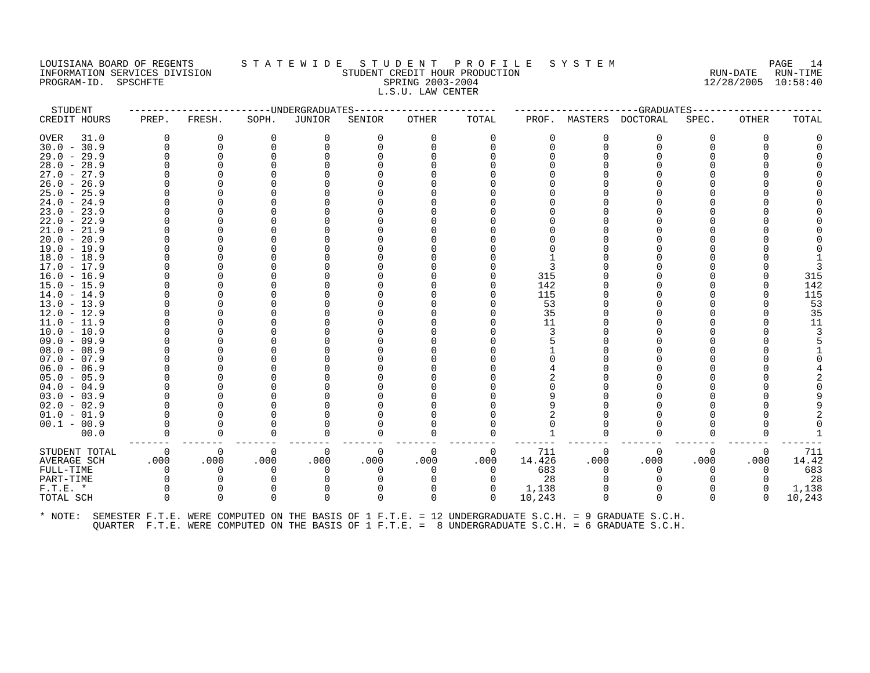#### LOUISIANA BOARD OF REGENTS STATEWIDE STUDENT PROFILE SYSTEM NAGE 14 INFORMATION SERVICES DIVISION SANCE IN THE STUDENT CREDIT HOUR PRODUCTION SERVICES DIVISION SUM-TIME<br>INFORMATION SERVICES DIVISION STUDENT STUDENT CREDIT HOUR PRODUCTION SERVICES (12/28/2005 10:58:40 PROGRAM-ID. SPSCHFTE SERIES SPRING 2003-2004 L.S.U. LAW CENTER

| PREP.<br>O<br>∩ | FRESH.<br>0<br>0<br>0 | SOPH.<br>$\Omega$     | JUNIOR<br>0 | -------------UNDERGRADUATES---------------<br>SENIOR<br>0 | OTHER     | TOTAL<br>$\Omega$ | PROF.<br>U       |                                                                         | -----------------GRADUATES-----<br>MASTERS DOCTORAL | SPEC.                                                                                                             | OTHER            | TOTAL  |
|-----------------|-----------------------|-----------------------|-------------|-----------------------------------------------------------|-----------|-------------------|------------------|-------------------------------------------------------------------------|-----------------------------------------------------|-------------------------------------------------------------------------------------------------------------------|------------------|--------|
|                 |                       |                       |             |                                                           |           |                   |                  |                                                                         |                                                     |                                                                                                                   |                  |        |
|                 |                       |                       |             |                                                           |           |                   |                  | O                                                                       | 0                                                   | $\Omega$                                                                                                          | $\Omega$         |        |
|                 |                       |                       |             |                                                           |           |                   |                  | ∩                                                                       | $\Omega$                                            |                                                                                                                   |                  |        |
|                 |                       |                       |             |                                                           |           |                   |                  |                                                                         |                                                     |                                                                                                                   |                  |        |
|                 |                       |                       |             |                                                           |           |                   |                  |                                                                         |                                                     |                                                                                                                   |                  |        |
|                 |                       |                       |             |                                                           |           |                   |                  |                                                                         |                                                     |                                                                                                                   |                  |        |
|                 |                       |                       |             |                                                           |           |                   |                  |                                                                         |                                                     |                                                                                                                   |                  |        |
|                 |                       |                       |             |                                                           |           |                   |                  |                                                                         |                                                     |                                                                                                                   |                  |        |
|                 |                       |                       |             |                                                           |           |                   |                  |                                                                         |                                                     |                                                                                                                   |                  |        |
|                 |                       |                       |             |                                                           |           |                   |                  |                                                                         |                                                     |                                                                                                                   |                  |        |
|                 |                       |                       |             |                                                           |           |                   |                  |                                                                         |                                                     |                                                                                                                   |                  |        |
|                 |                       |                       |             |                                                           |           |                   |                  |                                                                         |                                                     |                                                                                                                   |                  |        |
|                 |                       |                       |             |                                                           |           |                   |                  |                                                                         |                                                     |                                                                                                                   |                  |        |
|                 |                       |                       |             |                                                           |           |                   |                  |                                                                         |                                                     |                                                                                                                   |                  |        |
|                 |                       |                       |             |                                                           |           |                   |                  |                                                                         |                                                     |                                                                                                                   |                  |        |
|                 |                       |                       |             |                                                           |           |                   |                  |                                                                         |                                                     |                                                                                                                   |                  |        |
|                 |                       |                       |             |                                                           |           |                   |                  |                                                                         |                                                     |                                                                                                                   |                  | 315    |
|                 |                       |                       |             |                                                           |           |                   |                  |                                                                         |                                                     |                                                                                                                   |                  | 142    |
|                 |                       |                       |             |                                                           |           |                   |                  |                                                                         |                                                     |                                                                                                                   |                  | 115    |
|                 |                       |                       |             |                                                           |           |                   |                  |                                                                         |                                                     |                                                                                                                   |                  | 53     |
|                 |                       |                       |             |                                                           |           |                   |                  |                                                                         |                                                     |                                                                                                                   |                  | 35     |
|                 |                       |                       |             |                                                           |           |                   |                  |                                                                         |                                                     |                                                                                                                   |                  | 11     |
|                 |                       |                       |             |                                                           |           |                   |                  |                                                                         |                                                     |                                                                                                                   |                  |        |
|                 |                       |                       |             |                                                           |           |                   |                  |                                                                         |                                                     |                                                                                                                   |                  |        |
|                 |                       |                       |             |                                                           |           |                   |                  |                                                                         |                                                     |                                                                                                                   |                  |        |
|                 |                       |                       |             |                                                           |           |                   |                  |                                                                         |                                                     |                                                                                                                   |                  |        |
|                 |                       |                       |             |                                                           |           |                   |                  |                                                                         |                                                     |                                                                                                                   |                  |        |
|                 |                       |                       |             |                                                           |           |                   |                  |                                                                         |                                                     |                                                                                                                   |                  |        |
|                 |                       |                       |             |                                                           |           |                   |                  |                                                                         |                                                     |                                                                                                                   |                  |        |
|                 |                       |                       |             |                                                           |           |                   |                  |                                                                         |                                                     |                                                                                                                   |                  |        |
|                 |                       |                       |             |                                                           |           |                   |                  |                                                                         |                                                     |                                                                                                                   |                  |        |
|                 |                       |                       |             |                                                           |           |                   |                  |                                                                         |                                                     |                                                                                                                   |                  |        |
|                 |                       |                       |             |                                                           |           |                   |                  |                                                                         |                                                     |                                                                                                                   |                  |        |
|                 |                       |                       |             |                                                           |           |                   |                  |                                                                         |                                                     |                                                                                                                   |                  |        |
| $\Omega$        | 0                     | $\Omega$              | $\Omega$    | $\Omega$                                                  | $\Omega$  | 0                 | 711              | $\Omega$                                                                | $\Omega$                                            | $\Omega$                                                                                                          | $\Omega$         | 711    |
|                 |                       |                       |             |                                                           |           |                   |                  |                                                                         |                                                     |                                                                                                                   |                  | 14.42  |
| ∩               | $\Omega$              |                       | $\Omega$    |                                                           |           | $\Omega$          |                  |                                                                         | 0                                                   | $\Omega$                                                                                                          | O                | 683    |
|                 |                       |                       |             |                                                           |           | $\Omega$          | 28               |                                                                         |                                                     |                                                                                                                   |                  | 28     |
|                 | 0                     |                       | 0           |                                                           |           | 0                 |                  |                                                                         | O                                                   |                                                                                                                   | $\Omega$         | 1,138  |
| ∩               | $\Omega$              | $\Omega$              | $\Omega$    | $\Omega$                                                  | $\Omega$  | $\Omega$          | 10,243           | $\Omega$                                                                | $\Omega$                                            |                                                                                                                   | $\cap$           | 10,243 |
|                 | ∩<br>.000             | $\Omega$<br>0<br>.000 | 0<br>.000   | .000                                                      | 0<br>.000 | .000              | $\Omega$<br>.000 | 315<br>142<br>115<br>53<br>35<br>11<br>3<br>9<br>14.426<br>683<br>1,138 | .000                                                | O<br>.000<br>SEMESTER F.T.E. WERE COMPUTED ON THE BASIS OF 1 F.T.E. = 12 UNDERGRADUATE S.C.H. = 9 GRADUATE S.C.H. | $\Omega$<br>.000 | .000   |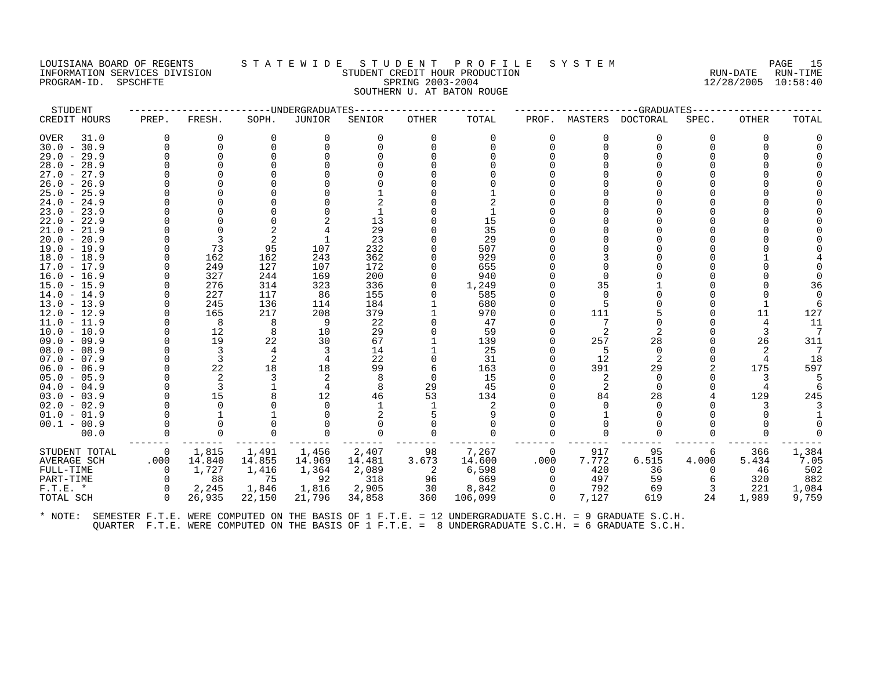## LOUISIANA BOARD OF REGENTS S T A T E W I D E S T U D E N T P R O F I L E S Y S T E M PAGE 15 INFORMATION SERVICES DIVISION STUDENT CREDIT HOUR PRODUCTION RUN-DATE RUN-TIME PROGRAM-ID. SPSCHFTE SPRING 2003-2004 12/28/2005 10:58:40 SOUTHERN U. AT BATON ROUGE

| STUDENT                        |                |          | -------------UNDERGRADUATES |          |          |              |          |                |                |          | --GRADUATES----- |              |       |
|--------------------------------|----------------|----------|-----------------------------|----------|----------|--------------|----------|----------------|----------------|----------|------------------|--------------|-------|
| CREDIT HOURS                   | PREP.          | FRESH.   | SOPH.                       | JUNIOR   | SENIOR   | OTHER        | TOTAL    | PROF.          | MASTERS        | DOCTORAL | SPEC.            | <b>OTHER</b> | TOTAL |
| OVER<br>31.0                   | <sup>0</sup>   | $\Omega$ | $\Omega$                    | $\Omega$ | $\Omega$ | $\Omega$     | $\Omega$ | $\Omega$       | O              | $\Omega$ | <sup>0</sup>     | 0            |       |
| $30.0 - 30.9$                  |                | $\Omega$ |                             |          |          | <sup>n</sup> |          | $\Omega$       | $\Omega$       | $\Omega$ |                  |              |       |
| $29.0 - 29.9$                  |                | $\Omega$ |                             |          |          |              |          |                |                |          |                  |              |       |
| $28.0 - 28.9$                  |                |          |                             |          |          |              |          |                |                |          |                  |              |       |
| $27.0 - 27.9$                  |                |          |                             |          |          |              |          |                |                |          |                  |              |       |
| $26.0 - 26.9$                  |                |          |                             |          |          |              |          |                |                |          |                  |              |       |
| $25.0 - 25.9$                  |                |          |                             |          |          |              |          |                |                |          |                  |              |       |
| $24.0 - 24.9$                  |                |          |                             |          |          |              |          |                |                |          |                  |              |       |
| $23.0 - 23.9$                  |                |          |                             |          |          |              |          |                |                |          |                  |              |       |
| $22.0 - 22.9$                  |                |          |                             |          | 13       |              | 15       |                |                |          |                  |              |       |
| $21.0 - 21.9$                  |                |          | 2                           |          | 29       |              | 35       |                |                |          |                  |              |       |
| $20.0 - 20.9$                  |                | 3        | 2                           |          | 23       |              | 29       |                |                |          |                  |              |       |
| $19.0 - 19.9$                  |                | 73       | 95                          | 107      | 232      |              | 507      |                |                |          |                  |              |       |
| $18.0 - 18.9$                  |                | 162      | 162                         | 243      | 362      |              | 929      |                |                |          |                  |              |       |
| $17.0 - 17.9$                  |                | 249      | 127                         | 107      | 172      |              | 655      |                |                |          |                  |              |       |
| 16.0 - 16.9                    |                | 327      | 244                         | 169      | 200      |              | 940      |                |                |          |                  |              |       |
| $15.0 - 15.9$                  |                | 276      | 314                         | 323      | 336      | $\Omega$     | 1,249    |                | 35             |          |                  |              | 36    |
| $14.0 - 14.9$                  |                | 227      | 117                         | 86       | 155      |              | 585      |                | $\Omega$       |          |                  |              |       |
| $13.0 - 13.9$                  |                | 245      | 136                         | 114      | 184      |              | 680      |                |                |          |                  |              |       |
| $12.0 - 12.9$                  |                | 165      | 217                         | 208      | 379      |              | 970      |                | 111            |          |                  | 11           | 127   |
| $11.0 - 11.9$                  |                | - 8      | -8                          | 9        | 22       |              | 47       |                |                |          |                  |              | 11    |
| $10.0 - 10.9$                  |                | 12       | 8                           | 10       | 29       |              | 59       |                | $\overline{2}$ |          |                  |              |       |
| $09.0 - 09.9$                  |                | 19       | 22                          | 30       | 67       |              | 139      |                | 257            | 28       |                  | 26           | 311   |
| $08.0 - 08.9$                  |                | 3        | 4                           | 3        | 14       |              | 25       |                | 5              | $\Omega$ |                  | 2            |       |
| $07.0 - 07.9$                  |                | 3        | 2                           | 4        | 22       |              | 31       |                | 12             | 2        |                  |              | 18    |
| $06.0 - 06.9$                  |                | 22       | 18                          | 18       | 99       | 6            | 163      |                | 391            | 29       |                  | 175          | 597   |
| $05.0 - 05.9$                  |                | 2        | 3                           | 2        | 8        | $\Omega$     | 15       |                | 2              | $\Omega$ |                  |              |       |
| $04.0 - 04.9$                  |                | 3        |                             |          | 8        | 29           | 45       |                | 2              | $\Omega$ |                  |              |       |
| $03.0 - 03.9$                  |                | 15       |                             | 12       | 46       | 53           | 134      |                | 84             | 28       |                  | 129          | 245   |
| $02.0 - 02.9$                  |                |          |                             |          |          |              |          |                |                |          |                  |              |       |
| $01.0 - 01.9$<br>$00.1 - 00.9$ |                |          |                             |          |          |              |          |                |                |          |                  |              |       |
| 00.0                           |                |          |                             | $\Omega$ | $\Omega$ |              |          |                |                |          |                  |              |       |
|                                |                |          |                             |          |          |              |          |                |                |          |                  |              |       |
| STUDENT TOTAL                  | $\overline{0}$ | 1,815    | 1,491                       | 1,456    | 2,407    | 98           | 7,267    | $\overline{0}$ | 917            | 95       | 6                | 366          | 1,384 |
| AVERAGE SCH                    | .000           | 14.840   | 14.855                      | 14.969   | 14.481   | 3.673        | 14.600   | .000           | 7.772          | 6.515    | 4.000            | 5.434        | 7.05  |
| FULL-TIME                      | $\Omega$       | 1,727    | 1,416                       | 1,364    | 2,089    | - 2          | 6,598    | $\Omega$       | 420            | 36       | $\Omega$         | 46           | 502   |
| PART-TIME                      | $\Omega$       | 88       | 75                          | 92       | 318      | 96           | 669      | $\Omega$       | 497            | 59       | 6                | 320          | 882   |
| $F.T.E. *$                     | $\Omega$       | 2,245    | 1,846                       | 1,816    | 2,905    | 30           | 8,842    | $\overline{0}$ | 792            | 69       |                  | 221          | 1,084 |
| TOTAL SCH                      | $\Omega$       | 26,935   | 22,150                      | 21,796   | 34,858   | 360          | 106,099  | $\Omega$       | 7,127          | 619      | 24               | 1,989        | 9,759 |
|                                |                |          |                             |          |          |              |          |                |                |          |                  |              |       |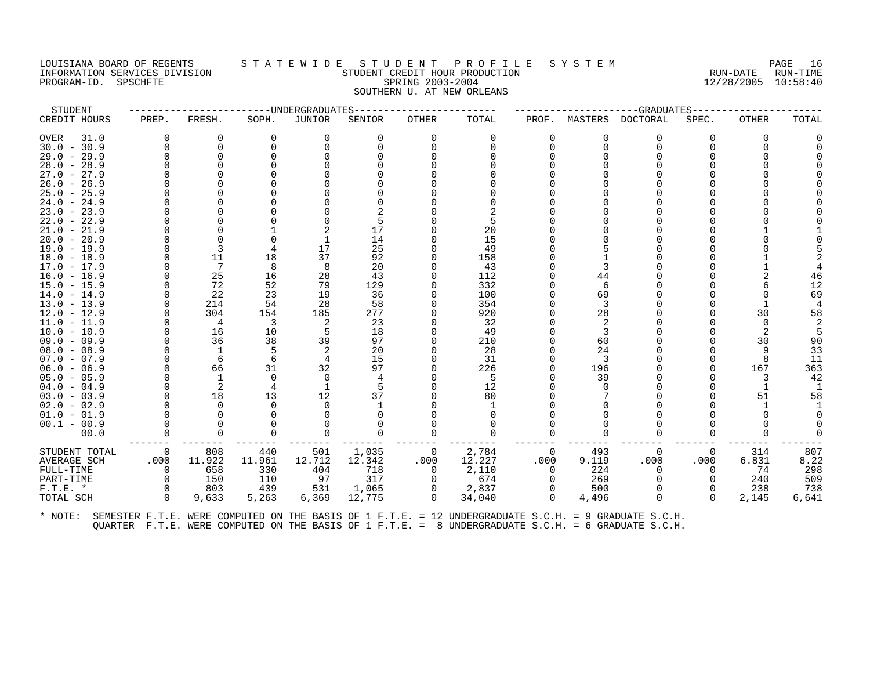## LOUISIANA BOARD OF REGENTS STATEWIDE STUDENT PROFILE SYSTEM PAGE 16<br>INFORMATION SERVICES DIVISION STATEWING STUDENT CREDIT HOUR PRODUCTION FOR THE RUN-DATE RUN-TIME INFORMATION SERVICES DIVISION STUDENT CREDIT HOUR PRODUCTION RUN-DATE RUN-TIME PROGRAM-ID. SPSCHFTE SPRING 2003-2004 12/28/2005 10:58:40 SOUTHERN U. AT NEW ORLEANS

| STUDENT       |          |          |          | -------------UNDERGRADUATES |        |          |          |          |          | --GRADUATES- |          |              |       |
|---------------|----------|----------|----------|-----------------------------|--------|----------|----------|----------|----------|--------------|----------|--------------|-------|
| CREDIT HOURS  | PREP.    | FRESH.   | SOPH.    | <b>JUNIOR</b>               | SENIOR | OTHER    | TOTAL    | PROF.    | MASTERS  | DOCTORAL     | SPEC.    | <b>OTHER</b> | TOTAL |
| OVER<br>31.0  | $\Omega$ | 0        | $\Omega$ | $\Omega$                    | 0      | $\Omega$ | $\Omega$ | $\Omega$ | 0        | $\Omega$     | 0        | $\Omega$     |       |
| $30.0 - 30.9$ | $\Omega$ | $\Omega$ |          |                             |        |          |          | $\Omega$ | $\Omega$ | $\Omega$     |          |              |       |
| $29.0 - 29.9$ | O        | $\Omega$ |          |                             |        |          |          |          |          |              |          |              |       |
| $28.0 - 28.9$ |          |          |          |                             |        |          |          |          |          |              |          |              |       |
| $27.0 - 27.9$ |          |          |          |                             |        |          |          |          |          |              |          |              |       |
| $26.0 - 26.9$ |          |          |          |                             |        |          |          |          |          |              |          |              |       |
| $25.0 - 25.9$ |          |          |          |                             |        |          |          |          |          |              |          |              |       |
| $24.0 - 24.9$ |          |          |          |                             |        |          |          |          |          |              |          |              |       |
| $23.0 - 23.9$ |          |          |          |                             |        |          |          |          |          |              |          |              |       |
| $22.0 - 22.9$ |          |          |          |                             |        |          |          |          |          |              |          |              |       |
| $21.0 - 21.9$ |          |          |          |                             | 17     |          | 20       |          |          |              |          |              |       |
| $20.0 - 20.9$ |          |          |          |                             | 14     |          | 15       |          |          |              |          |              |       |
| $19.0 - 19.9$ | O        | 3        |          | 17                          | 25     |          | 49       |          |          |              |          |              |       |
| $18.0 - 18.9$ | $\Omega$ | 11       | 18       | 37                          | 92     |          | 158      |          |          |              |          |              |       |
| $17.0 - 17.9$ |          | 7        | 8        | 8                           | 20     |          | 43       |          |          |              |          |              |       |
| $16.0 - 16.9$ |          | 25       | 16       | 28                          | 43     |          | 112      |          | 44       |              |          |              | 46    |
| $15.0 - 15.9$ |          | 72       | 52       | 79                          | 129    |          | 332      |          | 6        |              |          |              | 12    |
| $14.0 - 14.9$ | $\Omega$ | 22       | 23       | 19                          | 36     |          | 100      |          | 69       |              |          |              | 69    |
| $13.0 - 13.9$ | $\Omega$ | 214      | 54       | 28                          | 58     |          | 354      |          | 3        |              |          |              |       |
| $12.0 - 12.9$ | $\Omega$ | 304      | 154      | 185                         | 277    |          | 920      |          | 28       |              |          | 30           | 58    |
| $11.0 - 11.9$ |          | 4        | 3        | 2                           | 23     |          | 32       |          | 2        |              |          |              |       |
| 10.0 - 10.9   |          | 16       | 10       | 5                           | 18     |          | 49       |          | 3        |              |          |              |       |
| $09.0 - 09.9$ | O        | 36       | 38       | 39                          | 97     |          | 210      |          | 60       |              |          | 30           | 90    |
| $08.0 - 08.9$ | $\Omega$ | -1       |          | 2                           | 20     |          | 28       |          | 24       |              |          | 9            | 33    |
| $07.0 - 07.9$ | $\Omega$ | 6        | 6        |                             | 15     |          | 31       |          | 3        |              |          |              | 11    |
| $06.0 - 06.9$ | $\Omega$ | 66       | 31       | 32                          | 97     |          | 226      | 0        | 196      |              |          | 167          | 363   |
| $05.0 - 05.9$ |          | 1        | $\Omega$ | $\Omega$                    |        |          | 5        |          | 39       |              |          |              | 42    |
| $04.0 - 04.9$ |          | 2        |          | 1                           |        |          | 12       |          |          |              |          |              |       |
| $03.0 - 03.9$ |          | 18       | 13       | 12                          | 37     |          | 80       |          |          |              |          | 51           | 58    |
| $02.0 - 02.9$ |          | $\Omega$ | $\Omega$ |                             |        |          |          |          |          |              |          |              |       |
| $01.0 - 01.9$ |          |          |          |                             |        |          |          |          |          |              |          |              |       |
| $00.1 - 00.9$ |          |          |          |                             |        |          |          |          |          |              |          |              |       |
| 00.0          | $\Omega$ | $\Omega$ | $\Omega$ |                             |        |          | $\Omega$ | 0        | $\Omega$ | $\Omega$     |          |              |       |
| STUDENT TOTAL | 0        | 808      | 440      | 501                         | 1,035  | 0        | 2,784    | 0        | 493      | 0            | 0        | 314          | 807   |
| AVERAGE SCH   | .000     | 11.922   | 11.961   | 12.712                      | 12.342 | .000     | 12.227   | .000     | 9.119    | .000         | .000     | 6.831        | 8.22  |
| FULL-TIME     | $\Omega$ | 658      | 330      | 404                         | 718    | 0        | 2,110    | $\Omega$ | 224      | 0            | 0        | 74           | 298   |
| PART-TIME     | $\Omega$ | 150      | 110      | 97                          | 317    | 0        | 674      | $\Omega$ | 269      | $\Omega$     | $\Omega$ | 240          | 509   |
| $F.T.E. *$    | $\Omega$ | 803      | 439      | 531                         | 1,065  | 0        | 2,837    | $\Omega$ | 500      | $\Omega$     | 0        | 238          | 738   |
| TOTAL SCH     | $\Omega$ | 9,633    | 5,263    | 6,369                       | 12,775 | $\Omega$ | 34,040   | $\Omega$ | 4,496    | $\Omega$     | $\Omega$ | 2,145        | 6,641 |
|               |          |          |          |                             |        |          |          |          |          |              |          |              |       |
|               |          |          |          |                             |        |          |          |          |          |              |          |              |       |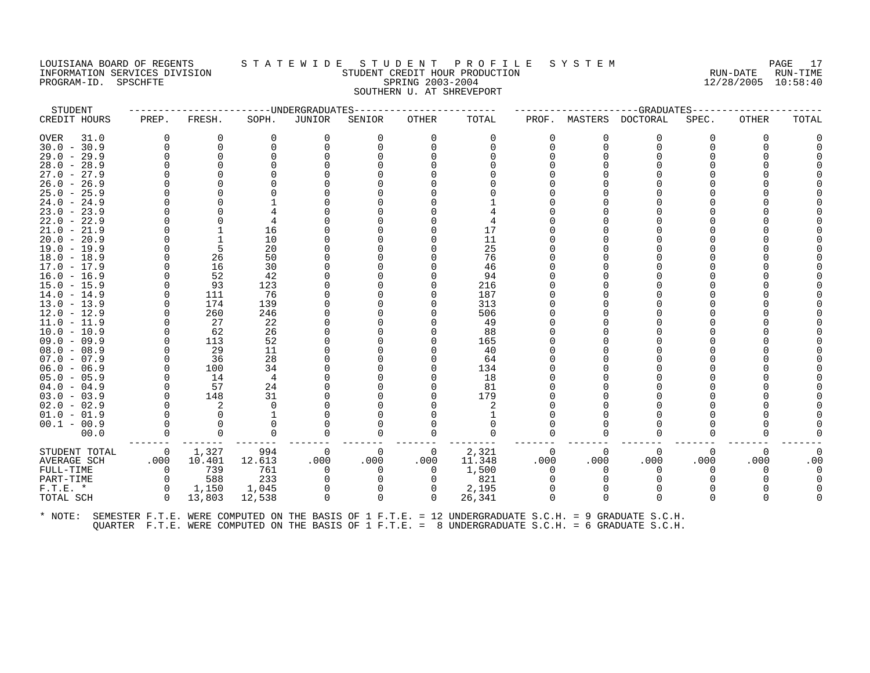#### LOUISIANA BOARD OF REGENTS STATEWIDE STUDENT PROFILE SYSTEM NAGE 17 INFORMATION SERVICES DIVISION SUBSERVICES ON SUBSERVICES SUBSERVICES SUBSERVICES SUBSERVICES DIVISION SUBSERVICES SUBSERVICES SUBSERVICES SUBSERVICES SUBSERVICES ON SUBSERVICES SUBSERVICES SUBSERVICES SUBSERVICES ON SUBSER PROGRAM-ID. SPSCHFTE SPRING 2003-2004 SOUTHERN U. AT SHREVEPORT

| STUDENT             |          |          |          | -----UNDERGRADUATES |          | ------------- |          |              |          | --GRADUATES                                                                                          |          |              |       |
|---------------------|----------|----------|----------|---------------------|----------|---------------|----------|--------------|----------|------------------------------------------------------------------------------------------------------|----------|--------------|-------|
| CREDIT HOURS        | PREP.    | FRESH.   | SOPH.    | JUNIOR              | SENIOR   | <b>OTHER</b>  | TOTAL    | PROF.        | MASTERS  | DOCTORAL                                                                                             | SPEC.    | OTHER        | TOTAL |
| <b>OVER</b><br>31.0 | 0        | 0        | 0        | 0                   | 0        | 0             | 0        | 0            | 0        | 0                                                                                                    | O        | 0            |       |
| $30.0 - 30.9$       |          |          |          | 0                   | 0        | $\Omega$      | 0        | 0            | $\Omega$ | $\Omega$                                                                                             |          | <sup>0</sup> |       |
| $29.0 - 29.9$       |          |          |          |                     |          |               |          |              |          |                                                                                                      |          |              |       |
| $28.0 - 28.9$       |          |          |          |                     |          |               |          |              |          |                                                                                                      |          |              |       |
| $27.0 -$<br>27.9    |          |          |          |                     |          |               |          | ∩            |          |                                                                                                      |          |              |       |
| $26.0 - 26.9$       |          |          |          |                     |          |               |          |              |          |                                                                                                      |          |              |       |
| $25.0 - 25.9$       |          |          |          |                     |          |               |          |              |          |                                                                                                      |          |              |       |
| $24.0 -$<br>24.9    |          |          |          |                     |          |               |          |              |          |                                                                                                      |          |              |       |
| 23.9<br>$23.0 -$    |          |          |          |                     |          |               |          |              |          |                                                                                                      |          |              |       |
| $22.0 - 22.9$       |          |          |          |                     |          |               |          |              |          |                                                                                                      |          |              |       |
| $21.0 -$<br>21.9    |          |          | 16       |                     |          |               | 17       |              |          |                                                                                                      |          |              |       |
| $20.0 - 20.9$       |          |          | 10       |                     |          |               | 11       |              |          |                                                                                                      |          |              |       |
| $19.0 - 19.9$       |          | 5        | 20       |                     |          |               | 25       |              |          |                                                                                                      |          |              |       |
| $18.0 - 18.9$       |          | 26       | 50       |                     |          |               | 76       |              |          |                                                                                                      |          |              |       |
| 17.0<br>$-17.9$     |          | 16       | 30       |                     |          |               | 46       |              |          |                                                                                                      |          |              |       |
| $16.0 - 16.9$       |          | 52       | 42       |                     |          |               | 94       |              |          |                                                                                                      |          |              |       |
| $15.0 - 15.9$       |          | 93       | 123      |                     |          |               | 216      |              |          |                                                                                                      |          |              |       |
| 14.0<br>$-14.9$     |          | 111      | 76       |                     |          |               | 187      |              |          |                                                                                                      |          |              |       |
| $13.0 - 13.9$       |          | 174      | 139      |                     |          |               | 313      |              |          |                                                                                                      |          |              |       |
| $12.0 - 12.9$       |          | 260      | 246      |                     |          |               | 506      |              |          |                                                                                                      |          |              |       |
| 11.0<br>$-11.9$     |          | 27       | 22       |                     |          |               | 49       |              |          |                                                                                                      |          |              |       |
| $10.0 - 10.9$       |          | 62       | 26       |                     |          |               | 88       |              |          |                                                                                                      |          |              |       |
| $09.0 - 09.9$       |          | 113      | 52       |                     |          |               | 165      |              |          |                                                                                                      |          |              |       |
| $08.0 - 08.9$       |          | 29       | 11       |                     |          |               | 40       |              |          |                                                                                                      |          |              |       |
| $07.0 - 07.9$       |          | 36       | 28       |                     |          |               | 64       |              |          |                                                                                                      |          |              |       |
| $06.0 - 06.9$       |          | 100      | 34       |                     |          |               | 134      |              |          |                                                                                                      |          |              |       |
| $05.0 - 05.9$       |          | 14       | 4        |                     |          |               | 18       |              |          |                                                                                                      |          |              |       |
| $04.0 - 04.9$       |          | 57       | 24       |                     |          |               | 81       |              |          |                                                                                                      |          |              |       |
| $03.0 - 03.9$       |          | 148      | 31       |                     |          |               | 179      |              |          |                                                                                                      |          |              |       |
| $02.0 - 02.9$       |          | 2        | $\Omega$ |                     |          |               | 2        |              |          |                                                                                                      |          |              |       |
| $01.0 - 01.9$       |          |          |          |                     |          |               |          |              |          |                                                                                                      |          |              |       |
| $00.1 - 00.9$       |          |          |          |                     |          |               |          |              |          |                                                                                                      |          |              |       |
| 00.0                |          | $\Omega$ | 0        | $\Omega$            | 0        |               | $\Omega$ | <sup>0</sup> | $\Omega$ | $\Omega$                                                                                             |          |              |       |
| STUDENT TOTAL       | 0        | 1,327    | 994      | 0                   | 0        | 0             | 2,321    | 0            | 0        | 0                                                                                                    | $\Omega$ | 0            |       |
| <b>AVERAGE SCH</b>  | .000     | 10.401   | 12.613   | .000                | .000     | .000          | 11.348   | .000         | .000     | .000                                                                                                 | .000     | .000         | .00   |
| FULL-TIME           | $\Omega$ | 739      | 761      | $\Omega$            | $\Omega$ | $\Omega$      | 1,500    | $\Omega$     | $\Omega$ | 0                                                                                                    |          | 0            |       |
| PART-TIME           | $\Omega$ | 588      | 233      | ∩                   |          |               | 821      |              |          |                                                                                                      |          |              |       |
| $F.T.E.$ *          | $\Omega$ | 1,150    | 1,045    | 0                   | 0        | 0             | 2,195    | $\Omega$     | $\Omega$ | $\Omega$                                                                                             |          |              |       |
| TOTAL SCH           | $\Omega$ | 13,803   | 12,538   | $\Omega$            | $\Omega$ | $\Omega$      | 26,341   | $\Omega$     | $\Omega$ | $\Omega$                                                                                             |          | U            |       |
| * NOTE:             |          |          |          |                     |          |               |          |              |          | SEMESTER F.T.E. WERE COMPUTED ON THE BASIS OF 1 F.T.E. = 12 UNDERGRADUATE S.C.H. = 9 GRADUATE S.C.H. |          |              |       |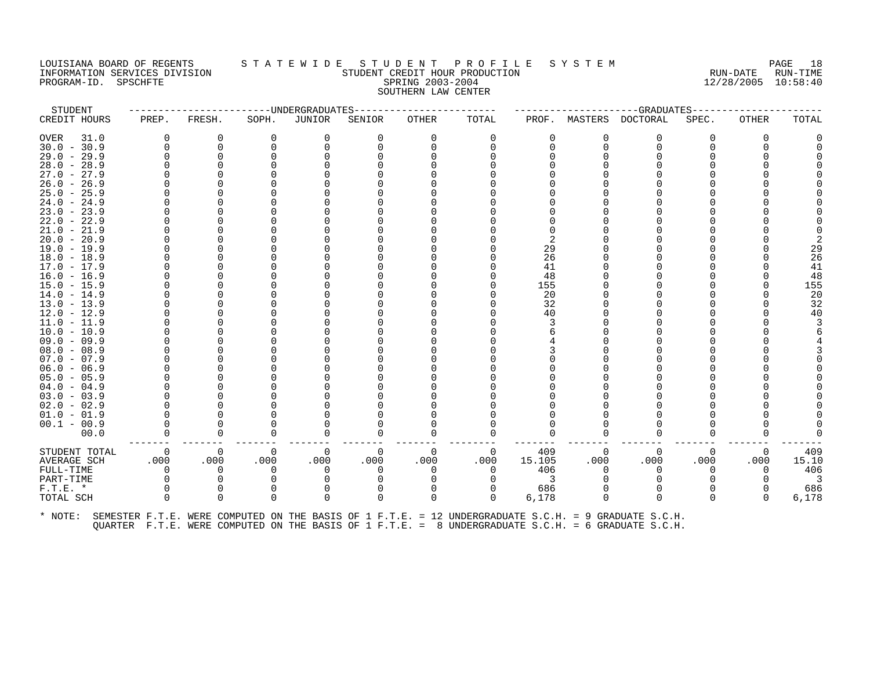#### LOUISIANA BOARD OF REGENTS STATEWIDE STUDENT PROFILE SYSTEM NAGE 18 INFORMATION SERVICES DIVISION SUNGLERICAL STUDENT CREDIT HOUR PRODUCTION SUNGLERIC RUN-DATE RUN-TIME RUN-TIME<br>PROGRAM-ID. SPSCHFTE SERING 2003-2004 SPRING 2003-2004 PROGRAM-ID. SPSCHFTE SERING 2003-2004 SOUTHERN LAW CENTER

| STUDENT       |          | --------------------WNDERGRADUATES |                |          |          | -------------- |          |        |          | ----------GRADUATES-                                                                                 |          |              |       |
|---------------|----------|------------------------------------|----------------|----------|----------|----------------|----------|--------|----------|------------------------------------------------------------------------------------------------------|----------|--------------|-------|
| CREDIT HOURS  | PREP.    | FRESH.                             | SOPH.          | JUNIOR   | SENIOR   | OTHER          | TOTAL    | PROF.  | MASTERS  | DOCTORAL                                                                                             | SPEC.    | <b>OTHER</b> | TOTAL |
| 31.0<br>OVER  |          | 0                                  | $\Omega$       | 0        | 0        |                | 0        | 0      |          | $\Omega$                                                                                             |          | O            |       |
| $30.0 - 30.9$ |          | 0                                  |                | 0        |          |                |          | O      |          |                                                                                                      |          |              |       |
| $29.0 - 29.9$ |          |                                    |                |          |          |                |          |        |          |                                                                                                      |          |              |       |
| $28.0 - 28.9$ |          |                                    |                |          |          |                |          |        |          |                                                                                                      |          |              |       |
| $27.0 - 27.9$ |          |                                    |                |          |          |                |          |        |          |                                                                                                      |          |              |       |
| $26.0 - 26.9$ |          |                                    |                |          |          |                |          |        |          |                                                                                                      |          |              |       |
| $25.0 - 25.9$ |          |                                    |                |          |          |                |          |        |          |                                                                                                      |          |              |       |
| $24.0 - 24.9$ |          |                                    |                |          |          |                |          |        |          |                                                                                                      |          |              |       |
| $23.0 - 23.9$ |          |                                    |                |          |          |                |          |        |          |                                                                                                      |          |              |       |
| $22.0 - 22.9$ |          |                                    |                |          |          |                |          |        |          |                                                                                                      |          |              |       |
| $21.0 - 21.9$ |          |                                    |                |          |          |                |          |        |          |                                                                                                      |          |              |       |
| $20.0 - 20.9$ |          |                                    |                |          |          |                |          |        |          |                                                                                                      |          |              |       |
| $19.0 - 19.9$ |          |                                    |                |          |          |                |          | 29     |          |                                                                                                      |          |              | 29    |
| $18.0 - 18.9$ |          |                                    |                |          |          |                |          | 26     |          |                                                                                                      |          |              | 26    |
| $17.0 - 17.9$ |          |                                    |                |          |          |                |          | 41     |          |                                                                                                      |          |              | 41    |
| $16.0 - 16.9$ |          |                                    |                |          |          |                |          | 48     |          |                                                                                                      |          |              | 48    |
| $15.0 - 15.9$ |          |                                    |                |          |          |                |          | 155    |          |                                                                                                      |          |              | 155   |
| $14.0 - 14.9$ |          |                                    |                |          |          |                |          | 20     |          |                                                                                                      |          |              | 20    |
| $13.0 - 13.9$ |          |                                    |                |          |          |                |          | 32     |          |                                                                                                      |          |              | 32    |
| $12.0 - 12.9$ |          |                                    |                |          |          |                |          | 40     |          |                                                                                                      |          |              | 40    |
| $11.0 - 11.9$ |          |                                    |                |          |          |                |          | 3      |          |                                                                                                      |          |              |       |
| $10.0 - 10.9$ |          |                                    |                |          |          |                |          |        |          |                                                                                                      |          |              |       |
| $09.0 - 09.9$ |          |                                    |                |          |          |                |          |        |          |                                                                                                      |          |              |       |
| $08.0 - 08.9$ |          |                                    |                |          |          |                |          |        |          |                                                                                                      |          |              |       |
| $07.0 - 07.9$ |          |                                    |                |          |          |                |          |        |          |                                                                                                      |          |              |       |
| $06.0 - 06.9$ |          |                                    |                |          |          |                |          |        |          |                                                                                                      |          |              |       |
| $05.0 - 05.9$ |          |                                    |                |          |          |                |          |        |          |                                                                                                      |          |              |       |
| $04.0 - 04.9$ |          |                                    |                |          |          |                |          |        |          |                                                                                                      |          |              |       |
| $03.0 - 03.9$ |          |                                    |                |          |          |                |          |        |          |                                                                                                      |          |              |       |
| $02.0 - 02.9$ |          |                                    |                |          |          |                |          |        |          |                                                                                                      |          |              |       |
| $01.0 - 01.9$ |          |                                    |                |          |          |                |          |        |          |                                                                                                      |          |              |       |
| $00.1 - 00.9$ |          |                                    |                |          |          |                |          |        |          |                                                                                                      |          |              |       |
| 00.0          |          | $\Omega$                           |                |          | O        |                |          |        |          |                                                                                                      |          |              |       |
| STUDENT TOTAL | $\Omega$ | 0                                  | $\overline{0}$ | 0        | $\Omega$ | $\Omega$       | 0        | 409    | $\Omega$ | 0                                                                                                    | $\Omega$ | 0            | 409   |
| AVERAGE SCH   | .000     | .000                               | .000           | .000     | .000     | .000           | .000     | 15.105 | .000     | .000                                                                                                 | .000     | .000         | 15.10 |
| FULL-TIME     |          | 0                                  | $\Omega$       | $\Omega$ |          |                | 0        | 406    |          | $\Omega$                                                                                             | $\Omega$ | $\Omega$     | 406   |
| PART-TIME     |          | $\Omega$                           |                |          |          |                |          | 3      |          |                                                                                                      |          |              |       |
| $F.T.E. *$    |          | 0                                  |                |          |          |                |          | 686    |          |                                                                                                      |          |              | 686   |
| TOTAL SCH     |          | $\Omega$                           | $\Omega$       | $\Omega$ | 0        | $\Omega$       | $\Omega$ | 6,178  | 0        | $\Omega$                                                                                             | $\Omega$ | $\Omega$     | 6,178 |
| * NOTE:       |          |                                    |                |          |          |                |          |        |          | SEMESTER F.T.E. WERE COMPUTED ON THE BASIS OF 1 F.T.E. = 12 UNDERGRADUATE S.C.H. = 9 GRADUATE S.C.H. |          |              |       |
|               |          |                                    |                |          |          |                |          |        |          |                                                                                                      |          |              |       |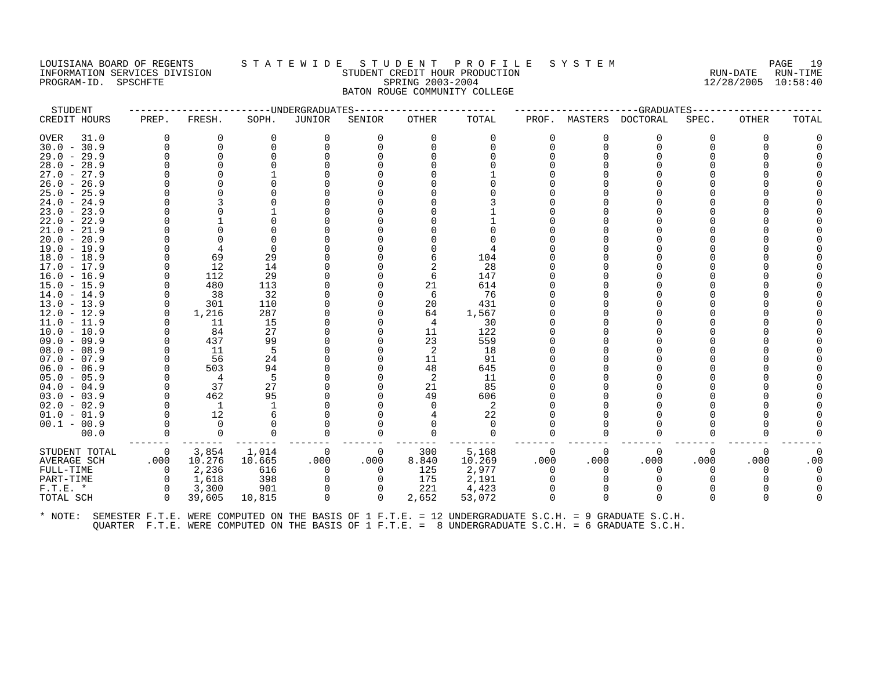## LOUISIANA BOARD OF REGENTS STATEWIDE STUDE NT PROFILE SYSTEM MANUSIANA BOARD OF REGENTS STATEWIDE STUDENT CREDIT HOUR PRODUCTION THE RUN-DATE RUN-TIME INFORMATION SERVICES DIVISION STUDENT CREDIT HOUR PRODUCTION RUN-DATE RUN-TIME PROGRAM-ID. SPSCHFTE SPRING 2003-2004 12/28/2005 10:58:40 BATON ROUGE COMMUNITY COLLEGE

STUDENT ------------------------UNDERGRADUATES------------------------ ---------------------GRADUATES---------------------- CREDIT HOURS PREP. FRESH. SOPH. JUNIOR SENIOR OTHER TOTAL PROF. MASTERS DOCTORAL SPEC. OTHER TOTAL OVER 31.0 0 0 0 0 0 0 0 0 0 0 0 0 0 30.0 - 30.9 0 0 0 0 0 0 0 0 0 0 0 0 0 29.0 - 29.9 0 0 0 0 0 0 0 0 0 0 0 0 0 28.0 - 28.9 0 0 0 0 0 0 0 0 0 0 0 0 0 27.0 - 27.9 0 0 1 0 0 0 1 0 0 0 0 0 0 26.0 - 26.9 0 0 0 0 0 0 0 0 0 0 0 0 0 25.0 - 25.9 0 0 0 0 0 0 0 0 0 0 0 0 0 24.0 - 24.9 0 3 0 0 0 0 3 0 0 0 0 0 0 23.0 - 23.9 0 0 1 0 0 0 1 0 0 0 0 0 0 22.0 - 22.9 0 1 0 0 0 0 1 0 0 0 0 0 0 21.0 - 21.9 0 0 0 0 0 0 0 0 0 0 0 0 0 20.0 - 20.9 0 0 0 0 0 0 0 0 0 0 0 0 0 19.0 - 19.9 0 4 0 0 0 0 4 0 0 0 0 0 0 18.0 - 18.9 0 69 29 0 0 6 104 0 0 0 0 0 0 17.0 - 17.9 0 12 14 0 0 2 28 0 0 0 0 0 0 16.0 - 16.9 0 112 29 0 0 6 147 0 0 0 0 0 0 15.0 - 15.9 0 480 113 0 0 21 614 0 0 0 0 0 0 14.0 - 14.9 0 38 32 0 0 6 76 0 0 0 0 0 0 13.0 - 13.9 0 301 110 0 0 20 431 0 0 0 0 0 0 12.0 - 12.9 0 1,216 287 0 0 64 1,567 0 0 0 0 0 0 11.0 - 11.9 0 11 15 0 0 4 30 0 0 0 0 0 0 10.0 - 10.9 0 84 27 0 0 11 122 0 0 0 0 0 0 09.0 - 09.9 0 437 99 0 0 23 559 0 0 0 0 0 0 08.0 - 08.9 0 11 5 0 0 2 18 0 0 0 0 0 0 0 07.0 - 07.9 0 56 24 0 0 11 91 0 0 0 0 0 0 06.0 - 06.9 0 503 94 0 0 48 645 0 0 0 0 0 0 05.0 - 05.9 0 4 5 0 0 2 11 0 0 0 0 0 0 04.0 - 04.9 0 37 27 0 0 21 85 0 0 0 0 0 0 03.0 - 03.9 0 462 95 0 0 49 606 0 0 0 0 0 0 02.0 - 02.9 0 1 1 0 0 0 2 0 0 0 0 0 0 01.0 - 01.9 0 12 6 0 0 4 22 0 0 0 0 0 0 00.1 - 00.9 0 0 0 0 0 0 0 0 0 0 0 0 0 00.0 0 0 0 0 0 0 0 0 0 0 0 0 0 ------- ------- ------- ------- ------- ------- -------- ------- ------- ------- ------- ------- ------- STUDENT TOTAL 0 3,854 1,014 0 0 300 5,168 0 0 0 0 0 0 AVERAGE SCH .000 10.276 10.665 .000 .000 8.840 10.269 .000 .000 .000 .000 .000 .00 FULL-TIME 0 2,236 616 0 0 125 2,977 0 0 0 0 0 0 PART-TIME 0 1,618 398 0 0 175 2,191 0 0 0 0 0 0 F.T.E. \* 0 3,300 901 0 0 221 4,423 0 0 0 0 0 0 TOTAL SCH 0 39,605 10,815 0 0 2,652 53,072 0 0 0 0 0 0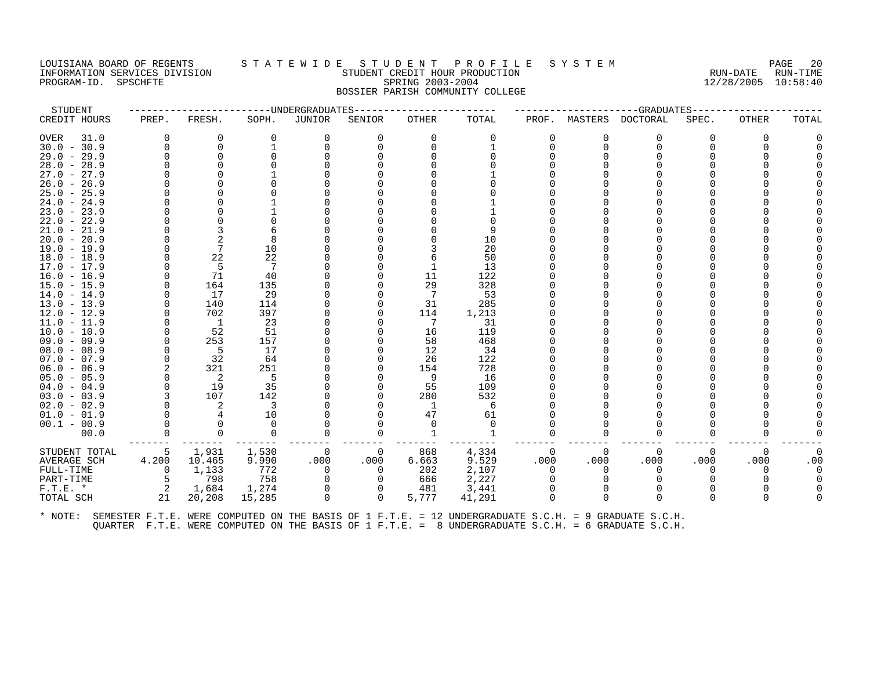## LOUISIANA BOARD OF REGENTS STATEWIDE STUDENT PROFILE SYSTEM PAGE 20<br>INFORMATION SERVICES DIVISION STUBENT CREDIT HOUR PRODUCTION INFORMATION SERVICES DIVISION SUNGLERICAL STUDENT CREDIT HOUR PRODUCTION SUNGLERIC RUN-DATE RUN-TIME RUN-TIME<br>PROGRAM-ID. SPSCHFTE SERING 2003-2004 SPRING 2003-2004 PROGRAM-ID. SPSCHFTE SERING 2003-2004 BOSSIER PARISH COMMUNITY COLLEGE

| STUDENT       |                          |                |          | ---------------------DNDERGRADUATES |                | ---------------- |              |          |          | ------------------GRADUATES----- |          |              |       |
|---------------|--------------------------|----------------|----------|-------------------------------------|----------------|------------------|--------------|----------|----------|----------------------------------|----------|--------------|-------|
| CREDIT HOURS  | PREP.                    | FRESH.         | SOPH.    | JUNIOR                              | SENIOR         | OTHER            | TOTAL        | PROF.    |          | MASTERS DOCTORAL                 | SPEC.    | <b>OTHER</b> | TOTAL |
| OVER<br>31.0  | 0                        | 0              | $\Omega$ | 0                                   | 0              | $\Omega$         | 0            | $\Omega$ | 0        | 0                                | 0        | $\Omega$     |       |
| $30.0 - 30.9$ | $\Omega$                 | $\Omega$       |          |                                     |                |                  |              | 0        | $\Omega$ | $\Omega$                         |          |              |       |
| $29.0 - 29.9$ | $\Omega$                 | $\Omega$       |          |                                     |                |                  |              |          |          |                                  |          |              |       |
| $28.0 - 28.9$ |                          |                |          |                                     |                |                  |              |          |          |                                  |          |              |       |
| $27.0 - 27.9$ |                          |                |          |                                     |                |                  |              |          |          |                                  |          |              |       |
| $26.0 - 26.9$ |                          |                |          |                                     |                |                  |              |          |          |                                  |          |              |       |
| $25.0 - 25.9$ |                          |                |          |                                     |                |                  |              |          |          |                                  |          |              |       |
| $24.0 - 24.9$ |                          |                |          |                                     |                |                  |              |          |          |                                  |          |              |       |
| $23.0 - 23.9$ |                          |                |          |                                     |                |                  |              |          |          |                                  |          |              |       |
| $22.0 - 22.9$ |                          |                |          |                                     |                |                  |              |          |          |                                  |          |              |       |
| $21.0 - 21.9$ |                          | 3              |          |                                     |                |                  | 9            |          |          |                                  |          |              |       |
| $20.0 - 20.9$ |                          | $\overline{2}$ |          |                                     |                |                  | 10           |          |          |                                  |          |              |       |
| $19.0 - 19.9$ | $\Omega$                 | 7              | 10       |                                     |                |                  | 20           |          |          |                                  |          |              |       |
| $18.0 - 18.9$ | $\Omega$                 | 22             | 22       |                                     |                |                  | 50           |          |          |                                  |          |              |       |
| 17.0 - 17.9   | $\Omega$                 | 5              |          |                                     |                |                  | 13           |          |          |                                  |          |              |       |
| $16.0 - 16.9$ | $\Omega$                 | 71             | 40       |                                     |                | 11               | 122          |          |          |                                  |          |              |       |
| $15.0 - 15.9$ | $\Omega$                 | 164            | 135      |                                     |                | 29               | 328          |          |          |                                  |          |              |       |
| $14.0 - 14.9$ | 0                        | 17             | 29       |                                     |                | -7               | 53           |          |          |                                  |          |              |       |
| 13.0 - 13.9   | $\Omega$                 | 140            | 114      |                                     |                | 31               | 285          |          |          |                                  |          |              |       |
| $12.0 - 12.9$ | 0                        | 702            | 397      |                                     |                | 114              | 1,213        |          |          |                                  |          |              |       |
| $11.0 - 11.9$ |                          | $\overline{1}$ | 23       |                                     |                | -7               | 31           |          |          |                                  |          |              |       |
| $10.0 - 10.9$ | $\Omega$                 | -52            | 51       |                                     |                | 16               | 119          |          |          |                                  |          |              |       |
| $09.0 - 09.9$ | $\Omega$                 | 253            | 157      |                                     |                | 58               | 468          |          |          |                                  |          |              |       |
| $08.0 - 08.9$ | $\Omega$                 | -5             | 17       |                                     |                | 12               | 34           |          |          |                                  |          |              |       |
| $07.0 - 07.9$ | $\Omega$                 | 32             | 64       |                                     |                | -26              | 122          |          |          |                                  |          |              |       |
| $06.0 - 06.9$ | 2                        | 321            | 251      |                                     |                | 154              | 728          |          |          |                                  |          |              |       |
| $05.0 - 05.9$ | $\mathbf 0$              | $\overline{2}$ | $-5$     |                                     |                | - 9              | 16           |          |          |                                  |          |              |       |
| $04.0 - 04.9$ | $\Omega$                 | 19             | 35       |                                     |                | 55               | 109          |          |          |                                  |          |              |       |
| $03.0 - 03.9$ |                          | 107            | 142      |                                     |                | 280              | 532          |          |          |                                  |          |              |       |
| $02.0 - 02.9$ | $\Omega$                 | 2              | - 3      |                                     |                | - 1              | 6            |          |          |                                  |          |              |       |
| $01.0 - 01.9$ | $\Omega$                 | 4              | 10       |                                     |                | 47               | 61           |          |          |                                  |          |              |       |
| $00.1 - 00.9$ |                          |                | $\Omega$ |                                     |                |                  |              |          |          |                                  |          |              |       |
| 00.0          | $\Omega$                 | $\Omega$       | $\Omega$ | $\Omega$                            | 0              | $\overline{1}$   | $\mathbf{1}$ | $\Omega$ | 0        | $\Omega$                         | 0        |              |       |
| STUDENT TOTAL | 5                        | 1,931          | 1,530    | - 0                                 | $\Omega$       | 868              | 4,334        | $\Omega$ | $\Omega$ | $\Omega$                         | $\Omega$ | $\Omega$     |       |
| AVERAGE SCH   | 4.200                    | 10.465         | 9.990    | .000                                | .000           | 6.663            | 9.529        | .000     | .000     | .000                             | .000     | .000         | .00   |
| FULL-TIME     | 0                        | 1,133          | 772      | 0                                   | $\overline{0}$ | 202              | 2,107        | 0        | $\Omega$ | 0                                | 0        | O            |       |
| PART-TIME     | $-5$                     | 798            | 758      | $\Omega$                            | $\Omega$       | 666              | 2,227        | $\Omega$ |          | $\Omega$                         |          |              |       |
| $F.T.E. *$    | $\overline{\phantom{a}}$ | 1,684          | 1,274    |                                     |                | 481              | 3,441        |          |          |                                  |          |              |       |
| TOTAL SCH     | 21                       | 20,208         | 15,285   | $\Omega$                            | $\Omega$       | 5,777            | 41,291       | $\Omega$ | $\Omega$ | $\Omega$                         | 0        |              |       |
|               |                          |                |          |                                     |                |                  |              |          |          |                                  |          |              |       |
|               |                          |                |          |                                     |                |                  |              |          |          |                                  |          |              |       |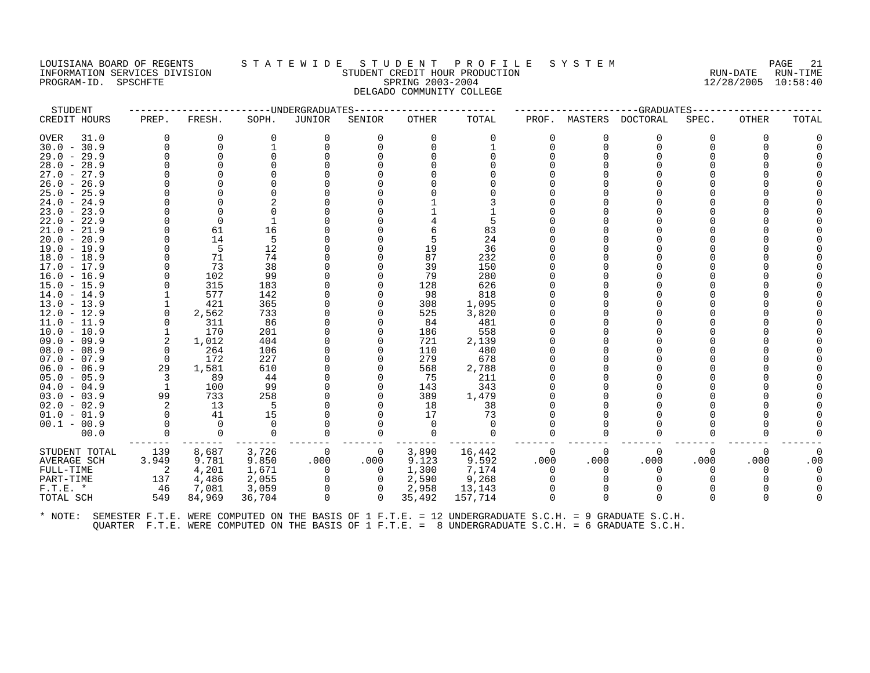## LOUISIANA BOARD OF REGENTS STATEWIDE STUDENT PROFILE SYSTEM PAGE 21<br>INFORMATION SERVICES DIVISION STATEWES STUDENT CREDIT HOUR PRODUCTION PROTOCOLOGY ARUN-DATE RUN-TIME THE STUDENT CREDIT HOUR PRODUCTION SERVICES SERVICES DESCRIPTION RUN-DATE RUN-TIME<br>SPRING 2003-2004 898-891 2004 PROGRAM-ID. SPSCHFTE SERIES SPRING 2003-2004 DELGADO COMMUNITY COLLEGE

| STUDENT                        |                          |                | ---------------------DNDERGRADUATES |          |                | --------------- |                |                |          | ------------------GRADUATES----- |       |              |       |
|--------------------------------|--------------------------|----------------|-------------------------------------|----------|----------------|-----------------|----------------|----------------|----------|----------------------------------|-------|--------------|-------|
| CREDIT HOURS                   | PREP.                    | FRESH.         | SOPH.                               | JUNIOR   | SENIOR         | OTHER           | TOTAL          | PROF.          | MASTERS  | DOCTORAL                         | SPEC. | <b>OTHER</b> | TOTAL |
| OVER<br>31.0                   | $\Omega$                 | 0              | 0                                   | $\Omega$ | 0              | $\Omega$        | $\Omega$       | $\Omega$       | 0        | $\Omega$                         | 0     | $\Omega$     |       |
| $30.0 - 30.9$                  | $\Omega$                 | $\Omega$       |                                     |          |                |                 |                | 0              | $\Omega$ | $\Omega$                         |       |              |       |
| $29.0 - 29.9$                  | $\Omega$                 | $\Omega$       |                                     |          |                |                 |                |                |          |                                  |       |              |       |
| $28.0 - 28.9$                  |                          |                |                                     |          |                |                 |                |                |          |                                  |       |              |       |
| $27.0 - 27.9$                  |                          |                |                                     |          |                |                 |                |                |          |                                  |       |              |       |
| $26.0 - 26.9$                  |                          |                |                                     |          |                |                 |                |                |          |                                  |       |              |       |
| $25.0 - 25.9$                  |                          |                |                                     |          |                |                 |                |                |          |                                  |       |              |       |
| $24.0 - 24.9$                  |                          |                |                                     |          |                |                 |                |                |          |                                  |       |              |       |
| $23.0 - 23.9$                  |                          |                |                                     |          |                |                 |                |                |          |                                  |       |              |       |
| $22.0 - 22.9$                  |                          | $\Omega$       |                                     |          |                |                 |                |                |          |                                  |       |              |       |
| $21.0 - 21.9$                  | $\Omega$                 | 61             | 16                                  |          |                |                 | 83             |                |          |                                  |       |              |       |
| $20.0 - 20.9$                  | $\Omega$                 | 14             | .5                                  |          |                |                 | 24             |                |          |                                  |       |              |       |
| $19.0 - 19.9$                  | $\Omega$                 | -5             | 12                                  |          |                | 19              | 36             |                |          |                                  |       |              |       |
| $18.0 - 18.9$                  |                          | 71             | 74                                  |          |                | 87              | 232            |                |          |                                  |       |              |       |
| 17.0 - 17.9                    |                          | 73             | 38                                  |          |                | 39              | 150            |                |          |                                  |       |              |       |
| $16.0 - 16.9$                  |                          | 102            | 99                                  |          |                | 79              | 280            |                |          |                                  |       |              |       |
| $15.0 - 15.9$                  |                          | 315            | 183                                 |          |                | 128             | 626            |                |          |                                  |       |              |       |
| $14.0 - 14.9$                  |                          | 577            | 142                                 |          |                | 98              | 818            |                |          |                                  |       |              |       |
| $13.0 - 13.9$                  | 0                        | 421            | 365<br>733                          |          |                | 308<br>525      | 1,095<br>3,820 |                |          |                                  |       |              |       |
| $12.0 - 12.9$<br>$11.0 - 11.9$ | $\Omega$                 | 2,562<br>311   | 86                                  |          |                | 84              | 481            |                |          |                                  |       |              |       |
| $10.0 - 10.9$                  | 1                        | 170            | 201                                 |          |                | 186             | 558            |                |          |                                  |       |              |       |
| $09.0 - 09.9$                  | 2                        | 1,012          | 404                                 |          |                | 721             | 2,139          |                |          |                                  |       |              |       |
| $08.0 - 08.9$                  | $\overline{0}$           | 264            | 106                                 |          |                | 110             | 480            |                |          |                                  |       |              |       |
| $07.0 - 07.9$                  | 0                        | 172            | 227                                 |          |                | 279             | 678            |                |          |                                  |       |              |       |
| $06.0 - 06.9$                  | 29                       | 1,581          | 610                                 |          |                | 568             | 2,788          |                |          |                                  |       |              |       |
| $05.0 - 05.9$                  | $\overline{\phantom{a}}$ | 89             | 44                                  |          |                | 75              | 211            |                |          |                                  |       |              |       |
| $04.0 - 04.9$                  | -1                       | 100            | 99                                  |          |                | 143             | 343            |                |          |                                  |       |              |       |
| $03.0 - 03.9$                  | 99                       | 733            | 258                                 |          |                | 389             | 1,479          |                |          |                                  |       |              |       |
| $02.0 - 02.9$                  | 2                        | 13             | 5                                   |          |                | 18              | 38             |                |          |                                  |       |              |       |
| $01.0 - 01.9$                  | $\Omega$                 | 41             | 15                                  |          |                | 17              | 73             |                |          |                                  |       |              |       |
| $00.1 - 00.9$                  | $\Omega$                 | $\overline{0}$ | $\Omega$                            |          |                | $\Omega$        | $\Omega$       |                |          |                                  |       |              |       |
| 00.0                           | $\Omega$                 | $\mathbf 0$    | $\Omega$                            |          | 0              | $\Omega$        | $\Omega$       | $\Omega$       | ∩        | $\Omega$                         |       |              |       |
| STUDENT TOTAL                  | 139                      | 8,687          | 3,726                               | 0        | $\overline{0}$ | 3,890           | 16,442         | $\overline{0}$ | 0        | $\mathbf 0$                      | 0     | $\Omega$     |       |
| AVERAGE SCH                    | 3.949                    | 9.781          | 9.850                               | .000     | .000           | 9.123           | 9.592          | .000           | .000     | .000                             | .000  | .000         | .00   |
| FULL-TIME                      | 2                        | 4,201          | 1,671                               | $\Omega$ | $\Omega$       | 1,300           | 7,174          | $\Omega$       | $\Omega$ | $\Omega$                         |       | $\Omega$     |       |
| PART-TIME                      | 137                      | 4,486          | 2,055                               |          | 0              | 2,590           | 9,268          | $\Omega$       |          | $\Omega$                         |       |              |       |
| $F.T.E. *$                     | 46                       | 7,081          | 3,059                               | $\Omega$ | $\Omega$       | 2,958           | 13,143         | $\Omega$       |          |                                  |       |              |       |
| TOTAL SCH                      | 549                      | 84,969         | 36,704                              | $\Omega$ | $\Omega$       | 35,492          | 157,714        | $\Omega$       | $\Omega$ | $\Omega$                         |       | $\Omega$     |       |
|                                |                          |                |                                     |          |                |                 |                |                |          |                                  |       |              |       |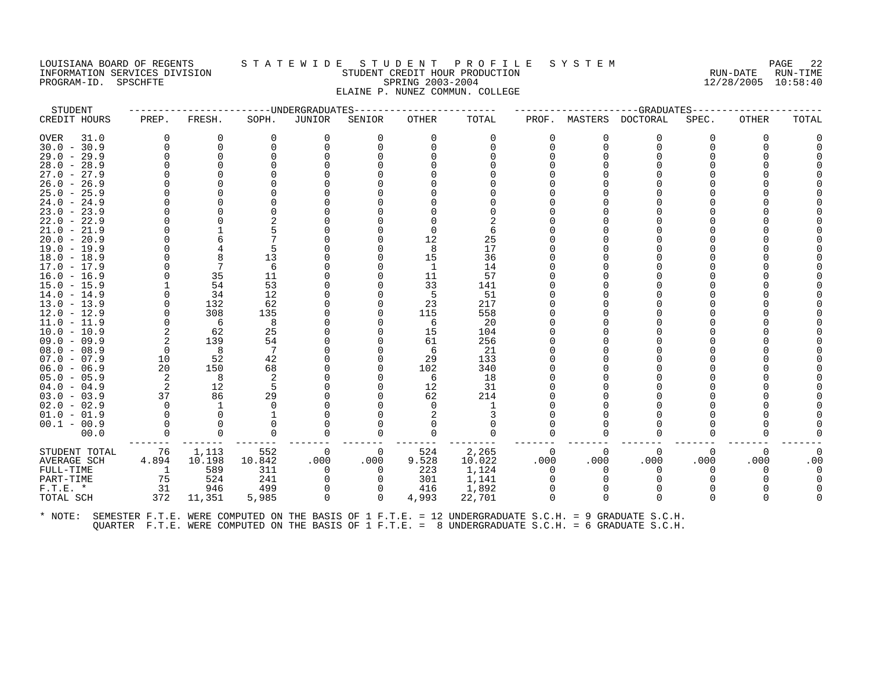## LOUISIANA BOARD OF REGENTS STATEWIDE STUDENT PROFILE SYSTEM PAGE 22 INFORMATION SERVICES DIVISION SUNGLERICAL STUDENT CREDIT HOUR PRODUCTION SUNGLERIC RUN-DATE RUN-TIME<br>PROGRAM-ID. SPSCHFTE SERING 2003-2004 SPRING 2003-2004 PROGRAM-ID. SPSCHFTE SERING 2003-2004 ELAINE P. NUNEZ COMMUN. COLLEGE

| STUDENT<br>CREDIT HOURS<br>OVER<br>31.0<br>$30.0 - 30.9$<br>$29.0 - 29.9$<br>$28.0 - 28.9$<br>$27.0 - 27.9$<br>$26.0 - 26.9$<br>$25.0 - 25.9$ | PREP.<br>$\Omega$<br>$\mathbf 0$<br>$\Omega$ | FRESH.<br>$\mathbf 0$<br>$\mathbf 0$<br>$\mathbf 0$ | SOPH.<br>$\Omega$ | ----------------------DNDERGRADUATES-<br>JUNIOR<br>0 | SENIOR         | OTHER<br>$\Omega$ | TOTAL<br>0 | 0<br>$\Omega$ | PROF. MASTERS<br>$\Omega$<br>$\Omega$ | -------------------GRADUATES-<br>DOCTORAL<br>0<br>0<br>0 | SPEC.<br>0 | OTHER    | TOTAL |
|-----------------------------------------------------------------------------------------------------------------------------------------------|----------------------------------------------|-----------------------------------------------------|-------------------|------------------------------------------------------|----------------|-------------------|------------|---------------|---------------------------------------|----------------------------------------------------------|------------|----------|-------|
|                                                                                                                                               |                                              |                                                     |                   |                                                      |                |                   |            |               |                                       |                                                          |            |          |       |
|                                                                                                                                               |                                              |                                                     |                   |                                                      |                |                   |            |               |                                       |                                                          |            |          |       |
|                                                                                                                                               |                                              |                                                     |                   |                                                      |                |                   |            |               |                                       |                                                          |            |          |       |
|                                                                                                                                               |                                              |                                                     |                   |                                                      |                |                   |            |               |                                       |                                                          |            |          |       |
|                                                                                                                                               |                                              |                                                     |                   |                                                      |                |                   |            |               |                                       |                                                          |            |          |       |
|                                                                                                                                               |                                              |                                                     |                   |                                                      |                |                   |            |               |                                       |                                                          |            |          |       |
|                                                                                                                                               |                                              |                                                     |                   |                                                      |                |                   |            |               |                                       |                                                          |            |          |       |
|                                                                                                                                               |                                              |                                                     |                   |                                                      |                |                   |            |               |                                       |                                                          |            |          |       |
| $24.0 - 24.9$                                                                                                                                 |                                              |                                                     |                   |                                                      |                |                   |            |               |                                       |                                                          |            |          |       |
| $23.0 - 23.9$                                                                                                                                 |                                              |                                                     |                   |                                                      |                |                   |            |               |                                       |                                                          |            |          |       |
| $22.0 - 22.9$                                                                                                                                 |                                              |                                                     |                   |                                                      |                |                   |            |               |                                       |                                                          |            |          |       |
| $21.0 - 21.9$                                                                                                                                 |                                              |                                                     |                   |                                                      |                |                   |            |               |                                       |                                                          |            |          |       |
| $20.0 - 20.9$                                                                                                                                 |                                              |                                                     |                   |                                                      |                | 12                | 25         |               |                                       |                                                          |            |          |       |
| $19.0 - 19.9$                                                                                                                                 |                                              |                                                     |                   |                                                      |                | 8                 | 17         |               |                                       |                                                          |            |          |       |
| $18.0 - 18.9$                                                                                                                                 |                                              |                                                     | 13                |                                                      |                | 15                | 36         |               |                                       |                                                          |            |          |       |
| $17.0 - 17.9$                                                                                                                                 |                                              | 7                                                   | 6                 |                                                      |                | -1                | 14         |               |                                       |                                                          |            |          |       |
| $16.0 - 16.9$                                                                                                                                 |                                              | 35                                                  | 11                |                                                      |                | 11                | 57         |               |                                       |                                                          |            |          |       |
| $15.0 - 15.9$                                                                                                                                 |                                              | 54                                                  | 53                |                                                      |                | 33                | 141        |               |                                       |                                                          |            |          |       |
| $14.0 - 14.9$                                                                                                                                 |                                              | 34                                                  | 12                |                                                      |                | -5                | 51         |               |                                       |                                                          |            |          |       |
| $13.0 - 13.9$                                                                                                                                 | 0                                            | 132                                                 | 62                |                                                      |                | 23                | 217        |               |                                       |                                                          |            |          |       |
| $12.0 - 12.9$                                                                                                                                 | $\Omega$                                     | 308                                                 | 135               |                                                      |                | 115               | 558        |               |                                       |                                                          |            |          |       |
| $11.0 - 11.9$                                                                                                                                 | $\Omega$                                     | 6                                                   | 8                 |                                                      |                | 6                 | 20         |               |                                       |                                                          |            |          |       |
| $10.0 - 10.9$                                                                                                                                 | 2                                            | 62                                                  | 25                |                                                      |                | 15                | 104        |               |                                       |                                                          |            |          |       |
| $09.0 - 09.9$                                                                                                                                 | $\overline{2}$                               | 139                                                 | 54                |                                                      |                | 61                | 256        |               |                                       |                                                          |            |          |       |
| $08.0 - 08.9$                                                                                                                                 | $\Omega$                                     | $_{\rm 8}$                                          |                   |                                                      |                | -6                | 21         |               |                                       |                                                          |            |          |       |
| $07.0 - 07.9$                                                                                                                                 | 10                                           | 52                                                  | 42                |                                                      |                | 29                | 133        |               |                                       |                                                          |            |          |       |
| $06.0 - 06.9$                                                                                                                                 | 20                                           | 150                                                 | 68                |                                                      |                | 102               | 340        |               |                                       |                                                          |            |          |       |
| $05.0 - 05.9$                                                                                                                                 | -2                                           | 8                                                   |                   |                                                      |                | 6                 | 18         |               |                                       |                                                          |            |          |       |
| $04.0 - 04.9$                                                                                                                                 | $\overline{\phantom{a}}^2$                   | 12                                                  |                   |                                                      |                | 12                | 31         |               |                                       |                                                          |            |          |       |
| $03.0 - 03.9$                                                                                                                                 | 37                                           | 86                                                  | 29                |                                                      |                | 62                | 214        |               |                                       |                                                          |            |          |       |
| $02.0 - 02.9$                                                                                                                                 | $\Omega$                                     | 1                                                   | $\Omega$          |                                                      |                | $\Omega$          | 1          |               |                                       |                                                          |            |          |       |
| $01.0 - 01.9$                                                                                                                                 |                                              | $\Omega$                                            |                   |                                                      |                |                   |            |               |                                       |                                                          |            |          |       |
| $00.1 - 00.9$                                                                                                                                 | $\Omega$                                     | $\Omega$                                            |                   |                                                      |                |                   |            |               |                                       |                                                          |            |          |       |
| 00.0                                                                                                                                          | 0                                            | 0                                                   |                   |                                                      | 0              |                   |            | 0             | $\Omega$                              |                                                          |            |          |       |
| STUDENT TOTAL                                                                                                                                 | 76                                           | 1,113                                               | 552               | $\mathbf 0$                                          | $\Omega$       | 524               | 2,265      | 0             | $\Omega$                              | $\mathbf 0$                                              | 0          | $\Omega$ |       |
| AVERAGE SCH                                                                                                                                   | 4.894                                        | 10.198                                              | 10.842            | .000                                                 | .000           | 9.528             | 10.022     | .000          | .000                                  | .000                                                     | .000       | .000     | .00   |
| FULL-TIME                                                                                                                                     | $\overline{\phantom{0}}$                     | 589                                                 | 311               | $\mathbf{0}$                                         | $\Omega$       | 223               | 1,124      | $\Omega$      | $\Omega$                              | $\Omega$                                                 | $\Omega$   |          |       |
| PART-TIME                                                                                                                                     | 75                                           | 524                                                 | 241               | $\Omega$                                             | $\Omega$       | 301               | 1,141      | $\Omega$      |                                       |                                                          |            |          |       |
| $F.T.E. *$                                                                                                                                    | 31                                           | 946                                                 | 499               | 0                                                    | 0              | 416               | 1,892      | $\mathbf 0$   | 0                                     |                                                          |            |          |       |
| TOTAL SCH                                                                                                                                     | 372                                          | 11,351                                              | 5,985             | $\Omega$                                             | $\overline{0}$ | 4,993             | 22,701     | $\Omega$      | $\Omega$                              | $\Omega$                                                 | $\Omega$   |          |       |
| $\star$ varia control proposition control of the pacto of 1 proposed in the proposeding control of the Control of City                        |                                              |                                                     |                   |                                                      |                |                   |            |               |                                       |                                                          |            |          |       |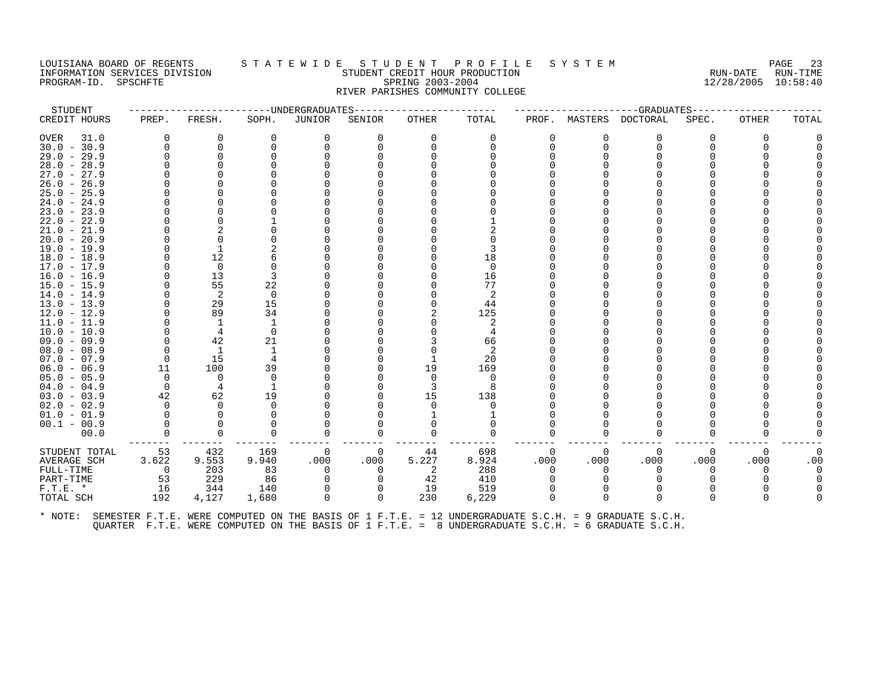PROGRAM-ID. SPSCHFTE

# LOUISIANA BOARD OF REGENTS STATEWIDE STUDENT PROFILE SYSTEM PAGE 23<br>INFORMATION SERVICES DIVISION STATE WILL STUDENT CREDIT HOUR PRODUCTION INFORMATION SERVICES DIVISION SUNGLERICAL STUDENT CREDIT HOUR PRODUCTION SUNGLERIC RUN-DATE RUN-TIME RUN-TIME<br>PROGRAM-ID. SPSCHFTE SERING 2003-2004 SPRING 2003-2004 RIVER PARISHES COMMUNITY COLLEGE

| STUDENT             |          |          |          | -----UNDERGRADUATES |                | ------------- |          |             |          | --GRADUATES                                                                                          |          |              |       |
|---------------------|----------|----------|----------|---------------------|----------------|---------------|----------|-------------|----------|------------------------------------------------------------------------------------------------------|----------|--------------|-------|
| CREDIT HOURS        | PREP.    | FRESH.   | SOPH.    | JUNIOR              | SENIOR         | <b>OTHER</b>  | TOTAL    | PROF.       | MASTERS  | DOCTORAL                                                                                             | SPEC.    | OTHER        | TOTAL |
| <b>OVER</b><br>31.0 | $\Omega$ | 0        | 0        | $\Omega$            | 0              | $\Omega$      | 0        | 0           | 0        | 0                                                                                                    | ∩        | 0            |       |
| $30.0 - 30.9$       |          |          | O        | 0                   | 0              | $\Omega$      | 0        | $\mathbf 0$ | $\Omega$ | 0                                                                                                    |          | <sup>0</sup> |       |
| $29.0 - 29.9$       |          |          |          |                     |                |               |          | $\Omega$    |          |                                                                                                      |          |              |       |
| $28.0 - 28.9$       |          |          |          |                     |                |               |          | $\Omega$    |          |                                                                                                      |          |              |       |
| $27.0 - 27.9$       |          |          |          |                     |                |               |          | $\Omega$    |          |                                                                                                      |          |              |       |
| $26.0 - 26.9$       |          |          |          |                     |                |               |          |             |          |                                                                                                      |          |              |       |
| $25.0 - 25.9$       |          |          |          |                     |                |               |          |             |          |                                                                                                      |          |              |       |
| $24.0 - 24.9$       |          |          |          |                     |                |               |          | ∩           |          |                                                                                                      |          |              |       |
| $23.0 - 23.9$       |          |          |          |                     |                |               |          |             |          |                                                                                                      |          |              |       |
| $22.0 - 22.9$       |          |          |          |                     |                |               |          |             |          |                                                                                                      |          |              |       |
| $21.0 - 21.9$       |          |          |          |                     |                |               |          |             |          |                                                                                                      |          |              |       |
| $20.0 - 20.9$       |          |          |          |                     |                |               |          |             |          |                                                                                                      |          |              |       |
| $19.0 - 19.9$       |          |          |          |                     |                |               |          |             |          |                                                                                                      |          |              |       |
| $18.0 - 18.9$       |          | 12       |          |                     |                |               | 18       |             |          |                                                                                                      |          |              |       |
| $17.0 - 17.9$       |          | $\Omega$ |          |                     |                |               | $\Omega$ |             |          |                                                                                                      |          |              |       |
| $16.0 - 16.9$       |          | 13       | 3        |                     |                |               | 16       |             |          |                                                                                                      |          |              |       |
| $15.0 - 15.9$       |          | 55       | 22       |                     |                |               | 77       |             |          |                                                                                                      |          |              |       |
| $14.0 - 14.9$       |          | 2        | 0        |                     |                |               | 2        |             |          |                                                                                                      |          |              |       |
| $13.0 - 13.9$       |          | 29       | 15       |                     |                |               | 44       |             |          |                                                                                                      |          |              |       |
| $12.0 - 12.9$       |          | 89       | 34       |                     |                |               | 125      |             |          |                                                                                                      |          |              |       |
| $11.0 - 11.9$       |          | 1        | 1        |                     |                |               | 2        |             |          |                                                                                                      |          |              |       |
| $10.0 - 10.9$       |          |          | $\Omega$ |                     |                |               |          |             |          |                                                                                                      |          |              |       |
| $09.0 - 09.9$       |          | 42       | 21       |                     |                |               | 66       |             |          |                                                                                                      |          |              |       |
| $08.0 - 08.9$       |          | -1       |          |                     |                |               | 2        |             |          |                                                                                                      |          |              |       |
| $07.0 - 07.9$       | $\Omega$ | 15       |          |                     |                |               | 20       |             |          |                                                                                                      |          |              |       |
| $06.0 - 06.9$       | 11       | 100      | 39       |                     |                | 19            | 169      |             |          |                                                                                                      |          |              |       |
| $05.0 - 05.9$       | $\Omega$ | $\Omega$ | $\Omega$ |                     |                | $\Omega$      | $\Omega$ |             |          |                                                                                                      |          |              |       |
| $04.0 - 04.9$       | $\Omega$ | 4        |          |                     |                |               | 8        |             |          |                                                                                                      |          |              |       |
| $03.0 - 03.9$       | 42       | 62       | 19       |                     |                | 15            | 138      |             |          |                                                                                                      |          |              |       |
| $02.0 - 02.9$       |          | $\Omega$ | $\Omega$ |                     |                |               | $\Omega$ |             |          |                                                                                                      |          |              |       |
| $01.0 - 01.9$       |          |          |          |                     |                |               |          |             |          |                                                                                                      |          |              |       |
| $00.1 - 00.9$       |          |          |          |                     |                |               | 0        |             |          |                                                                                                      |          |              |       |
| 00.0                |          |          | 0        | 0                   | 0              |               | $\Omega$ | $\Omega$    |          |                                                                                                      |          |              |       |
| STUDENT TOTAL       | 53       | 432      | 169      | $\mathbf 0$         | $\overline{0}$ | 44            | 698      | 0           | 0        | 0                                                                                                    | $\Omega$ | $\mathbf 0$  |       |
| AVERAGE SCH         | 3.622    | 9.553    | 9.940    | .000                | .000           | 5.227         | 8.924    | .000        | .000     | .000                                                                                                 | .000     | .000         | .00   |
| FULL-TIME           | $\Omega$ | 203      | 83       | $\Omega$            | $\Omega$       | -2            | 288      | $\Omega$    | $\Omega$ | <sup>o</sup>                                                                                         |          | 0            |       |
| PART-TIME           | 53       | 229      | 86       | $\Omega$            | $\Omega$       | 42            | 410      | $\Omega$    |          | $\Omega$                                                                                             |          |              |       |
| $F.T.E.$ *          | 16       | 344      | 140      | 0                   | 0              | 19            | 519      | $\Omega$    |          |                                                                                                      |          |              |       |
| TOTAL SCH           | 192      | 4,127    | 1,680    | $\Omega$            | $\Omega$       | 230           | 6,229    | $\Omega$    | $\Omega$ | $\Omega$                                                                                             |          | $\Omega$     |       |
| $*$ NOTE:           |          |          |          |                     |                |               |          |             |          | SEMESTER F.T.E. WERE COMPUTED ON THE BASIS OF 1 F.T.E. = 12 UNDERGRADUATE S.C.H. = 9 GRADUATE S.C.H. |          |              |       |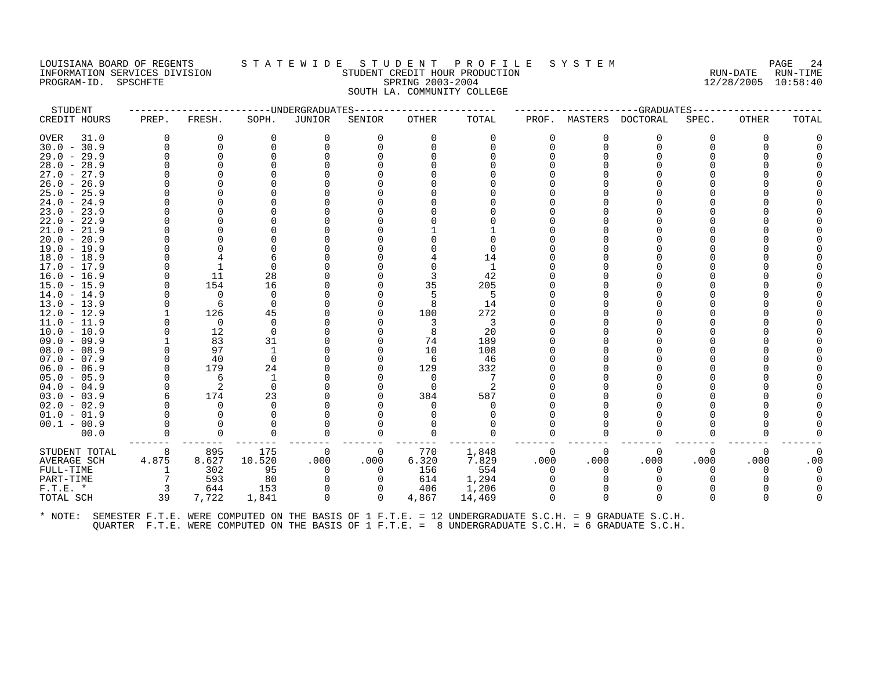## LOUISIANA BOARD OF REGENTS STATEWIDE STUDE NT PROFILE SYSTEM PAGE 24<br>INFORMATION SERVICES DIVISION STATE WILL STUDENT CREDIT HOUR PRODUCTION FROM THE RUN-DATE RUN-TIME INFORMATION SERVICES DIVISION STUDENT CREDIT HOUR PRODUCTION PROGRAM-ID. SPSCHFTE 12-23... (2003) 2004 12/28/2005 10:58:40 SOUTH LA. COMMUNITY COLLEGE

| STUDENT             |       |          |          | -----UNDERGRADUATES |             |              |          |              |          | --GRADUATES                                                                                          |          |       |       |
|---------------------|-------|----------|----------|---------------------|-------------|--------------|----------|--------------|----------|------------------------------------------------------------------------------------------------------|----------|-------|-------|
| CREDIT HOURS        | PREP. | FRESH.   | SOPH.    | JUNIOR              | SENIOR      | <b>OTHER</b> | TOTAL    | PROF.        | MASTERS  | DOCTORAL                                                                                             | SPEC.    | OTHER | TOTAL |
| <b>OVER</b><br>31.0 | 0     | 0        | 0        | 0                   | 0           | $\Omega$     | 0        | 0            | 0        | 0                                                                                                    | O        | 0     |       |
| $30.0 - 30.9$       |       |          |          | $\Omega$            | 0           | $\Omega$     | 0        | 0            | $\Omega$ | $\Omega$                                                                                             |          | U     |       |
| $29.0 - 29.9$       |       |          |          |                     |             |              |          |              |          |                                                                                                      |          |       |       |
| $28.0 - 28.9$       |       |          |          |                     |             |              |          |              |          |                                                                                                      |          |       |       |
| $27.0 -$<br>27.9    |       |          |          |                     |             |              |          |              |          |                                                                                                      |          |       |       |
| $26.0 - 26.9$       |       |          |          |                     |             |              |          |              |          |                                                                                                      |          |       |       |
| $25.0 - 25.9$       |       |          |          |                     |             |              |          |              |          |                                                                                                      |          |       |       |
| $24.0 -$<br>24.9    |       |          |          |                     |             |              |          |              |          |                                                                                                      |          |       |       |
| 23.9<br>$23.0 -$    |       |          |          |                     |             |              |          |              |          |                                                                                                      |          |       |       |
| $22.0 - 22.9$       |       |          |          |                     |             |              |          |              |          |                                                                                                      |          |       |       |
| $21.0 -$<br>21.9    |       |          |          |                     |             |              |          |              |          |                                                                                                      |          |       |       |
| $20.0 - 20.9$       |       |          |          |                     |             |              |          |              |          |                                                                                                      |          |       |       |
| $19.0 - 19.9$       |       |          |          |                     |             |              | ∩        |              |          |                                                                                                      |          |       |       |
| $18.0 - 18.9$       |       |          |          |                     |             |              | 14       |              |          |                                                                                                      |          |       |       |
| 17.0<br>$-17.9$     |       |          |          |                     |             |              | 1        |              |          |                                                                                                      |          |       |       |
| $16.0 - 16.9$       |       | 11       | 28       |                     |             |              | 42       |              |          |                                                                                                      |          |       |       |
| $15.0 - 15.9$       |       | 154      | 16       |                     |             | 35           | 205      |              |          |                                                                                                      |          |       |       |
| 14.0<br>$-14.9$     |       | 0        | 0        |                     |             |              | 5        |              |          |                                                                                                      |          |       |       |
| $13.0 - 13.9$       |       | 6        | $\Omega$ |                     | O           |              | 14       |              |          |                                                                                                      |          |       |       |
| $-12.9$<br>12.0     |       | 126      | 45       |                     |             | 100          | 272      |              |          |                                                                                                      |          |       |       |
| 11.0<br>$-11.9$     |       | 0        | $\Omega$ |                     |             |              | 3        |              |          |                                                                                                      |          |       |       |
| $10.0 - 10.9$       |       | 12       | $\Omega$ |                     |             | 8            | 20       |              |          |                                                                                                      |          |       |       |
| $09.0 - 09.9$       |       | 83       | 31       |                     |             | 74           | 189      |              |          |                                                                                                      |          |       |       |
| $08.0 - 08.9$       |       | 97       |          |                     | $\Omega$    | 10           | 108      |              |          |                                                                                                      |          |       |       |
| $07.0 - 07.9$       |       | 40       | $\Omega$ |                     | O           | 6            | 46       |              |          |                                                                                                      |          |       |       |
| $06.0 - 06.9$       |       | 179      | 24       |                     | $\Omega$    | 129          | 332      |              |          |                                                                                                      |          |       |       |
| $05.0 - 05.9$       |       | 6        |          |                     | O           | $\Omega$     |          |              |          |                                                                                                      |          |       |       |
| $04.0 - 04.9$       |       | 2        | $\Omega$ |                     | O           | $\Omega$     | 2        |              |          |                                                                                                      |          |       |       |
| $03.0 - 03.9$       |       | 174      | 23       |                     |             | 384          | 587      |              |          |                                                                                                      |          |       |       |
| $02.0 - 02.9$       |       | $\Omega$ | $\Omega$ |                     |             | 0            | $\Omega$ |              |          |                                                                                                      |          |       |       |
| $01.0 - 01.9$       |       |          |          |                     |             |              |          |              |          |                                                                                                      |          |       |       |
| $00.1 - 00.9$       |       |          |          |                     |             |              |          |              |          |                                                                                                      |          |       |       |
| 00.0                |       |          | O        | $\Omega$            | 0           |              | $\Omega$ | <sup>0</sup> |          | 0                                                                                                    |          |       |       |
| STUDENT TOTAL       | 8     | 895      | 175      | 0                   | 0           | 770          | 1,848    | 0            | 0        | 0                                                                                                    | $\Omega$ | 0     |       |
| <b>AVERAGE SCH</b>  | 4.875 | 8.627    | 10.520   | .000                | .000        | 6.320        | 7.829    | .000         | .000     | .000                                                                                                 | .000     | .000  | .00   |
| FULL-TIME           |       | 302      | 95       | $\Omega$            | $\Omega$    | 156          | 554      | $\Omega$     | $\Omega$ | 0                                                                                                    |          | 0     |       |
| PART-TIME           |       | 593      | 80       | $\Omega$            |             | 614          | 1,294    |              |          |                                                                                                      |          |       |       |
| $F.T.E.$ *          |       | 644      | 153      | 0                   | 0           | 406          | 1,206    | 0            | $\Omega$ | $\Omega$                                                                                             |          |       |       |
| TOTAL SCH           | 39    | 7,722    | 1,841    | $\Omega$            | $\mathbf 0$ | 4,867        | 14,469   | $\Omega$     | $\Omega$ | $\Omega$                                                                                             |          | U     |       |
| * NOTE:             |       |          |          |                     |             |              |          |              |          | SEMESTER F.T.E. WERE COMPUTED ON THE BASIS OF 1 F.T.E. = 12 UNDERGRADUATE S.C.H. = 9 GRADUATE S.C.H. |          |       |       |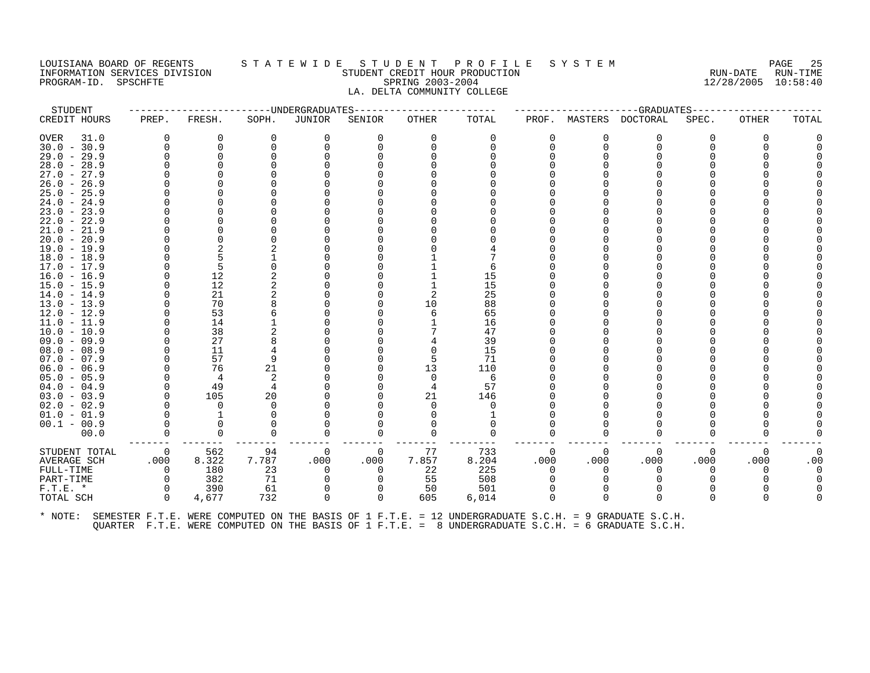## LOUISIANA BOARD OF REGENTS STATEWIDE STUDENT PROFILE SYSTEM PAGE 25<br>INFORMATION SERVICES DIVISION STUDENT CREDIT HOUR PRODUCTION PROFICE RUN-DATE RUN-TIME INFORMATION SERVICES DIVISION STUDENT CREDIT HOUR PRODUCTION RUN-DATE RUN-TIME PROGRAM-ID. SPSCHFTE SPRING 2003-2004 12/28/2005 10:58:40 LA. DELTA COMMUNITY COLLEGE

STUDENT ------------------------UNDERGRADUATES------------------------ ---------------------GRADUATES---------------------- CREDIT HOURS PREP. FRESH. SOPH. JUNIOR SENIOR OTHER TOTAL PROF. MASTERS DOCTORAL SPEC. OTHER TOTAL OVER 31.0 0 0 0 0 0 0 0 0 0 0 0 0 0 30.0 - 30.9 0 0 0 0 0 0 0 0 0 0 0 0 0 29.0 - 29.9 0 0 0 0 0 0 0 0 0 0 0 0 0 28.0 - 28.9 0 0 0 0 0 0 0 0 0 0 0 0 0 27.0 - 27.9 0 0 0 0 0 0 0 0 0 0 0 0 0 26.0 - 26.9 0 0 0 0 0 0 0 0 0 0 0 0 0 25.0 - 25.9 0 0 0 0 0 0 0 0 0 0 0 0 0 24.0 - 24.9 0 0 0 0 0 0 0 0 0 0 0 0 0 23.0 - 23.9 0 0 0 0 0 0 0 0 0 0 0 0 0 22.0 - 22.9 0 0 0 0 0 0 0 0 0 0 0 0 0 21.0 - 21.9 0 0 0 0 0 0 0 0 0 0 0 0 0 20.0 - 20.9 0 0 0 0 0 0 0 0 0 0 0 0 0 19.0 - 19.9 0 2 2 0 0 0 4 0 0 0 0 0 0 18.0 - 18.9 0 5 1 0 0 1 7 0 0 0 0 0 0 17.0 - 17.9 0 5 0 0 0 1 6 0 0 0 0 0 0 16.0 - 16.9 0 12 2 0 0 1 15 0 0 0 0 0 0 15.0 - 15.9 0 12 2 0 0 1 15 0 0 0 0 0 0 14.0 - 14.9 0 21 2 0 0 2 25 0 0 0 0 0 0 13.0 - 13.9 0 70 8 0 0 10 88 0 0 0 0 0 0 12.0 - 12.9 0 53 6 0 0 6 65 0 0 0 0 0 0 11.0 - 11.9 0 14 1 0 0 1 16 0 0 0 0 0 0 10.0 - 10.9 0 38 2 0 0 7 47 0 0 0 0 0 0 09.0 - 09.9 0 27 8 0 0 4 39 0 0 0 0 0 0 08.0 - 08.9 0 11 4 0 0 0 15 0 0 0 0 0 0 07.0 - 07.9 0 57 9 0 0 5 71 0 0 0 0 0 0 06.0 - 06.9 0 76 21 0 0 13 110 0 0 0 0 0 0 05.0 - 05.9 0 4 2 0 0 0 6 0 0 0 0 0 0 0 04.0 - 04.9 0 49 4 0 0 4 57 0 0 0 0 0 0 0 03.0 - 03.9 0 105 20 0 0 21 146 0 0 0 0 0 0 0 0 02.0 - 02.9 0 0 0 0 0 0 0 0 0 0 0 0 0 01.0 - 01.9 0 1 0 0 0 0 1 0 0 0 0 0 0 00.1 - 00.9 0 0 0 0 0 0 0 0 0 0 0 0 0 00.0 0 0 0 0 0 0 0 0 0 0 0 0 0 ------- ------- ------- ------- ------- ------- -------- ------- ------- ------- ------- ------- ------- STUDENT TOTAL 0 562 94 0 0 77 733 0 0 0 0 0 0 AVERAGE SCH .000 8.322 7.787 .000 .000 7.857 8.204 .000 .000 .000 .000 .000 .00 FULL-TIME 0 180 23 0 0 22 225 0 0 0 0 0 0 PART-TIME 0 382 71 0 0 55 508 0 0 0 0 0 0 F.T.E. \* 0 390 61 0 0 50 501 0 0 0 0 0 0 TOTAL SCH 0 4,677 732 0 0 605 6,014 0 0 0 0 0 0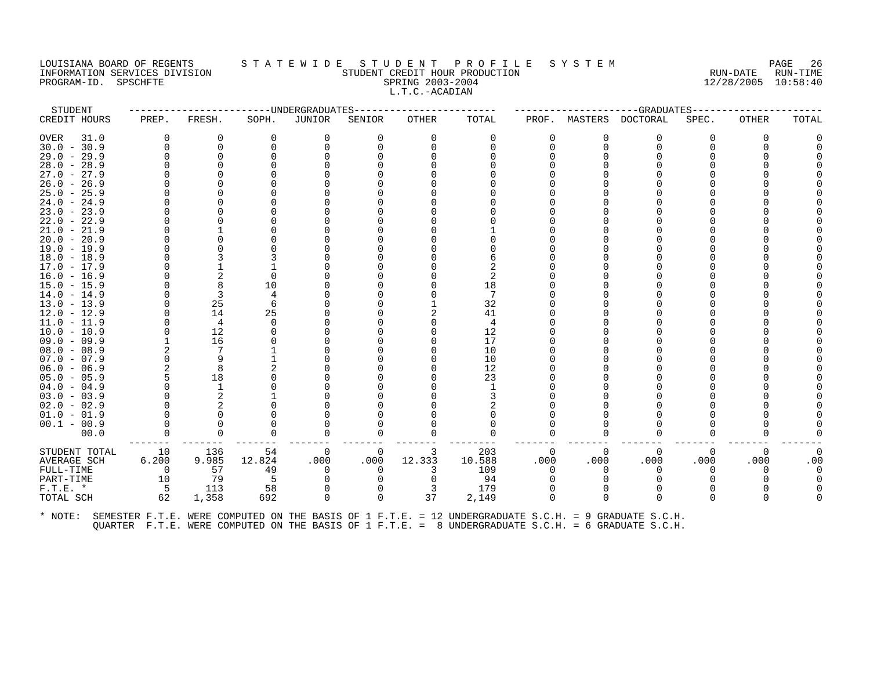## LOUISIANA BOARD OF REGENTS STATEWIDE STUDENT PROFILE SYSTEM PAGE 26<br>INFORMATION SERVICES DIVISION STUDENT CREDIT HOUR PRODUCTION FORD PROMETT ON RUN-DATE RUN-TIME INFORMATION SERVICES DIVISION STUDENT CREDIT HOUR PRODUCTION RUN-DATE RUN-TIME PROGRAM-ID. SPSCHFTE SPRING 2003-2004 L.T.C.-ACADIAN

STUDENT ------------------------UNDERGRADUATES------------------------ ---------------------GRADUATES----------------------

| CREDIT HOURS        | PREP.    | FRESH.         | SOPH.  | JUNIOR   | SENIOR   | <b>OTHER</b> | TOTAL          | PROF.    | MASTERS  | DOCTORAL    | SPEC.    | OTHER    | TOTAL |
|---------------------|----------|----------------|--------|----------|----------|--------------|----------------|----------|----------|-------------|----------|----------|-------|
| <b>OVER</b><br>31.0 | $\Omega$ | $\Omega$       | 0      | 0        | 0        | $\Omega$     | $\Omega$       | 0        | $\Omega$ | $\Omega$    | 0        | $\Omega$ |       |
| $30.0 - 30.9$       | 0        | 0              | ∩      |          |          |              | $\Omega$       | 0        | $\Omega$ | $\Omega$    |          |          |       |
| $29.0 - 29.9$       | U        |                |        |          |          |              |                |          |          |             |          |          |       |
| $28.0 - 28.9$       |          |                |        |          |          |              |                |          |          |             |          |          |       |
| $27.0 - 27.9$       |          |                |        |          |          |              |                |          |          |             |          |          |       |
| $26.0 - 26.9$       |          |                |        |          |          |              |                |          |          |             |          |          |       |
| $25.0 - 25.9$       |          |                |        |          |          |              |                |          |          |             |          |          |       |
| $24.0 - 24.9$       |          |                |        |          |          |              |                |          |          |             |          |          |       |
| $23.0 - 23.9$       |          |                |        |          |          |              |                |          |          |             |          |          |       |
| $22.0 - 22.9$       |          |                |        |          |          |              |                |          |          |             |          |          |       |
| $21.0 - 21.9$       |          |                |        |          |          |              |                |          |          |             |          |          |       |
| $20.0 - 20.9$       |          |                |        |          |          |              |                |          |          |             |          |          |       |
| $19.0 - 19.9$       |          |                |        |          |          |              |                |          |          |             |          |          |       |
| $18.0 - 18.9$       |          |                |        |          |          |              |                |          |          |             |          |          |       |
| $17.0 - 17.9$       |          |                |        |          |          |              |                |          |          |             |          |          |       |
| $16.0 - 16.9$       |          | 2              | ∩      |          |          |              |                |          |          |             |          |          |       |
| $15.0 - 15.9$       |          | 8              | 10     |          |          |              | 18             |          |          |             |          |          |       |
| $14.0 - 14.9$       |          | 3              | 4      |          |          |              |                |          |          |             |          |          |       |
| $13.0 - 13.9$       |          | 25             | 6      |          |          |              | 32             |          |          |             |          |          |       |
| $12.0 - 12.9$       |          | 14             | 25     |          |          |              | 41             |          |          |             |          |          |       |
| $11.0 - 11.9$       | O        | $\overline{4}$ | ∩      |          |          |              | $\overline{4}$ |          |          |             |          |          |       |
| $10.0 - 10.9$       | $\Omega$ | 12             |        |          |          |              | 12             |          |          |             |          |          |       |
| $09.0 - 09.9$       |          | 16             |        |          |          |              | 17             |          |          |             |          |          |       |
| $08.0 - 08.9$       |          | 7              |        |          |          |              | 10             |          |          |             |          |          |       |
| $07.0 - 07.9$       | $\Omega$ |                |        |          |          |              | 10             |          |          |             |          |          |       |
| $06.0 - 06.9$       |          | 8              |        |          |          |              | 12             |          |          |             |          |          |       |
| $05.0 - 05.9$       |          | 18             |        |          |          |              | 23             |          |          |             |          |          |       |
| $04.0 - 04.9$       |          | -1             |        |          |          |              |                |          |          |             |          |          |       |
| $03.0 - 03.9$       |          | 2              |        |          |          |              |                |          |          |             |          |          |       |
| $02.0 - 02.9$       |          |                |        |          |          |              |                |          |          |             |          |          |       |
| $01.0 - 01.9$       |          |                |        |          |          |              |                |          |          |             |          |          |       |
| $00.1 - 00.9$       |          |                |        |          |          |              |                |          |          |             |          |          |       |
| 00.0                | 0        | 0              | 0      |          | 0        |              |                | O        | 0        | 0           | 0        |          |       |
|                     |          |                |        |          |          |              |                |          |          |             |          |          |       |
| STUDENT TOTAL       | 10       | 136            | 54     | 0        | 0        |              | 203            | 0        | $\Omega$ | $\mathbf 0$ | 0        | 0        |       |
| AVERAGE SCH         | 6.200    | 9.985          | 12.824 | .000     | .000     | 12.333       | 10.588         | .000     | .000     | .000        | .000     | .000     | .00   |
| FULL-TIME           | $\Omega$ | 57             | 49     |          | $\Omega$ |              | 109            | $\Omega$ | ∩        | $\Omega$    | 0        | O        |       |
| PART-TIME           | 10       | 79             | 5      |          |          |              | 94             |          |          |             |          |          |       |
| $F.T.E. *$          | -5       | 113            | 58     |          |          | 3            | 179            |          |          |             |          |          |       |
| TOTAL SCH           | 62       | 1,358          | 692    | $\Omega$ | 0        | 37           | 2,149          | O        | $\Omega$ | $\Omega$    | $\Omega$ |          |       |
|                     |          |                |        |          |          |              |                |          |          |             |          |          |       |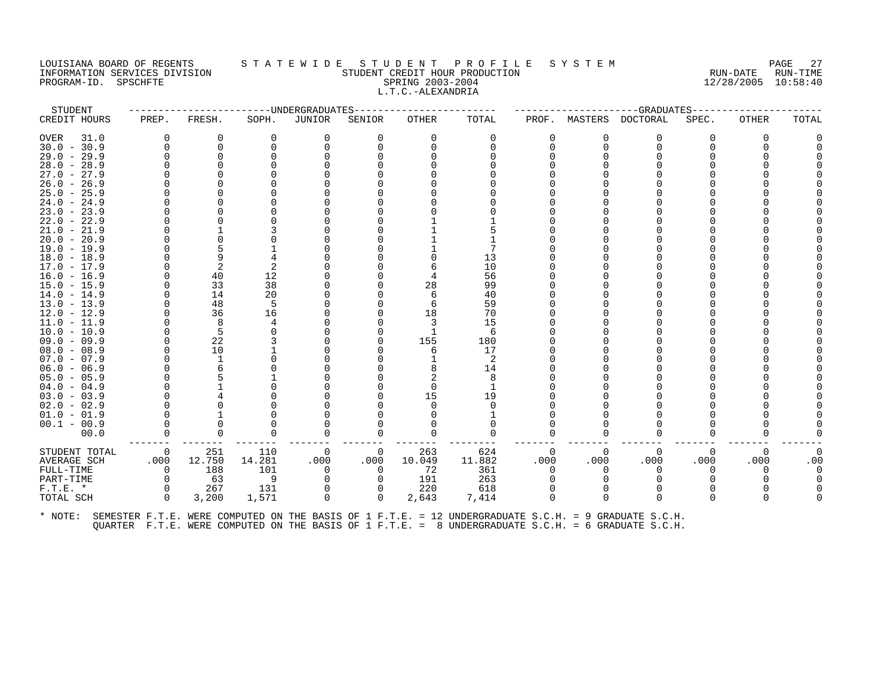#### LOUISIANA BOARD OF REGENTS S T A T E W I D E S T U D E N T P R O F I L E S Y S T E M PAGE 27 INFORMATION SERVICES DIVISION STUDENT CREDIT HOUR PRODUCTION RUN-DATE RUN-TIME PROGRAM-ID. SPSCHFTE SPRING 2003-2004 12/28/2005 10:58:40 L.T.C.-ALEXANDRIA

| STUDENT                        |             |                |          | -----UNDERGRADUATES |          |          |          |              |          | --GRADUATES |          |          |       |
|--------------------------------|-------------|----------------|----------|---------------------|----------|----------|----------|--------------|----------|-------------|----------|----------|-------|
| CREDIT HOURS                   | PREP.       | FRESH.         | SOPH.    | JUNIOR              | SENIOR   | OTHER    | TOTAL    | PROF.        | MASTERS  | DOCTORAL    | SPEC.    | OTHER    | TOTAL |
| <b>OVER</b><br>31.0            | O           | 0              | O        | 0                   | $\Omega$ | $\Omega$ |          | 0            | ∩        | 0           | 0        | 0        |       |
| $30.0 - 30.9$                  |             |                |          |                     |          |          |          |              |          |             |          |          |       |
| $29.0 - 29.9$                  |             |                |          |                     |          |          |          |              |          |             |          |          |       |
| $28.0 - 28.9$                  |             |                |          |                     |          |          |          |              |          |             |          |          |       |
| $27.0 - 27.9$                  |             |                |          |                     |          |          |          |              |          |             |          |          |       |
| $26.0 - 26.9$                  |             |                |          |                     |          |          |          |              |          |             |          |          |       |
| $25.0 - 25.9$                  |             |                |          |                     |          |          |          |              |          |             |          |          |       |
| $24.0 - 24.9$                  |             |                |          |                     |          |          |          |              |          |             |          |          |       |
| $23.0 - 23.9$                  |             |                |          |                     |          |          |          |              |          |             |          |          |       |
| $22.0 - 22.9$                  |             |                |          |                     |          |          |          |              |          |             |          |          |       |
| $21.0 - 21.9$                  |             |                |          |                     |          |          |          |              |          |             |          |          |       |
| $20.0 - 20.9$                  |             |                |          |                     |          |          |          |              |          |             |          |          |       |
| $19.0 - 19.9$                  |             |                |          |                     |          |          |          |              |          |             |          |          |       |
| $18.0 - 18.9$                  |             |                |          |                     |          |          | 13       |              |          |             |          |          |       |
| $17.0 - 17.9$                  |             | 40             |          |                     |          |          | 10<br>56 |              |          |             |          |          |       |
| $16.0 - 16.9$                  |             | 33             | 12<br>38 |                     |          | 28       | 99       |              |          |             |          |          |       |
| $15.0 - 15.9$<br>$14.0 - 14.9$ |             | 14             | 20       |                     |          |          | 40       |              |          |             |          |          |       |
| $13.0 - 13.9$                  |             | 48             | .5       |                     |          | -6       | 59       |              |          |             |          |          |       |
| $12.0 - 12.9$                  |             | 36             | 16       |                     |          | 18       | 70       |              |          |             |          |          |       |
| $11.0 - 11.9$                  |             | 8              |          |                     |          |          | 15       |              |          |             |          |          |       |
| $10.0 - 10.9$                  |             | 5              |          |                     |          |          | 6        |              |          |             |          |          |       |
| $09.0 - 09.9$                  |             | 22             |          |                     |          | 155      | 180      |              |          |             |          |          |       |
| $08.0 - 08.9$                  |             | 10             |          |                     |          |          | 17       |              |          |             |          |          |       |
| $07.0 - 07.9$                  |             | $\overline{1}$ |          |                     |          |          | 2        |              |          |             |          |          |       |
| $06.0 - 06.9$                  |             |                |          |                     |          |          | 14       |              |          |             |          |          |       |
| $05.0 - 05.9$                  |             |                |          |                     |          |          | 8        |              |          |             |          |          |       |
| $04.0 - 04.9$                  |             |                |          |                     |          |          |          |              |          |             |          |          |       |
| $03.0 - 03.9$                  |             |                |          |                     |          | 15       | 19       |              |          |             |          |          |       |
| $02.0 - 02.9$                  |             |                |          |                     |          |          |          |              |          |             |          |          |       |
| $01.0 - 01.9$                  |             |                |          |                     |          |          |          |              |          |             |          |          |       |
| $00.1 - 00.9$                  |             |                |          |                     |          |          |          |              |          |             |          |          |       |
| 00.0                           | $\Omega$    | $\Omega$       |          | ∩                   |          |          |          | U            |          |             |          |          |       |
| STUDENT TOTAL                  | $\mathbf 0$ | 251            | 110      | 0                   | 0        | 263      | 624      | 0            | $\Omega$ | $\Omega$    | $\Omega$ | $\Omega$ |       |
| <b>AVERAGE SCH</b>             | .000        | 12.750         | 14.281   | .000                | .000     | 10.049   | 11.882   | .000         | .000     | .000        | .000     | .000     | .00   |
| FULL-TIME                      | 0           | 188            | 101      | $\Omega$            | $\Omega$ | 72       | 361      | $\Omega$     |          | $\Omega$    |          | O        |       |
| PART-TIME                      | 0           | 63             | 9        | $\Omega$            | $\Omega$ | 191      | 263      |              |          |             |          |          |       |
| $F.T.E.$ *                     | $\Omega$    | 267            | 131      | 0                   | 0        | 220      | 618      |              |          |             |          |          |       |
| TOTAL SCH                      | $\Omega$    | 3,200          | 1,571    | $\Omega$            | $\Omega$ | 2,643    | 7,414    | <sup>n</sup> |          | $\Omega$    |          | ∩        |       |
|                                |             |                |          |                     |          |          |          |              |          |             |          |          |       |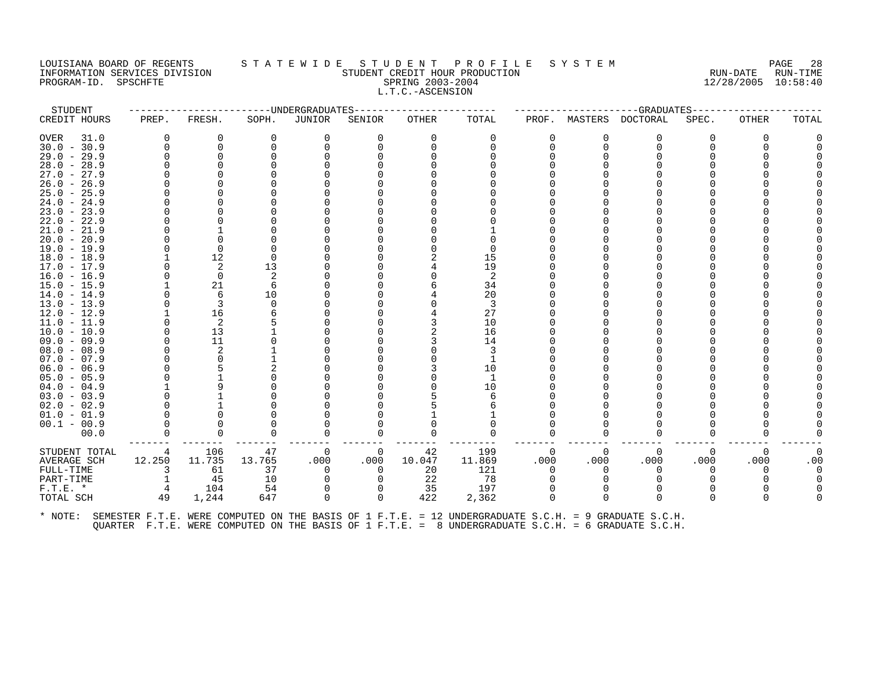#### LOUISIANA BOARD OF REGENTS STATEWIDE STUDENT PROFILE SYSTEM PAGE 28 INFORMATION SERVICES DIVISION STUDENT CREDIT HOUR PRODUCTION RUN-DATE RUN-TIME PROGRAM-ID. SPSCHFTE SALL SON SPRING 2003-2004 SPRING 2003-2004 12/28/2005 10:58:40 L.T.C.-ASCENSION

| STUDENT             |        |          | ------------------DNDERGRADUATES |          |          | ------------- |          |              |          | --GRADUATES                                                                                          |          |       |       |
|---------------------|--------|----------|----------------------------------|----------|----------|---------------|----------|--------------|----------|------------------------------------------------------------------------------------------------------|----------|-------|-------|
| CREDIT HOURS        | PREP.  | FRESH.   | SOPH.                            | JUNIOR   | SENIOR   | <b>OTHER</b>  | TOTAL    | PROF.        | MASTERS  | DOCTORAL                                                                                             | SPEC.    | OTHER | TOTAL |
| <b>OVER</b><br>31.0 | 0      | 0        | 0                                | 0        | 0        | $\Omega$      | 0        | 0            | 0        | 0                                                                                                    | O        | 0     |       |
| $30.0 - 30.9$       |        |          |                                  | $\Omega$ | $\Omega$ | $\Omega$      | 0        | 0            | $\Omega$ | $\Omega$                                                                                             |          |       |       |
| $29.0 - 29.9$       |        |          |                                  |          |          |               |          |              |          |                                                                                                      |          |       |       |
| $28.0 - 28.9$       |        |          |                                  |          |          |               |          |              |          |                                                                                                      |          |       |       |
| $27.0 - 27.9$       |        |          |                                  |          |          |               |          |              |          |                                                                                                      |          |       |       |
| $26.0 - 26.9$       |        |          |                                  |          |          |               |          |              |          |                                                                                                      |          |       |       |
| $25.0 - 25.9$       |        |          |                                  |          |          |               |          |              |          |                                                                                                      |          |       |       |
| $24.0 -$<br>24.9    |        |          |                                  |          |          |               |          |              |          |                                                                                                      |          |       |       |
| $23.0 - 23.9$       |        |          |                                  |          |          |               |          |              |          |                                                                                                      |          |       |       |
| $22.0 - 22.9$       |        |          |                                  |          |          |               |          |              |          |                                                                                                      |          |       |       |
| $21.0 - 21.9$       |        |          |                                  |          |          |               |          |              |          |                                                                                                      |          |       |       |
| $20.0 - 20.9$       |        |          |                                  |          |          |               |          |              |          |                                                                                                      |          |       |       |
| $19.0 - 19.9$       |        |          |                                  |          |          |               | $\Omega$ |              |          |                                                                                                      |          |       |       |
| $18.0 - 18.9$       |        | 12       |                                  |          |          |               | 15       |              |          |                                                                                                      |          |       |       |
| $17.0 - 17.9$       |        | 2        | 13                               |          |          |               | 19       |              |          |                                                                                                      |          |       |       |
| $16.0 - 16.9$       |        | $\Omega$ |                                  |          |          |               | 2        |              |          |                                                                                                      |          |       |       |
| $15.0 - 15.9$       |        | 21       | 6                                |          |          |               | 34       |              |          |                                                                                                      |          |       |       |
| $14.0 - 14.9$       |        | 6        | 10                               |          |          |               | 20       |              |          |                                                                                                      |          |       |       |
| $13.0 - 13.9$       |        | 3        |                                  |          |          |               | 3        |              |          |                                                                                                      |          |       |       |
| $12.0 - 12.9$       |        | 16       |                                  |          |          |               | 27       |              |          |                                                                                                      |          |       |       |
| $11.0 - 11.9$       |        | 2        |                                  |          |          |               | 10       |              |          |                                                                                                      |          |       |       |
| $10.0 - 10.9$       |        | 13       |                                  |          |          |               | 16       |              |          |                                                                                                      |          |       |       |
| $09.0 - 09.9$       |        | 11       |                                  |          |          |               | 14       |              |          |                                                                                                      |          |       |       |
| $08.0 - 08.9$       |        | 2        |                                  |          |          |               | 3        |              |          |                                                                                                      |          |       |       |
| $07.0 - 07.9$       |        |          |                                  |          |          |               |          |              |          |                                                                                                      |          |       |       |
| $06.0 - 06.9$       |        |          |                                  |          |          |               | 10       |              |          |                                                                                                      |          |       |       |
| $05.0 - 05.9$       |        |          |                                  |          |          |               | 1        |              |          |                                                                                                      |          |       |       |
| $04.0 - 04.9$       |        |          |                                  |          |          |               | 10       |              |          |                                                                                                      |          |       |       |
| $03.0 - 03.9$       |        |          |                                  |          |          |               | 6        |              |          |                                                                                                      |          |       |       |
| $02.0 - 02.9$       |        |          |                                  |          |          |               |          |              |          |                                                                                                      |          |       |       |
| $01.0 - 01.9$       |        |          |                                  |          |          |               |          |              |          |                                                                                                      |          |       |       |
| $00.1 - 00.9$       |        |          |                                  |          |          |               |          |              |          |                                                                                                      |          |       |       |
| 00.0                |        |          | O                                | $\Omega$ | 0        |               | $\Omega$ | <sup>0</sup> | $\Omega$ | 0                                                                                                    |          |       |       |
| STUDENT TOTAL       | 4      | 106      | 47                               | 0        | 0        | 42            | 199      | $\Omega$     | 0        | 0                                                                                                    | $\Omega$ | 0     |       |
| AVERAGE SCH         | 12.250 | 11.735   | 13.765                           | .000     | .000     | 10.047        | 11.869   | .000         | .000     | .000                                                                                                 | .000     | .000  | .00   |
| FULL-TIME           | 3      | 61       | 37                               | $\Omega$ | $\Omega$ | 20            | 121      | $\Omega$     | $\Omega$ | 0                                                                                                    |          | 0     |       |
| PART-TIME           |        | 45       | 10                               | ∩        |          | 22            | 78       |              |          |                                                                                                      |          |       |       |
| $F.T.E.$ *          |        | 104      | 54                               | 0        | 0        | 35            | 197      | $\Omega$     |          | $\Omega$                                                                                             |          |       |       |
| TOTAL SCH           | 49     | 1,244    | 647                              | $\Omega$ | $\Omega$ | 422           | 2,362    | $\Omega$     | $\Omega$ | $\Omega$                                                                                             |          | U     |       |
|                     |        |          |                                  |          |          |               |          |              |          |                                                                                                      |          |       |       |
| * NOTE:             |        |          |                                  |          |          |               |          |              |          | SEMESTER F.T.E. WERE COMPUTED ON THE BASIS OF 1 F.T.E. = 12 UNDERGRADUATE S.C.H. = 9 GRADUATE S.C.H. |          |       |       |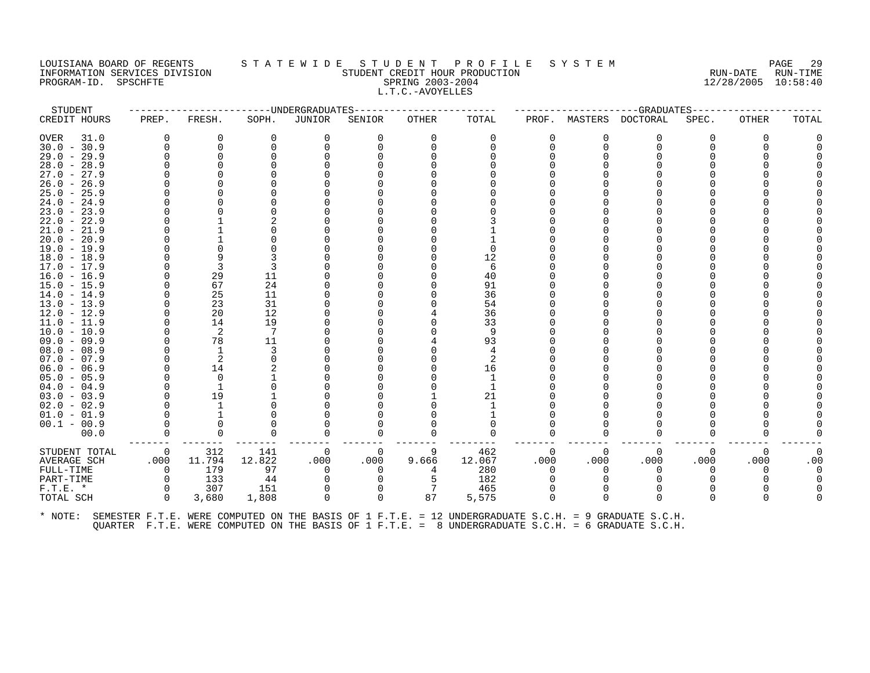#### LOUISIANA BOARD OF REGENTS STATEWIDE STUDENT PROFILE SYSTEM NAGE 29 INFORMATION SERVICES DIVISION SUNGLERICAL STUDENT CREDIT HOUR PRODUCTION SUNGLERIC RUN-DATE RUN-TIME RUN-TIME<br>PROGRAM-ID. SPSCHFTE SERING 2003-2004 SPRING 2003-2004 PROGRAM-ID. SPSCHFTE SPRING 2003-2004 L.T.C.-AVOYELLES

| STUDENT       |                |              |          | ---------------------DNDERGRADUATES |          | -------------- |          |          |          | ------------------GRADUATES----- |          |              |       |
|---------------|----------------|--------------|----------|-------------------------------------|----------|----------------|----------|----------|----------|----------------------------------|----------|--------------|-------|
| CREDIT HOURS  | PREP.          | FRESH.       | SOPH.    | JUNIOR                              | SENIOR   | OTHER          | TOTAL    | PROF.    |          | MASTERS DOCTORAL                 | SPEC.    | <b>OTHER</b> | TOTAL |
| OVER<br>31.0  | $\Omega$       | 0            | 0        | 0                                   | 0        | $\Omega$       | 0        | 0        | 0        | 0                                | 0        | $\Omega$     |       |
| $30.0 - 30.9$ | $\Omega$       | $\Omega$     |          |                                     |          |                |          | 0        | $\Omega$ | $\Omega$                         |          |              |       |
| $29.0 - 29.9$ | $\Omega$       | $\Omega$     |          |                                     |          |                |          |          |          |                                  |          |              |       |
| $28.0 - 28.9$ |                |              |          |                                     |          |                |          |          |          |                                  |          |              |       |
| $27.0 - 27.9$ |                |              |          |                                     |          |                |          |          |          |                                  |          |              |       |
| $26.0 - 26.9$ |                |              |          |                                     |          |                |          |          |          |                                  |          |              |       |
| $25.0 - 25.9$ |                |              |          |                                     |          |                |          |          |          |                                  |          |              |       |
| $24.0 - 24.9$ |                |              |          |                                     |          |                |          |          |          |                                  |          |              |       |
| $23.0 - 23.9$ |                |              |          |                                     |          |                |          |          |          |                                  |          |              |       |
| $22.0 - 22.9$ |                |              |          |                                     |          |                |          |          |          |                                  |          |              |       |
| $21.0 - 21.9$ |                |              |          |                                     |          |                |          |          |          |                                  |          |              |       |
| $20.0 - 20.9$ |                |              |          |                                     |          |                |          |          |          |                                  |          |              |       |
| $19.0 - 19.9$ |                |              |          |                                     |          |                |          |          |          |                                  |          |              |       |
| $18.0 - 18.9$ |                | 9            |          |                                     |          |                | 12       |          |          |                                  |          |              |       |
| $17.0 - 17.9$ |                | 3            |          |                                     |          |                | 6        |          |          |                                  |          |              |       |
| $16.0 - 16.9$ |                | 29           | 11       |                                     |          |                | 40       |          |          |                                  |          |              |       |
| $15.0 - 15.9$ |                | 67           | 24       |                                     |          |                | 91       |          |          |                                  |          |              |       |
| $14.0 - 14.9$ |                | 25           | 11       |                                     |          |                | 36       |          |          |                                  |          |              |       |
| $13.0 - 13.9$ |                | 23           | 31       |                                     |          |                | 54       |          |          |                                  |          |              |       |
| $12.0 - 12.9$ | 0              | 20           | 12       |                                     |          |                | 36       |          |          |                                  |          |              |       |
| $11.0 - 11.9$ |                | 14           | 19       |                                     |          |                | 33       |          |          |                                  |          |              |       |
| $10.0 - 10.9$ | O              | 2            |          |                                     |          |                | 9        |          |          |                                  |          |              |       |
| $09.0 - 09.9$ |                | 78           | 11       |                                     |          |                | 93       |          |          |                                  |          |              |       |
| $08.0 - 08.9$ |                | $\mathbf{1}$ |          |                                     |          |                |          |          |          |                                  |          |              |       |
| $07.0 - 07.9$ | $\Omega$       | 2            |          |                                     |          |                |          |          |          |                                  |          |              |       |
| $06.0 - 06.9$ | $\Omega$       | 14           |          |                                     |          |                | 16       |          |          |                                  |          |              |       |
| $05.0 - 05.9$ | 0              | 0            |          |                                     |          |                | 1        |          |          |                                  |          |              |       |
| $04.0 - 04.9$ |                |              |          |                                     |          |                |          |          |          |                                  |          |              |       |
| $03.0 - 03.9$ |                | 19           |          |                                     |          |                | 21       |          |          |                                  |          |              |       |
| $02.0 - 02.9$ |                |              |          |                                     |          |                |          |          |          |                                  |          |              |       |
| $01.0 - 01.9$ | $\Omega$       |              |          |                                     |          |                |          |          |          |                                  |          |              |       |
| $00.1 - 00.9$ |                |              |          |                                     |          |                |          |          |          |                                  |          |              |       |
| 00.0          | $\Omega$       | $\Omega$     | $\Omega$ |                                     | O        |                | $\Omega$ | 0        | 0        | $\Omega$                         | 0        |              |       |
| STUDENT TOTAL | $\overline{0}$ | 312          | 141      | - 0                                 | $\Omega$ | 9              | 462      | $\Omega$ | $\Omega$ | 0                                | $\Omega$ | 0            |       |
| AVERAGE SCH   | .000           | 11.794       | 12.822   | .000                                | .000     | 9.666          | 12.067   | .000     | .000     | .000                             | .000     | .000         | .00   |
| FULL-TIME     | $\overline{0}$ | 179          | 97       | $\Omega$                            | 0        |                | 280      | $\Omega$ |          | 0                                | 0        |              |       |
| PART-TIME     | $\overline{0}$ | 133          | 44       |                                     |          | 5              | 182      | $\Omega$ |          | $\Omega$                         |          |              |       |
| $F.T.E. *$    | $\Omega$       | 307          | 151      |                                     |          |                | 465      |          |          |                                  |          |              |       |
| TOTAL SCH     | $\Omega$       | 3,680        | 1,808    |                                     | $\Omega$ | 87             | 5,575    | $\Omega$ | 0        | $\Omega$                         | 0        |              |       |
|               |                |              |          |                                     |          |                |          |          |          |                                  |          |              |       |
|               |                |              |          |                                     |          |                |          |          |          |                                  |          |              |       |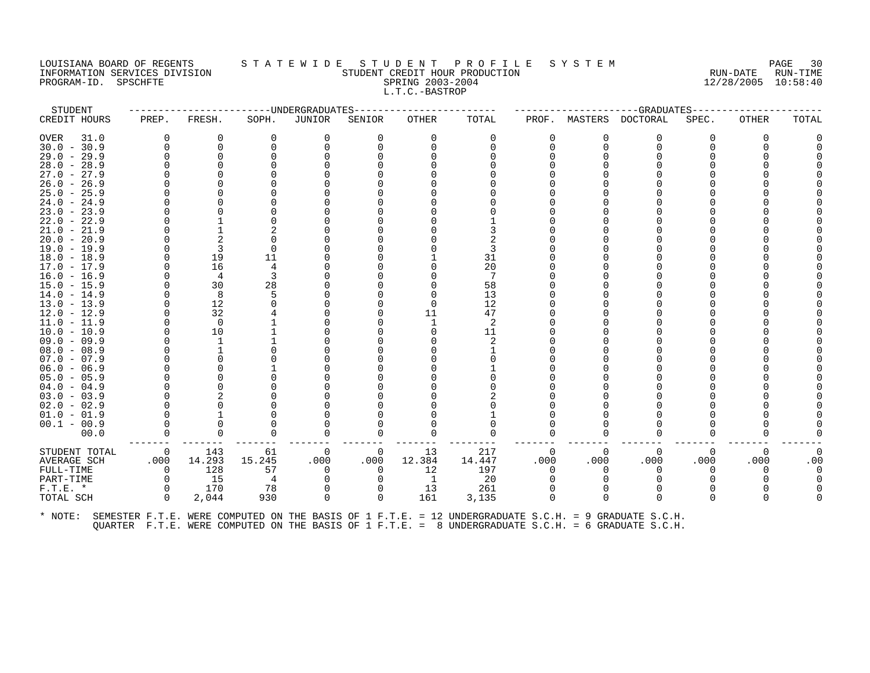#### LOUISIANA BOARD OF REGENTS STATEWIDE STUDENT PROFILE SYSTEM PAGE 30<br>INFORMATION SERVICES DIVISION STATEWIDENT CREDIT HOUR PRODUCTION FORDER RUN-DATE RUN-TIME INFORMATION SERVICES DIVISION SUBSERVICES ON SUBSERVICES SUBSERVICES SUBSERVICES SUBSERVICES DIVISION SUBSERVICES SUBSERVICES SUBSERVICES SUBSERVICES SUBSERVICES ON SUBSERVICES SUBSERVICES SUBSERVICES SUBSERVICES ON SUBSER PROGRAM-ID. SPSCHFTE SERIES SPRING 2003-2004 L.T.C.-BASTROP

| STUDENT       |          |          | --------------UNDERGRADUATES- |              |                |                |          |          |          | -----------------GRADUATES----- |       |          |       |
|---------------|----------|----------|-------------------------------|--------------|----------------|----------------|----------|----------|----------|---------------------------------|-------|----------|-------|
| CREDIT HOURS  | PREP.    | FRESH.   | SOPH.                         | JUNIOR       | SENIOR         | OTHER          | TOTAL    |          |          | PROF. MASTERS DOCTORAL          | SPEC. | OTHER    | TOTAL |
| OVER<br>31.0  | 0        | 0        | $\Omega$                      | 0            | 0              | $\Omega$       | $\Omega$ | $\Omega$ | 0        | 0                               | 0     |          |       |
| $30.0 - 30.9$ | $\Omega$ | $\Omega$ |                               | 0            | U              | ∩              | $\Omega$ | $\Omega$ | $\Omega$ | $\Omega$                        |       |          |       |
| $29.0 - 29.9$ |          | $\Omega$ |                               |              |                |                |          |          |          |                                 |       |          |       |
| $28.0 - 28.9$ |          |          |                               |              |                |                |          |          |          |                                 |       |          |       |
| $27.0 - 27.9$ |          |          |                               |              |                |                |          |          |          |                                 |       |          |       |
| $26.0 - 26.9$ |          |          |                               |              |                |                |          |          |          |                                 |       |          |       |
| $25.0 - 25.9$ |          |          |                               |              |                |                |          |          |          |                                 |       |          |       |
| $24.0 - 24.9$ |          |          |                               |              |                |                |          |          |          |                                 |       |          |       |
| $23.0 - 23.9$ |          |          |                               |              |                |                |          |          |          |                                 |       |          |       |
| $22.0 - 22.9$ |          |          |                               |              |                |                |          |          |          |                                 |       |          |       |
| $21.0 - 21.9$ |          |          |                               |              |                |                |          |          |          |                                 |       |          |       |
| $20.0 - 20.9$ |          | 2        |                               |              |                |                |          |          |          |                                 |       |          |       |
| $19.0 - 19.9$ |          | 3        |                               |              |                |                |          |          |          |                                 |       |          |       |
| $18.0 - 18.9$ |          | 19       | 11                            |              |                |                | 31       |          |          |                                 |       |          |       |
| $17.0 - 17.9$ |          | 16       | 4                             |              |                |                | 20       |          |          |                                 |       |          |       |
| $16.0 - 16.9$ |          | 4        |                               |              |                |                | 7        |          |          |                                 |       |          |       |
| $15.0 - 15.9$ |          | 30       | 28                            |              |                |                | 58       |          |          |                                 |       |          |       |
| $14.0 - 14.9$ |          | 8        |                               |              |                |                | 13       |          |          |                                 |       |          |       |
| $13.0 - 13.9$ |          | 12       |                               |              |                | ∩              | 12       |          |          |                                 |       |          |       |
| $12.0 - 12.9$ |          | 32       |                               |              |                | 11             | 47       |          |          |                                 |       |          |       |
| $11.0 - 11.9$ |          | $\Omega$ |                               |              |                |                | 2        |          |          |                                 |       |          |       |
| $10.0 - 10.9$ |          | 10       |                               |              |                |                | 11       |          |          |                                 |       |          |       |
| 09.0 - 09.9   |          |          |                               |              |                |                |          |          |          |                                 |       |          |       |
| $08.0 - 08.9$ |          |          |                               |              |                |                |          |          |          |                                 |       |          |       |
| $07.0 - 07.9$ |          |          |                               |              |                |                |          |          |          |                                 |       |          |       |
| $06.0 - 06.9$ |          |          |                               |              |                |                |          |          |          |                                 |       |          |       |
| $05.0 - 05.9$ |          |          |                               |              |                |                |          |          |          |                                 |       |          |       |
| $04.0 - 04.9$ |          |          |                               |              |                |                |          |          |          |                                 |       |          |       |
| $03.0 - 03.9$ |          |          |                               |              |                |                |          |          |          |                                 |       |          |       |
| $02.0 - 02.9$ |          |          |                               |              |                |                |          |          |          |                                 |       |          |       |
| $01.0 - 01.9$ |          |          |                               |              |                |                |          |          |          |                                 |       |          |       |
| $00.1 - 00.9$ |          |          |                               |              |                |                |          |          |          |                                 |       |          |       |
| 00.0          | 0        | $\Omega$ |                               | <sup>0</sup> | 0              | $\Omega$       | $\Omega$ | $\Omega$ | 0        | $\Omega$                        |       |          |       |
| STUDENT TOTAL | 0        | 143      | 61                            | - 0          | $\overline{0}$ | 13             | 217      | 0        | $\Omega$ | $\Omega$                        | 0     | $\Omega$ |       |
| AVERAGE SCH   | .000     | 14.293   | 15.245                        | .000         | .000           | 12.384         | 14.447   | .000     | .000     | .000                            | .000  | .000     | .00   |
| FULL-TIME     | 0        | 128      | 57                            | 0            | 0              | 12             | 197      | $\Omega$ | 0        | $\Omega$                        |       |          |       |
| PART-TIME     | $\Omega$ | 15       | 4                             | 0            | 0              | $\overline{1}$ | 20       | $\Omega$ |          |                                 |       |          |       |
| $F.T.E. *$    | $\Omega$ | 170      | 78                            |              |                | 13             | 261      |          |          |                                 |       |          |       |
| TOTAL SCH     | $\Omega$ | 2,044    | 930                           | 0            | $\Omega$       | 161            | 3,135    | $\Omega$ | 0        | $\Omega$                        | 0     |          |       |
|               |          |          |                               |              |                |                |          |          |          |                                 |       |          |       |
|               |          |          |                               |              |                |                |          |          |          |                                 |       |          |       |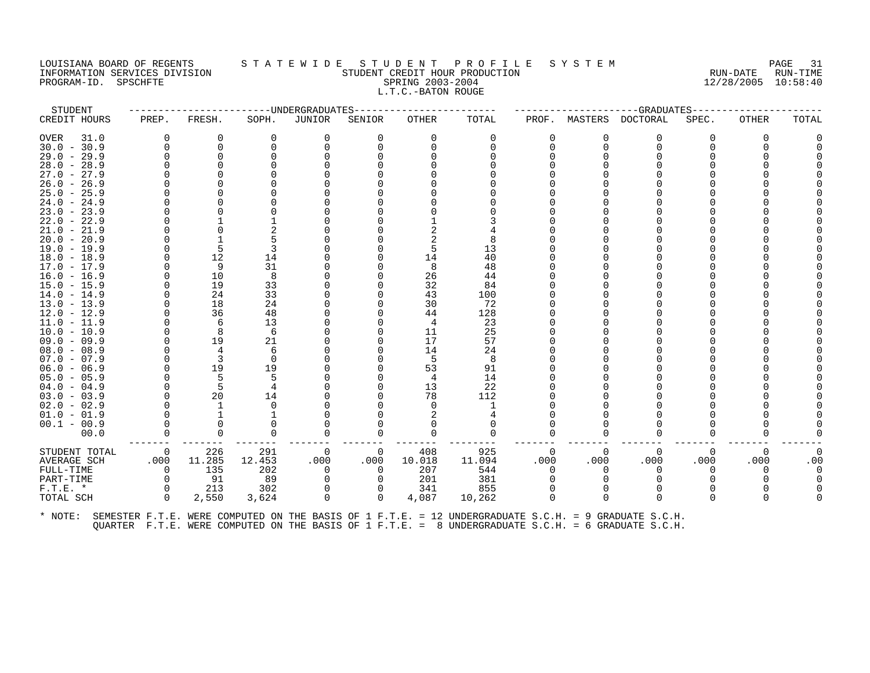#### LOUISIANA BOARD OF REGENTS STATEWIDE STUDENT PROFILE SYSTEM NAGE 31 INFORMATION SERVICES DIVISION SUBSERVICES ON SUBSERVICES SUBSERVICES SUBSERVICES SUBSERVICES DIVISION SUBSERVICES SUBSERVICES SUBSERVICES SUBSERVICES SUBSERVICES ON SUBSERVICES SUBSERVICES ON SUBSERVICES ON SUBSERVICES ON PROGRAM-ID. SPSCHFTE SERING 2003-2004 L.T.C.-BATON ROUGE

| STUDENT       |                |          | -------------DNDERGRADUATES- |          |                |          |          |          |          | -------------GRADUATES----- |          |                |          |
|---------------|----------------|----------|------------------------------|----------|----------------|----------|----------|----------|----------|-----------------------------|----------|----------------|----------|
| CREDIT HOURS  | PREP.          | FRESH.   | SOPH.                        | JUNIOR   | SENIOR         | OTHER    | TOTAL    | PROF.    |          | MASTERS DOCTORAL            | SPEC.    | OTHER          | TOTAL    |
| OVER<br>31.0  | $\Omega$       | 0        | 0                            | 0        | 0              | 0        | 0        |          | 0        | 0                           | O        | $\Omega$       |          |
| $30.0 - 30.9$ |                | 0        | ∩                            | $\Omega$ | 0              | $\Omega$ | ∩        |          | $\Omega$ | $\Omega$                    |          | O              |          |
| $29.0 - 29.9$ |                | $\Omega$ |                              |          |                |          |          |          |          |                             |          |                |          |
| $28.0 - 28.9$ |                |          |                              |          |                |          |          |          |          |                             |          |                |          |
| $27.0 - 27.9$ |                |          |                              |          |                |          |          |          |          |                             |          |                |          |
| $26.0 - 26.9$ |                |          |                              |          |                |          |          |          |          |                             |          |                |          |
| $25.0 - 25.9$ |                |          |                              |          |                |          |          |          |          |                             |          |                |          |
| $24.0 - 24.9$ |                |          |                              |          |                |          |          |          |          |                             |          |                |          |
| $23.0 - 23.9$ |                |          |                              |          |                |          |          |          |          |                             |          |                |          |
| $22.0 - 22.9$ |                |          |                              |          |                |          |          |          |          |                             |          |                |          |
| $21.0 - 21.9$ |                |          |                              |          |                |          |          |          |          |                             |          |                |          |
| $20.0 - 20.9$ |                |          |                              |          |                |          |          |          |          |                             |          |                |          |
| $19.0 - 19.9$ |                | 5        | ₹                            |          |                | 5        | 13       |          |          |                             |          |                |          |
| $18.0 - 18.9$ |                | 12       | 14                           |          |                | 14       | 40       |          |          |                             |          |                |          |
| $17.0 - 17.9$ |                | 9        | 31                           |          |                | 8        | 48       |          |          |                             |          |                |          |
| $16.0 - 16.9$ |                | 10       | -8                           |          |                | 26       | 44       |          |          |                             |          |                |          |
| $15.0 - 15.9$ |                | 19       | 33                           |          |                | 32       | 84       |          |          |                             |          |                |          |
| $14.0 - 14.9$ |                | 24       | 33                           |          |                | 43       | 100      |          |          |                             |          |                |          |
| $13.0 - 13.9$ |                | 18       | 24                           |          |                | 30       | 72       |          |          |                             |          |                |          |
| $12.0 - 12.9$ |                | 36       | 48                           |          |                | 44       | 128      |          |          |                             |          |                |          |
| $11.0 - 11.9$ |                | 6        | 13                           |          |                | 4        | 23       |          |          |                             |          |                |          |
| $10.0 - 10.9$ |                | 8        | -6                           |          |                | 11       | 25       |          |          |                             |          |                |          |
| $09.0 - 09.9$ |                | 19       | 21                           |          |                | 17       | 57       |          |          |                             |          |                |          |
| $08.0 - 08.9$ |                | 4        | 6                            |          |                | 14       | 24       |          |          |                             |          |                |          |
| $07.0 - 07.9$ |                | 3        | 0                            |          |                | -5       | 8        |          |          |                             |          |                |          |
| $06.0 - 06.9$ |                | 19       | 19                           |          |                | 53       | 91       |          |          |                             |          |                |          |
| $05.0 - 05.9$ |                |          | 5                            |          |                | 4        | 14       |          |          |                             |          |                |          |
| $04.0 - 04.9$ |                | 5        |                              |          |                | 13       | 22       |          |          |                             |          |                |          |
| $03.0 - 03.9$ |                | 20       | 14                           |          |                | 78       | 112      |          |          |                             |          |                |          |
| $02.0 - 02.9$ |                |          |                              |          |                |          |          |          |          |                             |          |                |          |
| $01.0 - 01.9$ |                |          |                              |          |                |          |          |          |          |                             |          |                |          |
| $00.1 - 00.9$ |                | $\Omega$ |                              |          |                |          |          |          |          |                             |          |                |          |
| 00.0          |                | $\Omega$ | $\cap$                       | ∩        |                |          | $\Omega$ |          |          | ∩                           |          |                |          |
| STUDENT TOTAL | $\overline{0}$ | 226      | 291                          | 0        | $\overline{0}$ | 408      | 925      | $\Omega$ | $\Omega$ | $\Omega$                    | 0        | $\overline{0}$ | $\Omega$ |
| AVERAGE SCH   | .000           | 11.285   | 12.453                       | .000     | .000           | 10.018   | 11.094   | .000     | .000     | .000                        | .000     | .000           | .00      |
| FULL-TIME     | $\Omega$       | 135      | 202                          | 0        | $\Omega$       | 207      | 544      |          | $\Omega$ | $\Omega$                    | $\Omega$ | $\Omega$       |          |
| PART-TIME     | $\Omega$       | 91       | 89                           | 0        |                | 201      | 381      |          |          | $\Omega$                    |          |                |          |
| $F.T.E. *$    | $\Omega$       | 213      | 302                          | $\Omega$ | $\Omega$       | 341      | 855      |          |          |                             |          |                |          |
| TOTAL SCH     | $\cap$         | 2,550    | 3,624                        | $\Omega$ | $\Omega$       | 4,087    | 10,262   |          |          | ∩                           | $\cap$   |                |          |
|               |                |          |                              |          |                |          |          |          |          |                             |          |                |          |
|               |                |          |                              |          |                |          |          |          |          |                             |          |                |          |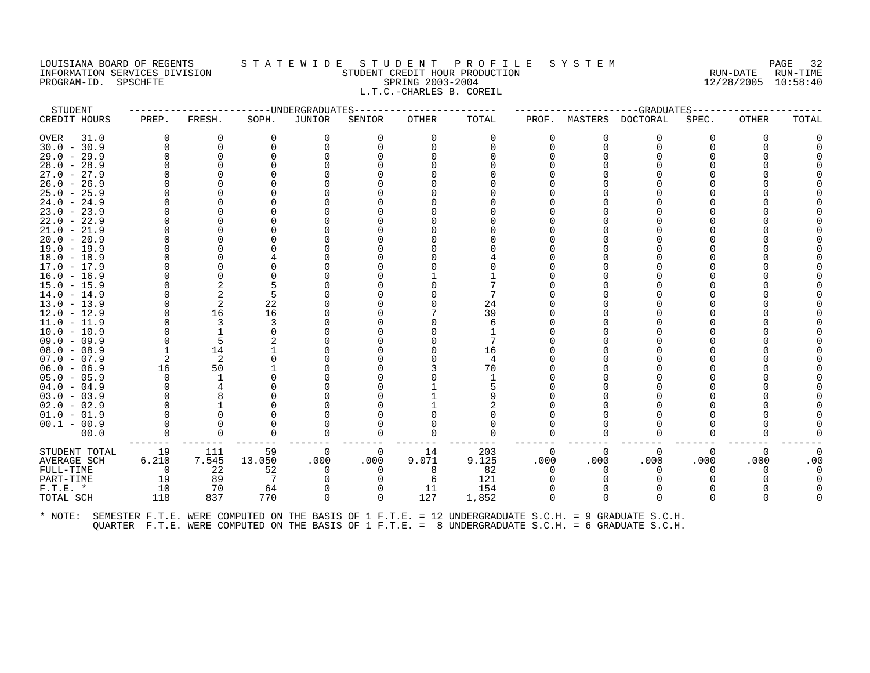#### LOUISIANA BOARD OF REGENTS S T A T E W I D E S T U D E N T P R O F I L E S Y S T E M PAGE 32 INFORMATION SERVICES DIVISION STUDENT CREDIT HOUR PRODUCTION RUN-DATE RUN-TIME PROGRAM-ID. SPSCHFTE SPRING 2003-2004 12/28/2005 10:58:40 L.T.C.-CHARLES B. COREIL

| STUDENT             |          |        | ---------------------DNDERGRADUATES |               |              | -------------- |       |              |          | -----------GRADUATES- |          |          |       |
|---------------------|----------|--------|-------------------------------------|---------------|--------------|----------------|-------|--------------|----------|-----------------------|----------|----------|-------|
| CREDIT HOURS        | PREP.    | FRESH. | SOPH.                               | <b>JUNIOR</b> | SENIOR       | <b>OTHER</b>   | TOTAL | PROF.        | MASTERS  | DOCTORAL              | SPEC.    | OTHER    | TOTAL |
| <b>OVER</b><br>31.0 |          | 0      | 0                                   | 0             | 0            |                | 0     | 0            |          | 0                     |          | O        |       |
| $30.0 - 30.9$       |          | 0      |                                     | 0             |              |                |       | U            |          | $\Omega$              |          |          |       |
| $29.0 - 29.9$       |          |        |                                     |               |              |                |       |              |          |                       |          |          |       |
| $28.0 - 28.9$       |          |        |                                     |               |              |                |       |              |          |                       |          |          |       |
| $27.0 - 27.9$       |          |        |                                     |               |              |                |       |              |          |                       |          |          |       |
| $26.0 - 26.9$       |          |        |                                     |               |              |                |       |              |          |                       |          |          |       |
| $25.0 - 25.9$       |          |        |                                     |               |              |                |       |              |          |                       |          |          |       |
| $24.0 - 24.9$       |          |        |                                     |               |              |                |       |              |          |                       |          |          |       |
| $23.0 - 23.9$       |          |        |                                     |               |              |                |       |              |          |                       |          |          |       |
| $22.0 - 22.9$       |          |        |                                     |               |              |                |       |              |          |                       |          |          |       |
| $21.0 - 21.9$       |          |        |                                     |               |              |                |       |              |          |                       |          |          |       |
| $20.0 - 20.9$       |          |        |                                     |               |              |                |       |              |          |                       |          |          |       |
| $19.0 - 19.9$       |          |        |                                     |               |              |                |       |              |          |                       |          |          |       |
| $18.0 - 18.9$       |          |        |                                     |               |              |                |       |              |          |                       |          |          |       |
| $17.0 - 17.9$       |          |        |                                     |               |              |                |       |              |          |                       |          |          |       |
| $16.0 - 16.9$       |          |        |                                     |               |              |                |       |              |          |                       |          |          |       |
| $15.0 - 15.9$       |          |        |                                     |               |              |                |       |              |          |                       |          |          |       |
| $14.0 - 14.9$       |          |        |                                     |               |              |                |       |              |          |                       |          |          |       |
| $13.0 - 13.9$       |          |        | 22                                  |               |              |                | 24    |              |          |                       |          |          |       |
| $12.0 - 12.9$       |          | 16     | 16                                  |               |              |                | 39    |              |          |                       |          |          |       |
| $11.0 - 11.9$       |          | 3      |                                     |               |              |                |       |              |          |                       |          |          |       |
| $10.0 - 10.9$       |          |        |                                     |               |              |                |       |              |          |                       |          |          |       |
| $09.0 - 09.9$       |          | 5      |                                     |               |              |                |       |              |          |                       |          |          |       |
| $08.0 - 08.9$       |          | 14     |                                     |               |              |                | 16    |              |          |                       |          |          |       |
| $07.0 - 07.9$       |          | -2     |                                     |               |              |                | 4     |              |          |                       |          |          |       |
| $06.0 - 06.9$       | 16       | 50     |                                     |               |              |                | 70    |              |          |                       |          |          |       |
|                     |          |        |                                     |               |              |                |       |              |          |                       |          |          |       |
| $05.0 - 05.9$       |          |        |                                     |               |              |                |       |              |          |                       |          |          |       |
| $04.0 - 04.9$       |          |        |                                     |               |              |                |       |              |          |                       |          |          |       |
| $03.0 - 03.9$       |          |        |                                     |               |              |                |       |              |          |                       |          |          |       |
| $02.0 - 02.9$       |          |        |                                     |               |              |                |       |              |          |                       |          |          |       |
| $01.0 - 01.9$       |          |        |                                     |               |              |                |       |              |          |                       |          |          |       |
| $00.1 - 00.9$       |          | ∩      |                                     |               |              |                |       |              |          |                       |          |          |       |
| 00.0                |          | 0      |                                     |               | 0            |                | 0     |              |          | $\Omega$              |          |          |       |
| STUDENT TOTAL       | 19       | 111    | 59                                  | 0             | 0            | 14             | 203   | 0            | $\Omega$ | $\Omega$              | $\Omega$ | $\Omega$ |       |
| AVERAGE SCH         | 6.210    | 7.545  | 13.050                              | .000          | .000         | 9.071          | 9.125 | .000         | .000     | .000                  | .000     | .000     | .00   |
| FULL-TIME           | $\Omega$ | 22     | 52                                  | $\Omega$      | <sup>0</sup> |                | 82    | ∩            |          | $\Omega$              | $\Omega$ | 0        |       |
| PART-TIME           | 19       | 89     |                                     |               |              | -6             | 121   |              |          |                       |          |          |       |
| $F.T.E.$ *          | 10       | 70     | 64                                  | 0             | 0            | -11            | 154   |              |          | $\Omega$              |          |          |       |
| TOTAL SCH           | 118      | 837    | 770                                 | $\Omega$      | $\Omega$     | 127            | 1,852 | <sup>n</sup> | $\Omega$ | $\Omega$              |          | U        |       |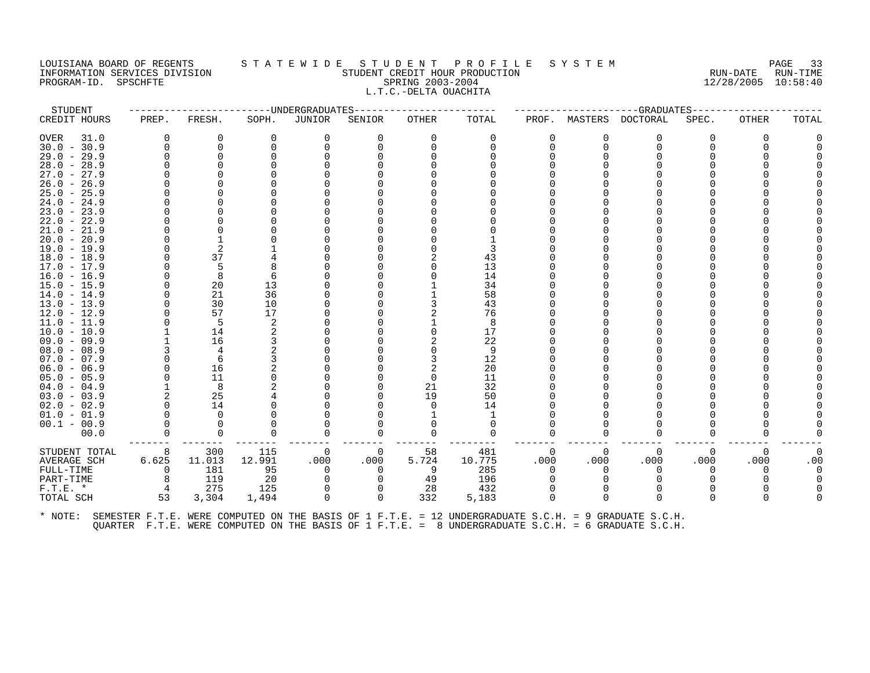#### LOUISIANA BOARD OF REGENTS STATEWIDE STUDENT PROFILE SYSTEM NAGE 33 INFORMATION SERVICES DIVISION SUNGLERICAL STUDENT CREDIT HOUR PRODUCTION SERVICHING RUN-DATE RUN-TIME RUN-TIME<br>PROGRAM-ID. SPSCHFTE SERING 2003-2004 SPRING 2003-2004 PROGRAM-ID. SPSCHFTE SERIES SPRING 2003-2004 L.T.C.-DELTA OUACHITA

| STUDENT                        |          |          | ------------------DNDERGRADUATES |          |          | ------------- |               |              |          | --GRADUATES                                                                                          |          |       |       |
|--------------------------------|----------|----------|----------------------------------|----------|----------|---------------|---------------|--------------|----------|------------------------------------------------------------------------------------------------------|----------|-------|-------|
| CREDIT HOURS                   | PREP.    | FRESH.   | SOPH.                            | JUNIOR   | SENIOR   | <b>OTHER</b>  | TOTAL         | PROF.        | MASTERS  | DOCTORAL                                                                                             | SPEC.    | OTHER | TOTAL |
| <b>OVER</b><br>31.0            | 0        | 0        | 0                                | 0        | 0        | $\Omega$      | 0             | 0            | 0        | 0                                                                                                    | O        | 0     |       |
| $30.0 - 30.9$                  |          |          |                                  | 0        | 0        | $\Omega$      | 0             | 0            | $\Omega$ | $\Omega$                                                                                             |          |       |       |
| $29.0 - 29.9$                  |          |          |                                  |          |          |               |               |              |          |                                                                                                      |          |       |       |
| $28.0 - 28.9$                  |          |          |                                  |          |          |               |               |              |          |                                                                                                      |          |       |       |
| $27.0 -$<br>27.9               |          |          |                                  |          |          |               |               |              |          |                                                                                                      |          |       |       |
| $26.0 - 26.9$                  |          |          |                                  |          |          |               |               |              |          |                                                                                                      |          |       |       |
| $25.0 - 25.9$                  |          |          |                                  |          |          |               |               |              |          |                                                                                                      |          |       |       |
| $24.0 -$<br>24.9               |          |          |                                  |          |          |               |               |              |          |                                                                                                      |          |       |       |
| $23.0 - 23.9$                  |          |          |                                  |          |          |               |               |              |          |                                                                                                      |          |       |       |
| $22.0 - 22.9$                  |          |          |                                  |          |          |               |               |              |          |                                                                                                      |          |       |       |
| $21.0 - 21.9$                  |          |          |                                  |          |          |               |               |              |          |                                                                                                      |          |       |       |
| $20.0 - 20.9$                  |          |          |                                  |          |          |               |               |              |          |                                                                                                      |          |       |       |
| $19.0 - 19.9$                  |          |          |                                  |          |          |               | 3             |              |          |                                                                                                      |          |       |       |
| $18.0 - 18.9$                  |          | 37       |                                  |          |          |               | 43            |              |          |                                                                                                      |          |       |       |
| 17.0<br>$-17.9$                |          | 5        |                                  |          |          |               | 13            |              |          |                                                                                                      |          |       |       |
| $16.0 - 16.9$                  |          | 8        |                                  |          |          |               | 14            |              |          |                                                                                                      |          |       |       |
| $15.0 - 15.9$                  |          | 20       | 13                               |          |          |               | 34            |              |          |                                                                                                      |          |       |       |
| $14.0 - 14.9$                  |          | 21       | 36                               |          |          |               | 58            |              |          |                                                                                                      |          |       |       |
| $13.0 - 13.9$                  |          | 30       | 10                               |          |          |               | 43            |              |          |                                                                                                      |          |       |       |
| $12.0 - 12.9$                  |          | 57       | 17                               |          |          |               | 76            |              |          |                                                                                                      |          |       |       |
| $11.0 - 11.9$                  |          | 5        | 2                                |          |          |               | 8             |              |          |                                                                                                      |          |       |       |
| $10.0 - 10.9$                  |          | 14       |                                  |          |          |               | 17            |              |          |                                                                                                      |          |       |       |
| $09.0 - 09.9$                  |          | 16       |                                  |          |          |               | 22            |              |          |                                                                                                      |          |       |       |
| $08.0 - 08.9$                  |          | 4        |                                  |          |          |               | 9             |              |          |                                                                                                      |          |       |       |
| $07.0 - 07.9$                  |          | 6        |                                  |          |          |               | 12            |              |          |                                                                                                      |          |       |       |
| $06.0 - 06.9$                  |          | 16       |                                  |          |          |               | 20            |              |          |                                                                                                      |          |       |       |
| $05.0 - 05.9$                  |          | 11       |                                  |          |          | $\Omega$      | 11            |              |          |                                                                                                      |          |       |       |
| $04.0 - 04.9$                  |          | 8        |                                  |          |          | 21            | 32            |              |          |                                                                                                      |          |       |       |
| $03.0 - 03.9$                  |          | 25<br>14 |                                  |          |          | 19            | 50<br>14      |              |          |                                                                                                      |          |       |       |
| $02.0 - 02.9$<br>$01.0 - 01.9$ |          | $\Omega$ |                                  |          |          |               |               |              |          |                                                                                                      |          |       |       |
| $00.1 - 00.9$                  |          |          |                                  |          |          |               | 1<br>$\Omega$ |              |          |                                                                                                      |          |       |       |
| 00.0                           |          | $\Omega$ | O                                | $\Omega$ |          |               | $\Omega$      | <sup>0</sup> | $\Omega$ | 0                                                                                                    |          |       |       |
|                                |          |          |                                  |          | 0        |               |               |              |          |                                                                                                      |          |       |       |
| STUDENT TOTAL                  | 8        | 300      | 115                              | 0        | 0        | 58            | 481           | $\Omega$     | 0        | 0                                                                                                    | $\Omega$ | 0     |       |
| AVERAGE SCH                    | 6.625    | 11.013   | 12.991                           | .000     | .000     | 5.724         | 10.775        | .000         | .000     | .000                                                                                                 | .000     | .000  | .00   |
| FULL-TIME                      | $\Omega$ | 181      | 95                               | $\Omega$ | $\Omega$ | 9             | 285           | $\Omega$     | $\Omega$ | 0                                                                                                    |          | 0     |       |
| PART-TIME                      |          | 119      | 20                               | ∩        |          | 49            | 196           |              |          |                                                                                                      |          |       |       |
| $F.T.E.$ *                     |          | 275      | 125                              | 0        | 0        | 28            | 432           | $\Omega$     |          | $\Omega$                                                                                             |          |       |       |
| TOTAL SCH                      | 53       | 3,304    | 1,494                            | $\Omega$ | $\Omega$ | 332           | 5,183         | $\Omega$     | $\Omega$ | $\Omega$                                                                                             |          | U     |       |
| * NOTE:                        |          |          |                                  |          |          |               |               |              |          | SEMESTER F.T.E. WERE COMPUTED ON THE BASIS OF 1 F.T.E. = 12 UNDERGRADUATE S.C.H. = 9 GRADUATE S.C.H. |          |       |       |
|                                |          |          |                                  |          |          |               |               |              |          |                                                                                                      |          |       |       |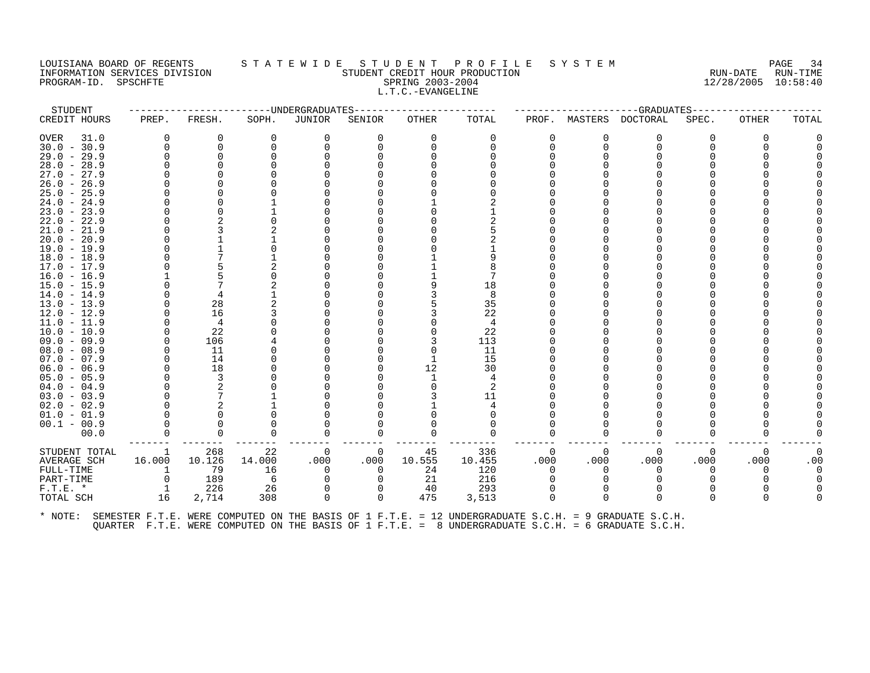#### LOUISIANA BOARD OF REGENTS STATEWIDE STUDENT PROFILE SYSTEM PAGE 34<br>INFORMATION SERVICES DIVISION STATEWIST STUDENT CREDIT HOUR PRODUCTION AND SERVICES RUN-TIME INFORMATION SERVICES DIVISION STUDENT CREDIT HOUR PRODUCTION RUN-DATE RUN-TIME PROGRAM-ID. SPSCHFTE SPRING 2003-2004 12/28/2005 10:58:40 L.T.C.-EVANGELINE

| STUDENT                        |          |           | -------------DNDERGRADUATES- |              |          | ------------------GRADUATES----- |                                                                                                      |          |          |                        |       |              |       |
|--------------------------------|----------|-----------|------------------------------|--------------|----------|----------------------------------|------------------------------------------------------------------------------------------------------|----------|----------|------------------------|-------|--------------|-------|
| CREDIT HOURS                   | PREP.    | FRESH.    | SOPH.                        | JUNIOR       | SENIOR   | OTHER                            | TOTAL                                                                                                |          |          | PROF. MASTERS DOCTORAL | SPEC. | <b>OTHER</b> | TOTAL |
| OVER<br>31.0                   | $\Omega$ | 0         | 0                            | 0            | $\Omega$ | $\Omega$                         | O                                                                                                    | 0        |          | 0                      | 0     |              |       |
| $30.0 - 30.9$                  |          |           |                              | $\Omega$     |          |                                  |                                                                                                      | O        |          | $\Omega$               |       |              |       |
| $29.0 - 29.9$                  |          |           |                              |              |          |                                  |                                                                                                      |          |          |                        |       |              |       |
| $28.0 - 28.9$                  |          |           |                              |              |          |                                  |                                                                                                      |          |          |                        |       |              |       |
| $27.0 - 27.9$                  |          |           |                              |              |          |                                  |                                                                                                      |          |          |                        |       |              |       |
| $26.0 - 26.9$                  |          |           |                              |              |          |                                  |                                                                                                      |          |          |                        |       |              |       |
| $25.0 - 25.9$                  |          |           |                              |              |          |                                  |                                                                                                      |          |          |                        |       |              |       |
| $24.0 - 24.9$                  |          |           |                              |              |          |                                  |                                                                                                      |          |          |                        |       |              |       |
| $23.0 - 23.9$                  |          |           |                              |              |          |                                  |                                                                                                      |          |          |                        |       |              |       |
| $22.0 - 22.9$                  |          |           |                              |              |          |                                  |                                                                                                      |          |          |                        |       |              |       |
| $21.0 - 21.9$                  |          |           |                              |              |          |                                  |                                                                                                      |          |          |                        |       |              |       |
| $20.0 - 20.9$                  |          |           |                              |              |          |                                  |                                                                                                      |          |          |                        |       |              |       |
| $19.0 - 19.9$                  |          |           |                              |              |          |                                  |                                                                                                      |          |          |                        |       |              |       |
| $18.0 - 18.9$                  |          |           |                              |              |          |                                  |                                                                                                      |          |          |                        |       |              |       |
| $17.0 - 17.9$                  |          |           |                              |              |          |                                  |                                                                                                      |          |          |                        |       |              |       |
| $16.0 - 16.9$                  |          |           |                              |              |          |                                  |                                                                                                      |          |          |                        |       |              |       |
| $15.0 - 15.9$                  |          |           |                              |              |          |                                  | 18                                                                                                   |          |          |                        |       |              |       |
| $14.0 - 14.9$                  |          |           |                              |              |          |                                  | 8                                                                                                    |          |          |                        |       |              |       |
| $13.0 - 13.9$                  |          | 28        |                              |              |          |                                  | 35                                                                                                   |          |          |                        |       |              |       |
| $12.0 - 12.9$                  |          | 16        |                              |              |          |                                  | 22                                                                                                   |          |          |                        |       |              |       |
| $11.0 - 11.9$                  |          | 4         |                              |              |          |                                  | 4                                                                                                    |          |          |                        |       |              |       |
| $10.0 - 10.9$                  |          | 22        |                              |              |          |                                  | 22                                                                                                   |          |          |                        |       |              |       |
| $09.0 - 09.9$<br>$08.0 - 08.9$ |          | 106<br>11 |                              |              |          |                                  | 113<br>11                                                                                            |          |          |                        |       |              |       |
| $07.0 - 07.9$                  |          | 14        |                              |              |          |                                  | 15                                                                                                   |          |          |                        |       |              |       |
| $06.0 - 06.9$                  |          | 18        |                              |              |          | 12                               | 30                                                                                                   |          |          |                        |       |              |       |
| $05.0 - 05.9$                  |          | 3         |                              |              |          |                                  |                                                                                                      |          |          |                        |       |              |       |
| $04.0 - 04.9$                  |          |           |                              |              |          |                                  | 2                                                                                                    |          |          |                        |       |              |       |
| $03.0 - 03.9$                  |          |           |                              |              |          |                                  | 11                                                                                                   |          |          |                        |       |              |       |
| $02.0 - 02.9$                  |          |           |                              |              |          |                                  |                                                                                                      |          |          |                        |       |              |       |
| $01.0 - 01.9$                  |          |           |                              |              |          |                                  |                                                                                                      |          |          |                        |       |              |       |
| $00.1 - 00.9$                  |          |           |                              |              |          |                                  |                                                                                                      |          |          |                        |       |              |       |
| 00.0                           |          |           | $\Omega$                     |              |          |                                  |                                                                                                      |          |          | ∩                      |       |              |       |
|                                |          |           |                              |              |          |                                  |                                                                                                      |          |          |                        |       |              |       |
| STUDENT TOTAL                  | 1        | 268       | 22                           | 0            | $\Omega$ | 45                               | 336                                                                                                  | 0        | $\Omega$ | 0                      | 0     | $\Omega$     |       |
| <b>AVERAGE SCH</b>             | 16.000   | 10.126    | 14.000                       | .000         | .000     | 10.555                           | 10.455                                                                                               | .000     | .000     | .000                   | .000  | .000         | .00   |
| FULL-TIME                      | 1        | 79        | 16                           | $\Omega$     | $\Omega$ | 24                               | 120                                                                                                  | $\Omega$ |          | $\Omega$               |       |              |       |
| PART-TIME                      | $\Omega$ | 189       | 6                            | <sup>0</sup> |          | 21                               | 216                                                                                                  |          |          |                        |       |              |       |
| $F.T.E.$ *                     |          | 226       | 26                           | 0            |          | 40                               | 293                                                                                                  | $\Omega$ |          | O                      |       |              |       |
| TOTAL SCH                      | 16       | 2,714     | 308                          | $\Omega$     | $\Omega$ | 475                              | 3,513                                                                                                | $\Omega$ |          | $\Omega$               |       |              |       |
|                                |          |           |                              |              |          |                                  |                                                                                                      |          |          |                        |       |              |       |
| $*$ NOTE:                      |          |           |                              |              |          |                                  | SEMESTER F.T.E. WERE COMPUTED ON THE BASIS OF 1 F.T.E. = 12 UNDERGRADUATE S.C.H. = 9 GRADUATE S.C.H. |          |          |                        |       |              |       |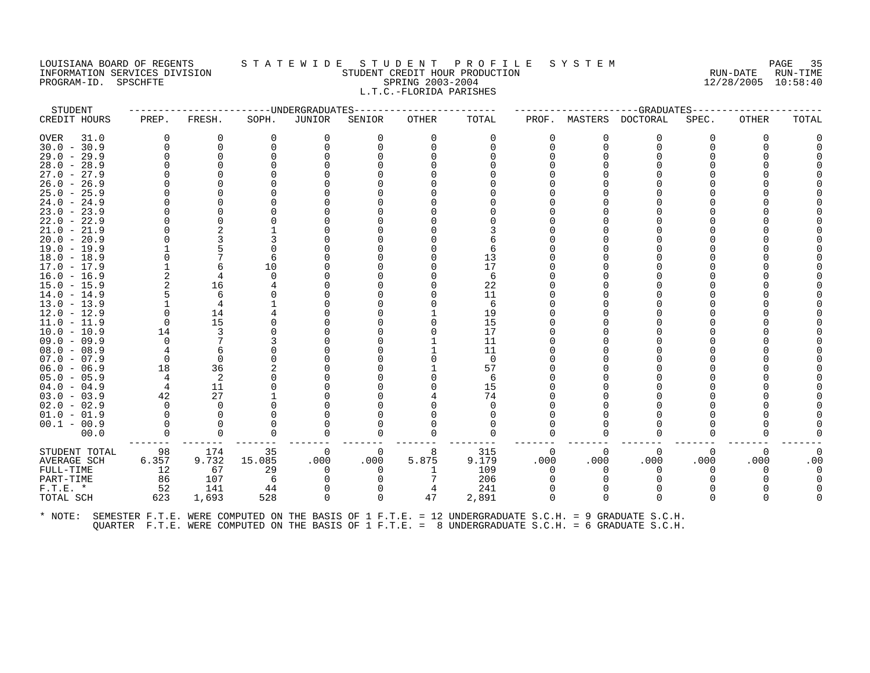PROGRAM-ID. SPSCHFTE

# LOUISIANA BOARD OF REGENTS STATEWIDE STUDENT PROFILE SYSTEM PAGE 35<br>INFORMATION SERVICES DIVISION STATEWISH STUDENT CREDIT HOUR PRODUCTION INFORMATION SERVICES DIVISION SUNGLERICAL STUDENT CREDIT HOUR PRODUCTION SUNGLERIC RUN-DATE RUN-TIME RUN-TIME<br>PROGRAM-ID. SPSCHFTE SERING 2003-2004 SPRING 2003-2004 L.T.C.-FLORIDA PARISHES

| STUDENT                                                                                                      |          |          |        | ------------------------UNDERGRADUATES |          | ----------------------- |          |          |          | ------------------GRADUATES--------- |          |              |       |
|--------------------------------------------------------------------------------------------------------------|----------|----------|--------|----------------------------------------|----------|-------------------------|----------|----------|----------|--------------------------------------|----------|--------------|-------|
| CREDIT HOURS                                                                                                 | PREP.    | FRESH.   | SOPH.  | JUNIOR                                 | SENIOR   | OTHER                   | TOTAL    |          |          | PROF. MASTERS DOCTORAL               | SPEC.    | OTHER        | TOTAL |
| OVER<br>31.0                                                                                                 | 0        | 0        | 0      |                                        | 0        | $\Omega$                | 0        | 0        |          | 0                                    | 0        | 0            |       |
| $30.0 - 30.9$                                                                                                | $\Omega$ | 0        |        |                                        |          |                         |          | 0        | $\Omega$ | 0                                    |          |              |       |
| $29.0 - 29.9$                                                                                                |          |          |        |                                        |          |                         |          |          |          |                                      |          |              |       |
| $28.0 - 28.9$                                                                                                |          |          |        |                                        |          |                         |          |          |          |                                      |          |              |       |
| $27.0 - 27.9$                                                                                                |          |          |        |                                        |          |                         |          |          |          |                                      |          |              |       |
| $26.0 - 26.9$                                                                                                |          |          |        |                                        |          |                         |          |          |          |                                      |          |              |       |
| $25.0 - 25.9$                                                                                                |          |          |        |                                        |          |                         |          |          |          |                                      |          |              |       |
| $24.0 - 24.9$                                                                                                |          |          |        |                                        |          |                         |          |          |          |                                      |          |              |       |
| $23.0 - 23.9$                                                                                                |          |          |        |                                        |          |                         |          |          |          |                                      |          |              |       |
| $22.0 - 22.9$                                                                                                |          |          |        |                                        |          |                         |          |          |          |                                      |          |              |       |
| $21.0 - 21.9$                                                                                                |          |          |        |                                        |          |                         |          |          |          |                                      |          |              |       |
| $20.0 - 20.9$                                                                                                |          |          |        |                                        |          |                         |          |          |          |                                      |          |              |       |
| $19.0 - 19.9$                                                                                                |          |          |        |                                        |          |                         | 6        |          |          |                                      |          |              |       |
| $18.0 - 18.9$                                                                                                |          |          |        |                                        |          |                         | 13       |          |          |                                      |          |              |       |
| $17.0 - 17.9$                                                                                                |          |          | 10     |                                        |          |                         | 17       |          |          |                                      |          |              |       |
| $16.0 - 16.9$                                                                                                |          |          |        |                                        |          |                         | 6        |          |          |                                      |          |              |       |
| 15.0 - 15.9                                                                                                  |          | 16       |        |                                        |          |                         | 22       |          |          |                                      |          |              |       |
| $14.0 - 14.9$                                                                                                |          | 6        |        |                                        |          |                         | 11       |          |          |                                      |          |              |       |
| $13.0 - 13.9$                                                                                                |          | 4        |        |                                        |          |                         | 6        |          |          |                                      |          |              |       |
| $12.0 - 12.9$                                                                                                |          | 14       |        |                                        |          |                         | 19       |          |          |                                      |          |              |       |
| $11.0 - 11.9$                                                                                                | 0        | 15       |        |                                        |          |                         | 15       |          |          |                                      |          |              |       |
| $10.0 - 10.9$                                                                                                | 14       | 3        |        |                                        |          |                         | 17       |          |          |                                      |          |              |       |
| $09.0 - 09.9$                                                                                                | $\Omega$ | 7        |        |                                        |          |                         | 11       |          |          |                                      |          |              |       |
| $08.0 - 08.9$                                                                                                |          | 6        |        |                                        |          |                         | 11       |          |          |                                      |          |              |       |
| $07.0 - 07.9$                                                                                                | 0        | $\Omega$ |        |                                        |          |                         | $\Omega$ |          |          |                                      |          |              |       |
| $06.0 - 06.9$                                                                                                | 18       | 36       |        |                                        |          |                         | 57       |          |          |                                      |          |              |       |
| $05.0 - 05.9$                                                                                                | 4        | -2       |        |                                        |          |                         | 6        |          |          |                                      |          |              |       |
| $04.0 - 04.9$                                                                                                | 4        | 11       |        |                                        |          |                         | 15       |          |          |                                      |          |              |       |
| $03.0 - 03.9$                                                                                                | 42       | 27       |        |                                        |          |                         | 74       |          |          |                                      |          |              |       |
| $02.0 - 02.9$                                                                                                | $\Omega$ | $\Omega$ |        |                                        |          |                         |          |          |          |                                      |          |              |       |
| $01.0 - 01.9$                                                                                                |          |          |        |                                        |          |                         |          |          |          |                                      |          |              |       |
| $00.1 - 00.9$                                                                                                | 0        | $\Omega$ |        |                                        |          |                         |          |          |          |                                      |          |              |       |
| 00.0                                                                                                         | $\Omega$ | 0        | 0      |                                        | 0        |                         | 0        |          | O        | 0                                    |          |              |       |
|                                                                                                              |          |          |        |                                        |          |                         |          |          |          |                                      |          |              |       |
| STUDENT TOTAL                                                                                                | 98       | 174      | 35     | $\Omega$                               | 0        |                         | 315      | $\Omega$ | $\Omega$ | 0                                    | $\Omega$ | $\Omega$     |       |
| AVERAGE SCH                                                                                                  | 6.357    | 9.732    | 15.085 | .000                                   | .000     | 5.875                   | 9.179    | .000     | .000     | .000                                 | .000     | .000         | .00   |
| FULL-TIME                                                                                                    | 12       | 67       | 29     | $\Omega$                               | 0        |                         | 109      | $\Omega$ | $\Omega$ | $\Omega$                             | 0        | $\Omega$     |       |
| PART-TIME                                                                                                    | 86       | 107      | 6      |                                        |          |                         | 206      |          |          |                                      |          |              |       |
| $F.T.E. *$                                                                                                   | 52       | 141      | 44     |                                        |          | 4                       | 241      | $\Omega$ |          | $\Omega$                             |          |              |       |
| TOTAL SCH                                                                                                    | 623      | 1,693    | 528    | $\Omega$                               | $\Omega$ | 47                      | 2,891    | $\Omega$ | $\Omega$ | $\Omega$                             |          | <sup>0</sup> |       |
| * NOTE: SEMESTER F.T.E. WERE COMPUTED ON THE BASIS OF 1 F.T.E. = 12 UNDERGRADUATE S.C.H. = 9 GRADUATE S.C.H. |          |          |        |                                        |          |                         |          |          |          |                                      |          |              |       |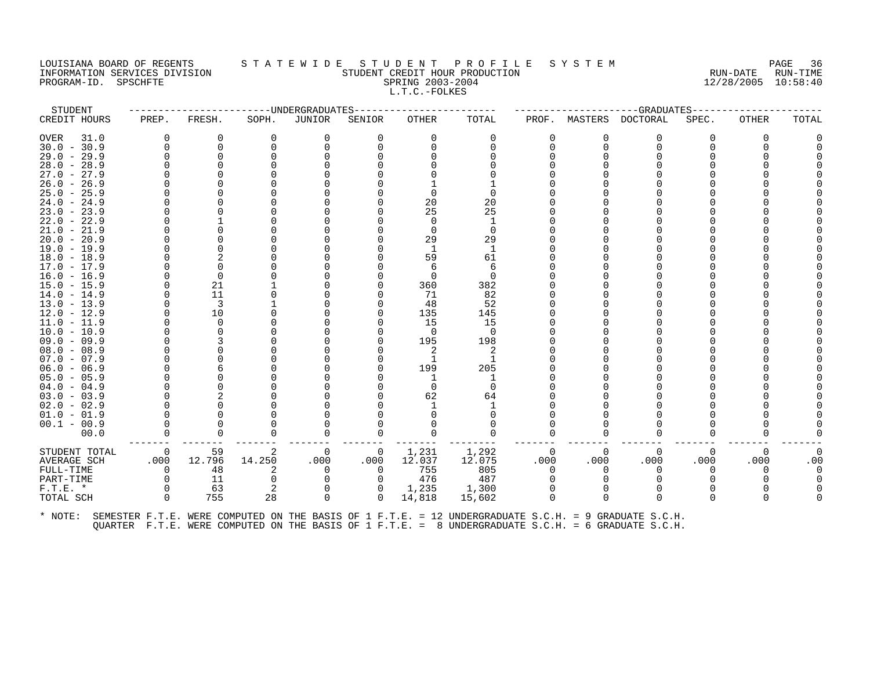#### LOUISIANA BOARD OF REGENTS STATEWIDE STUDENT PROFILE SYSTEM PAGE 36<br>INFORMATION SERVICES DIVISION STATEWIDENT CREDIT HOUR PRODUCTION INFORMATION SERVICES DIVISION SUNGLERICAL STUDENT CREDIT HOUR PRODUCTION SUNGLERIC RUN-DATE RUN-TIME RUN-TIME<br>PROGRAM-ID. SPSCHFTE SERING 2003-2004 SPRING 2003-2004 PROGRAM-ID. SPSCHFTE SERIES SPRING 2003-2004 L.T.C.-FOLKES

| STUDENT       |              |          | ------------UNDERGRADUATES- |                |                |          |          |          |                | -----------GRADUATES---- |          |                  |          |
|---------------|--------------|----------|-----------------------------|----------------|----------------|----------|----------|----------|----------------|--------------------------|----------|------------------|----------|
| CREDIT HOURS  | PREP.        | FRESH.   | SOPH.                       | JUNIOR         | SENIOR         | OTHER    | TOTAL    |          |                | PROF. MASTERS DOCTORAL   | SPEC.    | OTHER            | TOTAL    |
| OVER<br>31.0  | 0            | 0        | 0                           | 0              |                | 0        | 0        |          | 0              | 0                        |          | 0                |          |
| $30.0 - 30.9$ |              | $\Omega$ | $\cap$                      | $\Omega$       |                |          | $\Omega$ |          | $\Omega$       | $\Omega$                 |          |                  |          |
| $29.0 - 29.9$ |              | ∩        |                             |                |                |          |          |          |                |                          |          |                  |          |
| $28.0 - 28.9$ |              |          |                             |                |                |          |          |          |                |                          |          |                  |          |
| $27.0 - 27.9$ |              |          |                             |                |                |          |          |          |                |                          |          |                  |          |
| $26.0 - 26.9$ |              |          |                             |                |                |          |          |          |                |                          |          |                  |          |
| $25.0 - 25.9$ |              |          |                             |                |                |          |          |          |                |                          |          |                  |          |
| $24.0 - 24.9$ |              |          |                             |                |                | 20       | 20       |          |                |                          |          |                  |          |
| $23.0 - 23.9$ |              |          |                             |                |                | 25       | 25       |          |                |                          |          |                  |          |
| 22.0 - 22.9   |              |          |                             |                |                |          |          |          |                |                          |          |                  |          |
| $21.0 - 21.9$ |              |          |                             |                |                |          | $\Omega$ |          |                |                          |          |                  |          |
| $20.0 - 20.9$ |              |          |                             |                |                | 29       | 29       |          |                |                          |          |                  |          |
| $19.0 - 19.9$ |              |          |                             |                |                |          |          |          |                |                          |          |                  |          |
| $18.0 - 18.9$ |              |          |                             |                |                | 59       | 61       |          |                |                          |          |                  |          |
| $17.0 - 17.9$ |              | $\Omega$ |                             |                |                | 6        | 6        |          |                |                          |          |                  |          |
| $16.0 - 16.9$ |              | $\Omega$ |                             |                |                | $\Omega$ | $\Omega$ |          |                |                          |          |                  |          |
| $15.0 - 15.9$ |              | 21       |                             |                |                | 360      | 382      |          |                |                          |          |                  |          |
| $14.0 - 14.9$ |              | 11       |                             |                |                | 71       | 82       |          |                |                          |          |                  |          |
| $13.0 - 13.9$ |              | 3        |                             |                |                | 48       | 52       |          |                |                          |          |                  |          |
| $12.0 - 12.9$ |              | 10       |                             |                |                | 135      | 145      |          |                |                          |          |                  |          |
| $11.0 - 11.9$ |              | $\Omega$ |                             |                |                | 15       | 15       |          |                |                          |          |                  |          |
| $10.0 - 10.9$ |              |          |                             |                |                | $\Omega$ | 0        |          |                |                          |          |                  |          |
| $09.0 - 09.9$ |              |          |                             |                |                | 195      | 198      |          |                |                          |          |                  |          |
| $08.0 - 08.9$ |              |          |                             |                |                |          |          |          |                |                          |          |                  |          |
| $07.0 - 07.9$ |              |          |                             |                |                | -1       |          |          |                |                          |          |                  |          |
| $06.0 - 06.9$ |              |          |                             |                |                | 199      | 205      |          |                |                          |          |                  |          |
| $05.0 - 05.9$ |              |          |                             |                |                |          |          |          |                |                          |          |                  |          |
| $04.0 - 04.9$ |              |          |                             |                |                | $\Omega$ | $\Omega$ |          |                |                          |          |                  |          |
| $03.0 - 03.9$ |              |          |                             |                |                | 62       | 64       |          |                |                          |          |                  |          |
| $02.0 - 02.9$ |              |          |                             |                |                |          |          |          |                |                          |          |                  |          |
| $01.0 - 01.9$ |              |          |                             |                |                |          |          |          |                |                          |          |                  |          |
| $00.1 - 00.9$ |              |          |                             |                |                |          |          |          |                |                          |          |                  |          |
| 00.0          |              | $\Omega$ |                             |                |                |          | $\Omega$ |          |                | O                        |          |                  |          |
| STUDENT TOTAL | 0            | 59       | 2                           | $\overline{0}$ | $\overline{0}$ | 1,231    | 1,292    | $\Omega$ | $\overline{0}$ | 0                        | $\Omega$ | 0                | $\Omega$ |
| AVERAGE SCH   | .000         | 12.796   | 14.250                      | .000           | .000           | 12.037   | 12.075   | .000     | .000           | .000                     | .000     | .000             | .00      |
| FULL-TIME     | <sup>0</sup> | 48       | 2                           | $\Omega$       | $\Omega$       | 755      | 805      | $\Omega$ |                | O                        |          | $\left( \right)$ |          |
| PART-TIME     |              | 11       | <sup>0</sup>                | $\Omega$       |                | 476      | 487      |          |                |                          |          |                  |          |
| $F.T.E. *$    |              | 63       | -2                          | 0              |                | 1,235    | 1,300    |          |                |                          |          |                  |          |
| TOTAL SCH     | $\Omega$     | 755      | 28                          | $\Omega$       | $\Omega$       | 14,818   | 15,602   |          |                | $\Omega$                 |          |                  |          |
|               |              |          |                             |                |                |          |          |          |                |                          |          |                  |          |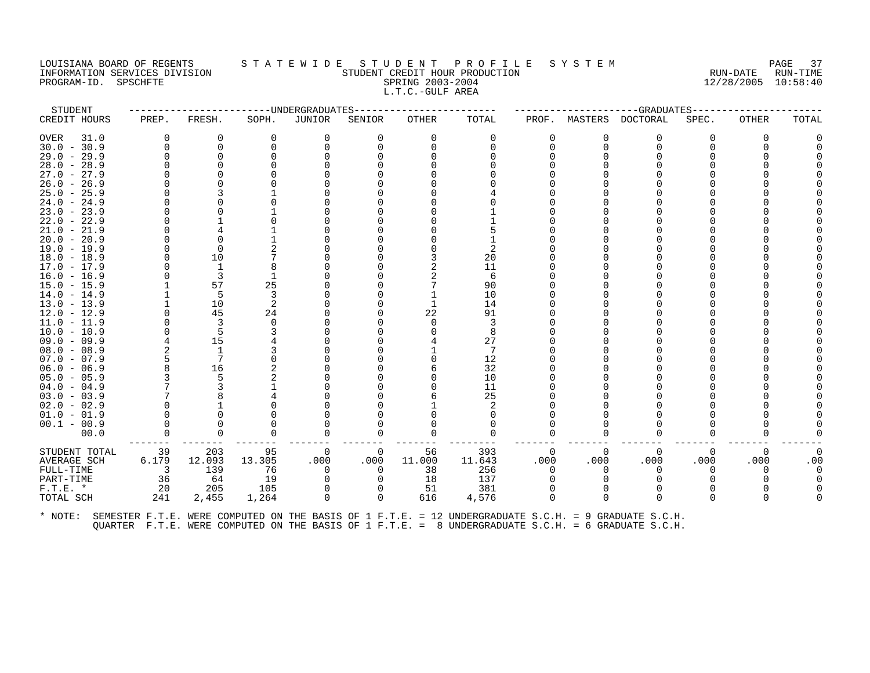# LOUISIANA BOARD OF REGENTS STATEWIDE STUDENT PROFILE SYSTEM PAGE 37<br>INFORMATION SERVICES DIVISION STATEWIDENT CREDIT HOUR PRODUCTION FORDER AUN-DATE RUN-TIME INFORMATION SERVICES DIVISION SUNGLERICAL STUDENT CREDIT HOUR PRODUCTION SUNGLERIC RUN-DATE RUN-TIME RUN-TIME<br>PROGRAM-ID. SPSCHFTE SERING 2003-2004 SPRING 2003-2004 PROGRAM-ID. SPSCHFTE SPRING 2003-2004 L.T.C.-GULF AREA

| STUDENT       |                          |        | -------------DNDERGRADUATES- |          |          |          |                                                                                                      |      |          | ------------------GRADUATES----- |          |          |       |
|---------------|--------------------------|--------|------------------------------|----------|----------|----------|------------------------------------------------------------------------------------------------------|------|----------|----------------------------------|----------|----------|-------|
| CREDIT HOURS  | PREP.                    | FRESH. | SOPH.                        | JUNIOR   | SENIOR   | OTHER    | TOTAL                                                                                                |      |          | PROF. MASTERS DOCTORAL           | SPEC.    | OTHER    | TOTAL |
| OVER<br>31.0  | $\Omega$                 | O      | <sup>0</sup>                 | $\Omega$ | $\Omega$ | $\Omega$ | $\Omega$                                                                                             |      | O        | $\Omega$                         | O        | $\Omega$ |       |
| $30.0 - 30.9$ | $\Omega$                 |        |                              |          |          | $\Omega$ |                                                                                                      |      |          | $\Omega$                         |          |          |       |
| $29.0 - 29.9$ |                          |        |                              |          |          |          |                                                                                                      |      |          | O                                |          |          |       |
| $28.0 - 28.9$ |                          |        |                              |          |          |          |                                                                                                      |      |          |                                  |          |          |       |
| $27.0 - 27.9$ |                          |        |                              |          |          |          |                                                                                                      |      |          |                                  |          |          |       |
| $26.0 - 26.9$ |                          |        |                              |          |          |          |                                                                                                      |      |          |                                  |          |          |       |
| $25.0 - 25.9$ |                          |        |                              |          |          |          |                                                                                                      |      |          |                                  |          |          |       |
| $24.0 - 24.9$ |                          |        |                              |          |          |          |                                                                                                      |      |          |                                  |          |          |       |
| $23.0 - 23.9$ |                          |        |                              |          |          |          |                                                                                                      |      |          |                                  |          |          |       |
| $22.0 - 22.9$ |                          |        |                              |          |          |          |                                                                                                      |      |          |                                  |          |          |       |
| $21.0 - 21.9$ |                          |        |                              |          |          |          |                                                                                                      |      |          |                                  |          |          |       |
| $20.0 - 20.9$ |                          |        |                              |          |          |          |                                                                                                      |      |          |                                  |          |          |       |
| $19.0 - 19.9$ |                          |        |                              |          |          |          |                                                                                                      |      |          |                                  |          |          |       |
| $18.0 - 18.9$ |                          | 10     |                              |          |          |          | 20                                                                                                   |      |          |                                  |          |          |       |
| $17.0 - 17.9$ |                          | 1      |                              |          |          |          | 11                                                                                                   |      |          |                                  |          |          |       |
| $16.0 - 16.9$ |                          | 3      |                              |          |          |          | 6                                                                                                    |      |          |                                  |          |          |       |
| $15.0 - 15.9$ |                          | 57     | 25                           |          |          |          | 90                                                                                                   |      |          |                                  |          |          |       |
| $14.0 - 14.9$ |                          | 5      | 3                            |          |          |          | 10                                                                                                   |      |          |                                  |          |          |       |
| $13.0 - 13.9$ |                          | 10     |                              |          |          |          | 14                                                                                                   |      |          |                                  |          |          |       |
| $12.0 - 12.9$ |                          | 45     | 24                           |          |          | 22       | 91                                                                                                   |      |          |                                  |          |          |       |
| $11.0 - 11.9$ |                          | 3      |                              |          |          |          | 3                                                                                                    |      |          |                                  |          |          |       |
| $10.0 - 10.9$ |                          | 5      |                              |          |          |          | 8                                                                                                    |      |          |                                  |          |          |       |
| $09.0 - 09.9$ |                          | 15     |                              |          |          |          | 27                                                                                                   |      |          |                                  |          |          |       |
| $08.0 - 08.9$ |                          | 1      |                              |          |          |          | 7                                                                                                    |      |          |                                  |          |          |       |
| $07.0 - 07.9$ |                          | 7      |                              |          |          |          | 12                                                                                                   |      |          |                                  |          |          |       |
| $06.0 - 06.9$ |                          | 16     |                              |          |          |          | 32                                                                                                   |      |          |                                  |          |          |       |
| $05.0 - 05.9$ |                          | 5      |                              |          |          |          | 10                                                                                                   |      |          |                                  |          |          |       |
| $04.0 - 04.9$ |                          |        |                              |          |          |          | 11                                                                                                   |      |          |                                  |          |          |       |
| $03.0 - 03.9$ |                          |        |                              |          |          |          | 25                                                                                                   |      |          |                                  |          |          |       |
| $02.0 - 02.9$ |                          |        |                              |          |          |          |                                                                                                      |      |          |                                  |          |          |       |
| $01.0 - 01.9$ |                          |        |                              |          |          |          |                                                                                                      |      |          |                                  |          |          |       |
| $00.1 - 00.9$ |                          |        |                              |          |          | $\Omega$ | $\Omega$                                                                                             |      |          | $\Omega$                         | ∩        |          |       |
| 00.0          |                          |        |                              | $\Omega$ | 0        |          |                                                                                                      |      |          |                                  |          |          |       |
| STUDENT TOTAL | 39                       | 203    | 95                           | 0        | 0        | 56       | 393                                                                                                  |      | $\Omega$ | $\Omega$                         | $\Omega$ | $\Omega$ | 0     |
| AVERAGE SCH   | 6.179                    | 12.093 | 13.305                       | .000     | .000     | 11.000   | 11.643                                                                                               | .000 | .000     | .000                             | .000     | .000     | .00   |
| FULL-TIME     | $\overline{\phantom{a}}$ | 139    | 76                           | $\Omega$ | $\Omega$ | 38       | 256                                                                                                  |      | U        | $\Omega$                         | O        |          |       |
| PART-TIME     | 36                       | 64     | 19                           |          | 0        | 18       | 137                                                                                                  |      |          |                                  |          |          |       |
| $F.T.E. *$    | 20                       | 205    | 105                          | $\Omega$ | 0        | 51       | 381                                                                                                  |      |          | $\Omega$                         |          |          |       |
| TOTAL SCH     | 241                      | 2,455  | 1,264                        | $\Omega$ | $\Omega$ | 616      | 4,576                                                                                                |      | $\Omega$ | $\Omega$                         | $\cap$   |          |       |
| * NOTE:       |                          |        |                              |          |          |          | SEMESTER F.T.E. WERE COMPUTED ON THE BASIS OF 1 F.T.E. = 12 UNDERGRADUATE S.C.H. = 9 GRADUATE S.C.H. |      |          |                                  |          |          |       |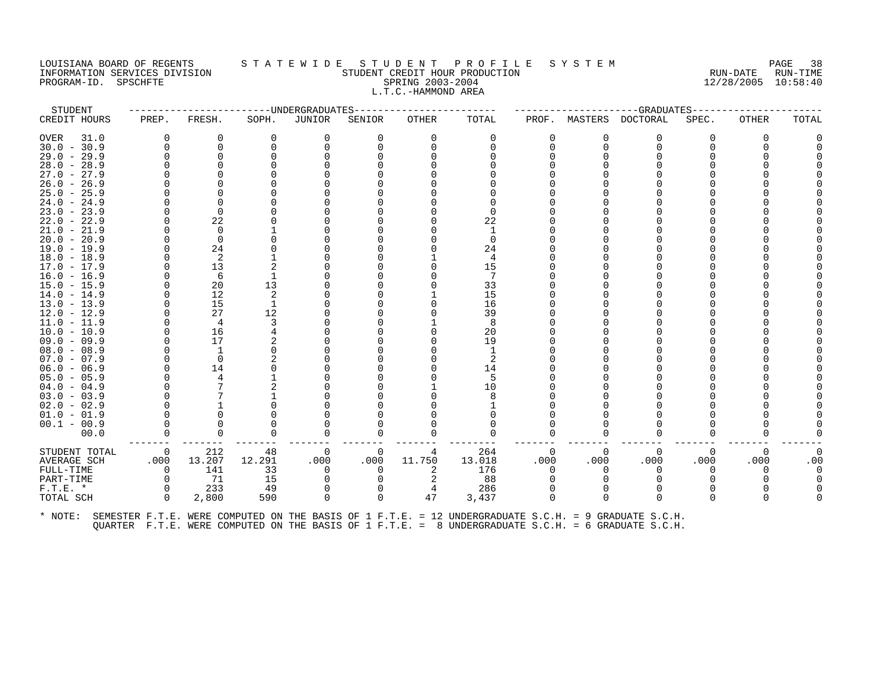# LOUISIANA BOARD OF REGENTS STATEWIDE STUDENT PROFILE SYSTEM NAGE 38 INFORMATION SERVICES DIVISION SUNGLERICAL STUDENT CREDIT HOUR PRODUCTION SERVICHING RUN-DATE RUN-TIME RUN-TIME<br>PROGRAM-ID. SPSCHFTE SERING 2003-2004 SPRING 2003-2004 PROGRAM-ID. SPSCHFTE SERIES SPRING 2003-2004 L.T.C.-HAMMOND AREA

| STUDENT                        |          |          | --------------------UNDERGRADUATES |          |          |          |          |          |              | ------------GRADUATES                                                                                |          |       |       |
|--------------------------------|----------|----------|------------------------------------|----------|----------|----------|----------|----------|--------------|------------------------------------------------------------------------------------------------------|----------|-------|-------|
| CREDIT HOURS                   | PREP.    | FRESH.   | SOPH.                              | JUNIOR   | SENIOR   | OTHER    | TOTAL    | PROF.    | MASTERS      | DOCTORAL                                                                                             | SPEC.    | OTHER | TOTAL |
| <b>OVER</b><br>31.0            |          | $\Omega$ | 0                                  | $\Omega$ | $\Omega$ | $\Omega$ | 0        | $\Omega$ | 0            | 0                                                                                                    | O        | 0     |       |
| $30.0 - 30.9$                  |          | 0        | O                                  | $\Omega$ | O        | $\Omega$ | O        | U        | ∩            | 0                                                                                                    |          |       |       |
| $29.0 - 29.9$                  |          |          |                                    |          |          |          |          |          |              |                                                                                                      |          |       |       |
| $28.0 - 28.9$                  |          |          |                                    |          |          |          |          |          |              |                                                                                                      |          |       |       |
| $27.0 - 27.9$                  |          |          |                                    |          |          |          |          |          |              |                                                                                                      |          |       |       |
| $26.0 - 26.9$                  |          |          |                                    |          |          |          |          |          |              |                                                                                                      |          |       |       |
| $25.0 - 25.9$                  |          |          |                                    |          |          |          |          |          |              |                                                                                                      |          |       |       |
| $24.0 - 24.9$                  |          |          |                                    |          |          |          |          |          |              |                                                                                                      |          |       |       |
| 23.9<br>$23.0 -$               |          |          |                                    |          |          |          |          |          |              |                                                                                                      |          |       |       |
| $22.0 - 22.9$                  |          | 22       |                                    |          |          |          | 22       |          |              |                                                                                                      |          |       |       |
| $21.0 - 21.9$                  |          | $\Omega$ |                                    |          |          |          |          |          |              |                                                                                                      |          |       |       |
| $20.0 - 20.9$                  |          | $\Omega$ |                                    |          |          |          | $\Omega$ |          |              |                                                                                                      |          |       |       |
| $19.0 - 19.9$                  |          | 24       |                                    |          |          |          | 24       |          |              |                                                                                                      |          |       |       |
| $18.0 - 18.9$                  |          | 2        |                                    |          |          |          | 4        |          |              |                                                                                                      |          |       |       |
| $17.0 - 17.9$                  |          | 13       |                                    |          |          |          | 15       |          |              |                                                                                                      |          |       |       |
| $16.0 - 16.9$                  |          | 6<br>20  | 13                                 |          |          |          | 7        |          |              |                                                                                                      |          |       |       |
| $15.0 - 15.9$<br>$14.0 - 14.9$ |          | 12       |                                    |          |          |          | 33<br>15 |          |              |                                                                                                      |          |       |       |
| $13.0 - 13.9$                  |          | 15       | $\mathbf{1}$                       |          |          |          | 16       |          |              |                                                                                                      |          |       |       |
| $12.0 - 12.9$                  |          | 27       | 12                                 |          |          |          | 39       |          |              |                                                                                                      |          |       |       |
| $11.0 - 11.9$                  |          | 4        |                                    |          |          |          | 8        |          |              |                                                                                                      |          |       |       |
| $10.0 - 10.9$                  |          | 16       |                                    |          |          |          | 20       |          |              |                                                                                                      |          |       |       |
| $09.0 - 09.9$                  |          | 17       |                                    |          |          |          | 19       |          |              |                                                                                                      |          |       |       |
| $08.0 - 08.9$                  |          | 1        |                                    |          |          |          | 1        |          |              |                                                                                                      |          |       |       |
| $07.0 - 07.9$                  |          | $\Omega$ |                                    |          |          |          | 2        |          |              |                                                                                                      |          |       |       |
| $06.0 - 06.9$                  |          | 14       |                                    |          |          |          | 14       |          |              |                                                                                                      |          |       |       |
| $05.0 - 05.9$                  |          | 4        |                                    |          |          |          | 5        |          |              |                                                                                                      |          |       |       |
| $04.0 - 04.9$                  |          |          |                                    |          |          |          | 10       |          |              |                                                                                                      |          |       |       |
| $03.0 - 03.9$                  |          |          |                                    |          |          |          | 8        |          |              |                                                                                                      |          |       |       |
| $02.0 - 02.9$                  |          |          |                                    |          |          |          |          |          |              |                                                                                                      |          |       |       |
| $01.0 - 01.9$                  |          |          |                                    |          |          |          |          |          |              |                                                                                                      |          |       |       |
| $00.1 - 00.9$                  |          |          |                                    |          |          |          |          |          |              |                                                                                                      |          |       |       |
| 00.0                           |          | $\Omega$ | 0                                  |          |          |          | $\Omega$ |          | <sup>0</sup> | $\Omega$                                                                                             |          |       |       |
| STUDENT TOTAL                  | 0        | 212      | 48                                 | $\Omega$ | 0        | 4        | 264      | 0        | 0            | 0                                                                                                    | $\Omega$ | 0     |       |
| AVERAGE SCH                    | .000     | 13.207   | 12.291                             | .000     | .000     | 11.750   | 13.018   | .000     | .000         | .000                                                                                                 | .000     | .000  | .00   |
| FULL-TIME                      | 0        | 141      | 33                                 |          | 0        |          | 176      |          | O            | 0                                                                                                    |          | 0     |       |
| PART-TIME                      |          | 71       | 15                                 |          |          |          | 88       |          |              |                                                                                                      |          |       |       |
| $F.T.E.$ *                     |          | 233      | 49                                 |          |          | 4        | 286      |          |              |                                                                                                      |          |       |       |
| TOTAL SCH                      | $\Omega$ | 2,800    | 590                                | $\Omega$ | 0        | 47       | 3,437    | $\Omega$ | $\Omega$     | $\Omega$                                                                                             |          |       |       |
| $*$ NOTE:                      |          |          |                                    |          |          |          |          |          |              | SEMESTER F.T.E. WERE COMPUTED ON THE BASIS OF 1 F.T.E. = 12 UNDERGRADUATE S.C.H. = 9 GRADUATE S.C.H. |          |       |       |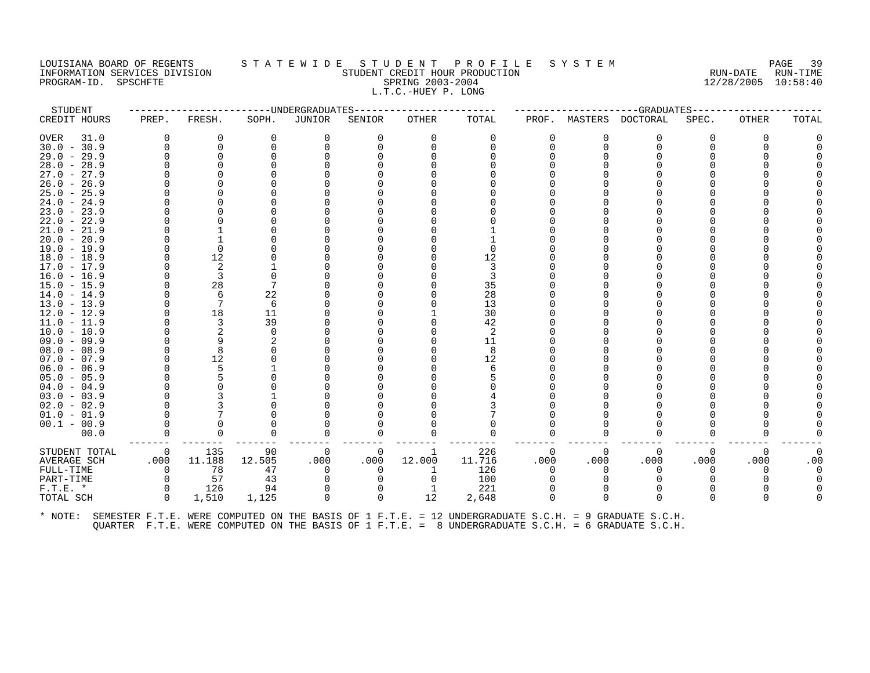#### LOUISIANA BOARD OF REGENTS STATEWIDE STUDENT PROFILE SYSTEM PAGE 39 INFORMATION SERVICES DIVISION SUBSERVICES ON SUBSERVICES SUBSERVICES SUBSERVICES SUBSERVICES DIVISION SUBSERVICES SUBSERVICES SUBSERVICES SUBSERVICES SUBSERVICES ON SUBSERVICES SUBSERVICES SUBSERVICES SUBSERVICES ON SUBSER PROGRAM-ID. SPSCHFTE SPRING 2003-2004 L.T.C.-HUEY P. LONG

| STUDENT                                                                                                      |          |                |          | -------------DNDERGRADUATES- |          | --------------- |          |      |          | ------------------GRADUATES----- |          |          |       |
|--------------------------------------------------------------------------------------------------------------|----------|----------------|----------|------------------------------|----------|-----------------|----------|------|----------|----------------------------------|----------|----------|-------|
| CREDIT HOURS                                                                                                 | PREP.    | FRESH.         | SOPH.    | JUNIOR                       | SENIOR   | OTHER           | TOTAL    |      |          | PROF. MASTERS DOCTORAL           | SPEC.    | OTHER    | TOTAL |
| OVER<br>31.0                                                                                                 | $\Omega$ | $\Omega$       | $\Omega$ | 0                            | $\Omega$ | $\Omega$        | 0        |      | 0        | $\Omega$                         | $\Omega$ | $\Omega$ |       |
| $30.0 - 30.9$                                                                                                |          | 0              | $\Omega$ | $\Omega$                     |          |                 | O        |      | $\Omega$ | $\Omega$                         |          |          |       |
| $29.0 - 29.9$                                                                                                |          | 0              |          |                              |          |                 |          |      |          | ∩                                |          |          |       |
| $28.0 - 28.9$                                                                                                |          |                |          |                              |          |                 |          |      |          |                                  |          |          |       |
| $27.0 - 27.9$                                                                                                |          |                |          |                              |          |                 |          |      |          |                                  |          |          |       |
| $26.0 - 26.9$                                                                                                |          |                |          |                              |          |                 |          |      |          |                                  |          |          |       |
| $25.0 - 25.9$                                                                                                |          |                |          |                              |          |                 |          |      |          |                                  |          |          |       |
| $24.0 - 24.9$                                                                                                |          |                |          |                              |          |                 |          |      |          |                                  |          |          |       |
| $23.0 - 23.9$                                                                                                |          |                |          |                              |          |                 |          |      |          |                                  |          |          |       |
| $22.0 - 22.9$                                                                                                |          |                |          |                              |          |                 |          |      |          |                                  |          |          |       |
| $21.0 - 21.9$                                                                                                |          |                |          |                              |          |                 |          |      |          |                                  |          |          |       |
| $20.0 - 20.9$                                                                                                |          |                |          |                              |          |                 |          |      |          |                                  |          |          |       |
| $19.0 - 19.9$                                                                                                |          | $\Omega$       |          |                              |          |                 |          |      |          |                                  |          |          |       |
| $18.0 - 18.9$                                                                                                |          | 12             |          |                              |          |                 | 12       |      |          |                                  |          |          |       |
| $17.0 - 17.9$                                                                                                |          | 2              |          |                              |          |                 |          |      |          |                                  |          |          |       |
| $16.0 - 16.9$                                                                                                |          | 3              |          |                              |          |                 |          |      |          |                                  |          |          |       |
| $15.0 - 15.9$                                                                                                |          | 28             |          |                              |          |                 | 35       |      |          |                                  |          |          |       |
| $14.0 - 14.9$                                                                                                |          | 6              | 22       |                              |          |                 | 28       |      |          |                                  |          |          |       |
| $13.0 - 13.9$                                                                                                |          | 7              | -6       |                              |          |                 | 13       |      |          |                                  |          |          |       |
| $12.0 - 12.9$                                                                                                |          | 18             | 11       |                              |          |                 | 30       |      |          |                                  |          |          |       |
| 11.0 - 11.9                                                                                                  |          | 3              | 39       |                              |          |                 | 42       |      |          |                                  |          |          |       |
| $10.0 - 10.9$                                                                                                |          | $\overline{2}$ | $\Omega$ |                              |          |                 | 2        |      |          |                                  |          |          |       |
| $09.0 - 09.9$                                                                                                |          | 9              |          |                              |          |                 | 11       |      |          |                                  |          |          |       |
| $08.0 - 08.9$                                                                                                |          | 8              |          |                              |          |                 | 8        |      |          |                                  |          |          |       |
| $07.0 - 07.9$                                                                                                |          | 12             |          |                              |          |                 | 12       |      |          |                                  |          |          |       |
| $06.0 - 06.9$                                                                                                |          |                |          |                              |          |                 |          |      |          |                                  |          |          |       |
| $05.0 - 05.9$                                                                                                |          |                |          |                              |          |                 |          |      |          |                                  |          |          |       |
| $04.0 - 04.9$                                                                                                |          |                |          |                              |          |                 |          |      |          |                                  |          |          |       |
| $03.0 - 03.9$                                                                                                |          |                |          |                              |          |                 |          |      |          |                                  |          |          |       |
| $02.0 - 02.9$                                                                                                |          |                |          |                              |          |                 |          |      |          |                                  |          |          |       |
| $01.0 - 01.9$                                                                                                |          |                |          |                              |          |                 |          |      |          |                                  |          |          |       |
| $00.1 - 00.9$                                                                                                |          |                |          |                              |          |                 |          |      |          |                                  |          |          |       |
| 00.0                                                                                                         |          | $\Omega$       | O        | $\Omega$                     | $\Omega$ | O               | $\Omega$ |      |          | $\Omega$                         | ∩        |          |       |
| STUDENT TOTAL                                                                                                | $\Omega$ | 135            | 90       | 0                            | 0        | 1               | 226      |      | $\Omega$ | $\Omega$                         | $\Omega$ | $\Omega$ | 0     |
| AVERAGE SCH                                                                                                  | .000     | 11.188         | 12.505   | .000                         | .000     | 12.000          | 11.716   | .000 | .000     | .000                             | .000     | .000     | .00   |
| FULL-TIME                                                                                                    | $\Omega$ | 78             | 47       | $\Omega$                     | $\Omega$ | 1               | 126      |      | 0        | $\Omega$                         | $\Omega$ | $\Omega$ |       |
| PART-TIME                                                                                                    | $\Omega$ | 57             | 43       | 0                            |          | 0               | 100      |      |          |                                  |          |          |       |
| $F.T.E. *$                                                                                                   | $\Omega$ | 126            | 94       | $\Omega$                     |          | 1               | 221      |      | 0        | $\Omega$                         |          |          |       |
| TOTAL SCH                                                                                                    | $\Omega$ | 1,510          | 1,125    | $\Omega$                     | $\Omega$ | 12              | 2,648    |      | $\Omega$ | $\Omega$                         | $\Omega$ |          |       |
| * NOTE: SEMESTER F.T.E. WERE COMPUTED ON THE BASIS OF 1 F.T.E. = 12 UNDERGRADUATE S.C.H. = 9 GRADUATE S.C.H. |          |                |          |                              |          |                 |          |      |          |                                  |          |          |       |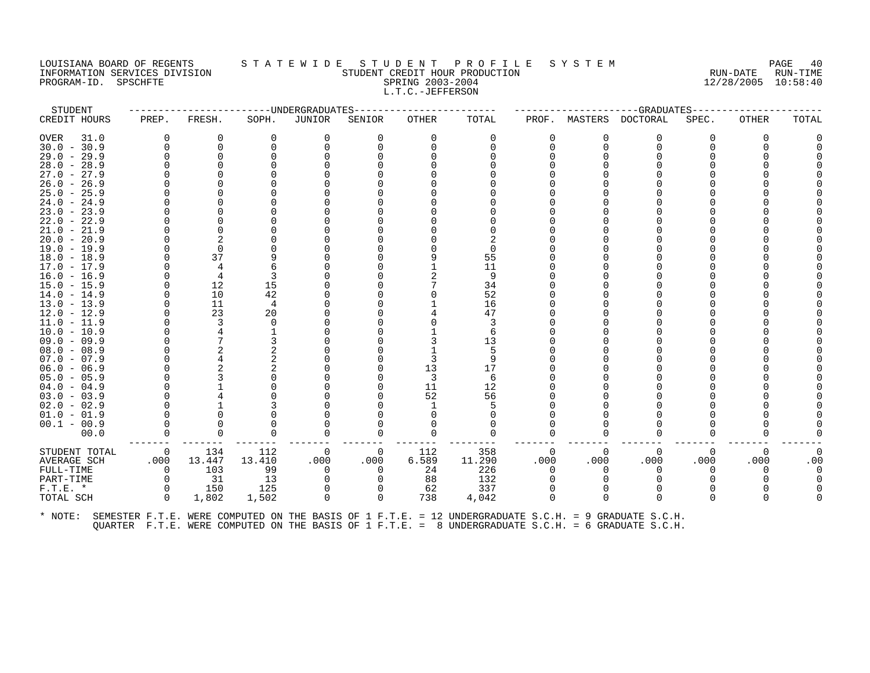# LOUISIANA BOARD OF REGENTS STATEWIDE STUDENT PROFILE SYSTEM NAGE 40 INFORMATION SERVICES DIVISION SUNGLERICAL STUDENT CREDIT HOUR PRODUCTION SUNGLERIC RUN-DATE RUN-TIME RUN-TIME<br>PROGRAM-ID. SPSCHFTE SERING 2003-2004 SPRING 2003-2004 PROGRAM-ID. SPSCHFTE SPRING 2003-2004 L.T.C.-JEFFERSON

| STUDENT             |                |        | ---------------UNDERGRADUATES                                                                        |          |          | .            |          |              |          | --GRADUATES |          |       |       |
|---------------------|----------------|--------|------------------------------------------------------------------------------------------------------|----------|----------|--------------|----------|--------------|----------|-------------|----------|-------|-------|
| CREDIT HOURS        | PREP.          | FRESH. | SOPH.                                                                                                | JUNIOR   | SENIOR   | <b>OTHER</b> | TOTAL    | PROF.        | MASTERS  | DOCTORAL    | SPEC.    | OTHER | TOTAL |
| <b>OVER</b><br>31.0 | 0              | 0      | 0                                                                                                    | 0        | 0        | $\Omega$     | 0        | 0            | 0        | 0           | O        | 0     |       |
| $30.0 - 30.9$       |                |        |                                                                                                      | $\Omega$ | 0        | $\Omega$     | 0        | 0            | $\Omega$ | $\Omega$    |          |       |       |
| $29.0 - 29.9$       |                |        |                                                                                                      |          |          |              |          |              |          |             |          |       |       |
| $28.0 - 28.9$       |                |        |                                                                                                      |          |          |              |          |              |          |             |          |       |       |
| $27.0 -$<br>27.9    |                |        |                                                                                                      |          |          |              |          |              |          |             |          |       |       |
| $26.0 - 26.9$       |                |        |                                                                                                      |          |          |              |          |              |          |             |          |       |       |
| $25.0 - 25.9$       |                |        |                                                                                                      |          |          |              |          |              |          |             |          |       |       |
| $24.0 -$<br>24.9    |                |        |                                                                                                      |          |          |              |          |              |          |             |          |       |       |
| $23.0 - 23.9$       |                |        |                                                                                                      |          |          |              |          |              |          |             |          |       |       |
| $22.0 - 22.9$       |                |        |                                                                                                      |          |          |              |          |              |          |             |          |       |       |
| $21.0 - 21.9$       |                |        |                                                                                                      |          |          |              |          |              |          |             |          |       |       |
| $20.0 - 20.9$       |                |        |                                                                                                      |          |          |              |          |              |          |             |          |       |       |
| $19.0 - 19.9$       |                |        |                                                                                                      |          |          |              | 0        |              |          |             |          |       |       |
| $18.0 - 18.9$       |                | 37     |                                                                                                      |          |          |              | 55       |              |          |             |          |       |       |
| 17.0<br>$-17.9$     |                |        |                                                                                                      |          |          |              | 11       |              |          |             |          |       |       |
| $16.0 - 16.9$       |                |        | 3                                                                                                    |          |          |              | 9        |              |          |             |          |       |       |
| $15.0 - 15.9$       |                | 12     | 15                                                                                                   |          |          |              | 34       |              |          |             |          |       |       |
| $14.0 - 14.9$       |                | 10     | 42                                                                                                   |          |          |              | 52       |              |          |             |          |       |       |
| $13.0 - 13.9$       |                | 11     | 4                                                                                                    |          |          |              | 16       |              |          |             |          |       |       |
| $12.0 - 12.9$       |                | 23     | 20                                                                                                   |          |          |              | 47       |              |          |             |          |       |       |
| $11.0 - 11.9$       |                | 3      |                                                                                                      |          |          |              | 3        |              |          |             |          |       |       |
| $10.0 - 10.9$       |                |        |                                                                                                      |          |          |              | 6        |              |          |             |          |       |       |
| $09.0 - 09.9$       |                |        |                                                                                                      |          |          |              | 13       |              |          |             |          |       |       |
| $08.0 - 08.9$       |                | 2      |                                                                                                      |          |          |              | 5        |              |          |             |          |       |       |
| $07.0 - 07.9$       |                |        |                                                                                                      |          |          |              | 9        |              |          |             |          |       |       |
| $06.0 - 06.9$       |                |        |                                                                                                      |          |          | 13           | 17       |              |          |             |          |       |       |
| $05.0 - 05.9$       |                |        |                                                                                                      |          |          | 3            | 6        |              |          |             |          |       |       |
| $04.0 - 04.9$       |                |        |                                                                                                      |          |          | 11           | 12       |              |          |             |          |       |       |
| $03.0 - 03.9$       |                |        |                                                                                                      |          |          | 52           | 56       |              |          |             |          |       |       |
| $02.0 - 02.9$       |                |        |                                                                                                      |          |          |              | 5        |              |          |             |          |       |       |
| $01.0 - 01.9$       |                |        |                                                                                                      |          |          |              |          |              |          |             |          |       |       |
| $00.1 - 00.9$       |                |        |                                                                                                      |          |          |              |          |              |          |             |          |       |       |
| 00.0                |                |        | O                                                                                                    | $\Omega$ | 0        |              | $\Omega$ | <sup>0</sup> | $\Omega$ | 0           |          |       |       |
| STUDENT TOTAL       | $\overline{0}$ | 134    | 112                                                                                                  | 0        | 0        | 112          | 358      | $\Omega$     | 0        | 0           | $\Omega$ | 0     |       |
| AVERAGE SCH         | .000           | 13.447 | 13.410                                                                                               | .000     | .000     | 6.589        | 11.290   | .000         | .000     | .000        | .000     | .000  | .00   |
| FULL-TIME           | $\Omega$       | 103    | 99                                                                                                   | $\Omega$ | $\Omega$ | 24           | 226      | $\Omega$     | $\Omega$ | 0           |          | 0     |       |
| PART-TIME           |                | 31     | 13                                                                                                   | ∩        |          | 88           | 132      |              |          |             |          |       |       |
| $F.T.E.$ *          | $\Omega$       | 150    | 125                                                                                                  | 0        | 0        | 62           | 337      | $\Omega$     |          | $\Omega$    |          |       |       |
| TOTAL SCH           | $\Omega$       | 1,802  | 1,502                                                                                                | $\Omega$ | $\Omega$ | 738          | 4,042    | $\Omega$     | $\Omega$ | $\Omega$    |          | U     |       |
| * NOTE:             |                |        | SEMESTER F.T.E. WERE COMPUTED ON THE BASIS OF 1 F.T.E. = 12 UNDERGRADUATE S.C.H. = 9 GRADUATE S.C.H. |          |          |              |          |              |          |             |          |       |       |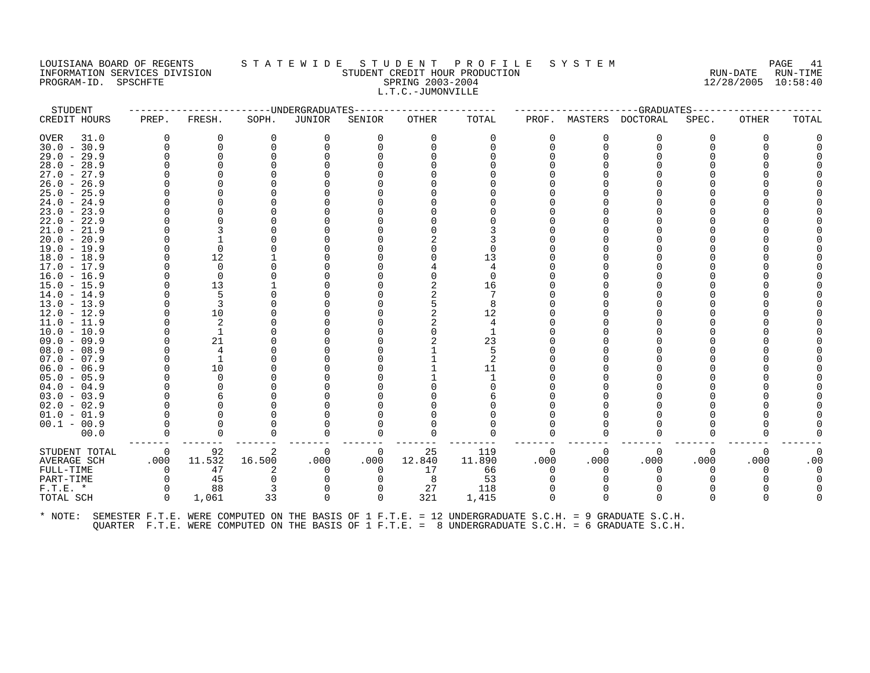# LOUISIANA BOARD OF REGENTS STATEWIDE STUDENT PROFILE SYSTEM PAGE 41 INFORMATION SERVICES DIVISION STUDENT CREDIT HOUR PRODUCTION RUN-DATE RUN-TIME PROGRAM-ID. SPSCHFTE SPRING 2003-2004 12/28/2005 10:58:40 L.T.C.-JUMONVILLE

| FRESH.<br>JUNIOR<br>TOTAL<br>PROF. MASTERS DOCTORAL<br>TOTAL<br>PREP.<br>SOPH.<br>SENIOR<br>OTHER<br>SPEC.<br>OTHER<br>31.0<br>$\Omega$<br>$\Omega$<br>$\Omega$<br>0<br>$\Omega$<br>0<br>$\Omega$<br>0<br>$\Omega$<br>$\Omega$<br>$\Omega$<br>$\Omega$<br>$\Omega$<br>0<br>∩<br>$\Omega$<br>$\Omega$<br>$\Omega$<br>∩<br>∩<br>$\Omega$<br>$\Omega$<br>∩<br>$26.0 - 26.9$<br>$25.0 - 25.9$<br>$24.0 - 24.9$<br>$23.0 - 23.9$<br>$22.0 - 22.9$<br>$21.0 - 21.9$<br>$20.0 - 20.9$<br>$19.0 - 19.9$<br>$\Omega$<br>$18.0 - 18.9$<br>12<br>13<br>$17.0 - 17.9$<br>$\Omega$<br>$16.0 - 16.9$<br>$\Omega$<br>$\Omega$<br>$15.0 - 15.9$<br>13<br>16<br>$14.0 - 14.9$<br>.5<br>$13.0 - 13.9$<br>8<br>12<br>$12.0 - 12.9$<br>10<br>2<br>4<br>21<br>23<br>$08.0 - 08.9$<br>$\overline{4}$<br>.5<br>10<br>11<br>$\Omega$<br>00.0<br>$\Omega$<br>$\Omega$<br><sup>0</sup><br>$\Omega$<br>O<br>O<br>O<br>O<br>92<br>119<br>2<br>0<br>25<br>0<br>0<br>0<br>0<br>$\Omega$<br>0<br>16.500<br>.000<br>11.532<br>.000<br>.000<br>12.840<br>11.890<br>.000<br>.000<br>.000<br>.000<br>.000<br>.00<br>47<br>17<br>$\Omega$<br>$\Omega$<br>66<br>$\Omega$<br>0<br>$\Omega$<br>53<br>45<br>-8<br>$\Omega$<br>$\Omega$<br>$\Omega$<br>$\Omega$<br>88<br>27<br>118<br>$\Omega$<br>3<br>33<br>321<br>$\Omega$<br>1,061<br>$\mathbf 0$<br>1,415<br>0<br>$\Omega$<br>$\Omega$<br>$\Omega$<br>0 | STUDENT       |  | -------------DNDERGRADUATES- |  |  |  | ------------GRADUATES---- |  |  |
|--------------------------------------------------------------------------------------------------------------------------------------------------------------------------------------------------------------------------------------------------------------------------------------------------------------------------------------------------------------------------------------------------------------------------------------------------------------------------------------------------------------------------------------------------------------------------------------------------------------------------------------------------------------------------------------------------------------------------------------------------------------------------------------------------------------------------------------------------------------------------------------------------------------------------------------------------------------------------------------------------------------------------------------------------------------------------------------------------------------------------------------------------------------------------------------------------------------------------------------------------------------------------------------------------------------------------------------------------------------------|---------------|--|------------------------------|--|--|--|---------------------------|--|--|
|                                                                                                                                                                                                                                                                                                                                                                                                                                                                                                                                                                                                                                                                                                                                                                                                                                                                                                                                                                                                                                                                                                                                                                                                                                                                                                                                                                    | CREDIT HOURS  |  |                              |  |  |  |                           |  |  |
|                                                                                                                                                                                                                                                                                                                                                                                                                                                                                                                                                                                                                                                                                                                                                                                                                                                                                                                                                                                                                                                                                                                                                                                                                                                                                                                                                                    | OVER          |  |                              |  |  |  |                           |  |  |
|                                                                                                                                                                                                                                                                                                                                                                                                                                                                                                                                                                                                                                                                                                                                                                                                                                                                                                                                                                                                                                                                                                                                                                                                                                                                                                                                                                    | $30.0 - 30.9$ |  |                              |  |  |  |                           |  |  |
|                                                                                                                                                                                                                                                                                                                                                                                                                                                                                                                                                                                                                                                                                                                                                                                                                                                                                                                                                                                                                                                                                                                                                                                                                                                                                                                                                                    | $29.0 - 29.9$ |  |                              |  |  |  |                           |  |  |
|                                                                                                                                                                                                                                                                                                                                                                                                                                                                                                                                                                                                                                                                                                                                                                                                                                                                                                                                                                                                                                                                                                                                                                                                                                                                                                                                                                    | $28.0 - 28.9$ |  |                              |  |  |  |                           |  |  |
|                                                                                                                                                                                                                                                                                                                                                                                                                                                                                                                                                                                                                                                                                                                                                                                                                                                                                                                                                                                                                                                                                                                                                                                                                                                                                                                                                                    | $27.0 - 27.9$ |  |                              |  |  |  |                           |  |  |
|                                                                                                                                                                                                                                                                                                                                                                                                                                                                                                                                                                                                                                                                                                                                                                                                                                                                                                                                                                                                                                                                                                                                                                                                                                                                                                                                                                    |               |  |                              |  |  |  |                           |  |  |
|                                                                                                                                                                                                                                                                                                                                                                                                                                                                                                                                                                                                                                                                                                                                                                                                                                                                                                                                                                                                                                                                                                                                                                                                                                                                                                                                                                    |               |  |                              |  |  |  |                           |  |  |
|                                                                                                                                                                                                                                                                                                                                                                                                                                                                                                                                                                                                                                                                                                                                                                                                                                                                                                                                                                                                                                                                                                                                                                                                                                                                                                                                                                    |               |  |                              |  |  |  |                           |  |  |
|                                                                                                                                                                                                                                                                                                                                                                                                                                                                                                                                                                                                                                                                                                                                                                                                                                                                                                                                                                                                                                                                                                                                                                                                                                                                                                                                                                    |               |  |                              |  |  |  |                           |  |  |
|                                                                                                                                                                                                                                                                                                                                                                                                                                                                                                                                                                                                                                                                                                                                                                                                                                                                                                                                                                                                                                                                                                                                                                                                                                                                                                                                                                    |               |  |                              |  |  |  |                           |  |  |
|                                                                                                                                                                                                                                                                                                                                                                                                                                                                                                                                                                                                                                                                                                                                                                                                                                                                                                                                                                                                                                                                                                                                                                                                                                                                                                                                                                    |               |  |                              |  |  |  |                           |  |  |
|                                                                                                                                                                                                                                                                                                                                                                                                                                                                                                                                                                                                                                                                                                                                                                                                                                                                                                                                                                                                                                                                                                                                                                                                                                                                                                                                                                    |               |  |                              |  |  |  |                           |  |  |
|                                                                                                                                                                                                                                                                                                                                                                                                                                                                                                                                                                                                                                                                                                                                                                                                                                                                                                                                                                                                                                                                                                                                                                                                                                                                                                                                                                    |               |  |                              |  |  |  |                           |  |  |
|                                                                                                                                                                                                                                                                                                                                                                                                                                                                                                                                                                                                                                                                                                                                                                                                                                                                                                                                                                                                                                                                                                                                                                                                                                                                                                                                                                    |               |  |                              |  |  |  |                           |  |  |
|                                                                                                                                                                                                                                                                                                                                                                                                                                                                                                                                                                                                                                                                                                                                                                                                                                                                                                                                                                                                                                                                                                                                                                                                                                                                                                                                                                    |               |  |                              |  |  |  |                           |  |  |
|                                                                                                                                                                                                                                                                                                                                                                                                                                                                                                                                                                                                                                                                                                                                                                                                                                                                                                                                                                                                                                                                                                                                                                                                                                                                                                                                                                    |               |  |                              |  |  |  |                           |  |  |
|                                                                                                                                                                                                                                                                                                                                                                                                                                                                                                                                                                                                                                                                                                                                                                                                                                                                                                                                                                                                                                                                                                                                                                                                                                                                                                                                                                    |               |  |                              |  |  |  |                           |  |  |
|                                                                                                                                                                                                                                                                                                                                                                                                                                                                                                                                                                                                                                                                                                                                                                                                                                                                                                                                                                                                                                                                                                                                                                                                                                                                                                                                                                    |               |  |                              |  |  |  |                           |  |  |
|                                                                                                                                                                                                                                                                                                                                                                                                                                                                                                                                                                                                                                                                                                                                                                                                                                                                                                                                                                                                                                                                                                                                                                                                                                                                                                                                                                    |               |  |                              |  |  |  |                           |  |  |
|                                                                                                                                                                                                                                                                                                                                                                                                                                                                                                                                                                                                                                                                                                                                                                                                                                                                                                                                                                                                                                                                                                                                                                                                                                                                                                                                                                    |               |  |                              |  |  |  |                           |  |  |
|                                                                                                                                                                                                                                                                                                                                                                                                                                                                                                                                                                                                                                                                                                                                                                                                                                                                                                                                                                                                                                                                                                                                                                                                                                                                                                                                                                    | $11.0 - 11.9$ |  |                              |  |  |  |                           |  |  |
|                                                                                                                                                                                                                                                                                                                                                                                                                                                                                                                                                                                                                                                                                                                                                                                                                                                                                                                                                                                                                                                                                                                                                                                                                                                                                                                                                                    | $10.0 - 10.9$ |  |                              |  |  |  |                           |  |  |
|                                                                                                                                                                                                                                                                                                                                                                                                                                                                                                                                                                                                                                                                                                                                                                                                                                                                                                                                                                                                                                                                                                                                                                                                                                                                                                                                                                    | $09.0 - 09.9$ |  |                              |  |  |  |                           |  |  |
|                                                                                                                                                                                                                                                                                                                                                                                                                                                                                                                                                                                                                                                                                                                                                                                                                                                                                                                                                                                                                                                                                                                                                                                                                                                                                                                                                                    |               |  |                              |  |  |  |                           |  |  |
|                                                                                                                                                                                                                                                                                                                                                                                                                                                                                                                                                                                                                                                                                                                                                                                                                                                                                                                                                                                                                                                                                                                                                                                                                                                                                                                                                                    | $07.0 - 07.9$ |  |                              |  |  |  |                           |  |  |
|                                                                                                                                                                                                                                                                                                                                                                                                                                                                                                                                                                                                                                                                                                                                                                                                                                                                                                                                                                                                                                                                                                                                                                                                                                                                                                                                                                    | $06.0 - 06.9$ |  |                              |  |  |  |                           |  |  |
|                                                                                                                                                                                                                                                                                                                                                                                                                                                                                                                                                                                                                                                                                                                                                                                                                                                                                                                                                                                                                                                                                                                                                                                                                                                                                                                                                                    | $05.0 - 05.9$ |  |                              |  |  |  |                           |  |  |
|                                                                                                                                                                                                                                                                                                                                                                                                                                                                                                                                                                                                                                                                                                                                                                                                                                                                                                                                                                                                                                                                                                                                                                                                                                                                                                                                                                    | $04.0 - 04.9$ |  |                              |  |  |  |                           |  |  |
|                                                                                                                                                                                                                                                                                                                                                                                                                                                                                                                                                                                                                                                                                                                                                                                                                                                                                                                                                                                                                                                                                                                                                                                                                                                                                                                                                                    | $03.0 - 03.9$ |  |                              |  |  |  |                           |  |  |
|                                                                                                                                                                                                                                                                                                                                                                                                                                                                                                                                                                                                                                                                                                                                                                                                                                                                                                                                                                                                                                                                                                                                                                                                                                                                                                                                                                    | $02.0 - 02.9$ |  |                              |  |  |  |                           |  |  |
|                                                                                                                                                                                                                                                                                                                                                                                                                                                                                                                                                                                                                                                                                                                                                                                                                                                                                                                                                                                                                                                                                                                                                                                                                                                                                                                                                                    | $01.0 - 01.9$ |  |                              |  |  |  |                           |  |  |
|                                                                                                                                                                                                                                                                                                                                                                                                                                                                                                                                                                                                                                                                                                                                                                                                                                                                                                                                                                                                                                                                                                                                                                                                                                                                                                                                                                    | $00.1 - 00.9$ |  |                              |  |  |  |                           |  |  |
|                                                                                                                                                                                                                                                                                                                                                                                                                                                                                                                                                                                                                                                                                                                                                                                                                                                                                                                                                                                                                                                                                                                                                                                                                                                                                                                                                                    |               |  |                              |  |  |  |                           |  |  |
|                                                                                                                                                                                                                                                                                                                                                                                                                                                                                                                                                                                                                                                                                                                                                                                                                                                                                                                                                                                                                                                                                                                                                                                                                                                                                                                                                                    | STUDENT TOTAL |  |                              |  |  |  |                           |  |  |
|                                                                                                                                                                                                                                                                                                                                                                                                                                                                                                                                                                                                                                                                                                                                                                                                                                                                                                                                                                                                                                                                                                                                                                                                                                                                                                                                                                    | AVERAGE SCH   |  |                              |  |  |  |                           |  |  |
|                                                                                                                                                                                                                                                                                                                                                                                                                                                                                                                                                                                                                                                                                                                                                                                                                                                                                                                                                                                                                                                                                                                                                                                                                                                                                                                                                                    | FULL-TIME     |  |                              |  |  |  |                           |  |  |
|                                                                                                                                                                                                                                                                                                                                                                                                                                                                                                                                                                                                                                                                                                                                                                                                                                                                                                                                                                                                                                                                                                                                                                                                                                                                                                                                                                    | PART-TIME     |  |                              |  |  |  |                           |  |  |
|                                                                                                                                                                                                                                                                                                                                                                                                                                                                                                                                                                                                                                                                                                                                                                                                                                                                                                                                                                                                                                                                                                                                                                                                                                                                                                                                                                    | $F.T.E. *$    |  |                              |  |  |  |                           |  |  |
|                                                                                                                                                                                                                                                                                                                                                                                                                                                                                                                                                                                                                                                                                                                                                                                                                                                                                                                                                                                                                                                                                                                                                                                                                                                                                                                                                                    | TOTAL SCH     |  |                              |  |  |  |                           |  |  |
|                                                                                                                                                                                                                                                                                                                                                                                                                                                                                                                                                                                                                                                                                                                                                                                                                                                                                                                                                                                                                                                                                                                                                                                                                                                                                                                                                                    |               |  |                              |  |  |  |                           |  |  |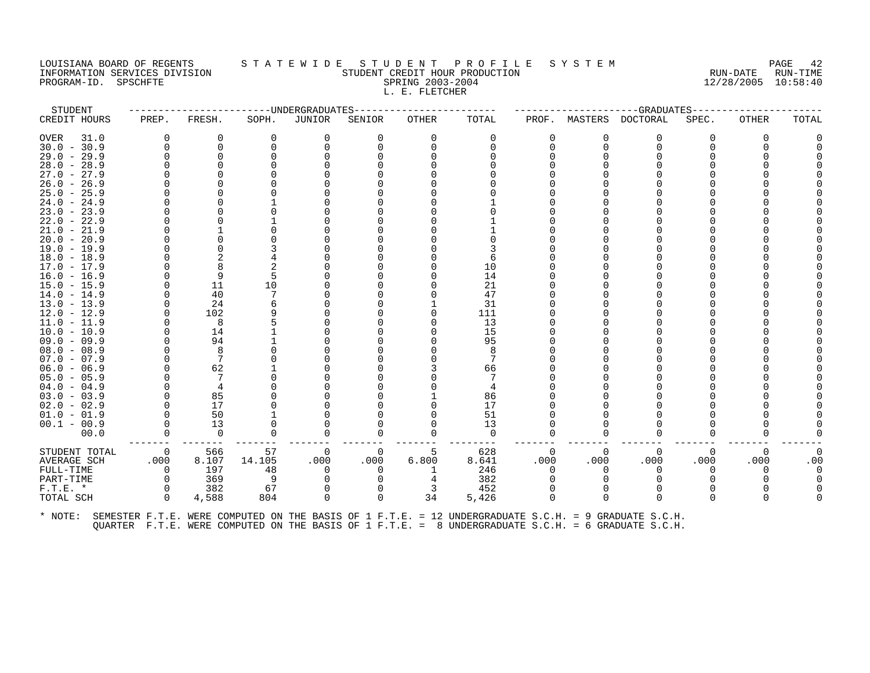## LOUISIANA BOARD OF REGENTS STATEWIDE STUDENT PROFILE SYSTEM PAGE 42<br>INFORMATION SERVICES DIVISION STATEWIST STUDENT CREDIT HOUR PRODUCTION FOR THE RUN-DATE RUN-TIME INFORMATION SERVICES DIVISION STUDENT CREDIT HOUR PRODUCTION RUN-DATE RUN-TIME PROGRAM-ID. SPSCHFTE SERIES SPRING 2003-2004 L. E. FLETCHER

STUDENT ------------------------UNDERGRADUATES------------------------ ---------------------GRADUATES----------------------

| CREDIT HOURS  | PREP.    | FRESH.   | SOPH.  | JUNIOR   | SENIOR | OTHER | TOTAL       | PROF.    | MASTERS  | DOCTORAL | SPEC. | OTHER        | TOTAL |
|---------------|----------|----------|--------|----------|--------|-------|-------------|----------|----------|----------|-------|--------------|-------|
| OVER<br>31.0  | $\Omega$ | $\Omega$ | 0      | 0        | O      | 0     | 0           | 0        | 0        | $\Omega$ | O     | $\Omega$     |       |
| $30.0 - 30.9$ | 0        | 0        |        |          |        |       | $\Omega$    | O        | $\Omega$ | $\Omega$ |       |              |       |
| $29.0 - 29.9$ | U        |          |        |          |        |       |             |          |          |          |       |              |       |
| $28.0 - 28.9$ |          |          |        |          |        |       |             |          |          |          |       |              |       |
| $27.0 - 27.9$ |          |          |        |          |        |       |             |          |          |          |       |              |       |
| $26.0 - 26.9$ |          |          |        |          |        |       |             |          |          |          |       |              |       |
| $25.0 - 25.9$ |          |          |        |          |        |       |             |          |          |          |       |              |       |
| $24.0 - 24.9$ |          |          |        |          |        |       |             |          |          |          |       |              |       |
| $23.0 - 23.9$ |          |          |        |          |        |       |             |          |          |          |       |              |       |
| $22.0 - 22.9$ |          |          |        |          |        |       |             |          |          |          |       |              |       |
| $21.0 - 21.9$ |          |          |        |          |        |       |             |          |          |          |       |              |       |
| $20.0 - 20.9$ |          |          |        |          |        |       |             |          |          |          |       |              |       |
| $19.0 - 19.9$ |          |          |        |          |        |       |             |          |          |          |       |              |       |
| $18.0 - 18.9$ |          |          |        |          |        |       |             |          |          |          |       |              |       |
| $17.0 - 17.9$ |          |          |        |          |        |       | 10          |          |          |          |       |              |       |
| $16.0 - 16.9$ |          | 9        |        |          |        |       | 14          |          |          |          |       |              |       |
| $15.0 - 15.9$ |          | 11       | 10     |          |        |       | 21          |          |          |          |       |              |       |
| $14.0 - 14.9$ |          | 40       |        |          |        |       | 47          |          |          |          |       |              |       |
| $13.0 - 13.9$ |          | 24       |        |          |        |       | 31          |          |          |          |       |              |       |
| $12.0 - 12.9$ |          | 102      |        |          |        |       | 111         |          |          |          |       |              |       |
| $11.0 - 11.9$ |          | 8        |        |          |        |       | 13          |          |          |          |       |              |       |
| $10.0 - 10.9$ |          | 14       |        |          |        |       | 15          |          |          |          |       |              |       |
| $09.0 - 09.9$ |          | 94       |        |          |        |       | 95          |          |          |          |       |              |       |
| $08.0 - 08.9$ |          | 8        |        |          |        |       |             |          |          |          |       |              |       |
| $07.0 - 07.9$ |          | 7        |        |          |        |       |             |          |          |          |       |              |       |
| $06.0 - 06.9$ | O        | 62       |        |          |        |       | 66          |          |          |          |       |              |       |
| $05.0 - 05.9$ |          |          |        |          |        |       |             |          |          |          |       |              |       |
| $04.0 - 04.9$ |          | 4        |        |          |        |       |             |          |          |          |       |              |       |
| $03.0 - 03.9$ |          | 85       |        |          |        |       | 86          |          |          |          |       |              |       |
| $02.0 - 02.9$ | $\Omega$ | 17       |        |          |        |       | 17          |          |          |          |       |              |       |
| $01.0 - 01.9$ |          | 50       |        |          |        |       | 51          |          |          |          |       |              |       |
|               | $\Omega$ | 13       |        |          |        |       | 13          |          |          |          |       |              |       |
| $00.1 - 00.9$ |          |          |        |          |        |       |             |          |          |          |       |              |       |
| 00.0          | 0        | 0        |        |          |        |       | $\mathbf 0$ | O        |          | 0        |       |              |       |
| STUDENT TOTAL | 0        | 566      | 57     | 0        | 0      | 5     | 628         | 0        | $\Omega$ | 0        | 0     | 0            |       |
| AVERAGE SCH   | .000     | 8.107    | 14.105 | .000     | .000   | 6.800 | 8.641       | .000     | .000     | .000     | .000  | .000         | .00   |
| FULL-TIME     | $\Omega$ | 197      | 48     |          | 0      |       | 246         | $\Omega$ | ∩        | $\Omega$ |       | <sup>0</sup> |       |
| PART-TIME     | $\Omega$ | 369      | 9      |          |        |       | 382         |          |          |          |       |              |       |
| $F.T.E. *$    | $\Omega$ | 382      | 67     |          |        | 3     | 452         |          |          |          |       |              |       |
| TOTAL SCH     | $\Omega$ | 4,588    | 804    | $\Omega$ | 0      | 34    | 5,426       | 0        | O        | $\Omega$ | O     | ∩            |       |
|               |          |          |        |          |        |       |             |          |          |          |       |              |       |
|               |          |          |        |          |        |       |             |          |          |          |       |              |       |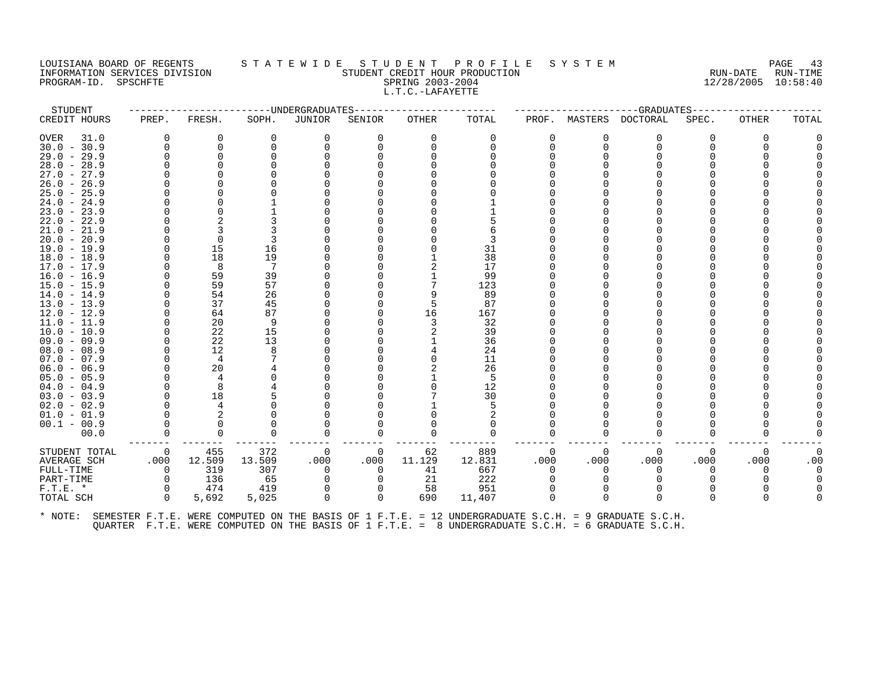# LOUISIANA BOARD OF REGENTS STATEWIDE STUDENT PROFILE SYSTEM PAGE 43<br>INFORMATION SERVICES DIVISION STUDENT CREDIT HOUR PRODUCTION PROFIT (1919/2005 1919/2006 19159140 THE STUDENT CREDIT HOUR PRODUCTION SERVICES AND SERVICES ON SERVICES SERVICES SERVICES SERVICES SERVICES SERVICES SERVICES SERVICES SERVICES SERVICES SERVICES SERVICES SERVICES SERVICES SERVICES SERVICES SERVICES SERVICES PROGRAM-ID. SPSCHFTE SPRING 2003-2004 L.T.C.-LAFAYETTE

| STUDENT                        |          |                      | --------------------UNDERGRADUATES |          |          |          |          |          |              | ------------GRADUATES                                                                                |          |       |       |
|--------------------------------|----------|----------------------|------------------------------------|----------|----------|----------|----------|----------|--------------|------------------------------------------------------------------------------------------------------|----------|-------|-------|
| CREDIT HOURS                   | PREP.    | FRESH.               | SOPH.                              | JUNIOR   | SENIOR   | OTHER    | TOTAL    | PROF.    | MASTERS      | DOCTORAL                                                                                             | SPEC.    | OTHER | TOTAL |
| <b>OVER</b><br>31.0            |          | $\Omega$             | 0                                  | $\Omega$ | $\Omega$ | $\Omega$ | 0        | $\Omega$ | 0            | 0                                                                                                    | O        | 0     |       |
| $30.0 - 30.9$                  |          | 0                    | $\Omega$                           | $\Omega$ | 0        | $\Omega$ | O        | U        | $\Omega$     | 0                                                                                                    |          |       |       |
| $29.0 - 29.9$                  |          | 0                    |                                    |          |          |          |          |          |              |                                                                                                      |          |       |       |
| $28.0 - 28.9$                  |          |                      |                                    |          |          |          |          |          |              |                                                                                                      |          |       |       |
| $27.0 - 27.9$                  |          |                      |                                    |          |          |          |          |          |              |                                                                                                      |          |       |       |
| $26.0 - 26.9$                  |          |                      |                                    |          |          |          |          |          |              |                                                                                                      |          |       |       |
| $25.0 - 25.9$                  |          |                      |                                    |          |          |          |          |          |              |                                                                                                      |          |       |       |
| $24.0 - 24.9$                  |          |                      |                                    |          |          |          |          |          |              |                                                                                                      |          |       |       |
| 23.9<br>$23.0 -$               |          |                      |                                    |          |          |          |          |          |              |                                                                                                      |          |       |       |
| $22.0 - 22.9$                  |          |                      |                                    |          |          |          |          |          |              |                                                                                                      |          |       |       |
| $21.0 - 21.9$                  |          |                      |                                    |          |          |          |          |          |              |                                                                                                      |          |       |       |
| $20.0 - 20.9$                  |          | $\Omega$             |                                    |          |          |          |          |          |              |                                                                                                      |          |       |       |
| $19.0 - 19.9$                  |          | 15                   | 16                                 |          |          |          | 31       |          |              |                                                                                                      |          |       |       |
| $18.0 - 18.9$                  |          | 18                   | 19                                 |          |          |          | 38       |          |              |                                                                                                      |          |       |       |
| $17.0 - 17.9$                  |          | 8                    | 7                                  |          |          |          | 17       |          |              |                                                                                                      |          |       |       |
| $16.0 - 16.9$                  |          | 59                   | 39                                 |          |          |          | 99       |          |              |                                                                                                      |          |       |       |
| $15.0 - 15.9$                  |          | 59                   | 57                                 |          |          |          | 123      |          |              |                                                                                                      |          |       |       |
| $14.0 - 14.9$                  |          | 54                   | 26                                 |          |          |          | 89       |          |              |                                                                                                      |          |       |       |
| $13.0 - 13.9$                  |          | 37                   | 45                                 |          |          |          | 87       |          |              |                                                                                                      |          |       |       |
| $12.0 - 12.9$                  |          | 64                   | 87                                 |          |          | 16       | 167      |          |              |                                                                                                      |          |       |       |
| $11.0 - 11.9$                  |          | 20                   | 9                                  |          |          |          | 32       |          |              |                                                                                                      |          |       |       |
| $10.0 - 10.9$                  |          | 22                   | 15                                 |          |          |          | 39       |          |              |                                                                                                      |          |       |       |
| $09.0 - 09.9$                  |          | 22                   | 13                                 |          |          |          | 36       |          |              |                                                                                                      |          |       |       |
| $08.0 - 08.9$<br>$07.0 - 07.9$ |          | 12<br>$\overline{4}$ |                                    |          |          |          | 24<br>11 |          |              |                                                                                                      |          |       |       |
| $06.0 - 06.9$                  |          | 20                   |                                    |          |          |          | 26       |          |              |                                                                                                      |          |       |       |
| $05.0 - 05.9$                  |          | 4                    |                                    |          |          |          | 5        |          |              |                                                                                                      |          |       |       |
| $04.0 - 04.9$                  |          | 8                    |                                    |          |          |          | 12       |          |              |                                                                                                      |          |       |       |
| $03.0 - 03.9$                  |          | 18                   |                                    |          |          |          | 30       |          |              |                                                                                                      |          |       |       |
| $02.0 - 02.9$                  |          | 4                    |                                    |          |          |          | 5        |          |              |                                                                                                      |          |       |       |
| $01.0 - 01.9$                  |          | 2                    |                                    |          |          |          |          |          |              |                                                                                                      |          |       |       |
| $00.1 - 00.9$                  |          | $\Omega$             |                                    |          |          |          | 0        |          |              |                                                                                                      |          |       |       |
| 00.0                           |          | $\Omega$             | 0                                  |          |          |          | $\Omega$ |          | <sup>0</sup> | $\Omega$                                                                                             |          |       |       |
|                                |          |                      |                                    |          |          |          |          |          |              |                                                                                                      |          |       |       |
| STUDENT TOTAL                  | 0        | 455                  | 372                                | 0        | 0        | 62       | 889      | 0        | 0            | 0                                                                                                    | $\Omega$ | 0     |       |
| AVERAGE SCH                    | .000     | 12.509               | 13.509                             | .000     | .000     | 11.129   | 12.831   | .000     | .000         | .000                                                                                                 | .000     | .000  | .00   |
| FULL-TIME                      | $\Omega$ | 319                  | 307                                |          | 0        | 41       | 667      |          | O            | 0                                                                                                    |          | 0     |       |
| PART-TIME                      |          | 136                  | 65                                 |          | $\Omega$ | 21       | 222      |          |              |                                                                                                      |          |       |       |
| $F.T.E.$ *                     |          | 474                  | 419                                |          |          | 58       | 951      |          |              |                                                                                                      |          |       |       |
| TOTAL SCH                      | $\Omega$ | 5,692                | 5,025                              | $\Omega$ | $\Omega$ | 690      | 11,407   | $\Omega$ | $\Omega$     | $\Omega$                                                                                             |          |       |       |
|                                |          |                      |                                    |          |          |          |          |          |              |                                                                                                      |          |       |       |
| $*$ NOTE:                      |          |                      |                                    |          |          |          |          |          |              | SEMESTER F.T.E. WERE COMPUTED ON THE BASIS OF 1 F.T.E. = 12 UNDERGRADUATE S.C.H. = 9 GRADUATE S.C.H. |          |       |       |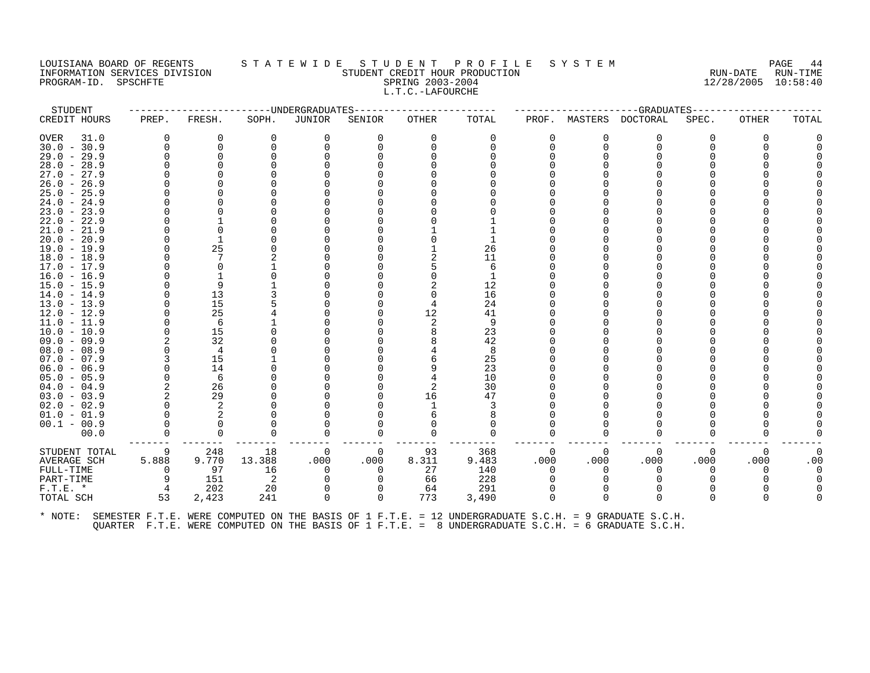#### LOUISIANA BOARD OF REGENTS STATEWIDE STUDENT PROFILE SYSTEM PAGE 44 INFORMATION SERVICES DIVISION STUDENT CREDIT HOUR PRODUCTION RUN-DATE RUN-TIME PROGRAM-ID. SPSCHFTE SPRING 2003-2004 12/28/2005 10:58:40 L.T.C.-LAFOURCHE

| STUDENT                        |          |          | ---------------WNDERGRADUATES- |          |          |          |          |              |          | -----------------GRADUATES-----                                                                      |       |              |          |
|--------------------------------|----------|----------|--------------------------------|----------|----------|----------|----------|--------------|----------|------------------------------------------------------------------------------------------------------|-------|--------------|----------|
| CREDIT HOURS                   | PREP.    | FRESH.   | SOPH.                          | JUNIOR   | SENIOR   | OTHER    | TOTAL    | PROF.        | MASTERS  | DOCTORAL                                                                                             | SPEC. | OTHER        | TOTAL    |
| OVER<br>31.0                   | $\Omega$ | $\Omega$ | $\Omega$                       | $\Omega$ | $\Omega$ | $\Omega$ | $\Omega$ | 0            | $\Omega$ | 0                                                                                                    | O     | 0            |          |
| $30.0 - 30.9$                  |          | 0        |                                | $\Omega$ |          | $\cap$   | $\Omega$ | <sup>n</sup> | $\Omega$ | $\Omega$                                                                                             |       |              |          |
| $29.0 - 29.9$                  |          |          |                                |          |          |          |          |              |          | ∩                                                                                                    |       |              |          |
| $28.0 - 28.9$                  |          |          |                                |          |          |          |          |              |          |                                                                                                      |       |              |          |
| $27.0 - 27.9$                  |          |          |                                |          |          |          |          |              |          |                                                                                                      |       |              |          |
| $26.0 - 26.9$                  |          |          |                                |          |          |          |          |              |          |                                                                                                      |       |              |          |
| $25.0 - 25.9$                  |          |          |                                |          |          |          |          |              |          |                                                                                                      |       |              |          |
| $24.0 - 24.9$                  |          |          |                                |          |          |          |          |              |          |                                                                                                      |       |              |          |
| $23.0 - 23.9$                  |          |          |                                |          |          |          |          |              |          |                                                                                                      |       |              |          |
| $22.0 - 22.9$                  |          |          |                                |          |          |          |          |              |          |                                                                                                      |       |              |          |
| $21.0 - 21.9$                  |          |          |                                |          |          |          |          |              |          |                                                                                                      |       |              |          |
| $20.0 - 20.9$                  |          |          |                                |          |          |          |          |              |          |                                                                                                      |       |              |          |
| $19.0 - 19.9$                  |          | 25       |                                |          |          |          | 26       |              |          |                                                                                                      |       |              |          |
| $18.0 - 18.9$                  |          |          |                                |          |          |          | 11       |              |          |                                                                                                      |       |              |          |
| $17.0 - 17.9$                  |          |          |                                |          |          |          | 6        |              |          |                                                                                                      |       |              |          |
| $16.0 - 16.9$                  |          |          |                                |          |          |          |          |              |          |                                                                                                      |       |              |          |
| $15.0 - 15.9$                  |          | 9        |                                |          |          |          | 12       |              |          |                                                                                                      |       |              |          |
| $14.0 - 14.9$                  |          | 13       |                                |          |          |          | 16       |              |          |                                                                                                      |       |              |          |
| $13.0 - 13.9$                  |          | 15       |                                |          |          |          | 24       |              |          |                                                                                                      |       |              |          |
| $12.0 - 12.9$                  |          | 25       |                                |          |          | 12       | 41       |              |          |                                                                                                      |       |              |          |
| $11.0 - 11.9$                  |          | 6        |                                |          |          |          | 9        |              |          |                                                                                                      |       |              |          |
| $10.0 - 10.9$                  |          | 15       |                                |          |          |          | 23       |              |          |                                                                                                      |       |              |          |
| $09.0 - 09.9$                  |          | 32       |                                |          |          |          | 42       |              |          |                                                                                                      |       |              |          |
| $08.0 - 08.9$                  |          | 4        |                                |          |          |          | 8        |              |          |                                                                                                      |       |              |          |
| $07.0 - 07.9$                  |          | 15       |                                |          |          |          | 25       |              |          |                                                                                                      |       |              |          |
| $06.0 - 06.9$                  |          | 14       |                                |          |          |          | 23       |              |          |                                                                                                      |       |              |          |
| $05.0 - 05.9$                  |          | 6        |                                |          |          |          | 10<br>30 |              |          |                                                                                                      |       |              |          |
| $04.0 - 04.9$<br>$03.0 - 03.9$ |          | 26<br>29 |                                |          |          | 16       |          |              |          |                                                                                                      |       |              |          |
| $02.0 - 02.9$                  |          | 2        |                                |          |          |          | 47       |              |          |                                                                                                      |       |              |          |
| $01.0 - 01.9$                  |          | 2        |                                |          |          |          |          |              |          |                                                                                                      |       |              |          |
| $00.1 - 00.9$                  |          |          |                                |          |          |          |          |              |          |                                                                                                      |       |              |          |
| 00.0                           |          | $\Omega$ | <sup>0</sup>                   | U        |          |          |          |              | ∩        |                                                                                                      |       |              |          |
|                                |          |          |                                |          |          |          |          |              |          |                                                                                                      |       |              |          |
| STUDENT TOTAL                  | 9        | 248      | 18                             | 0        | 0        | 93       | 368      | 0            | $\Omega$ | $\Omega$                                                                                             | 0     | 0            | $\Omega$ |
| <b>AVERAGE SCH</b>             | 5.888    | 9.770    | 13.388                         | .000     | .000     | 8.311    | 9.483    | .000         | .000     | .000                                                                                                 | .000  | .000         | .00      |
| FULL-TIME                      |          | 97       | 16                             | $\Omega$ | $\Omega$ | 27       | 140      | $\Omega$     | $\Omega$ | $\Omega$                                                                                             |       | <sup>0</sup> |          |
| PART-TIME                      | 9        | 151      | 2                              |          |          | 66       | 228      |              |          |                                                                                                      |       |              |          |
| $F.T.E.$ *                     |          | 202      | 20                             | 0        |          | 64       | 291      | 0            |          | $\Omega$                                                                                             |       |              |          |
| TOTAL SCH                      | 53       | 2,423    | 241                            | $\Omega$ | $\Omega$ | 773      | 3,490    | $\Omega$     | $\Omega$ | $\Omega$                                                                                             |       |              |          |
| * NOTE:                        |          |          |                                |          |          |          |          |              |          | SEMESTER F.T.E. WERE COMPUTED ON THE BASIS OF 1 F.T.E. = 12 UNDERGRADUATE S.C.H. = 9 GRADUATE S.C.H. |       |              |          |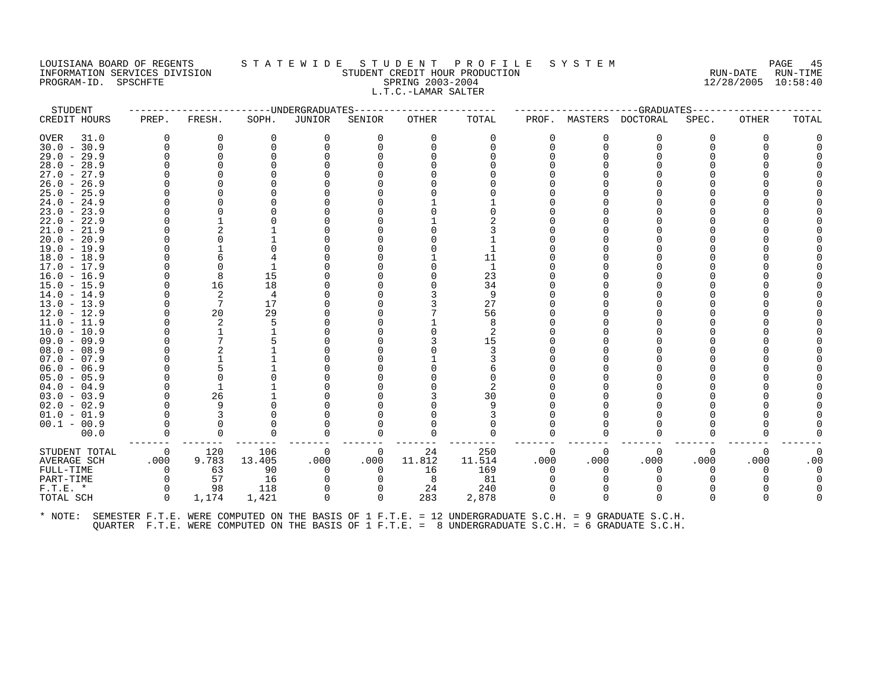# LOUISIANA BOARD OF REGENTS STATEWIDE STUDENT PROFILE SYSTEM NAGE 45 INFORMATION SERVICES DIVISION STUDENT CREDIT HOUR PRODUCTION RUN-DATE RUN-TIME PROGRAM-ID. SPSCHFTE SPRING 2003-2004 12/28/2005 10:58:40 L.T.C.-LAMAR SALTER

STUDENT ------------------------UNDERGRADUATES------------------------ ---------------------GRADUATES----------------------

| CREDIT HOURS              | PREP.       | FRESH.   | SOPH.  | JUNIOR      | SENIOR   | OTHER    | TOTAL                                                                                                | PROF.        | MASTERS     | DOCTORAL    | SPEC.    | OTHER        | TOTAL |
|---------------------------|-------------|----------|--------|-------------|----------|----------|------------------------------------------------------------------------------------------------------|--------------|-------------|-------------|----------|--------------|-------|
| 31.0<br><b>OVER</b>       | $\Omega$    | $\Omega$ | 0      | 0           | 0        | 0        | 0                                                                                                    | $\Omega$     | 0           | 0           | 0        | $\Omega$     |       |
| $30.0 - 30.9$             |             |          |        | $\Omega$    | $\Omega$ | $\Omega$ | $\Omega$                                                                                             | $\Omega$     | $\Omega$    | $\Omega$    |          |              |       |
| 29.9<br>29.0<br>$\sim$    |             |          |        |             |          |          |                                                                                                      |              |             |             |          |              |       |
| 28.9<br>$28.0 -$          |             |          |        |             |          |          |                                                                                                      |              |             |             |          |              |       |
| 27.9<br>27.0<br>$\sim$    |             |          |        |             |          |          |                                                                                                      |              |             |             |          |              |       |
| $26.0 - 26.9$             |             |          |        |             |          |          |                                                                                                      |              |             |             |          |              |       |
| 25.9<br>$25.0 -$          |             |          |        |             |          |          |                                                                                                      |              |             |             |          |              |       |
| 24.0<br>24.9<br>$\sim$    |             |          |        |             |          |          |                                                                                                      |              |             |             |          |              |       |
| $23.0 - 23.9$             |             |          |        |             |          |          |                                                                                                      |              |             |             |          |              |       |
| 22.0<br>$-22.9$<br>21.9   |             |          |        |             |          |          |                                                                                                      |              |             |             |          |              |       |
| $21.0 -$<br>$20.0 - 20.9$ |             |          |        |             |          |          |                                                                                                      |              |             |             |          |              |       |
| $-19.9$<br>19.0           |             |          |        |             |          |          |                                                                                                      |              |             |             |          |              |       |
| $18.0 - 18.9$             |             |          |        |             |          |          | 11                                                                                                   |              |             |             |          |              |       |
| 17.0<br>$-17.9$           |             |          |        |             |          |          | 1                                                                                                    |              |             |             |          |              |       |
| $16.0 - 16.9$             |             | 8        | 15     |             |          |          | 23                                                                                                   |              |             |             |          |              |       |
| $15.0 - 15.9$             |             | 16       | 18     |             |          |          | 34                                                                                                   |              |             |             |          |              |       |
| $14.0 - 14.9$             |             | 2        | 4      |             |          |          | 9                                                                                                    |              |             |             |          |              |       |
| $-13.9$<br>13.0           |             | 7        | 17     |             |          |          | 27                                                                                                   |              |             |             |          |              |       |
| $12.0 - 12.9$             |             | 20       | 29     |             |          |          | 56                                                                                                   |              |             |             |          |              |       |
| $11.0 - 11.9$             |             | 2        | 5      |             |          |          | 8                                                                                                    |              |             |             |          |              |       |
| $10.0 - 10.9$             |             |          |        |             |          |          | 2                                                                                                    |              |             |             |          |              |       |
| $09.0 - 09.9$             |             |          |        |             |          |          | 15                                                                                                   |              |             |             |          |              |       |
| $08.0 - 08.9$             |             |          |        |             |          |          | 3                                                                                                    |              |             |             |          |              |       |
| $07.0 - 07.9$             |             |          |        |             |          |          |                                                                                                      |              |             |             |          |              |       |
| $06.0 - 06.9$             |             |          |        |             |          |          |                                                                                                      |              |             |             |          |              |       |
| $05.0 - 05.9$             |             |          |        |             |          |          |                                                                                                      |              |             |             |          |              |       |
| $04.0 - 04.9$             |             |          |        |             |          |          | 2                                                                                                    |              |             |             |          |              |       |
| $03.0 - 03.9$             |             | 26       |        |             |          |          | 30                                                                                                   |              |             |             |          |              |       |
| $02.0 - 02.9$             |             | 9        |        |             |          |          | 9                                                                                                    |              |             |             |          |              |       |
| $01.0 - 01.9$             |             |          |        |             |          |          |                                                                                                      |              |             |             |          |              |       |
| $00.1 - 00.9$<br>00.0     |             | $\Omega$ | O      | ∩           |          |          | $\Omega$                                                                                             | $\Omega$     | $\Omega$    | $\Omega$    |          | <sup>0</sup> |       |
|                           | 0           |          |        |             | 0        |          |                                                                                                      |              |             |             |          |              |       |
| STUDENT TOTAL             | $\mathbf 0$ | 120      | 106    | $\mathbf 0$ | 0        | 24       | 250                                                                                                  | 0            | $\mathbf 0$ | $\mathbf 0$ | $\Omega$ | 0            |       |
| <b>AVERAGE SCH</b>        | .000        | 9.783    | 13.405 | .000        | .000     | 11.812   | 11.514                                                                                               | .000         | .000        | .000        | .000     | .000         | .00   |
| FULL-TIME                 | $\Omega$    | 63       | 90     | $\Omega$    | 0        | 16       | 169                                                                                                  | <sup>0</sup> | $\Omega$    | 0           |          | 0            |       |
| PART-TIME                 | $\Omega$    | 57       | 16     | $\Omega$    | $\Omega$ | 8        | 81                                                                                                   | $\Omega$     | ∩           | $\Omega$    |          |              |       |
| $F.T.E.$ *                |             | 98       | 118    | 0           | 0        | 24       | 240                                                                                                  | $\Omega$     |             |             |          |              |       |
| TOTAL SCH                 | $\Omega$    | 1,174    | 1,421  | $\Omega$    | $\Omega$ | 283      | 2,878                                                                                                | $\Omega$     | $\Omega$    | $\Omega$    | $\Omega$ | $\Omega$     |       |
| * NOTE:                   |             |          |        |             |          |          | SEMESTER F.T.E. WERE COMPUTED ON THE BASIS OF 1 F.T.E. = 12 UNDERGRADUATE S.C.H. = 9 GRADUATE S.C.H. |              |             |             |          |              |       |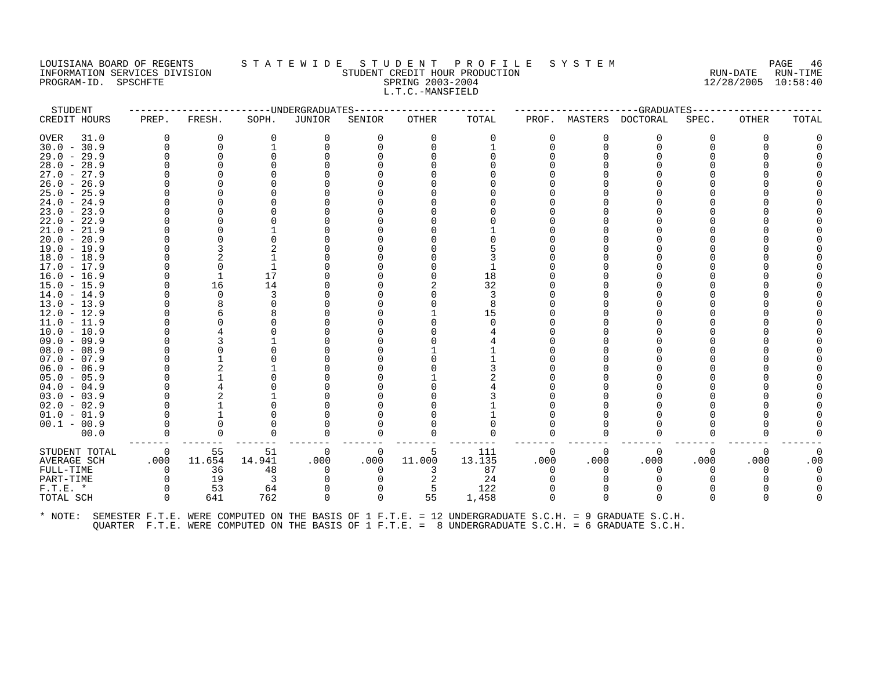# LOUISIANA BOARD OF REGENTS STATEWIDE STUDENT PROFILE SYSTEM NAGE 46 INFORMATION SERVICES DIVISION SUNGLERICAL STUDENT CREDIT HOUR PRODUCTION SERVICHING RUN-DATE RUN-TIME RUN-TIME<br>PROGRAM-ID. SPSCHFTE SERING 2003-2004 SPRING 2003-2004 PROGRAM-ID. SPSCHFTE SERIES SPRING 2003-2004 L.T.C.-MANSFIELD

| STUDENT                        |              |          |          | ---------------UNDERGRADUATES |          |          |                                                                                                      |          |              | -----------------GRADUATES----- |          |       |       |
|--------------------------------|--------------|----------|----------|-------------------------------|----------|----------|------------------------------------------------------------------------------------------------------|----------|--------------|---------------------------------|----------|-------|-------|
| CREDIT HOURS                   | PREP.        | FRESH.   | SOPH.    | JUNIOR                        | SENIOR   | OTHER    | TOTAL                                                                                                | PROF.    |              | MASTERS DOCTORAL                | SPEC.    | OTHER | TOTAL |
| OVER<br>31.0                   | $\Omega$     | 0        | $\Omega$ | 0                             | $\Omega$ | $\Omega$ | 0                                                                                                    | 0        | O            | 0                               | $\Omega$ | 0     |       |
| $30.0 - 30.9$                  |              | 0        |          | $\Omega$                      | ∩        |          |                                                                                                      | $\Omega$ | ∩            | $\Omega$                        |          |       |       |
| $29.0 - 29.9$                  |              |          |          |                               |          |          |                                                                                                      | U        |              | $\Omega$                        |          |       |       |
| $28.0 - 28.9$                  |              |          |          |                               |          |          |                                                                                                      |          |              |                                 |          |       |       |
| $27.0 - 27.9$                  |              |          |          |                               |          |          |                                                                                                      |          |              |                                 |          |       |       |
| $26.0 - 26.9$                  |              |          |          |                               |          |          |                                                                                                      |          |              |                                 |          |       |       |
| $25.0 - 25.9$                  |              |          |          |                               |          |          |                                                                                                      |          |              |                                 |          |       |       |
| $24.0 - 24.9$                  |              |          |          |                               |          |          |                                                                                                      |          |              |                                 |          |       |       |
| $23.0 - 23.9$                  |              |          |          |                               |          |          |                                                                                                      |          |              |                                 |          |       |       |
| $22.0 - 22.9$                  |              |          |          |                               |          |          |                                                                                                      |          |              |                                 |          |       |       |
| $21.0 - 21.9$                  |              |          |          |                               |          |          |                                                                                                      |          |              |                                 |          |       |       |
| $20.0 - 20.9$                  |              |          |          |                               |          |          |                                                                                                      |          |              |                                 |          |       |       |
| $19.0 - 19.9$                  |              |          |          |                               |          |          |                                                                                                      |          |              |                                 |          |       |       |
| $18.0 - 18.9$                  |              |          |          |                               |          |          |                                                                                                      |          |              |                                 |          |       |       |
| $17.0 - 17.9$                  |              |          |          |                               |          |          |                                                                                                      |          |              |                                 |          |       |       |
| $16.0 - 16.9$                  |              |          | 17       |                               |          |          | 18                                                                                                   |          |              |                                 |          |       |       |
| $15.0 - 15.9$                  |              | 16       | 14       |                               |          |          | 32                                                                                                   |          |              |                                 |          |       |       |
| $14.0 - 14.9$                  |              | $\Omega$ |          |                               |          |          | 3                                                                                                    |          |              |                                 |          |       |       |
| $13.0 - 13.9$                  |              |          |          |                               |          |          |                                                                                                      |          |              |                                 |          |       |       |
| $12.0 - 12.9$                  |              |          |          |                               |          |          | 15                                                                                                   |          |              |                                 |          |       |       |
| $11.0 - 11.9$                  |              |          |          |                               |          |          |                                                                                                      |          |              |                                 |          |       |       |
| $10.0 - 10.9$                  |              |          |          |                               |          |          |                                                                                                      |          |              |                                 |          |       |       |
| $09.0 - 09.9$                  |              |          |          |                               |          |          |                                                                                                      |          |              |                                 |          |       |       |
| $08.0 - 08.9$                  |              |          |          |                               |          |          |                                                                                                      |          |              |                                 |          |       |       |
| $07.0 - 07.9$                  |              |          |          |                               |          |          |                                                                                                      |          |              |                                 |          |       |       |
| $06.0 - 06.9$                  |              |          |          |                               |          |          |                                                                                                      |          |              |                                 |          |       |       |
| $05.0 - 05.9$                  |              |          |          |                               |          |          |                                                                                                      |          |              |                                 |          |       |       |
| $04.0 - 04.9$<br>$03.0 - 03.9$ |              |          |          |                               |          |          |                                                                                                      |          |              |                                 |          |       |       |
| $02.0 - 02.9$                  |              |          |          |                               |          |          |                                                                                                      |          |              |                                 |          |       |       |
| $01.0 - 01.9$                  |              |          |          |                               |          |          |                                                                                                      |          |              |                                 |          |       |       |
| $00.1 - 00.9$                  |              |          |          |                               |          |          |                                                                                                      |          |              |                                 |          |       |       |
| 00.0                           |              | $\Omega$ |          |                               | $\Omega$ |          | $\Omega$                                                                                             |          |              | $\Omega$                        | ∩        |       |       |
|                                |              |          |          |                               |          |          |                                                                                                      |          |              |                                 |          |       |       |
| STUDENT TOTAL                  | $\mathbf 0$  | 55       | 51       | 0                             | 0        | 5        | 111                                                                                                  | 0        | 0            | $\Omega$                        | $\Omega$ | 0     |       |
| <b>AVERAGE SCH</b>             | .000         | 11.654   | 14.941   | .000                          | .000     | 11.000   | 13.135                                                                                               | .000     | .000         | .000                            | .000     | .000  | .00   |
| FULL-TIME                      | $\Omega$     | 36       | 48       | 0                             | $\Omega$ | 3        | 87                                                                                                   | $\Omega$ | <sup>0</sup> | $\Omega$                        | ∩        | O     |       |
| PART-TIME                      | $\Omega$     | 19       | 3        |                               |          |          | 24                                                                                                   |          |              |                                 |          |       |       |
| $F.T.E.$ *                     | <sup>n</sup> | 53       | 64       | 0                             |          | 5        | 122                                                                                                  | 0        |              | $\Omega$                        |          |       |       |
| TOTAL SCH                      | $\Omega$     | 641      | 762      | 0                             | $\Omega$ | 55       | 1,458                                                                                                | $\Omega$ | 0            | ∩                               | $\Omega$ | 0     |       |
| * NOTE:                        |              |          |          |                               |          |          | SEMESTER F.T.E. WERE COMPUTED ON THE BASIS OF 1 F.T.E. = 12 UNDERGRADUATE S.C.H. = 9 GRADUATE S.C.H. |          |              |                                 |          |       |       |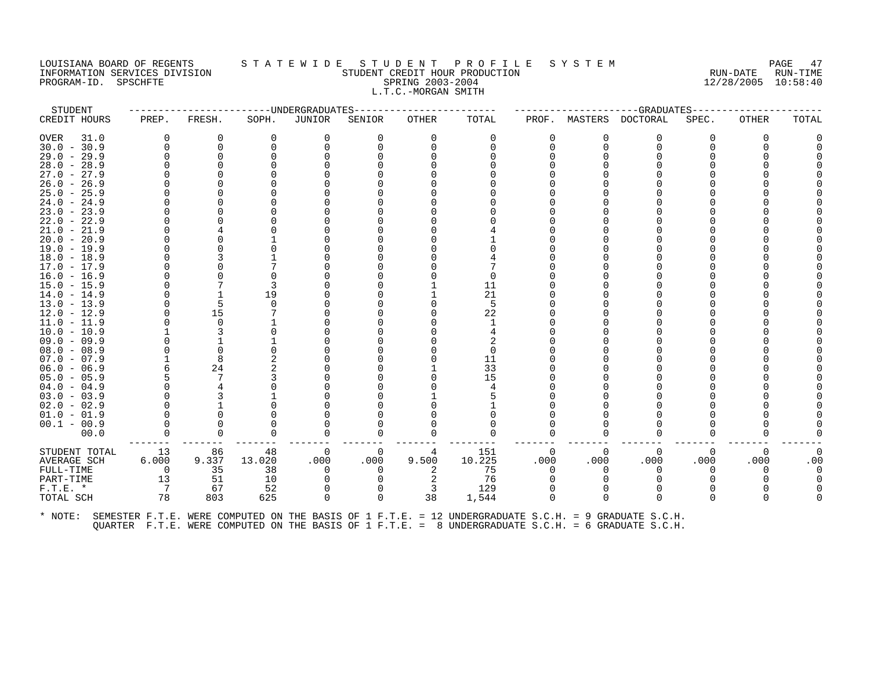# LOUISIANA BOARD OF REGENTS STATEWIDE STUDENT PROFILE SYSTEM NAGE 47 INFORMATION SERVICES DIVISION STUDENT CREDIT HOUR PRODUCTION RUN-DATE RUN-TIME PROGRAM-ID. SPSCHFTE SPRING 2003-2004 12/28/2005 10:58:40 L.T.C.-MORGAN SMITH

| STUDENT       |          |          |              | -------------DNDERGRADUATES- |          |              |                                                                                                      |      |          | ------------------GRADUATES----- |          |          |       |
|---------------|----------|----------|--------------|------------------------------|----------|--------------|------------------------------------------------------------------------------------------------------|------|----------|----------------------------------|----------|----------|-------|
| CREDIT HOURS  | PREP.    | FRESH.   | SOPH.        | JUNIOR                       | SENIOR   | OTHER        | TOTAL                                                                                                |      |          | PROF. MASTERS DOCTORAL           | SPEC.    | OTHER    | TOTAL |
| OVER<br>31.0  | $\Omega$ | O        | <sup>0</sup> | $\Omega$                     | $\Omega$ | $\Omega$     | $\Omega$                                                                                             |      | O        | $\Omega$                         | O        | $\Omega$ |       |
| $30.0 - 30.9$ | $\Omega$ |          |              |                              |          | $\Omega$     |                                                                                                      |      | O        | $\Omega$                         |          |          |       |
| $29.0 - 29.9$ |          |          |              |                              |          |              |                                                                                                      |      |          | O                                |          |          |       |
| $28.0 - 28.9$ |          |          |              |                              |          |              |                                                                                                      |      |          |                                  |          |          |       |
| $27.0 - 27.9$ |          |          |              |                              |          |              |                                                                                                      |      |          |                                  |          |          |       |
| $26.0 - 26.9$ |          |          |              |                              |          |              |                                                                                                      |      |          |                                  |          |          |       |
| $25.0 - 25.9$ |          |          |              |                              |          |              |                                                                                                      |      |          |                                  |          |          |       |
| $24.0 - 24.9$ |          |          |              |                              |          |              |                                                                                                      |      |          |                                  |          |          |       |
| $23.0 - 23.9$ |          |          |              |                              |          |              |                                                                                                      |      |          |                                  |          |          |       |
| $22.0 - 22.9$ |          |          |              |                              |          |              |                                                                                                      |      |          |                                  |          |          |       |
| $21.0 - 21.9$ |          |          |              |                              |          |              |                                                                                                      |      |          |                                  |          |          |       |
| $20.0 - 20.9$ |          |          |              |                              |          |              |                                                                                                      |      |          |                                  |          |          |       |
| $19.0 - 19.9$ |          |          |              |                              |          |              |                                                                                                      |      |          |                                  |          |          |       |
| $18.0 - 18.9$ |          |          |              |                              |          |              |                                                                                                      |      |          |                                  |          |          |       |
| $17.0 - 17.9$ |          |          |              |                              |          |              |                                                                                                      |      |          |                                  |          |          |       |
| $16.0 - 16.9$ |          |          |              |                              |          |              |                                                                                                      |      |          |                                  |          |          |       |
| $15.0 - 15.9$ |          |          |              |                              |          |              | 11                                                                                                   |      |          |                                  |          |          |       |
| $14.0 - 14.9$ |          |          | 19           |                              |          |              | 21                                                                                                   |      |          |                                  |          |          |       |
| $13.0 - 13.9$ |          | 5        |              |                              |          |              | 5                                                                                                    |      |          |                                  |          |          |       |
| $12.0 - 12.9$ |          | 15       |              |                              |          |              | 22                                                                                                   |      |          |                                  |          |          |       |
| $11.0 - 11.9$ |          | ∩        |              |                              |          |              |                                                                                                      |      |          |                                  |          |          |       |
| $10.0 - 10.9$ |          |          |              |                              |          |              |                                                                                                      |      |          |                                  |          |          |       |
| $09.0 - 09.9$ |          |          |              |                              |          |              |                                                                                                      |      |          |                                  |          |          |       |
| $08.0 - 08.9$ |          | $\Omega$ |              |                              |          |              | $\Omega$                                                                                             |      |          |                                  |          |          |       |
| $07.0 - 07.9$ |          |          |              |                              |          |              | 11                                                                                                   |      |          |                                  |          |          |       |
| $06.0 - 06.9$ |          | 24       |              |                              |          |              | 33                                                                                                   |      |          |                                  |          |          |       |
| $05.0 - 05.9$ |          |          |              |                              |          |              | 15                                                                                                   |      |          |                                  |          |          |       |
| $04.0 - 04.9$ |          |          |              |                              |          |              |                                                                                                      |      |          |                                  |          |          |       |
| $03.0 - 03.9$ |          |          |              |                              |          |              |                                                                                                      |      |          |                                  |          |          |       |
| $02.0 - 02.9$ |          |          |              |                              |          |              |                                                                                                      |      |          |                                  |          |          |       |
| $01.0 - 01.9$ |          |          |              |                              |          |              |                                                                                                      |      |          |                                  |          |          |       |
| $00.1 - 00.9$ |          |          |              |                              |          |              |                                                                                                      |      |          |                                  |          |          |       |
| 00.0          | U        | $\Omega$ |              | $\Omega$                     | 0        | <sup>n</sup> | $\Omega$                                                                                             |      |          | $\Omega$                         | ∩        |          |       |
| STUDENT TOTAL | 13       | 86       | 48           | 0                            | $\Omega$ | 4            | 151                                                                                                  |      | $\Omega$ | $\Omega$                         | $\Omega$ | $\Omega$ | 0     |
| AVERAGE SCH   | 6.000    | 9.337    | 13.020       | .000                         | .000     | 9.500        | 10.225                                                                                               | .000 | .000     | .000                             | .000     | .000     | .00   |
| FULL-TIME     | $\Omega$ | 35       | 38           | $\Omega$                     | 0        | 2            | 75                                                                                                   |      | U        | $\Omega$                         | O        | $\Omega$ |       |
| PART-TIME     | 13       | 51       | 10           |                              |          | 2            | 76                                                                                                   |      |          |                                  |          |          |       |
| $F.T.E. *$    | 7        | 67       | 52           | 0                            | 0        | 3            | 129                                                                                                  |      |          | $\Omega$                         |          |          |       |
| TOTAL SCH     | 78       | 803      | 625          | $\Omega$                     | $\Omega$ | 38           | 1,544                                                                                                |      | $\Omega$ | $\Omega$                         | $\cap$   |          |       |
| * NOTE:       |          |          |              |                              |          |              | SEMESTER F.T.E. WERE COMPUTED ON THE BASIS OF 1 F.T.E. = 12 UNDERGRADUATE S.C.H. = 9 GRADUATE S.C.H. |      |          |                                  |          |          |       |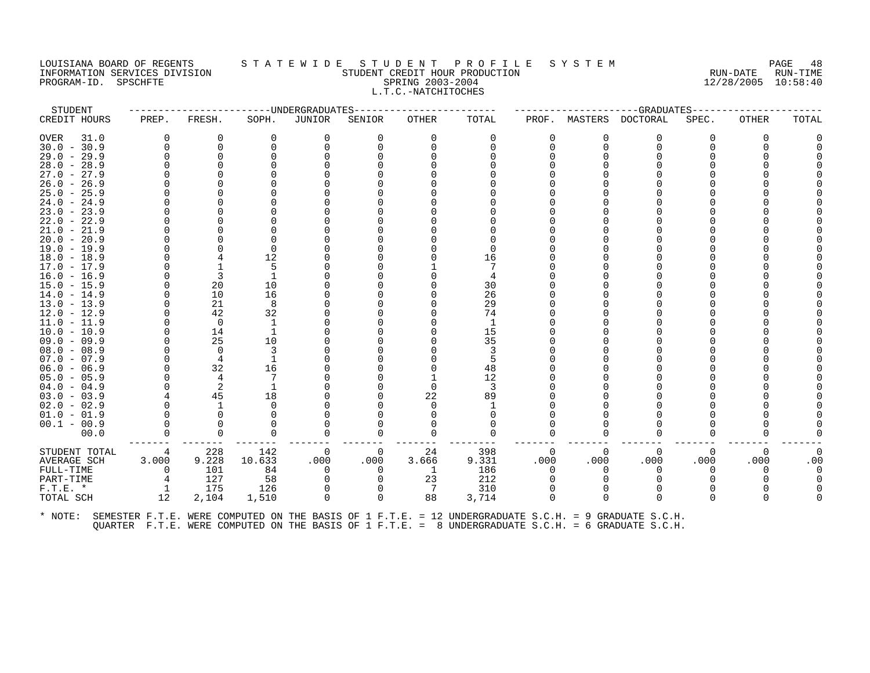# LOUISIANA BOARD OF REGENTS STATEWIDE STUDENT PROFILE SYSTEM NAGE 48 INFORMATION SERVICES DIVISION SUNGLERICAL STUDENT CREDIT HOUR PRODUCTION SUNGLERIC RUN-DATE RUN-TIME RUN-TIME<br>PROGRAM-ID. SPSCHFTE SERING 2003-2004 SPRING 2003-2004 PROGRAM-ID. SPSCHFTE SERIES SPRING 2003-2004 L.T.C.-NATCHITOCHES

| STUDENT                                                                                                      |                |          |        | ------------------------UNDERGRADUATES |          | ----------------- |       |          |          | ------------------GRADUATES--------- |          |              |       |
|--------------------------------------------------------------------------------------------------------------|----------------|----------|--------|----------------------------------------|----------|-------------------|-------|----------|----------|--------------------------------------|----------|--------------|-------|
| CREDIT HOURS                                                                                                 | PREP.          | FRESH.   | SOPH.  | JUNIOR                                 | SENIOR   | OTHER             | TOTAL | PROF.    |          | MASTERS DOCTORAL                     | SPEC.    | OTHER        | TOTAL |
| OVER<br>31.0                                                                                                 | 0              | 0        | 0      |                                        | 0        | $\Omega$          | 0     | 0        |          | 0                                    | 0        | 0            |       |
| $30.0 - 30.9$                                                                                                | $\Omega$       | 0        |        |                                        |          |                   |       | 0        | $\Omega$ | 0                                    |          |              |       |
| $29.0 - 29.9$                                                                                                | $\Omega$       |          |        |                                        |          |                   |       |          |          |                                      |          |              |       |
| $28.0 - 28.9$                                                                                                |                |          |        |                                        |          |                   |       |          |          |                                      |          |              |       |
| $27.0 - 27.9$                                                                                                |                |          |        |                                        |          |                   |       |          |          |                                      |          |              |       |
| $26.0 - 26.9$                                                                                                |                |          |        |                                        |          |                   |       |          |          |                                      |          |              |       |
| $25.0 - 25.9$                                                                                                |                |          |        |                                        |          |                   |       |          |          |                                      |          |              |       |
| $24.0 - 24.9$                                                                                                |                |          |        |                                        |          |                   |       |          |          |                                      |          |              |       |
| $23.0 - 23.9$                                                                                                |                |          |        |                                        |          |                   |       |          |          |                                      |          |              |       |
| $22.0 - 22.9$                                                                                                |                |          |        |                                        |          |                   |       |          |          |                                      |          |              |       |
| $21.0 - 21.9$                                                                                                |                |          |        |                                        |          |                   |       |          |          |                                      |          |              |       |
| $20.0 - 20.9$                                                                                                |                |          |        |                                        |          |                   |       |          |          |                                      |          |              |       |
| 19.0 - 19.9                                                                                                  |                |          | ∩      |                                        |          |                   |       |          |          |                                      |          |              |       |
| $18.0 - 18.9$                                                                                                |                |          | 12     |                                        |          |                   | 16    |          |          |                                      |          |              |       |
| $17.0 - 17.9$                                                                                                |                |          |        |                                        |          |                   |       |          |          |                                      |          |              |       |
| $16.0 - 16.9$                                                                                                |                | 3        |        |                                        |          |                   |       |          |          |                                      |          |              |       |
| 15.0 - 15.9                                                                                                  |                | 20       | 10     |                                        |          |                   | 30    |          |          |                                      |          |              |       |
| $14.0 - 14.9$                                                                                                | 0              | 10       | 16     |                                        |          |                   | 26    |          |          |                                      |          |              |       |
| $13.0 - 13.9$                                                                                                | $\Omega$       | 21       | 8      |                                        |          |                   | 29    |          |          |                                      |          |              |       |
| $12.0 - 12.9$                                                                                                |                | 42       | 32     |                                        |          |                   | 74    |          |          |                                      |          |              |       |
| $11.0 - 11.9$                                                                                                | 0              | 0        | -1     |                                        |          |                   | 1     |          |          |                                      |          |              |       |
| $10.0 - 10.9$                                                                                                | $\Omega$       | 14       |        |                                        |          |                   | 15    |          |          |                                      |          |              |       |
| $09.0 - 09.9$                                                                                                |                | 25       | 10     |                                        |          |                   | 35    |          |          |                                      |          |              |       |
| $08.0 - 08.9$                                                                                                | $\Omega$       | $\Omega$ |        |                                        |          |                   |       |          |          |                                      |          |              |       |
| $07.0 - 07.9$                                                                                                | 0              | 4        |        |                                        |          |                   |       |          |          |                                      |          |              |       |
| $06.0 - 06.9$                                                                                                |                | 32       | 16     |                                        |          |                   | 48    |          |          |                                      |          |              |       |
| $05.0 - 05.9$                                                                                                |                | 4        |        |                                        |          |                   | 12    |          |          |                                      |          |              |       |
| $04.0 - 04.9$                                                                                                |                | 2        |        |                                        |          |                   | 3     |          |          |                                      |          |              |       |
| $03.0 - 03.9$                                                                                                |                | 45       | 18     |                                        |          | 22                | 89    |          |          |                                      |          |              |       |
| $02.0 - 02.9$                                                                                                |                |          | ∩      |                                        |          |                   |       |          |          |                                      |          |              |       |
| $01.0 - 01.9$                                                                                                |                |          |        |                                        |          |                   |       |          |          |                                      |          |              |       |
| $00.1 - 00.9$                                                                                                | $\Omega$       | $\Omega$ |        |                                        |          |                   |       |          |          |                                      |          |              |       |
| 00.0                                                                                                         |                | 0        | 0      |                                        | 0        |                   | 0     |          | O        | 0                                    |          |              |       |
| STUDENT TOTAL                                                                                                | 4              | 228      | 142    | 0                                      | 0        | 24                | 398   | $\Omega$ | $\Omega$ | 0                                    | $\Omega$ | $\Omega$     |       |
| AVERAGE SCH                                                                                                  | 3.000          | 9.228    | 10.633 | .000                                   | .000     | 3.666             | 9.331 | .000     | .000     | .000                                 | .000     | .000         | .00   |
| FULL-TIME                                                                                                    | $\Omega$       | 101      | 84     | $\Omega$                               | $\Omega$ | -1                | 186   | $\Omega$ | $\Omega$ | $\Omega$                             | 0        | $\Omega$     |       |
| PART-TIME                                                                                                    | 4              | 127      | -58    |                                        | 0        | 23                | 212   |          |          |                                      |          |              |       |
| $F.T.E. *$                                                                                                   | $\overline{1}$ | 175      | 126    |                                        |          | -7                | 310   | $\Omega$ |          | $\Omega$                             |          |              |       |
| TOTAL SCH                                                                                                    | 12             | 2,104    | 1,510  | $\Omega$                               | $\Omega$ | 88                | 3,714 | $\Omega$ | $\Omega$ | $\Omega$                             |          | <sup>0</sup> |       |
| * NOTE: SEMESTER F.T.E. WERE COMPUTED ON THE BASIS OF 1 F.T.E. = 12 UNDERGRADUATE S.C.H. = 9 GRADUATE S.C.H. |                |          |        |                                        |          |                   |       |          |          |                                      |          |              |       |
|                                                                                                              |                |          |        |                                        |          |                   |       |          |          |                                      |          |              |       |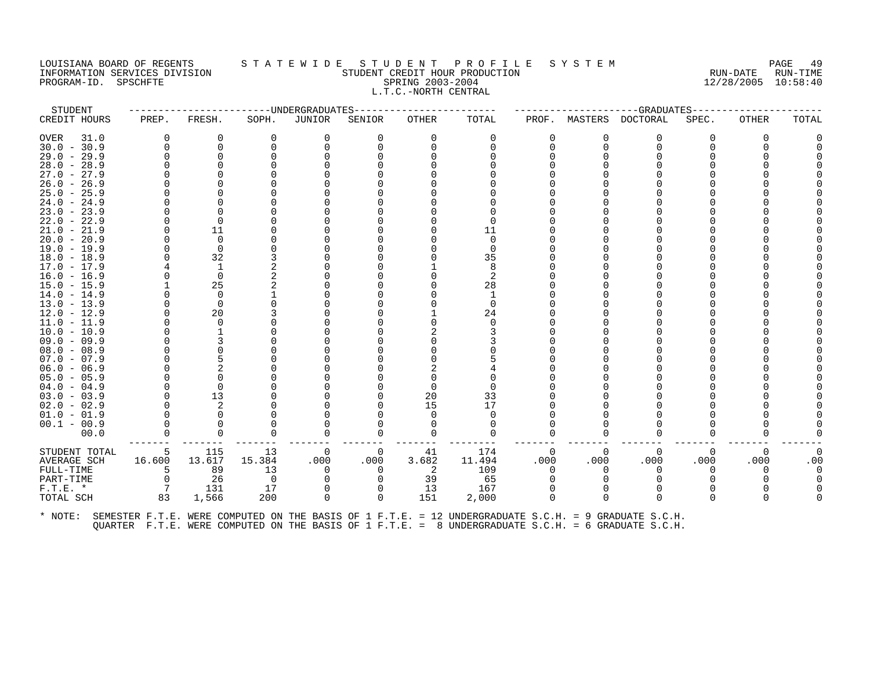#### LOUISIANA BOARD OF REGENTS STATEWIDE STUDENT PROFILE SYSTEM PAGE 49 INFORMATION SERVICES DIVISION SUNGLERICAL STUDENT CREDIT HOUR PRODUCTION SERVICHING RUN-DATE RUN-TIME RUN-TIME<br>PROGRAM-ID. SPSCHFTE SERING 2003-2004 SPRING 2003-2004 PROGRAM-ID. SPSCHFTE SERIES SPRING 2003-2004 L.T.C.-NORTH CENTRAL

| STUDENT       |          |          | ----------------------UNDERGRADUATES |          |              | -------------- |          |          |          | -----------GRADUATES----- |       |       |       |
|---------------|----------|----------|--------------------------------------|----------|--------------|----------------|----------|----------|----------|---------------------------|-------|-------|-------|
| CREDIT HOURS  | PREP.    | FRESH.   | SOPH.                                | JUNIOR   | SENIOR       | OTHER          | TOTAL    |          |          | PROF. MASTERS DOCTORAL    | SPEC. | OTHER | TOTAL |
| OVER<br>31.0  | $\Omega$ | O        | 0                                    | O        | 0            | $\Omega$       | $\Omega$ | 0        | 0        | $\Omega$                  | 0     | O     |       |
| $30.0 - 30.9$ | $\Omega$ |          |                                      |          |              |                |          | 0        | $\Omega$ | $\Omega$                  |       |       |       |
| $29.0 - 29.9$ | O        | $\Omega$ |                                      |          |              |                |          |          |          |                           |       |       |       |
| $28.0 - 28.9$ |          |          |                                      |          |              |                |          |          |          |                           |       |       |       |
| $27.0 - 27.9$ |          |          |                                      |          |              |                |          |          |          |                           |       |       |       |
| $26.0 - 26.9$ |          |          |                                      |          |              |                |          |          |          |                           |       |       |       |
| $25.0 - 25.9$ |          |          |                                      |          |              |                |          |          |          |                           |       |       |       |
| $24.0 - 24.9$ |          |          |                                      |          |              |                |          |          |          |                           |       |       |       |
| $23.0 - 23.9$ |          |          |                                      |          |              |                |          |          |          |                           |       |       |       |
| $22.0 - 22.9$ |          |          |                                      |          |              |                |          |          |          |                           |       |       |       |
| $21.0 - 21.9$ |          | 11       |                                      |          |              |                | 11       |          |          |                           |       |       |       |
| $20.0 - 20.9$ |          | $\Omega$ |                                      |          |              |                | $\Omega$ |          |          |                           |       |       |       |
| $19.0 - 19.9$ |          | $\Omega$ |                                      |          |              |                |          |          |          |                           |       |       |       |
| $18.0 - 18.9$ |          | 32       |                                      |          |              |                | 35       |          |          |                           |       |       |       |
| $17.0 - 17.9$ |          |          |                                      |          |              |                |          |          |          |                           |       |       |       |
| $16.0 - 16.9$ |          | 0        |                                      |          |              |                | 2        |          |          |                           |       |       |       |
| $15.0 - 15.9$ |          | 25       |                                      |          |              |                | 28       |          |          |                           |       |       |       |
| $14.0 - 14.9$ | U        | $\Omega$ |                                      |          |              |                |          |          |          |                           |       |       |       |
| $13.0 - 13.9$ | O        | $\Omega$ |                                      |          |              |                | $\Omega$ |          |          |                           |       |       |       |
| $12.0 - 12.9$ |          | 20       |                                      |          |              |                | 24       |          |          |                           |       |       |       |
| $11.0 - 11.9$ |          | ∩        |                                      |          |              |                |          |          |          |                           |       |       |       |
| $10.0 - 10.9$ |          |          |                                      |          |              |                |          |          |          |                           |       |       |       |
| $09.0 - 09.9$ |          |          |                                      |          |              |                |          |          |          |                           |       |       |       |
| $08.0 - 08.9$ |          |          |                                      |          |              |                |          |          |          |                           |       |       |       |
| $07.0 - 07.9$ |          |          |                                      |          |              |                |          |          |          |                           |       |       |       |
| $06.0 - 06.9$ |          | 2        |                                      |          |              |                |          |          |          |                           |       |       |       |
| $05.0 - 05.9$ |          |          |                                      |          |              |                |          |          |          |                           |       |       |       |
| $04.0 - 04.9$ |          | $\Omega$ |                                      |          |              |                |          |          |          |                           |       |       |       |
| $03.0 - 03.9$ |          | 13       |                                      |          |              | 20             | 33       |          |          |                           |       |       |       |
| $02.0 - 02.9$ |          | 2        |                                      |          |              | 15             | 17       |          |          |                           |       |       |       |
| $01.0 - 01.9$ |          |          |                                      |          |              |                |          |          |          |                           |       |       |       |
| $00.1 - 00.9$ |          |          |                                      |          |              |                |          |          |          |                           |       |       |       |
| 00.0          | $\Omega$ | 0        |                                      |          |              |                | $\Omega$ | O        | O        | $\Omega$                  |       |       |       |
| STUDENT TOTAL | 5        | 115      | 13                                   | 0        | 0            | 41             | 174      | 0        | 0        | 0                         | 0     | 0     |       |
| AVERAGE SCH   | 16.600   | 13.617   | 15.384                               | .000     | .000         | 3.682          | 11.494   | .000     | .000     | .000                      | .000  | .000  | .00   |
| FULL-TIME     |          | 89       | 13                                   | $\Omega$ | <sup>n</sup> | -2             | 109      | $\Omega$ |          | n                         |       |       |       |
| PART-TIME     | $\Omega$ | 26       | $\Omega$                             |          |              | 39             | 65       |          |          |                           |       |       |       |
| $F.T.E. *$    | 7        | 131      | 17                                   |          |              | 13             | 167      |          |          | $\Omega$                  |       |       |       |
| TOTAL SCH     | 83       | 1,566    | 200                                  | $\Omega$ | 0            | 151            | 2,000    | $\Omega$ | 0        | $\Omega$                  | 0     | ∩     |       |
|               |          |          |                                      |          |              |                |          |          |          |                           |       |       |       |
|               |          |          |                                      |          |              |                |          |          |          |                           |       |       |       |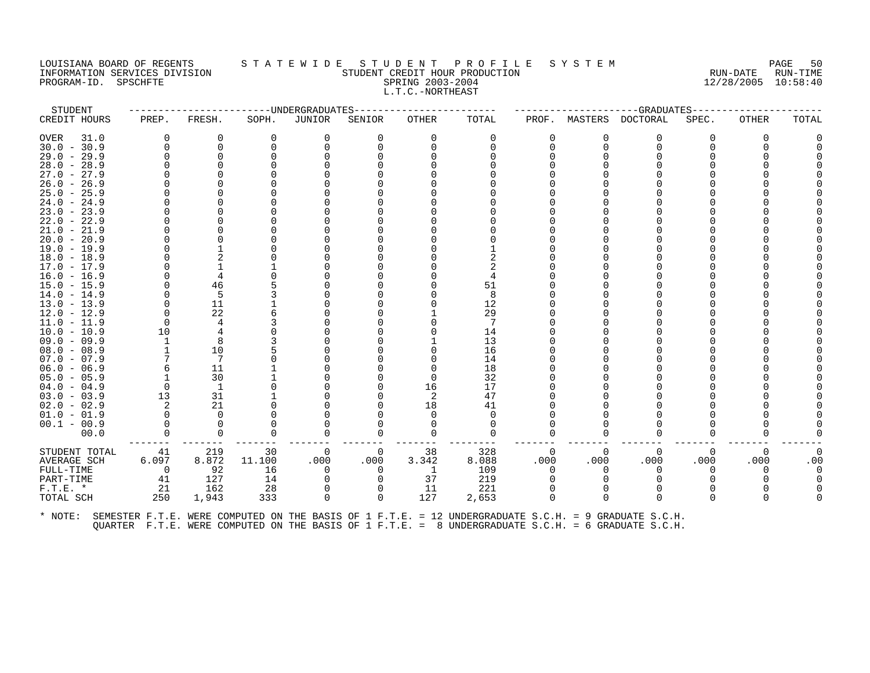# LOUISIANA BOARD OF REGENTS STATEWIDE STUDENT PROFILE SYSTEM PAGE 50<br>INFORMATION SERVICES DIVISION STATEWISH STUDENT CREDIT HOUR PRODUCTION INFORMATION SERVICES DIVISION STUDENT CREDIT HOUR PRODUCTION RUN-DATE RUN-TIME PROGRAM-ID. SPSCHFTE SPRING 2003-2004 12/28/2005 10:58:40 L.T.C.-NORTHEAST

| STUDENT                        |          |          | --------------DNDERGRADUATES- |          |          |                |                                                                                                      |          |          | -----------------GRADUATES----- |          |       |       |
|--------------------------------|----------|----------|-------------------------------|----------|----------|----------------|------------------------------------------------------------------------------------------------------|----------|----------|---------------------------------|----------|-------|-------|
| CREDIT HOURS                   | PREP.    | FRESH.   | SOPH.                         | JUNIOR   | SENIOR   | OTHER          | TOTAL                                                                                                | PROF.    |          | MASTERS DOCTORAL                | SPEC.    | OTHER | TOTAL |
| <b>OVER</b><br>31.0            | $\Omega$ | 0        | 0                             | 0        | $\Omega$ | $\Omega$       | $\Omega$                                                                                             | 0        | 0        | 0                               | 0        | 0     |       |
| $30.0 - 30.9$                  |          | 0        |                               | $\Omega$ |          |                |                                                                                                      | U        | $\Omega$ | 0                               |          |       |       |
| $29.0 - 29.9$                  |          | $\Omega$ |                               |          |          |                |                                                                                                      |          |          | $\Omega$                        |          |       |       |
| $28.0 - 28.9$                  |          |          |                               |          |          |                |                                                                                                      |          |          |                                 |          |       |       |
| $27.0 - 27.9$                  |          |          |                               |          |          |                |                                                                                                      |          |          |                                 |          |       |       |
| $26.0 - 26.9$                  |          |          |                               |          |          |                |                                                                                                      |          |          |                                 |          |       |       |
| $25.0 -$<br>25.9               |          |          |                               |          |          |                |                                                                                                      |          |          |                                 |          |       |       |
| $24.0 - 24.9$                  |          |          |                               |          |          |                |                                                                                                      |          |          |                                 |          |       |       |
| $23.0 -$<br>23.9               |          |          |                               |          |          |                |                                                                                                      |          |          |                                 |          |       |       |
| $22.0 - 22.9$                  |          |          |                               |          |          |                |                                                                                                      |          |          |                                 |          |       |       |
| $21.0 - 21.9$                  |          |          |                               |          |          |                |                                                                                                      |          |          |                                 |          |       |       |
| $20.0 - 20.9$                  |          |          |                               |          |          |                |                                                                                                      |          |          |                                 |          |       |       |
| $19.0 - 19.9$                  |          |          |                               |          |          |                |                                                                                                      |          |          |                                 |          |       |       |
| $18.0 - 18.9$                  |          |          |                               |          |          |                |                                                                                                      |          |          |                                 |          |       |       |
| $17.0 - 17.9$                  |          |          |                               |          |          |                |                                                                                                      |          |          |                                 |          |       |       |
| $16.0 - 16.9$                  |          |          |                               |          |          |                |                                                                                                      |          |          |                                 |          |       |       |
| $15.0 - 15.9$                  |          | 46       |                               |          |          |                | 51                                                                                                   |          |          |                                 |          |       |       |
| $14.0 - 14.9$                  |          | 5        |                               |          |          |                | 8                                                                                                    |          |          |                                 |          |       |       |
| $13.0 - 13.9$                  |          | 11       |                               |          |          |                | 12                                                                                                   |          |          |                                 |          |       |       |
| $12.0 - 12.9$                  |          | 22       |                               |          |          |                | 29                                                                                                   |          |          |                                 |          |       |       |
| $11.0 - 11.9$<br>$10.0 - 10.9$ | 10       | 4<br>4   |                               |          |          |                | 14                                                                                                   |          |          |                                 |          |       |       |
| $09.0 - 09.9$                  |          | 8        |                               |          |          |                | 13                                                                                                   |          |          |                                 |          |       |       |
| $08.0 - 08.9$                  |          | 10       |                               |          |          |                | 16                                                                                                   |          |          |                                 |          |       |       |
| $07.0 - 07.9$                  |          | 7        |                               |          |          |                | 14                                                                                                   |          |          |                                 |          |       |       |
| $06.0 - 06.9$                  |          | 11       |                               |          |          |                | 18                                                                                                   |          |          |                                 |          |       |       |
| $05.0 - 05.9$                  |          | 30       |                               |          |          | $\Omega$       | 32                                                                                                   |          |          |                                 |          |       |       |
| $04.0 - 04.9$                  |          | 1        |                               |          |          | 16             | 17                                                                                                   |          |          |                                 |          |       |       |
| $03.0 - 03.9$                  | 13       | 31       |                               |          |          | $\overline{2}$ | 47                                                                                                   |          |          |                                 |          |       |       |
| $02.0 - 02.9$                  |          | 21       |                               |          |          | 18             | 41                                                                                                   |          |          |                                 |          |       |       |
| $01.0 - 01.9$                  |          | $\Omega$ |                               |          |          |                |                                                                                                      |          |          |                                 |          |       |       |
| $00.1 - 00.9$                  |          | 0        |                               |          |          |                |                                                                                                      |          |          |                                 |          |       |       |
| 00.0                           |          | $\Omega$ | 0                             | ∩        | 0        |                |                                                                                                      |          | ∩        | $\Omega$                        |          |       |       |
| STUDENT TOTAL                  | 41       | 219      | 30                            | 0        | 0        | 38             | 328                                                                                                  | 0        | $\Omega$ | 0                               | $\Omega$ | 0     | 0     |
| <b>AVERAGE SCH</b>             | 6.097    | 8.872    | 11,100                        | .000     | .000     | 3.342          | 8.088                                                                                                | .000     | .000     | .000                            | .000     | .000  | .00   |
| FULL-TIME                      | $\Omega$ | 92       | 16                            | $\Omega$ | $\Omega$ | -1             | 109                                                                                                  | $\Omega$ | ∩        | $\Omega$                        | ∩        | O     |       |
| PART-TIME                      | 41       | 127      | 14                            | ∩        |          | 37             | 219                                                                                                  |          |          |                                 |          |       |       |
| $F.T.E.$ *                     | 21       | 162      | 28                            | 0        | 0        | 11             | 221                                                                                                  | 0        |          | 0                               |          |       |       |
| TOTAL SCH                      | 250      | 1,943    | 333                           | $\Omega$ | $\Omega$ | 127            | 2,653                                                                                                | $\Omega$ | $\Omega$ | $\Omega$                        | 0        |       |       |
| * NOTE:                        |          |          |                               |          |          |                | SEMESTER F.T.E. WERE COMPUTED ON THE BASIS OF 1 F.T.E. = 12 UNDERGRADUATE S.C.H. = 9 GRADUATE S.C.H. |          |          |                                 |          |       |       |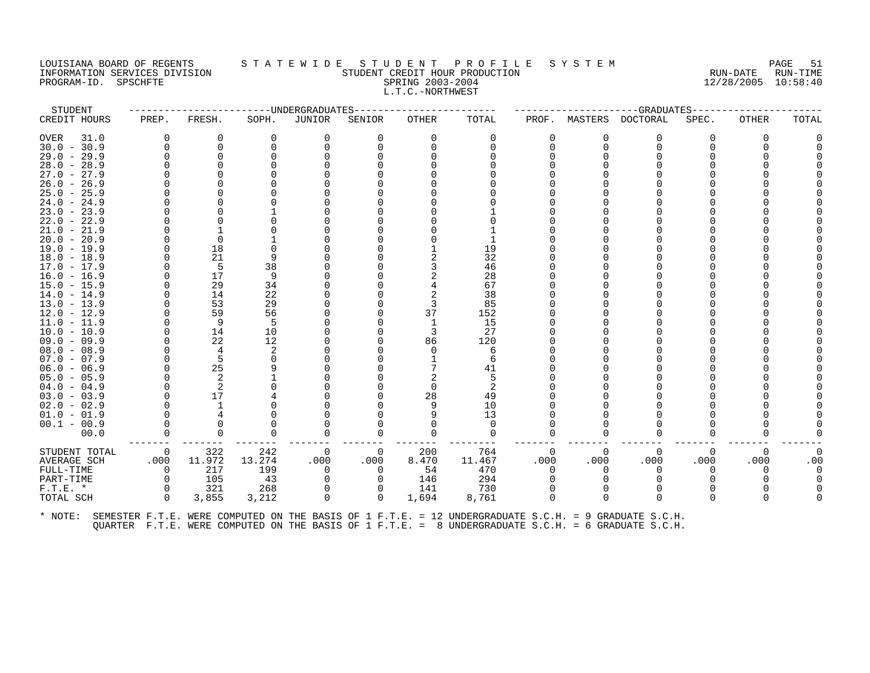#### LOUISIANA BOARD OF REGENTS STATEWIDE STUDENT PROFILE SYSTEM NAGE 51 INFORMATION SERVICES DIVISION SUBSERVICES ON SUBSERVICES SUBSERVICES SUBSERVICES SUBSERVICES DIVISION SUBSERVICES SUBSERVICES SUBSERVICES SUBSERVICES SUBSERVICES ON SUBSERVICES SUBSERVICES SUBSERVICES SUBSERVICES ON SUBSER PROGRAM-ID. SPSCHFTE SPRING 2003-2004 L.T.C.-NORTHWEST

| STUDENT       |                |          | -------------DNDERGRADUATES- |          |                |          |          |          |          | -------------GRADUATES----- |          |          |          |
|---------------|----------------|----------|------------------------------|----------|----------------|----------|----------|----------|----------|-----------------------------|----------|----------|----------|
| CREDIT HOURS  | PREP.          | FRESH.   | SOPH.                        | JUNIOR   | SENIOR         | OTHER    | TOTAL    | PROF.    |          | MASTERS DOCTORAL            | SPEC.    | OTHER    | TOTAL    |
| OVER<br>31.0  | $\Omega$       | 0        | 0                            | 0        | 0              | 0        | 0        |          | 0        | 0                           | O        | $\Omega$ |          |
| $30.0 - 30.9$ |                | 0        | n                            | $\Omega$ | <sup>n</sup>   | $\Omega$ | ∩        |          | 0        | $\Omega$                    |          | U        |          |
| $29.0 - 29.9$ |                | $\Omega$ |                              |          |                |          |          |          |          |                             |          |          |          |
| $28.0 - 28.9$ |                |          |                              |          |                |          |          |          |          |                             |          |          |          |
| $27.0 - 27.9$ |                |          |                              |          |                |          |          |          |          |                             |          |          |          |
| $26.0 - 26.9$ |                |          |                              |          |                |          |          |          |          |                             |          |          |          |
| $25.0 - 25.9$ |                |          |                              |          |                |          |          |          |          |                             |          |          |          |
| $24.0 - 24.9$ |                |          |                              |          |                |          |          |          |          |                             |          |          |          |
| $23.0 - 23.9$ |                |          |                              |          |                |          |          |          |          |                             |          |          |          |
| $22.0 - 22.9$ |                |          |                              |          |                |          |          |          |          |                             |          |          |          |
| $21.0 - 21.9$ |                |          |                              |          |                |          |          |          |          |                             |          |          |          |
| $20.0 - 20.9$ |                | $\Omega$ |                              |          |                |          |          |          |          |                             |          |          |          |
| $19.0 - 19.9$ |                | 18       |                              |          |                |          | 19       |          |          |                             |          |          |          |
| $18.0 - 18.9$ |                | 21       |                              |          |                |          | 32       |          |          |                             |          |          |          |
| $17.0 - 17.9$ |                | 5        | 38                           |          |                |          | 46       |          |          |                             |          |          |          |
| $16.0 - 16.9$ |                | 17       | 9                            |          |                |          | 28       |          |          |                             |          |          |          |
| $15.0 - 15.9$ |                | 29       | 34                           |          |                |          | 67       |          |          |                             |          |          |          |
| $14.0 - 14.9$ |                | 14       | 22                           |          |                |          | 38       |          |          |                             |          |          |          |
| $13.0 - 13.9$ |                | 53       | 29                           |          |                | 3        | 85       |          |          |                             |          |          |          |
| 12.0 - 12.9   |                | 59       | 56                           |          |                | 37       | 152      |          |          |                             |          |          |          |
| $11.0 - 11.9$ |                | 9        | -5                           |          |                | 1        | 15       |          |          |                             |          |          |          |
| $10.0 - 10.9$ |                | 14       | 10                           |          |                | 3        | 27       |          |          |                             |          |          |          |
| $09.0 - 09.9$ |                | 22       | 12                           |          |                | 86       | 120      |          |          |                             |          |          |          |
| $08.0 - 08.9$ |                | 4        |                              |          |                | $\Omega$ | 6        |          |          |                             |          |          |          |
| $07.0 - 07.9$ |                | 5        |                              |          |                |          | 6        |          |          |                             |          |          |          |
| $06.0 - 06.9$ |                | 25       |                              |          |                |          | 41       |          |          |                             |          |          |          |
| $05.0 - 05.9$ |                | 2        |                              |          |                |          |          |          |          |                             |          |          |          |
| $04.0 - 04.9$ |                | 2        |                              |          |                | 0        | 2        |          |          |                             |          |          |          |
| $03.0 - 03.9$ |                | 17       |                              |          |                | 28       | 49       |          |          |                             |          |          |          |
| $02.0 - 02.9$ |                |          |                              |          |                | 9        | 10       |          |          |                             |          |          |          |
| $01.0 - 01.9$ |                |          |                              |          |                | 9        | 13       |          |          |                             |          |          |          |
| $00.1 - 00.9$ |                | $\Omega$ |                              |          |                |          | $\Omega$ |          |          |                             |          |          |          |
| 00.0          | $\Omega$       | $\Omega$ |                              | $\Omega$ |                | $\Omega$ | $\Omega$ |          |          | $\Omega$                    |          |          |          |
| STUDENT TOTAL | $\overline{0}$ | 322      | 242                          | 0        | $\overline{0}$ | 200      | 764      | $\Omega$ | $\Omega$ | $\Omega$                    | 0        | 0        | $\Omega$ |
| AVERAGE SCH   | .000           | 11.972   | 13.274                       | .000     | .000           | 8.470    | 11.467   | .000     | .000     | .000                        | .000     | .000     | .00      |
| FULL-TIME     | 0              | 217      | 199                          | 0        | $\Omega$       | -54      | 470      |          | 0        | $\Omega$                    |          |          |          |
| PART-TIME     | $\Omega$       | 105      | 43                           | 0        |                | 146      | 294      |          |          | $\Omega$                    |          |          |          |
| $F.T.E. *$    | $\Omega$       | 321      | 268                          | 0        | $\Omega$       | 141      | 730      |          |          |                             |          |          |          |
| TOTAL SCH     | $\Omega$       | 3,855    | 3,212                        | $\Omega$ | $\Omega$       | 1,694    | 8,761    |          |          | $\Omega$                    | $\Omega$ | $\Omega$ |          |
|               |                |          |                              |          |                |          |          |          |          |                             |          |          |          |
|               |                |          |                              |          |                |          |          |          |          |                             |          |          |          |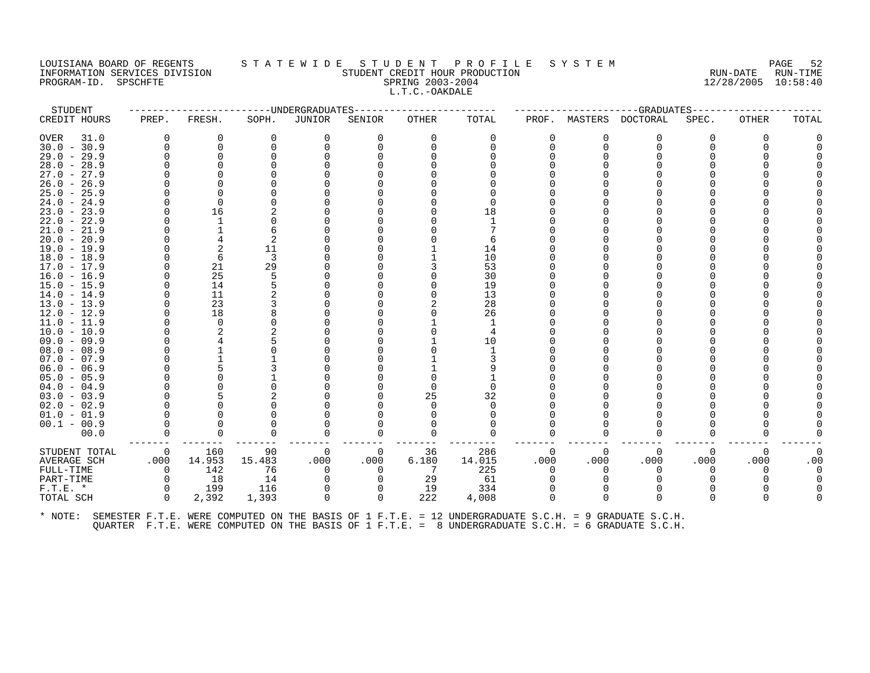### LOUISIANA BOARD OF REGENTS STATEWIDE STUDENT PROFILE SYSTEM NAGE 52 INFORMATION SERVICES DIVISION STUDENT CREDIT HOUR PRODUCTION RUN-DATE RUN-TIME PROGRAM-ID. SPSCHFTE SALL SON SPRING 2003-2004 SPRING 2003-2004 12/28/2005 10:58:40 L.T.C.-OAKDALE

| STUDENT       |          |                |        | ----------------------UNDERGRADUATES |              | -------------- |          |          |          | ----------GRADUATES----- |       |              |       |
|---------------|----------|----------------|--------|--------------------------------------|--------------|----------------|----------|----------|----------|--------------------------|-------|--------------|-------|
| CREDIT HOURS  | PREP.    | FRESH.         | SOPH.  | JUNIOR                               | SENIOR       | OTHER          | TOTAL    | PROF.    |          | MASTERS DOCTORAL         | SPEC. | <b>OTHER</b> | TOTAL |
| OVER<br>31.0  | $\Omega$ | O              | 0      | O                                    | 0            | $\Omega$       | $\Omega$ | 0        | 0        | $\Omega$                 | 0     | O            |       |
| $30.0 - 30.9$ | $\Omega$ |                |        |                                      |              |                |          | 0        | $\Omega$ | $\Omega$                 |       |              |       |
| $29.0 - 29.9$ | O        | $\Omega$       |        |                                      |              |                |          |          |          |                          |       |              |       |
| $28.0 - 28.9$ |          |                |        |                                      |              |                |          |          |          |                          |       |              |       |
| $27.0 - 27.9$ |          |                |        |                                      |              |                |          |          |          |                          |       |              |       |
| $26.0 - 26.9$ |          |                |        |                                      |              |                |          |          |          |                          |       |              |       |
| $25.0 - 25.9$ |          |                |        |                                      |              |                |          |          |          |                          |       |              |       |
| $24.0 - 24.9$ |          | $\Omega$       |        |                                      |              |                |          |          |          |                          |       |              |       |
| $23.0 - 23.9$ |          | 16             |        |                                      |              |                | 18       |          |          |                          |       |              |       |
| $22.0 - 22.9$ |          | -1             |        |                                      |              |                |          |          |          |                          |       |              |       |
| $21.0 - 21.9$ |          |                |        |                                      |              |                |          |          |          |                          |       |              |       |
| $20.0 - 20.9$ |          |                |        |                                      |              |                |          |          |          |                          |       |              |       |
| $19.0 - 19.9$ |          | $\overline{2}$ | 11     |                                      |              |                | 14       |          |          |                          |       |              |       |
| $18.0 - 18.9$ |          | 6              |        |                                      |              |                | 10       |          |          |                          |       |              |       |
| $17.0 - 17.9$ |          | 21             | 29     |                                      |              |                | 53       |          |          |                          |       |              |       |
| $16.0 - 16.9$ |          | 25             |        |                                      |              |                | 30       |          |          |                          |       |              |       |
| $15.0 - 15.9$ |          | 14             |        |                                      |              |                | 19       |          |          |                          |       |              |       |
| $14.0 - 14.9$ |          | 11             |        |                                      |              |                | 13       |          |          |                          |       |              |       |
| $13.0 - 13.9$ | O        | 23             |        |                                      |              |                | 28       |          |          |                          |       |              |       |
| $12.0 - 12.9$ |          | 18             |        |                                      |              |                | 26       |          |          |                          |       |              |       |
| $11.0 - 11.9$ |          | $\Omega$       |        |                                      |              |                |          |          |          |                          |       |              |       |
| $10.0 - 10.9$ |          |                |        |                                      |              |                |          |          |          |                          |       |              |       |
| $09.0 - 09.9$ |          |                |        |                                      |              |                | 10       |          |          |                          |       |              |       |
| $08.0 - 08.9$ |          |                |        |                                      |              |                |          |          |          |                          |       |              |       |
| $07.0 - 07.9$ |          |                |        |                                      |              |                |          |          |          |                          |       |              |       |
| $06.0 - 06.9$ |          |                |        |                                      |              |                |          |          |          |                          |       |              |       |
| $05.0 - 05.9$ |          |                |        |                                      |              |                |          |          |          |                          |       |              |       |
| $04.0 - 04.9$ |          |                |        |                                      |              |                |          |          |          |                          |       |              |       |
| $03.0 - 03.9$ |          |                |        |                                      |              | 25             | 32       |          |          |                          |       |              |       |
| $02.0 - 02.9$ |          |                |        |                                      |              |                |          |          |          |                          |       |              |       |
| $01.0 - 01.9$ |          |                |        |                                      |              |                |          |          |          |                          |       |              |       |
| $00.1 - 00.9$ | $\Omega$ |                |        |                                      |              |                |          |          |          |                          |       |              |       |
| 00.0          | $\Omega$ | $\Omega$       |        |                                      |              |                |          | O        | O        | $\Omega$                 |       |              |       |
| STUDENT TOTAL | 0        | 160            | 90     | 0                                    | 0            | 36             | 286      | 0        | 0        | 0                        | 0     | 0            |       |
| AVERAGE SCH   | .000     | 14.953         | 15.483 | .000                                 | .000         | 6.180          | 14.015   | .000     | .000     | .000                     | .000  | .000         | .00   |
| FULL-TIME     | $\Omega$ | 142            | 76     | $\Omega$                             | <sup>n</sup> | -7             | 225      | $\Omega$ |          | n                        |       | O            |       |
| PART-TIME     | $\Omega$ | 18             | 14     |                                      |              | 29             | 61       |          |          |                          |       |              |       |
| $F.T.E. *$    | $\Omega$ | 199            | 116    |                                      |              | 19             | 334      |          |          | $\Omega$                 |       |              |       |
| TOTAL SCH     | $\Omega$ | 2,392          | 1,393  | $\Omega$                             | 0            | 222            | 4,008    | $\Omega$ | 0        | $\Omega$                 | 0     | ∩            |       |
|               |          |                |        |                                      |              |                |          |          |          |                          |       |              |       |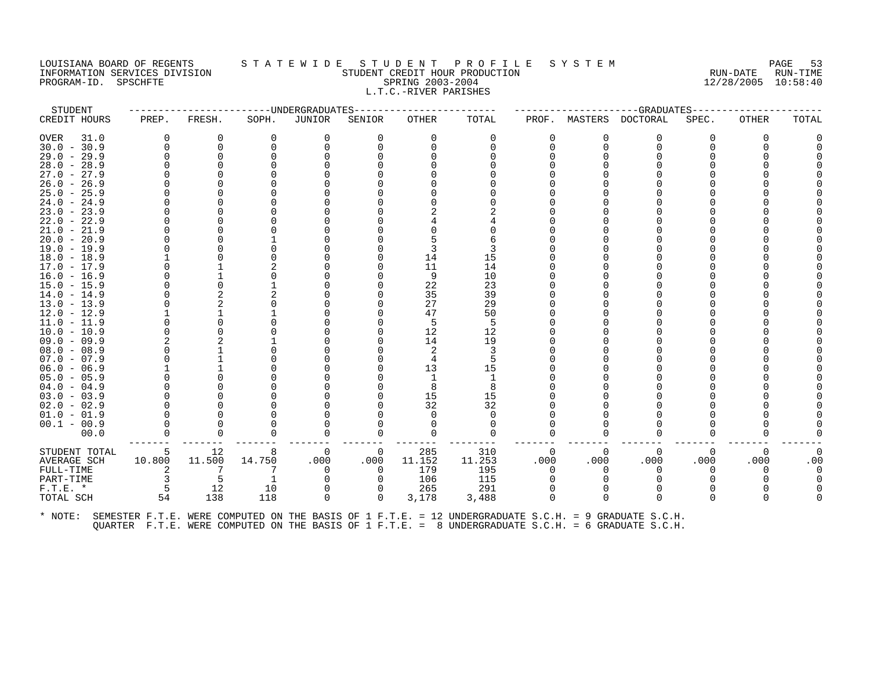# LOUISIANA BOARD OF REGENTS STATEWIDE STUDENT PROFILE SYSTEM PAGE 53<br>INFORMATION SERVICES DIVISION STUDENT CREDIT HOUR PRODUCTION FORD PAGE RUN-DATE RUN-TIME THE STUDENT CREDIT HOUR PRODUCTION SERVICES SERVICES DESCRIPTION RUN-DATE RUN-TIME<br>SPRING 2003-2004 898140 PROGRAM-ID. SPSCHFTE SPRING 2003-2004 12/28/2005 10:58:40 L.T.C.-RIVER PARISHES

| STUDENT       |          |          | ---------------------DNDERGRADUATES |          |                | -------------- |        |          |          | -----------------GRADUATES----- |       |          |       |
|---------------|----------|----------|-------------------------------------|----------|----------------|----------------|--------|----------|----------|---------------------------------|-------|----------|-------|
| CREDIT HOURS  | PREP.    | FRESH.   | SOPH.                               | JUNIOR   | SENIOR         | OTHER          | TOTAL  | PROF.    |          | MASTERS DOCTORAL                | SPEC. | OTHER    | TOTAL |
| OVER<br>31.0  | 0        | 0        | 0                                   | 0        | 0              | $\Omega$       | 0      | 0        | 0        | 0                               | 0     | $\Omega$ |       |
| $30.0 - 30.9$ | $\Omega$ | $\Omega$ |                                     |          |                |                |        | 0        | $\Omega$ | O                               |       |          |       |
| $29.0 - 29.9$ |          | $\Omega$ |                                     |          |                |                |        |          |          |                                 |       |          |       |
| $28.0 - 28.9$ |          |          |                                     |          |                |                |        |          |          |                                 |       |          |       |
| $27.0 - 27.9$ |          |          |                                     |          |                |                |        |          |          |                                 |       |          |       |
| $26.0 - 26.9$ |          |          |                                     |          |                |                |        |          |          |                                 |       |          |       |
| $25.0 - 25.9$ |          |          |                                     |          |                |                |        |          |          |                                 |       |          |       |
| $24.0 - 24.9$ |          |          |                                     |          |                |                |        |          |          |                                 |       |          |       |
| $23.0 - 23.9$ |          |          |                                     |          |                |                |        |          |          |                                 |       |          |       |
| $22.0 - 22.9$ |          |          |                                     |          |                |                |        |          |          |                                 |       |          |       |
| $21.0 - 21.9$ |          |          |                                     |          |                |                |        |          |          |                                 |       |          |       |
| $20.0 - 20.9$ |          |          |                                     |          |                |                |        |          |          |                                 |       |          |       |
| $19.0 - 19.9$ |          |          |                                     |          |                |                |        |          |          |                                 |       |          |       |
| $18.0 - 18.9$ |          |          |                                     |          |                | 14             | 15     |          |          |                                 |       |          |       |
| $17.0 - 17.9$ |          |          |                                     |          |                | 11             | 14     |          |          |                                 |       |          |       |
| $16.0 - 16.9$ |          |          |                                     |          |                | 9              | 10     |          |          |                                 |       |          |       |
| $15.0 - 15.9$ |          |          |                                     |          |                | 22             | 23     |          |          |                                 |       |          |       |
| $14.0 - 14.9$ |          |          |                                     |          |                | 35             | 39     |          |          |                                 |       |          |       |
| $13.0 - 13.9$ |          |          |                                     |          |                | 27             | 29     |          |          |                                 |       |          |       |
| $12.0 - 12.9$ |          |          |                                     |          |                | 47             | 50     |          |          |                                 |       |          |       |
| $11.0 - 11.9$ |          |          |                                     |          |                |                | 5      |          |          |                                 |       |          |       |
| $10.0 - 10.9$ |          |          |                                     |          |                | 12             | 12     |          |          |                                 |       |          |       |
| $09.0 - 09.9$ |          |          |                                     |          |                | 14             | 19     |          |          |                                 |       |          |       |
| $08.0 - 08.9$ |          |          |                                     |          |                |                |        |          |          |                                 |       |          |       |
| $07.0 - 07.9$ |          |          |                                     |          |                |                |        |          |          |                                 |       |          |       |
| $06.0 - 06.9$ |          |          |                                     |          |                | 13             | 15     |          |          |                                 |       |          |       |
| $05.0 - 05.9$ |          |          |                                     |          |                |                |        |          |          |                                 |       |          |       |
| $04.0 - 04.9$ |          |          |                                     |          |                |                |        |          |          |                                 |       |          |       |
| $03.0 - 03.9$ |          |          |                                     |          |                | 15             | 15     |          |          |                                 |       |          |       |
| $02.0 - 02.9$ |          |          |                                     |          |                | 32             | 32     |          |          |                                 |       |          |       |
| $01.0 - 01.9$ |          |          |                                     |          |                |                |        |          |          |                                 |       |          |       |
| $00.1 - 00.9$ |          |          |                                     |          |                |                |        |          |          |                                 |       |          |       |
| 00.0          | $\Omega$ | $\Omega$ | ∩                                   |          |                |                |        | U        | ∩        | $\Omega$                        |       |          |       |
| STUDENT TOTAL | 5        | 12       | 8                                   | 0        | $\overline{0}$ | 285            | 310    | $\Omega$ | $\Omega$ | $\mathbf 0$                     | 0     | $\Omega$ |       |
| AVERAGE SCH   | 10.800   | 11.500   | 14.750                              | .000     | .000           | 11.152         | 11.253 | .000     | .000     | .000                            | .000  | .000     | .00   |
| FULL-TIME     |          | 7        |                                     | $\Omega$ | $\Omega$       | 179            | 195    | $\Omega$ | 0        | $\Omega$                        |       | O        |       |
| PART-TIME     |          | -5       |                                     |          | 0              | 106            | 115    | O        |          |                                 |       |          |       |
| $F.T.E. *$    |          | 12       | 10                                  |          |                | 265            | 291    |          |          |                                 |       |          |       |
| TOTAL SCH     | 54       | 138      | 118                                 | $\Omega$ | $\Omega$       | 3,178          | 3,488  | U        |          | $\Omega$                        |       |          |       |
|               |          |          |                                     |          |                |                |        |          |          |                                 |       |          |       |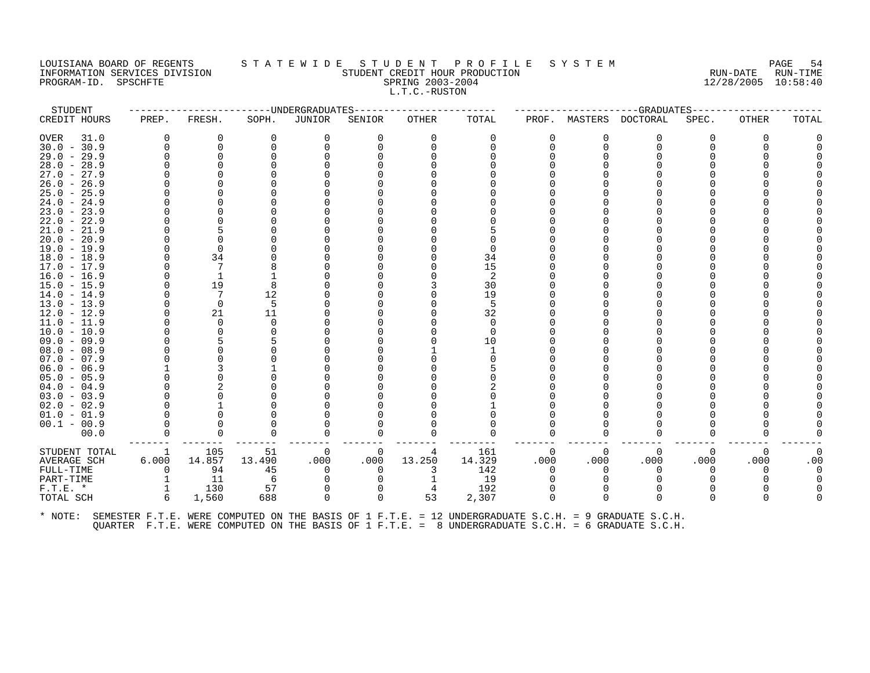#### LOUISIANA BOARD OF REGENTS STATEWIDE STUDENT PROFILE SYSTEM NAGE 54 INFORMATION SERVICES DIVISION SUBSERVICES ON SUBSERVICES SUBSERVICES SUBSERVICES SUBSERVICES DIVISION SUBSERVICES SUBSERVICES SUBSERVICES SUBSERVICES SUBSERVICES ON SUBSERVICES SUBSERVICES SUBSERVICES SUBSERVICES ON SUBSER PROGRAM-ID. SPSCHFTE SPRING 2003-2004 L.T.C.-RUSTON

STUDENT ------------------------UNDERGRADUATES------------------------ ---------------------GRADUATES----------------------

| CREDIT HOURS                   | PREP.    | FRESH.       | SOPH.    | JUNIOR   | SENIOR   | <b>OTHER</b> | TOTAL    | PROF.    | MASTERS  | DOCTORAL                                                                                             | SPEC.        | OTHER    | TOTAL |
|--------------------------------|----------|--------------|----------|----------|----------|--------------|----------|----------|----------|------------------------------------------------------------------------------------------------------|--------------|----------|-------|
| <b>OVER</b><br>31.0            | 0        | 0            | 0        | 0        | O        | 0            | 0        | 0        | 0        | 0                                                                                                    | O            | 0        |       |
| $30.0 - 30.9$                  | $\Omega$ | $\Omega$     |          |          |          |              |          | O        | $\Omega$ | O                                                                                                    |              |          |       |
| $29.0 - 29.9$                  |          |              |          |          |          |              |          |          |          |                                                                                                      |              |          |       |
| $28.0 - 28.9$                  |          |              |          |          |          |              |          |          |          |                                                                                                      |              |          |       |
| $27.0 - 27.9$                  |          |              |          |          |          |              |          |          |          |                                                                                                      |              |          |       |
| $26.0 - 26.9$                  |          |              |          |          |          |              |          |          |          |                                                                                                      |              |          |       |
| $25.0 - 25.9$                  |          |              |          |          |          |              |          |          |          |                                                                                                      |              |          |       |
| $24.0 - 24.9$                  |          |              |          |          |          |              |          |          |          |                                                                                                      |              |          |       |
| $23.0 - 23.9$                  |          |              |          |          |          |              |          |          |          |                                                                                                      |              |          |       |
| $22.0 - 22.9$                  |          |              |          |          |          |              |          |          |          |                                                                                                      |              |          |       |
| $21.0 - 21.9$                  |          |              |          |          |          |              |          |          |          |                                                                                                      |              |          |       |
| $20.0 - 20.9$                  |          |              |          |          |          |              |          |          |          |                                                                                                      |              |          |       |
| $19.0 - 19.9$                  |          |              |          |          |          |              |          |          |          |                                                                                                      |              |          |       |
| $18.0 - 18.9$                  |          | 34           |          |          |          |              | 34       |          |          |                                                                                                      |              |          |       |
| $17.0 - 17.9$                  |          |              |          |          |          |              | 15       |          |          |                                                                                                      |              |          |       |
| $16.0 - 16.9$                  |          | $\mathbf{1}$ |          |          |          |              | 2        |          |          |                                                                                                      |              |          |       |
| $15.0 - 15.9$                  |          | 19           |          |          |          |              | 30       |          |          |                                                                                                      |              |          |       |
| $14.0 - 14.9$                  |          | 7            | 12       |          |          |              | 19       |          |          |                                                                                                      |              |          |       |
| $13.0 - 13.9$                  |          | $\Omega$     | .5       |          |          |              |          |          |          |                                                                                                      |              |          |       |
| $12.0 - 12.9$                  |          | 21           | 11       |          |          |              | 32       |          |          |                                                                                                      |              |          |       |
| $11.0 - 11.9$                  |          | $\Omega$     | ∩        |          |          |              | $\Omega$ |          |          |                                                                                                      |              |          |       |
| $10.0 - 10.9$                  |          |              |          |          |          |              | $\Omega$ |          |          |                                                                                                      |              |          |       |
| $09.0 - 09.9$                  |          |              |          |          |          |              | 10       |          |          |                                                                                                      |              |          |       |
| $08.0 - 08.9$                  |          |              |          |          |          |              |          |          |          |                                                                                                      |              |          |       |
| $07.0 - 07.9$                  |          |              |          |          |          |              |          |          |          |                                                                                                      |              |          |       |
| $06.0 - 06.9$                  |          |              |          |          |          |              |          |          |          |                                                                                                      |              |          |       |
| $05.0 - 05.9$                  |          |              |          |          |          |              |          |          |          |                                                                                                      |              |          |       |
| $04.0 - 04.9$                  |          |              |          |          |          |              |          |          |          |                                                                                                      |              |          |       |
| $03.0 - 03.9$                  |          |              |          |          |          |              |          |          |          |                                                                                                      |              |          |       |
| $02.0 - 02.9$                  |          |              |          |          |          |              |          |          |          |                                                                                                      |              |          |       |
| $01.0 - 01.9$<br>$00.1 - 00.9$ |          |              |          |          |          |              |          |          |          |                                                                                                      |              |          |       |
| 00.0                           | 0        | 0            | $\Omega$ |          |          |              | $\Omega$ | O        | O        | 0                                                                                                    |              |          |       |
|                                |          |              |          |          |          |              |          |          |          |                                                                                                      |              |          |       |
| STUDENT TOTAL                  | 1        | 105          | 51       | 0        | 0        | 4            | 161      | 0        | 0        | 0                                                                                                    | 0            | 0        |       |
| AVERAGE SCH                    | 6.000    | 14.857       | 13.490   | .000     | .000     | 13.250       | 14.329   | .000     | .000     | .000                                                                                                 | .000         | .000     | .00   |
| FULL-TIME                      | $\Omega$ | 94           | 45       | $\Omega$ | $\Omega$ | 3            | 142      | $\Omega$ | 0        | $\Omega$                                                                                             | 0            | $\Omega$ |       |
| PART-TIME                      |          | 11           | 6        |          |          |              | 19       |          |          |                                                                                                      |              |          |       |
| $F.T.E. *$                     |          | 130          | 57       |          |          | 4            | 192      | 0        |          | 0                                                                                                    |              |          |       |
| TOTAL SCH                      | 6        | 1,560        | 688      | $\Omega$ | $\Omega$ | 53           | 2,307    | $\Omega$ | $\Omega$ | $\Omega$                                                                                             | <sup>n</sup> | $\Omega$ |       |
| * NOTE:                        |          |              |          |          |          |              |          |          |          | SEMESTER F.T.E. WERE COMPUTED ON THE BASIS OF 1 F.T.E. = 12 UNDERGRADUATE S.C.H. = 9 GRADUATE S.C.H. |              |          |       |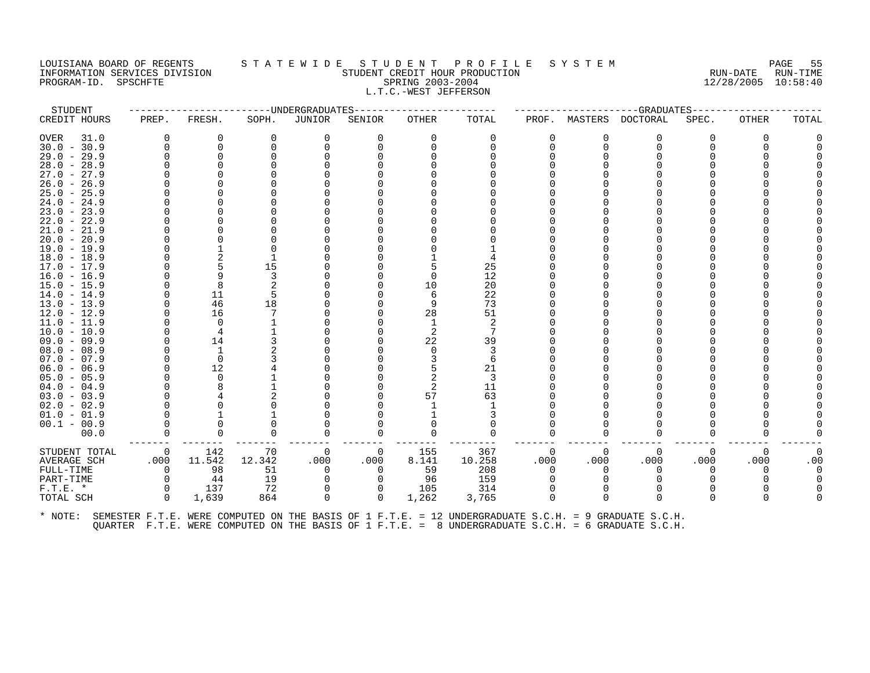### LOUISIANA BOARD OF REGENTS STATEWIDE STUDENT PROFILE SYSTEM NAGE 55 INFORMATION SERVICES DIVISION SUNGLERICAL STUDENT CREDIT HOUR PRODUCTION SUNGLERIC RUN-DATE RUN-TIME RUN-TIME<br>PROGRAM-ID. SPSCHFTE SERING 2003-2004 SPRING 2003-2004 PROGRAM-ID. SPSCHFTE SERIES SPRING 2003-2004 L.T.C.-WEST JEFFERSON

| STUDENT       |                |              |          | ---------------------DNDERGRADUATES |                | -------------- |          |          |          | -----------------GRADUATES----- |          |              |       |
|---------------|----------------|--------------|----------|-------------------------------------|----------------|----------------|----------|----------|----------|---------------------------------|----------|--------------|-------|
| CREDIT HOURS  | PREP.          | FRESH.       | SOPH.    | JUNIOR                              | SENIOR         | OTHER          | TOTAL    | PROF.    |          | MASTERS DOCTORAL                | SPEC.    | OTHER        | TOTAL |
| OVER<br>31.0  | $\Omega$       | 0            | 0        | 0                                   | 0              | $\Omega$       | 0        | 0        | 0        | 0                               | 0        | $\Omega$     |       |
| $30.0 - 30.9$ | $\Omega$       | $\Omega$     |          |                                     |                |                |          | 0        | $\Omega$ | $\Omega$                        |          |              |       |
| $29.0 - 29.9$ | $\Omega$       | $\Omega$     |          |                                     |                |                |          |          |          |                                 |          |              |       |
| $28.0 - 28.9$ |                |              |          |                                     |                |                |          |          |          |                                 |          |              |       |
| $27.0 - 27.9$ |                |              |          |                                     |                |                |          |          |          |                                 |          |              |       |
| $26.0 - 26.9$ |                |              |          |                                     |                |                |          |          |          |                                 |          |              |       |
| $25.0 - 25.9$ |                |              |          |                                     |                |                |          |          |          |                                 |          |              |       |
| $24.0 - 24.9$ |                |              |          |                                     |                |                |          |          |          |                                 |          |              |       |
| $23.0 - 23.9$ |                |              |          |                                     |                |                |          |          |          |                                 |          |              |       |
| $22.0 - 22.9$ |                |              |          |                                     |                |                |          |          |          |                                 |          |              |       |
| $21.0 - 21.9$ |                |              |          |                                     |                |                |          |          |          |                                 |          |              |       |
| $20.0 - 20.9$ |                |              |          |                                     |                |                |          |          |          |                                 |          |              |       |
| $19.0 - 19.9$ |                |              |          |                                     |                |                |          |          |          |                                 |          |              |       |
| $18.0 - 18.9$ |                | 2            |          |                                     |                |                |          |          |          |                                 |          |              |       |
| $17.0 - 17.9$ |                |              | 15       |                                     |                |                | 25       |          |          |                                 |          |              |       |
| $16.0 - 16.9$ |                | q            |          |                                     |                |                | 12       |          |          |                                 |          |              |       |
| $15.0 - 15.9$ |                | 8            |          |                                     |                | 10             | 20       |          |          |                                 |          |              |       |
| $14.0 - 14.9$ |                | 11           |          |                                     |                |                | 22       |          |          |                                 |          |              |       |
| $13.0 - 13.9$ |                | 46           | 18       |                                     |                |                | 73       |          |          |                                 |          |              |       |
| $12.0 - 12.9$ | O              | 16           |          |                                     |                | 28             | 51       |          |          |                                 |          |              |       |
| $11.0 - 11.9$ |                | $\Omega$     |          |                                     |                |                | 2        |          |          |                                 |          |              |       |
| $10.0 - 10.9$ |                |              |          |                                     |                |                |          |          |          |                                 |          |              |       |
| $09.0 - 09.9$ |                | 14           |          |                                     |                | 22             | 39       |          |          |                                 |          |              |       |
| $08.0 - 08.9$ |                | $\mathbf{1}$ |          |                                     |                |                |          |          |          |                                 |          |              |       |
| $07.0 - 07.9$ |                | $\Omega$     |          |                                     |                |                | 6        |          |          |                                 |          |              |       |
| $06.0 - 06.9$ |                | 12           |          |                                     |                |                | 21       |          |          |                                 |          |              |       |
| $05.0 - 05.9$ |                | $\Omega$     |          |                                     |                |                | 3        |          |          |                                 |          |              |       |
| $04.0 - 04.9$ |                |              |          |                                     |                |                | 11       |          |          |                                 |          |              |       |
| $03.0 - 03.9$ |                |              |          |                                     |                | 57             | 63       |          |          |                                 |          |              |       |
| $02.0 - 02.9$ |                |              |          |                                     |                |                |          |          |          |                                 |          |              |       |
| $01.0 - 01.9$ |                |              |          |                                     |                |                |          |          |          |                                 |          |              |       |
| $00.1 - 00.9$ |                |              |          |                                     |                |                |          |          |          |                                 |          |              |       |
| 00.0          | $\Omega$       | $\Omega$     | $\Omega$ | $\Omega$                            | 0              |                | $\Omega$ | $\Omega$ | $\Omega$ | $\Omega$                        | 0        |              |       |
| STUDENT TOTAL | $\overline{0}$ | 142          | 70       | $\Omega$                            | $\overline{0}$ | 155            | 367      | 0        | $\Omega$ | $\Omega$                        | $\Omega$ | $\Omega$     |       |
| AVERAGE SCH   | .000           | 11.542       | 12.342   | .000                                | .000           | 8.141          | 10.258   | .000     | .000     | .000                            | .000     | .000         | .00   |
| FULL-TIME     | 0              | 98           | 51       | $\Omega$                            | $\Omega$       | 59             | 208      | 0        | $\Omega$ | 0                               | 0        | $\Omega$     |       |
| PART-TIME     | $\Omega$       | 44           | 19       |                                     |                | 96             | 159      | $\Omega$ |          |                                 |          |              |       |
| $F.T.E. *$    | 0              | 137          | 72       |                                     |                | 105            | 314      |          |          |                                 |          |              |       |
| TOTAL SCH     | $\Omega$       | 1,639        | 864      | $\Omega$                            | $\Omega$       | 1,262          | 3,765    | $\Omega$ | 0        | $\Omega$                        | 0        | <sup>0</sup> |       |
|               |                |              |          |                                     |                |                |          |          |          |                                 |          |              |       |
|               |                |              |          |                                     |                |                |          |          |          |                                 |          |              |       |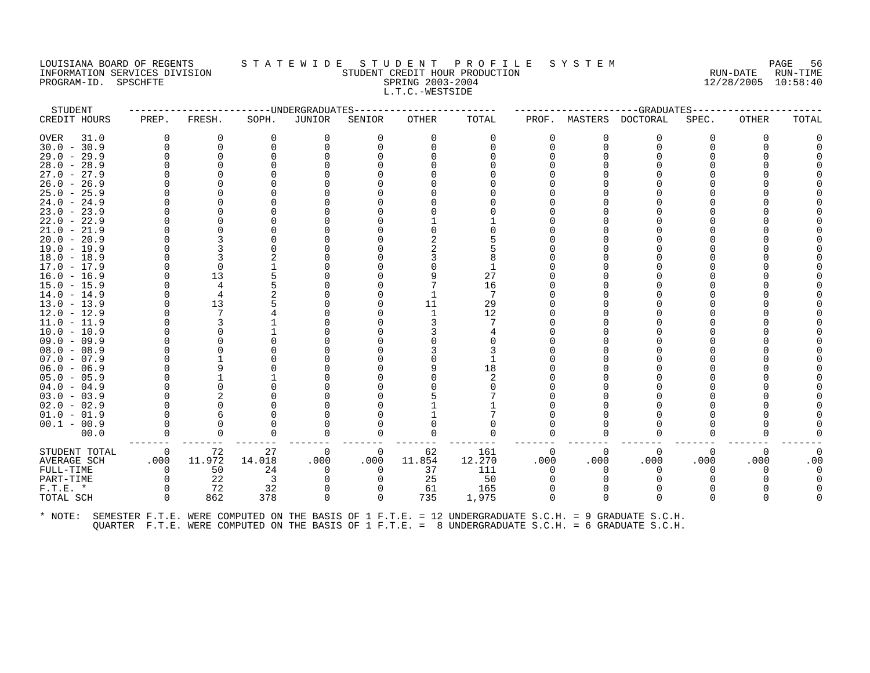#### LOUISIANA BOARD OF REGENTS STATEWIDE STUDENT PROFILE SYSTEM PAGE 56<br>INFORMATION SERVICES DIVISION STATEWIST STUDENT CREDIT HOUR PRODUCTION INFORMATION STUDENT CREDIT HOUR PRODUCTION AND RUN-DATE RUN-TIME SPRING 2003-2004 PROGRAM-ID. SPSCHFTE SPRING 2003-2004 L.T.C.-WESTSIDE

| STUDENT       |                |          | -------------DNDERGRADUATES- |          |                |          |        |          |          | ------------------GRADUATES----- |       |          |          |
|---------------|----------------|----------|------------------------------|----------|----------------|----------|--------|----------|----------|----------------------------------|-------|----------|----------|
| CREDIT HOURS  | PREP.          | FRESH.   | SOPH.                        | JUNIOR   | SENIOR         | OTHER    | TOTAL  | PROF.    |          | MASTERS DOCTORAL                 | SPEC. | OTHER    | TOTAL    |
| OVER<br>31.0  | $\Omega$       | 0        | 0                            | 0        | 0              | 0        | 0      |          | 0        | 0                                | O     | $\Omega$ |          |
| $30.0 - 30.9$ |                | 0        | n                            | $\Omega$ |                | $\Omega$ | ∩      |          | O        | $\Omega$                         |       | ∩        |          |
| $29.0 - 29.9$ |                | $\Omega$ |                              |          |                |          |        |          |          |                                  |       |          |          |
| $28.0 - 28.9$ |                |          |                              |          |                |          |        |          |          |                                  |       |          |          |
| $27.0 - 27.9$ |                |          |                              |          |                |          |        |          |          |                                  |       |          |          |
| $26.0 - 26.9$ |                |          |                              |          |                |          |        |          |          |                                  |       |          |          |
| $25.0 - 25.9$ |                |          |                              |          |                |          |        |          |          |                                  |       |          |          |
| $24.0 - 24.9$ |                |          |                              |          |                |          |        |          |          |                                  |       |          |          |
| $23.0 - 23.9$ |                |          |                              |          |                |          |        |          |          |                                  |       |          |          |
| $22.0 - 22.9$ |                |          |                              |          |                |          |        |          |          |                                  |       |          |          |
| $21.0 - 21.9$ |                |          |                              |          |                |          |        |          |          |                                  |       |          |          |
| $20.0 - 20.9$ |                |          |                              |          |                |          |        |          |          |                                  |       |          |          |
| $19.0 - 19.9$ |                |          |                              |          |                |          |        |          |          |                                  |       |          |          |
| $18.0 - 18.9$ |                |          |                              |          |                |          |        |          |          |                                  |       |          |          |
| $17.0 - 17.9$ |                | ∩        |                              |          |                |          |        |          |          |                                  |       |          |          |
| $16.0 - 16.9$ |                | 13       |                              |          |                |          | 27     |          |          |                                  |       |          |          |
| $15.0 - 15.9$ |                |          |                              |          |                |          | 16     |          |          |                                  |       |          |          |
| $14.0 - 14.9$ |                | 4        |                              |          |                |          |        |          |          |                                  |       |          |          |
| $13.0 - 13.9$ |                | 13       |                              |          |                | 11       | 29     |          |          |                                  |       |          |          |
| 12.0 - 12.9   |                |          |                              |          |                |          | 12     |          |          |                                  |       |          |          |
| $11.0 - 11.9$ |                |          |                              |          |                |          |        |          |          |                                  |       |          |          |
| $10.0 - 10.9$ |                |          |                              |          |                |          |        |          |          |                                  |       |          |          |
| $09.0 - 09.9$ |                |          |                              |          |                |          |        |          |          |                                  |       |          |          |
| $08.0 - 08.9$ |                |          |                              |          |                |          |        |          |          |                                  |       |          |          |
| $07.0 - 07.9$ |                |          |                              |          |                |          |        |          |          |                                  |       |          |          |
| $06.0 - 06.9$ |                | 9        |                              |          |                |          | 18     |          |          |                                  |       |          |          |
| $05.0 - 05.9$ |                |          |                              |          |                |          |        |          |          |                                  |       |          |          |
| $04.0 - 04.9$ |                |          |                              |          |                |          |        |          |          |                                  |       |          |          |
| $03.0 - 03.9$ |                |          |                              |          |                |          |        |          |          |                                  |       |          |          |
| $02.0 - 02.9$ |                |          |                              |          |                |          |        |          |          |                                  |       |          |          |
| $01.0 - 01.9$ |                |          |                              |          |                |          |        |          |          |                                  |       |          |          |
| $00.1 - 00.9$ |                | $\Omega$ |                              |          |                |          |        |          |          |                                  |       |          |          |
| 00.0          |                | $\Omega$ |                              | $\Omega$ |                | $\Omega$ | $\cap$ |          |          | $\Omega$                         |       |          |          |
| STUDENT TOTAL | $\overline{0}$ | 72       | 27                           | 0        | $\overline{0}$ | 62       | 161    | $\Omega$ | $\Omega$ | $\Omega$                         | 0     | 0        | $\Omega$ |
| AVERAGE SCH   | .000           | 11.972   | 14.018                       | .000     | .000           | 11.854   | 12.270 | .000     | .000     | .000                             | .000  | .000     | .00      |
| FULL-TIME     | 0              | 50       | 24                           | $\Omega$ | $\Omega$       | 37       | 111    |          | n        | $\Omega$                         |       |          |          |
| PART-TIME     | O              | 22       | $\overline{3}$               | 0        |                | 25       | 50     |          |          | ∩                                |       |          |          |
| $F.T.E. *$    |                | 72       | 32                           | 0        |                | 61       | 165    |          |          |                                  |       |          |          |
| TOTAL SCH     | $\Omega$       | 862      | 378                          | $\Omega$ | $\Omega$       | 735      | 1,975  |          |          | ∩                                | ∩     | $\Omega$ |          |
|               |                |          |                              |          |                |          |        |          |          |                                  |       |          |          |
|               |                |          |                              |          |                |          |        |          |          |                                  |       |          |          |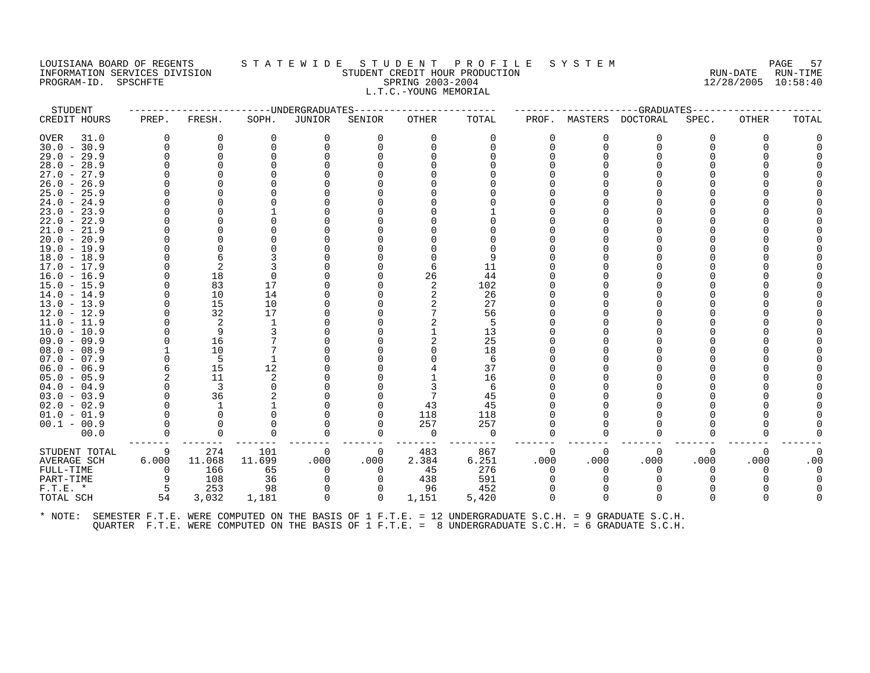PROGRAM-ID. SPSCHFTE

# LOUISIANA BOARD OF REGENTS STATEWIDE STUDENT PROFILE SYSTEM NAGE 57 INFORMATION SERVICES DIVISION SANCE IN THE STUDENT CREDIT HOUR PRODUCTION SERVICES DIVISION SUM-TIME<br>INFORMATION SERVICES DIVISION STUDENT STUDENT CREDIT HOUR PRODUCTION SERVICES (12/28/2005 10:58:40 L.T.C.-YOUNG MEMORIAL

| STUDENT             |        |        | --------------WNDERGRADUATES- |          |             |       |                                                                                                      |          |          | -----------GRADUATES- |          |          |       |
|---------------------|--------|--------|-------------------------------|----------|-------------|-------|------------------------------------------------------------------------------------------------------|----------|----------|-----------------------|----------|----------|-------|
| CREDIT HOURS        | PREP.  | FRESH. | SOPH.                         | JUNIOR   | SENIOR      | OTHER | TOTAL                                                                                                | PROF.    | MASTERS  | DOCTORAL              | SPEC.    | OTHER    | TOTAL |
| <b>OVER</b><br>31.0 | ∩      | 0      | $\Omega$                      | 0        | $\Omega$    | O     | $\Omega$                                                                                             | $\Omega$ | O        | 0                     | $\Omega$ |          |       |
| $30.0 - 30.9$       |        | 0      |                               | 0        |             |       |                                                                                                      | U        | ∩        | $\Omega$              |          |          |       |
| $29.0 - 29.9$       |        | 0      |                               |          |             |       |                                                                                                      | O        |          |                       |          |          |       |
| $28.0 - 28.9$       |        |        |                               |          |             |       |                                                                                                      |          |          |                       |          |          |       |
| $27.0 - 27.9$       |        |        |                               |          |             |       |                                                                                                      |          |          |                       |          |          |       |
| $26.0 - 26.9$       |        |        |                               |          |             |       |                                                                                                      |          |          |                       |          |          |       |
| $25.0 - 25.9$       |        |        |                               |          |             |       |                                                                                                      |          |          |                       |          |          |       |
| $24.0 - 24.9$       |        |        |                               |          |             |       |                                                                                                      |          |          |                       |          |          |       |
| $23.0 - 23.9$       |        |        |                               |          |             |       |                                                                                                      |          |          |                       |          |          |       |
| $22.0 - 22.9$       |        |        |                               |          |             |       |                                                                                                      |          |          |                       |          |          |       |
| $21.0 - 21.9$       |        |        |                               |          |             |       |                                                                                                      |          |          |                       |          |          |       |
| $20.0 - 20.9$       |        |        |                               |          |             |       |                                                                                                      |          |          |                       |          |          |       |
| $19.0 - 19.9$       |        |        |                               |          |             |       |                                                                                                      |          |          |                       |          |          |       |
| $18.0 - 18.9$       |        |        |                               |          |             |       |                                                                                                      |          |          |                       |          |          |       |
| $17.0 - 17.9$       |        | 2      |                               |          |             |       | 11                                                                                                   |          |          |                       |          |          |       |
| $16.0 - 16.9$       |        | 18     |                               |          |             | 26    | 44                                                                                                   |          |          |                       |          |          |       |
| $15.0 - 15.9$       |        | 83     | 17                            |          |             |       | 102                                                                                                  |          |          |                       |          |          |       |
| $14.0 - 14.9$       |        | 10     | 14                            |          |             | 2     | 26                                                                                                   |          |          |                       |          |          |       |
| $13.0 - 13.9$       |        | 15     | 10                            |          |             |       | 27                                                                                                   |          |          |                       |          |          |       |
| $12.0 - 12.9$       |        | 32     | 17                            |          |             |       | 56                                                                                                   |          |          |                       |          |          |       |
| $11.0 - 11.9$       |        | 2      |                               |          |             |       | 5                                                                                                    |          |          |                       |          |          |       |
| $10.0 - 10.9$       |        | 9      |                               |          |             |       | 13                                                                                                   |          |          |                       |          |          |       |
| $09.0 - 09.9$       |        | 16     |                               |          |             |       | 25                                                                                                   |          |          |                       |          |          |       |
| $08.0 - 08.9$       |        | 10     |                               |          |             |       | 18                                                                                                   |          |          |                       |          |          |       |
| $07.0 - 07.9$       |        | -5     |                               |          |             |       | 6                                                                                                    |          |          |                       |          |          |       |
| $06.0 - 06.9$       |        | 15     | 12                            |          |             |       | 37                                                                                                   |          |          |                       |          |          |       |
| $05.0 - 05.9$       |        | 11     |                               |          |             |       | 16                                                                                                   |          |          |                       |          |          |       |
| $04.0 - 04.9$       |        | 3      |                               |          |             |       |                                                                                                      |          |          |                       |          |          |       |
| $03.0 - 03.9$       |        | 36     |                               |          |             |       | 45                                                                                                   |          |          |                       |          |          |       |
| $02.0 - 02.9$       |        |        |                               |          |             | 43    | 45                                                                                                   |          |          |                       |          |          |       |
| $01.0 - 01.9$       |        |        |                               |          |             | 118   | 118                                                                                                  |          |          |                       |          |          |       |
| $00.1 - 00.9$       |        |        |                               |          |             | 257   | 257                                                                                                  |          |          |                       |          |          |       |
| 00.0                |        | 0      |                               |          | 0           | 0     | 0                                                                                                    | O        | U        | <sup>0</sup>          | O        |          |       |
| STUDENT TOTAL       | 9      | 274    | 101                           | $\Omega$ | 0           | 483   | 867                                                                                                  | $\Omega$ | $\Omega$ | $\Omega$              | $\Omega$ | $\Omega$ |       |
| <b>AVERAGE SCH</b>  | 6.000  | 11.068 | 11.699                        | .000     | .000        | 2.384 | 6.251                                                                                                | .000     | .000     | .000                  | .000     | .000     | .00   |
| FULL-TIME           | $\cap$ | 166    | 65                            | $\Omega$ | $\Omega$    | 45    | 276                                                                                                  | $\Omega$ | $\Omega$ | $\Omega$              |          |          |       |
| PART-TIME           | 9      | 108    | 36                            | 0        | 0           | 438   | 591                                                                                                  |          |          |                       |          |          |       |
| $F.T.E.$ *          |        | 253    | 98                            | 0        | 0           | 96    | 452                                                                                                  | $\Omega$ |          | $\Omega$              |          |          |       |
| TOTAL SCH           | 54     | 3,032  | 1,181                         | $\Omega$ | $\mathbf 0$ | 1,151 | 5,420                                                                                                | $\Omega$ | $\Omega$ | $\Omega$              |          |          |       |
| * NOTE:             |        |        |                               |          |             |       | SEMESTER F.T.E. WERE COMPUTED ON THE BASIS OF 1 F.T.E. = 12 UNDERGRADUATE S.C.H. = 9 GRADUATE S.C.H. |          |          |                       |          |          |       |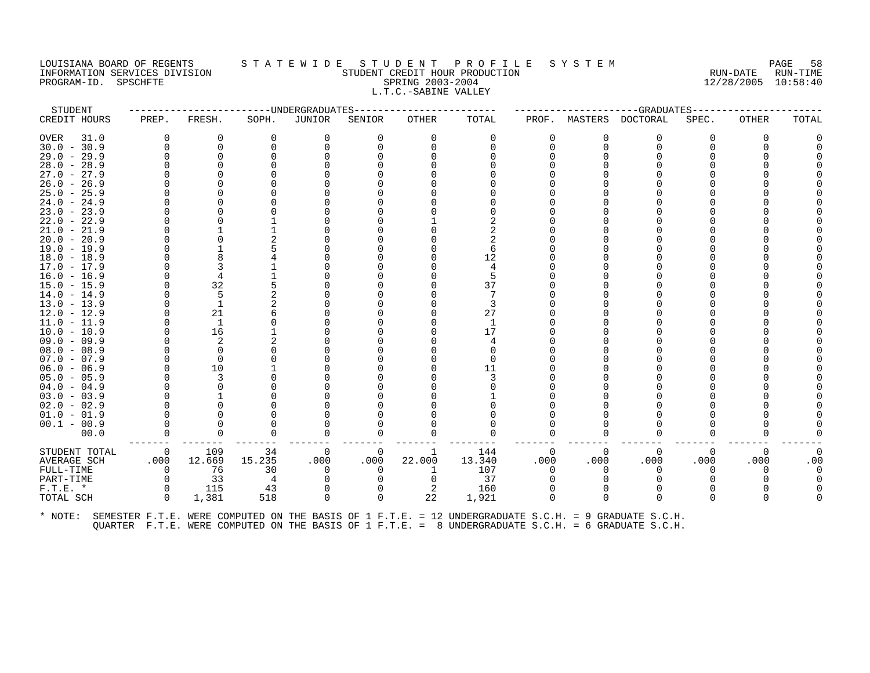PROGRAM-ID. SPSCHFTE

# LOUISIANA BOARD OF REGENTS STATEWIDE STUDENT PROFILE SYSTEM NAGE 58 INFORMATION SERVICES DIVISION SUNGLERICAL STUDENT CREDIT HOUR PRODUCTION SUNGLERIC RUN-DATE RUN-TIME RUN-TIME<br>PROGRAM-ID. SPSCHFTE SERING 2003-2004 SPRING 2003-2004 L.T.C.-SABINE VALLEY

| STUDENT             |                |              | ------------------DNDERGRADUATES |          |             |          |          |              |          | --GRADUATES                                                                                          |          |       |       |
|---------------------|----------------|--------------|----------------------------------|----------|-------------|----------|----------|--------------|----------|------------------------------------------------------------------------------------------------------|----------|-------|-------|
| CREDIT HOURS        | PREP.          | FRESH.       | SOPH.                            | JUNIOR   | SENIOR      | OTHER    | TOTAL    | PROF.        | MASTERS  | DOCTORAL                                                                                             | SPEC.    | OTHER | TOTAL |
| <b>OVER</b><br>31.0 | 0              | 0            | 0                                | 0        | 0           | $\Omega$ | 0        | 0            | 0        | 0                                                                                                    | O        | 0     |       |
| $30.0 - 30.9$       |                |              |                                  | $\Omega$ | $\Omega$    | $\Omega$ | 0        | 0            | $\Omega$ | $\Omega$                                                                                             |          |       |       |
| $29.0 - 29.9$       |                |              |                                  |          |             |          |          |              |          |                                                                                                      |          |       |       |
| $28.0 - 28.9$       |                |              |                                  |          |             |          |          |              |          |                                                                                                      |          |       |       |
| 27.9<br>$27.0 -$    |                |              |                                  |          |             |          |          |              |          |                                                                                                      |          |       |       |
| $26.0 - 26.9$       |                |              |                                  |          |             |          |          |              |          |                                                                                                      |          |       |       |
| $25.0 - 25.9$       |                |              |                                  |          |             |          |          |              |          |                                                                                                      |          |       |       |
| $24.0 -$<br>24.9    |                |              |                                  |          |             |          |          |              |          |                                                                                                      |          |       |       |
| $23.0 - 23.9$       |                |              |                                  |          |             |          |          |              |          |                                                                                                      |          |       |       |
| $22.0 - 22.9$       |                |              |                                  |          |             |          |          |              |          |                                                                                                      |          |       |       |
| $21.0 - 21.9$       |                |              |                                  |          |             |          |          |              |          |                                                                                                      |          |       |       |
| $20.0 - 20.9$       |                |              |                                  |          |             |          |          |              |          |                                                                                                      |          |       |       |
| $19.0 - 19.9$       |                |              |                                  |          |             |          | 6        |              |          |                                                                                                      |          |       |       |
| $18.0 - 18.9$       |                |              |                                  |          |             |          | 12       |              |          |                                                                                                      |          |       |       |
| 17.0<br>$-17.9$     |                |              |                                  |          |             |          |          |              |          |                                                                                                      |          |       |       |
| $16.0 - 16.9$       |                |              |                                  |          |             |          |          |              |          |                                                                                                      |          |       |       |
| $15.0 - 15.9$       |                | 32           |                                  |          |             |          | 37       |              |          |                                                                                                      |          |       |       |
| $14.0 - 14.9$       |                | 5            |                                  |          |             |          |          |              |          |                                                                                                      |          |       |       |
| $13.0 - 13.9$       |                | $\mathbf{1}$ |                                  |          |             |          |          |              |          |                                                                                                      |          |       |       |
| $12.0 - 12.9$       |                | 21           |                                  |          |             |          | 27       |              |          |                                                                                                      |          |       |       |
| $11.0 - 11.9$       |                | 1            |                                  |          |             |          | 1        |              |          |                                                                                                      |          |       |       |
| $10.0 - 10.9$       |                | 16           |                                  |          |             |          | 17       |              |          |                                                                                                      |          |       |       |
| $09.0 - 09.9$       |                | 2            |                                  |          |             |          |          |              |          |                                                                                                      |          |       |       |
| $08.0 - 08.9$       |                |              |                                  |          |             |          |          |              |          |                                                                                                      |          |       |       |
| $07.0 - 07.9$       |                | $\Omega$     |                                  |          |             |          | $\Omega$ |              |          |                                                                                                      |          |       |       |
| $06.0 - 06.9$       |                | 10           |                                  |          |             |          | 11       |              |          |                                                                                                      |          |       |       |
| $05.0 - 05.9$       |                | 3            |                                  |          |             |          | 3        |              |          |                                                                                                      |          |       |       |
| $04.0 - 04.9$       |                |              |                                  |          |             |          |          |              |          |                                                                                                      |          |       |       |
| $03.0 - 03.9$       |                |              |                                  |          |             |          |          |              |          |                                                                                                      |          |       |       |
| $02.0 - 02.9$       |                |              |                                  |          |             |          |          |              |          |                                                                                                      |          |       |       |
| $01.0 - 01.9$       |                |              |                                  |          |             |          |          |              |          |                                                                                                      |          |       |       |
| $00.1 - 00.9$       |                |              |                                  |          |             |          |          |              |          |                                                                                                      |          |       |       |
| 00.0                |                |              | 0                                | $\Omega$ | 0           |          | $\Omega$ | <sup>0</sup> |          | 0                                                                                                    |          |       |       |
| STUDENT TOTAL       | $\overline{0}$ | 109          | 34                               | 0        | 0           | 1        | 144      | 0            | 0        | 0                                                                                                    | $\Omega$ | 0     |       |
| <b>AVERAGE SCH</b>  | .000           | 12.669       | 15.235                           | .000     | .000        | 22.000   | 13.340   | .000         | .000     | .000                                                                                                 | .000     | .000  | .00   |
| FULL-TIME           | $\Omega$       | 76           | 30                               | $\Omega$ | $\Omega$    | -1       | 107      | $\Omega$     | $\Omega$ | 0                                                                                                    |          | 0     |       |
| PART-TIME           |                | 33           | 4                                |          |             | $\Omega$ | 37       |              |          |                                                                                                      |          |       |       |
| $F.T.E.$ *          | $\Omega$       | 115          | 43                               | 0        | 0           | 2        | 160      | $\Omega$     |          | $\Omega$                                                                                             |          |       |       |
| TOTAL SCH           | $\Omega$       | 1,381        | 518                              | $\Omega$ | $\mathbf 0$ | 22       | 1,921    | $\Omega$     | $\Omega$ | $\Omega$                                                                                             |          | U     |       |
| * NOTE:             |                |              |                                  |          |             |          |          |              |          | SEMESTER F.T.E. WERE COMPUTED ON THE BASIS OF 1 F.T.E. = 12 UNDERGRADUATE S.C.H. = 9 GRADUATE S.C.H. |          |       |       |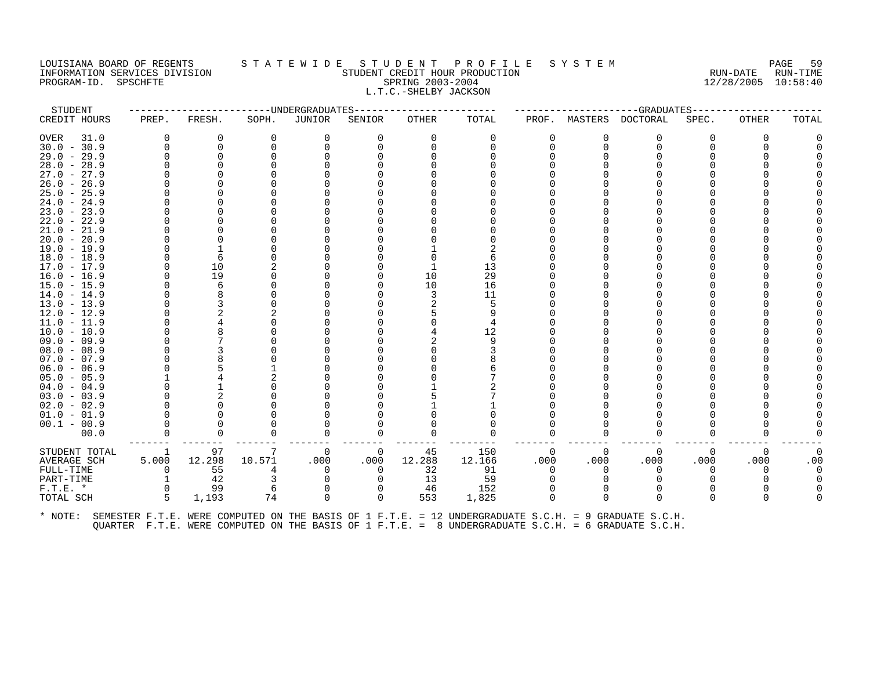#### LOUISIANA BOARD OF REGENTS STATEWIDE STUDENT PROFILE SYSTEM NAGE 59 INFORMATION SERVICES DIVISION SANCE IN THE STUDENT CREDIT HOUR PRODUCTION SERVICES DIVISION SUM-TIME<br>INFORMATION SERVICES DIVISION STUDENT STUDENT CREDIT HOUR PRODUCTION SERVICES (12/28/2005 10:58:40 PROGRAM-ID. SPSCHFTE SERING 2003-2004 L.T.C.-SHELBY JACKSON

| STUDENT                                                                                                      |          |          |          |          |                | -------------DNDERGRADUATES---------------- |          |      |          | ------------------GRADUATES------ |          |          |       |
|--------------------------------------------------------------------------------------------------------------|----------|----------|----------|----------|----------------|---------------------------------------------|----------|------|----------|-----------------------------------|----------|----------|-------|
| CREDIT HOURS                                                                                                 | PREP.    | FRESH.   | SOPH.    | JUNIOR   | SENIOR         | OTHER                                       | TOTAL    |      |          | PROF. MASTERS DOCTORAL            | SPEC.    | OTHER    | TOTAL |
| OVER<br>31.0                                                                                                 | $\Omega$ | $\Omega$ | $\Omega$ | 0        | $\Omega$       | $\Omega$                                    | 0        |      | 0        | $\Omega$                          | $\Omega$ | $\Omega$ |       |
| $30.0 - 30.9$                                                                                                |          | 0        | $\Omega$ | 0        |                | $\Omega$                                    | $\Omega$ |      | $\Omega$ | $\Omega$                          |          |          |       |
| $29.0 - 29.9$                                                                                                |          | 0        |          |          |                |                                             |          |      |          | O                                 |          |          |       |
| $28.0 - 28.9$                                                                                                |          |          |          |          |                |                                             |          |      |          |                                   |          |          |       |
| $27.0 - 27.9$                                                                                                |          |          |          |          |                |                                             |          |      |          |                                   |          |          |       |
| $26.0 - 26.9$                                                                                                |          |          |          |          |                |                                             |          |      |          |                                   |          |          |       |
| $25.0 - 25.9$                                                                                                |          |          |          |          |                |                                             |          |      |          |                                   |          |          |       |
| $24.0 - 24.9$                                                                                                |          |          |          |          |                |                                             |          |      |          |                                   |          |          |       |
| $23.0 - 23.9$                                                                                                |          |          |          |          |                |                                             |          |      |          |                                   |          |          |       |
| $22.0 - 22.9$                                                                                                |          |          |          |          |                |                                             |          |      |          |                                   |          |          |       |
| $21.0 - 21.9$                                                                                                |          |          |          |          |                |                                             |          |      |          |                                   |          |          |       |
| $20.0 - 20.9$                                                                                                |          |          |          |          |                |                                             |          |      |          |                                   |          |          |       |
| $19.0 - 19.9$                                                                                                |          |          |          |          |                |                                             |          |      |          |                                   |          |          |       |
| $18.0 - 18.9$                                                                                                |          | 6        |          |          |                |                                             |          |      |          |                                   |          |          |       |
| $17.0 - 17.9$                                                                                                |          | 10       |          |          |                |                                             | 13       |      |          |                                   |          |          |       |
| $16.0 - 16.9$                                                                                                |          | 19       |          |          |                | 10                                          | 29       |      |          |                                   |          |          |       |
| $15.0 - 15.9$                                                                                                |          | 6        |          |          |                | 10                                          | 16       |      |          |                                   |          |          |       |
| $14.0 - 14.9$                                                                                                |          |          |          |          |                |                                             | 11       |      |          |                                   |          |          |       |
| $13.0 - 13.9$                                                                                                |          |          |          |          |                |                                             | 5        |      |          |                                   |          |          |       |
| $12.0 - 12.9$                                                                                                |          |          |          |          |                |                                             |          |      |          |                                   |          |          |       |
| 11.0 - 11.9                                                                                                  |          |          |          |          |                |                                             |          |      |          |                                   |          |          |       |
| $10.0 - 10.9$                                                                                                |          |          |          |          |                |                                             | 12       |      |          |                                   |          |          |       |
| $09.0 - 09.9$                                                                                                |          |          |          |          |                |                                             |          |      |          |                                   |          |          |       |
| $08.0 - 08.9$                                                                                                |          |          |          |          |                |                                             |          |      |          |                                   |          |          |       |
| $07.0 - 07.9$                                                                                                |          |          |          |          |                |                                             |          |      |          |                                   |          |          |       |
| $06.0 - 06.9$                                                                                                |          |          |          |          |                |                                             |          |      |          |                                   |          |          |       |
| $05.0 - 05.9$                                                                                                |          |          |          |          |                |                                             |          |      |          |                                   |          |          |       |
| $04.0 - 04.9$                                                                                                |          |          |          |          |                |                                             |          |      |          |                                   |          |          |       |
| $03.0 - 03.9$                                                                                                |          |          |          |          |                |                                             |          |      |          |                                   |          |          |       |
| $02.0 - 02.9$                                                                                                |          |          |          |          |                |                                             |          |      |          |                                   |          |          |       |
| $01.0 - 01.9$                                                                                                |          |          |          |          |                |                                             |          |      |          |                                   |          |          |       |
| $00.1 - 00.9$                                                                                                |          |          |          |          |                |                                             |          |      |          |                                   |          |          |       |
| 00.0                                                                                                         |          | $\Omega$ | O        | $\Omega$ | 0              | $\Omega$                                    | $\Omega$ |      |          | $\Omega$                          | ∩        |          |       |
| STUDENT TOTAL                                                                                                | 1        | 97       | 7        | 0        | $\overline{0}$ | 45                                          | 150      |      | $\Omega$ | $\Omega$                          | $\Omega$ | $\Omega$ | 0     |
| AVERAGE SCH                                                                                                  | 5.000    | 12.298   | 10.571   | .000     | .000           | 12.288                                      | 12.166   | .000 | .000     | .000                              | .000     | .000     | .00   |
| FULL-TIME                                                                                                    | $\Omega$ | 55       | 4        | $\Omega$ | $\Omega$       | 32                                          | 91       |      | 0        | $\Omega$                          | $\Omega$ | $\Omega$ |       |
| PART-TIME                                                                                                    |          | 42       |          |          |                | 13                                          | 59       |      |          |                                   |          |          |       |
| $F.T.E. *$                                                                                                   | $\Omega$ | 99       | 6        | $\Omega$ |                | 46                                          | 152      |      | 0        | $\Omega$                          |          |          |       |
| TOTAL SCH                                                                                                    | 5        | 1,193    | 74       | $\Omega$ | $\Omega$       | 553                                         | 1,825    |      | $\Omega$ | $\Omega$                          | $\Omega$ |          |       |
| * NOTE: SEMESTER F.T.E. WERE COMPUTED ON THE BASIS OF 1 F.T.E. = 12 UNDERGRADUATE S.C.H. = 9 GRADUATE S.C.H. |          |          |          |          |                |                                             |          |      |          |                                   |          |          |       |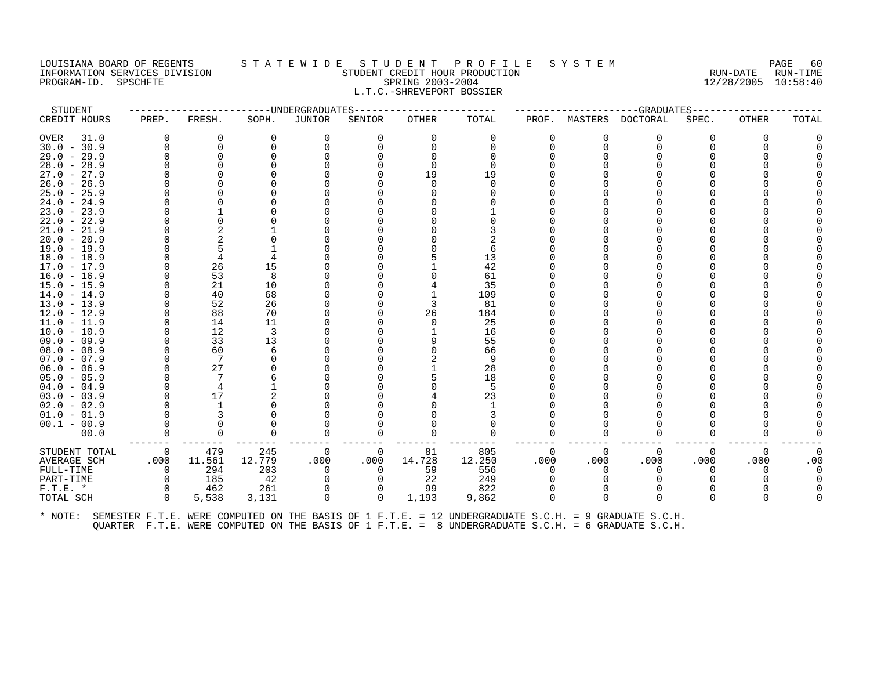# LOUISIANA BOARD OF REGENTS STATEWIDE STUDENT PROFILE SYSTEM PAGE 60<br>INFORMATION SERVICES DIVISION STATEWISH STUDENT CREDIT HOUR PRODUCTION INFORMATION SERVICES DIVISION STUDENT CREDIT HOUR PRODUCTION RUN-DATE RUN-TIME PROGRAM-ID. SPSCHFTE SPRING 2003-2004 12/28/2005 10:58:40 L.T.C.-SHREVEPORT BOSSIER

| STUDENT                        |                |          | ---------------------DNDERGRADUATES |          |          | --------------- |           |          |          | -------------------GRADUATES----- |          |              |       |
|--------------------------------|----------------|----------|-------------------------------------|----------|----------|-----------------|-----------|----------|----------|-----------------------------------|----------|--------------|-------|
| CREDIT HOURS                   | PREP.          | FRESH.   | SOPH.                               | JUNIOR   | SENIOR   | OTHER           | TOTAL     | PROF.    |          | MASTERS DOCTORAL                  | SPEC.    | <b>OTHER</b> | TOTAL |
| OVER<br>31.0                   | $\Omega$       | 0        | 0                                   | 0        | 0        | $\Omega$        | 0         | $\Omega$ | 0        | 0                                 | 0        | $\Omega$     |       |
| $30.0 - 30.9$                  | $\Omega$       | $\Omega$ |                                     |          |          |                 |           | 0        | $\Omega$ | $\Omega$                          |          |              |       |
| $29.0 - 29.9$                  | $\Omega$       | $\Omega$ |                                     |          |          |                 |           |          |          |                                   |          |              |       |
| $28.0 - 28.9$                  |                |          |                                     |          |          |                 |           |          |          |                                   |          |              |       |
| $27.0 - 27.9$                  |                |          |                                     |          |          | 19              | 19        |          |          |                                   |          |              |       |
| $26.0 - 26.9$                  |                |          |                                     |          |          |                 | $\Omega$  |          |          |                                   |          |              |       |
| $25.0 - 25.9$                  |                |          |                                     |          |          |                 |           |          |          |                                   |          |              |       |
| $24.0 - 24.9$                  |                |          |                                     |          |          |                 |           |          |          |                                   |          |              |       |
| $23.0 - 23.9$                  |                |          |                                     |          |          |                 |           |          |          |                                   |          |              |       |
| $22.0 - 22.9$                  |                | $\Omega$ |                                     |          |          |                 |           |          |          |                                   |          |              |       |
| $21.0 - 21.9$                  |                |          |                                     |          |          |                 |           |          |          |                                   |          |              |       |
| $20.0 - 20.9$                  |                |          |                                     |          |          |                 |           |          |          |                                   |          |              |       |
| $19.0 - 19.9$                  |                |          |                                     |          |          |                 | 6         |          |          |                                   |          |              |       |
| $18.0 - 18.9$                  |                |          |                                     |          |          |                 | 13        |          |          |                                   |          |              |       |
| 17.0 - 17.9                    |                | 26       | 15                                  |          |          |                 | 42        |          |          |                                   |          |              |       |
| $16.0 - 16.9$                  |                | 53       | 8                                   |          |          |                 | 61        |          |          |                                   |          |              |       |
| $15.0 - 15.9$                  |                | 21<br>40 | 10<br>68                            |          |          |                 | 35<br>109 |          |          |                                   |          |              |       |
| $14.0 - 14.9$                  |                | 52       | 26                                  |          |          |                 | 81        |          |          |                                   |          |              |       |
| $13.0 - 13.9$<br>$12.0 - 12.9$ | $\Omega$       | 88       | 70                                  |          |          | 26              | 184       |          |          |                                   |          |              |       |
| $11.0 - 11.9$                  |                | 14       | 11                                  |          |          |                 | 25        |          |          |                                   |          |              |       |
| $10.0 - 10.9$                  |                | 12       | 3                                   |          |          |                 | 16        |          |          |                                   |          |              |       |
| $09.0 - 09.9$                  |                | 33       | 13                                  |          |          |                 | 55        |          |          |                                   |          |              |       |
| $08.0 - 08.9$                  |                | 60       |                                     |          |          |                 | 66        |          |          |                                   |          |              |       |
| $07.0 - 07.9$                  | $\Omega$       | -7       |                                     |          |          |                 | 9         |          |          |                                   |          |              |       |
| $06.0 - 06.9$                  | 0              | 27       |                                     |          |          |                 | 28        |          |          |                                   |          |              |       |
| $05.0 - 05.9$                  | 0              | 7        |                                     |          |          |                 | 18        |          |          |                                   |          |              |       |
| $04.0 - 04.9$                  |                | 4        |                                     |          |          |                 | 5         |          |          |                                   |          |              |       |
| $03.0 - 03.9$                  |                | 17       |                                     |          |          |                 | 23        |          |          |                                   |          |              |       |
| $02.0 - 02.9$                  |                |          |                                     |          |          |                 |           |          |          |                                   |          |              |       |
| $01.0 - 01.9$                  |                |          |                                     |          |          |                 |           |          |          |                                   |          |              |       |
| $00.1 - 00.9$                  |                |          |                                     |          |          |                 |           |          |          |                                   |          |              |       |
| 00.0                           | $\Omega$       | $\Omega$ | $\Omega$                            |          | O        |                 | $\Omega$  | $\Omega$ | 0        | $\Omega$                          | 0        |              |       |
| STUDENT TOTAL                  | $\overline{0}$ | 479      | 245                                 | - 0      | 0        | 81              | 805       | $\Omega$ | $\Omega$ | 0                                 | $\Omega$ | 0            |       |
| AVERAGE SCH                    | .000           | 11.561   | 12.779                              | .000     | .000     | 14.728          | 12.250    | .000     | .000     | .000                              | .000     | .000         | .00   |
| FULL-TIME                      | $\overline{0}$ | 294      | 203                                 | 0        | 0        | 59              | 556       | 0        |          | 0                                 | 0        |              |       |
| PART-TIME                      | $\overline{0}$ | 185      | 42                                  | $\Omega$ | 0        | 22              | 249       | $\Omega$ |          | $\Omega$                          |          |              |       |
| $F.T.E. *$                     | $\Omega$       | 462      | 261                                 |          |          | 99              | 822       |          |          |                                   |          |              |       |
| TOTAL SCH                      | $\Omega$       | 5,538    | 3,131                               | $\Omega$ | $\Omega$ | 1,193           | 9,862     | $\Omega$ | 0        | $\Omega$                          | 0        |              |       |
|                                |                |          |                                     |          |          |                 |           |          |          |                                   |          |              |       |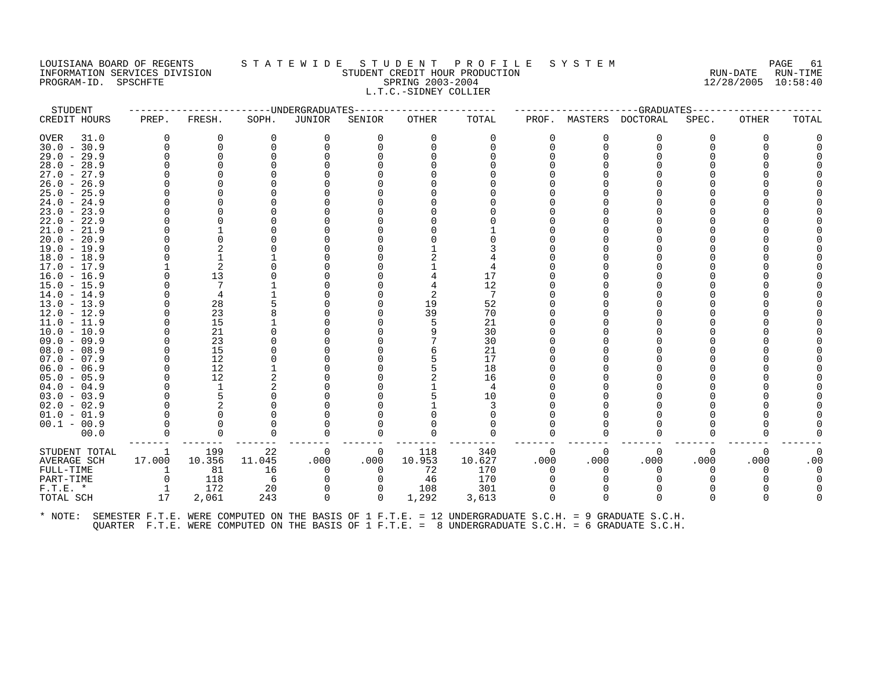#### LOUISIANA BOARD OF REGENTS STATEWIDE STUDENT PROFILE SYSTEM PAGE 61<br>INFORMATION SERVICES DIVISION STATEWIDENT CREDIT HOUR PRODUCTION AND SERVICE RUN-TIME THE STUDENT CREDIT HOUR PRODUCTION SERVICES AND SERVICES DIVISION SERVICES SERVICES SERVICES SERVICES SERVICES PROGRAM-ID. SPSCHFTE SERING 2003-2004 L.T.C.-SIDNEY COLLIER

| STUDENT       |          |                | -------------UNDERGRADUATES- |                |          |        |          |          |          | -----------------GRADUATES---- |          |          |          |
|---------------|----------|----------------|------------------------------|----------------|----------|--------|----------|----------|----------|--------------------------------|----------|----------|----------|
| CREDIT HOURS  | PREP.    | FRESH.         | SOPH.                        | JUNIOR         | SENIOR   | OTHER  | TOTAL    |          |          | PROF. MASTERS DOCTORAL         | SPEC.    | OTHER    | TOTAL    |
| 31.0<br>OVER  | $\Omega$ | 0              | 0                            | 0              |          | 0      | 0        | O        | 0        | 0                              |          | O        |          |
| $30.0 - 30.9$ |          | $\Omega$       | $\cap$                       | $\Omega$       |          |        | $\Omega$ |          | $\Omega$ | $\Omega$                       |          |          |          |
| $29.0 - 29.9$ |          | ∩              |                              |                |          |        |          |          |          |                                |          |          |          |
| $28.0 - 28.9$ |          |                |                              |                |          |        |          |          |          |                                |          |          |          |
| $27.0 - 27.9$ |          |                |                              |                |          |        |          |          |          |                                |          |          |          |
| $26.0 - 26.9$ |          |                |                              |                |          |        |          |          |          |                                |          |          |          |
| $25.0 - 25.9$ |          | O              |                              |                |          |        |          |          |          |                                |          |          |          |
| $24.0 - 24.9$ |          | ∩              |                              |                |          |        |          |          |          |                                |          |          |          |
| $23.0 - 23.9$ |          |                |                              |                |          |        |          |          |          |                                |          |          |          |
| $22.0 - 22.9$ |          |                |                              |                |          |        |          |          |          |                                |          |          |          |
| $21.0 - 21.9$ |          |                |                              |                |          |        |          |          |          |                                |          |          |          |
| $20.0 - 20.9$ |          | ∩              |                              |                |          |        |          |          |          |                                |          |          |          |
| $19.0 - 19.9$ |          | $\mathfrak{D}$ |                              |                |          |        |          |          |          |                                |          |          |          |
| $18.0 - 18.9$ |          |                |                              |                |          |        |          |          |          |                                |          |          |          |
| $17.0 - 17.9$ |          | 2              |                              |                |          |        |          |          |          |                                |          |          |          |
| $16.0 - 16.9$ |          | 13             |                              |                |          |        | 17       |          |          |                                |          |          |          |
| $15.0 - 15.9$ |          | 7              |                              |                |          |        | 12       |          |          |                                |          |          |          |
| $14.0 - 14.9$ |          | 4              |                              |                |          | 2      | 7        |          |          |                                |          |          |          |
| $13.0 - 13.9$ |          | 28             |                              |                |          | 19     | 52       |          |          |                                |          |          |          |
| $12.0 - 12.9$ |          | 23             |                              |                |          | 39     | 70       |          |          |                                |          |          |          |
| $11.0 - 11.9$ |          | 15             |                              |                |          |        | 21       |          |          |                                |          |          |          |
| $10.0 - 10.9$ |          | 21             |                              |                |          |        | 30       |          |          |                                |          |          |          |
| $09.0 - 09.9$ |          | 23             |                              |                |          |        | 30       |          |          |                                |          |          |          |
| $08.0 - 08.9$ |          | 15             |                              |                |          |        | 21       |          |          |                                |          |          |          |
| $07.0 - 07.9$ |          | 12             |                              |                |          |        | 17       |          |          |                                |          |          |          |
| $06.0 - 06.9$ |          | 12             |                              |                |          |        | 18       |          |          |                                |          |          |          |
| $05.0 - 05.9$ |          | 12             |                              |                |          |        | 16       |          |          |                                |          |          |          |
| $04.0 - 04.9$ |          | 1              |                              |                |          |        | 4        |          |          |                                |          |          |          |
| $03.0 - 03.9$ |          | 5              |                              |                |          |        | 10       |          |          |                                |          |          |          |
| $02.0 - 02.9$ |          | 2              |                              |                |          |        |          |          |          |                                |          |          |          |
| $01.0 - 01.9$ |          | $\Omega$       |                              |                |          |        |          |          |          |                                |          |          |          |
| $00.1 - 00.9$ |          |                |                              |                |          |        |          |          |          |                                |          |          |          |
| 00.0          |          | $\Omega$       | ∩                            | $\Omega$       |          |        | $\Omega$ |          |          | $\Omega$                       |          |          |          |
| STUDENT TOTAL | 1        | 199            | 22                           | $\overline{0}$ | 0        | 118    | 340      | $\Omega$ | 0        | 0                              | $\Omega$ | 0        | $\Omega$ |
| AVERAGE SCH   | 17.000   | 10.356         | 11.045                       | .000           | .000     | 10.953 | 10.627   | .000     | .000     | .000                           | .000     | .000     | .00      |
| FULL-TIME     | 1        | 81             | 16                           | $\Omega$       | $\Omega$ | 72     | 170      | $\Omega$ | $\Omega$ | $\Omega$                       |          | $\Omega$ |          |
| PART-TIME     | $\Omega$ | 118            | 6                            | $\Omega$       | $\Omega$ | 46     | 170      |          |          | 0                              |          |          |          |
| $F.T.E. *$    |          | 172            | 20                           |                |          | 108    | 301      |          |          |                                |          |          |          |
| TOTAL SCH     | 17       | 2,061          | 243                          | $\Omega$       | $\Omega$ | 1,292  | 3,613    |          |          | 0                              |          | 0        |          |
|               |          |                |                              |                |          |        |          |          |          |                                |          |          |          |
|               |          |                |                              |                |          |        |          |          |          |                                |          |          |          |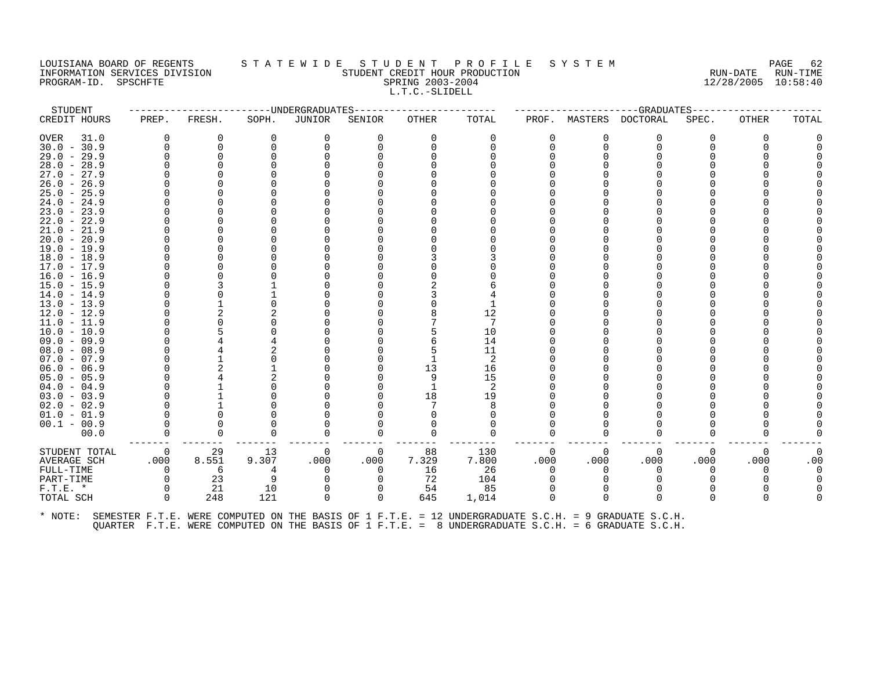# LOUISIANA BOARD OF REGENTS STATEWIDE STUDENT PROFILE SYSTEM<br>INFORMATION SERVICES DIVISION STATE WILL STUDENT CREDIT HOUR PRODUCTION TO MAKE RUN-DATE RUN-TIME THE STUDENT CREDIT HOUR PRODUCTION SERVICES AND SERVICES DIVISION SERVICES SERVICES SERVICES SERVICES SERVICES PROGRAM-ID. SPSCHFTE SPRING 2003-2004 L.T.C.-SLIDELL

STUDENT ------------------------UNDERGRADUATES------------------------ ---------------------GRADUATES----------------------

| CREDIT HOURS        | PREP.       | FRESH.   | SOPH.    | JUNIOR   | SENIOR   | <b>OTHER</b> | TOTAL | PROF.    | MASTERS  | DOCTORAL | SPEC. | OTHER        | TOTAL |
|---------------------|-------------|----------|----------|----------|----------|--------------|-------|----------|----------|----------|-------|--------------|-------|
| <b>OVER</b><br>31.0 | $\Omega$    | $\Omega$ | 0        | 0        | 0        | $\Omega$     | 0     | 0        | 0        | 0        | 0     | $\Omega$     |       |
| $30.0 - 30.9$       | $\mathbf 0$ | 0        | ∩        |          |          |              | 0     | 0        | $\Omega$ | 0        |       |              |       |
| $29.0 - 29.9$       | $\Omega$    |          |          |          |          |              |       |          |          |          |       |              |       |
| $28.0 - 28.9$       |             |          |          |          |          |              |       |          |          |          |       |              |       |
| $27.0 - 27.9$       |             |          |          |          |          |              |       |          |          |          |       |              |       |
| $26.0 - 26.9$       |             |          |          |          |          |              |       |          |          |          |       |              |       |
| $25.0 - 25.9$       |             |          |          |          |          |              |       |          |          |          |       |              |       |
| $24.0 - 24.9$       |             |          |          |          |          |              |       |          |          |          |       |              |       |
| $23.0 - 23.9$       |             |          |          |          |          |              |       |          |          |          |       |              |       |
| $22.0 - 22.9$       |             |          |          |          |          |              |       |          |          |          |       |              |       |
| $21.0 - 21.9$       |             |          |          |          |          |              |       |          |          |          |       |              |       |
| $20.0 - 20.9$       |             |          |          |          |          |              |       |          |          |          |       |              |       |
| $19.0 - 19.9$       |             |          |          |          |          |              |       |          |          |          |       |              |       |
| $18.0 - 18.9$       |             |          |          |          |          |              |       |          |          |          |       |              |       |
| $17.0 - 17.9$       |             |          |          |          |          |              |       |          |          |          |       |              |       |
| $16.0 - 16.9$       |             |          |          |          |          |              |       |          |          |          |       |              |       |
| $15.0 - 15.9$       |             |          |          |          |          |              |       |          |          |          |       |              |       |
| $14.0 - 14.9$       |             |          |          |          |          |              |       |          |          |          |       |              |       |
| $13.0 - 13.9$       |             |          |          |          |          |              |       |          |          |          |       |              |       |
| $12.0 - 12.9$       |             |          |          |          |          |              | 12    |          |          |          |       |              |       |
| $11.0 - 11.9$       |             |          |          |          |          |              |       |          |          |          |       |              |       |
| $10.0 - 10.9$       |             |          |          |          |          |              | 10    |          |          |          |       |              |       |
| $09.0 - 09.9$       |             |          |          |          |          |              | 14    |          |          |          |       |              |       |
| $08.0 - 08.9$       |             |          |          |          |          |              | 11    |          |          |          |       |              |       |
| $07.0 - 07.9$       |             |          |          |          |          |              | 2     |          |          |          |       |              |       |
| $06.0 - 06.9$       |             |          |          |          |          | 13           | 16    |          |          |          |       |              |       |
| $05.0 - 05.9$       |             |          |          |          |          |              | 15    |          |          |          |       |              |       |
| $04.0 - 04.9$       |             |          |          |          |          |              | 2     |          |          |          |       |              |       |
| $03.0 - 03.9$       |             |          |          |          |          | 18           | 19    |          |          |          |       |              |       |
| $02.0 - 02.9$       | $\Omega$    |          |          |          |          |              |       |          |          |          |       |              |       |
| $01.0 - 01.9$       |             |          |          |          |          |              |       |          |          |          |       |              |       |
| $00.1 - 00.9$       | $\Omega$    |          | ∩        |          |          |              |       |          |          |          |       |              |       |
| 00.0                | 0           | 0        | $\Omega$ |          | 0        |              |       | 0        | O        | 0        |       |              |       |
|                     |             |          |          |          |          |              |       |          |          |          |       |              |       |
| STUDENT TOTAL       | 0           | 29       | 13       | 0        | 0        | 88           | 130   | 0        | $\Omega$ | 0        | 0     | 0            |       |
| AVERAGE SCH         | .000        | 8.551    | 9.307    | .000     | .000     | 7.329        | 7.800 | .000     | .000     | .000     | .000  | .000         | .00   |
| FULL-TIME           | $\Omega$    | 6        | 4        |          | 0        | 16           | 26    | $\Omega$ | ∩        | $\Omega$ |       |              |       |
| PART-TIME           | $\Omega$    | 23       | 9        |          |          | 72           | 104   |          |          |          |       |              |       |
| $F.T.E. *$          |             | 21       | 10       |          |          | 54           | 85    |          |          |          |       |              |       |
| TOTAL SCH           | $\Omega$    | 248      | 121      | $\Omega$ | $\Omega$ | 645          | 1,014 | $\Omega$ | 0        | $\Omega$ | 0     | <sup>0</sup> |       |
|                     |             |          |          |          |          |              |       |          |          |          |       |              |       |
|                     |             |          |          |          |          |              |       |          |          |          |       |              |       |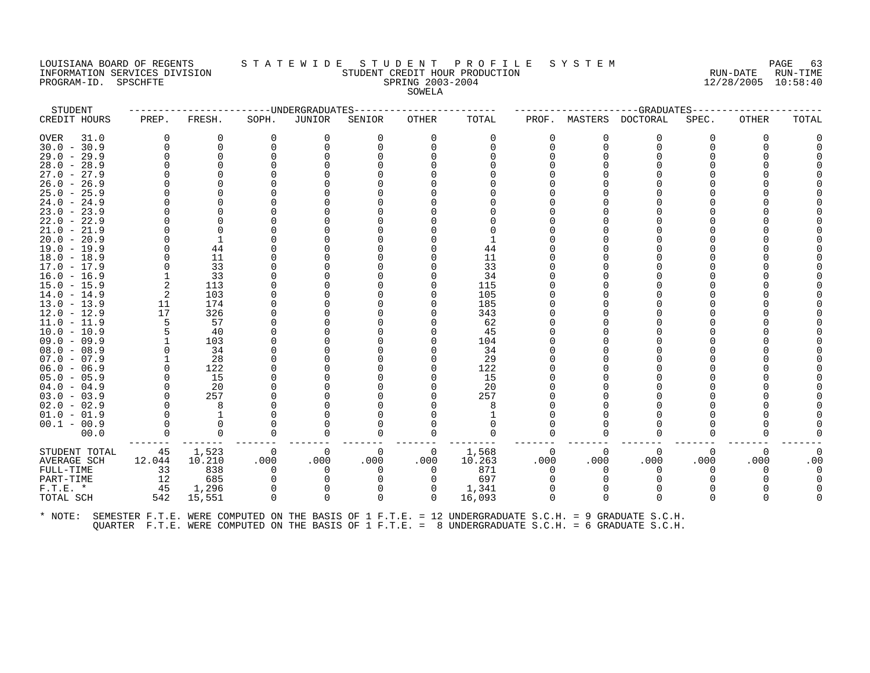## LOUISIANA BOARD OF REGENTS STATEWIDE STUDENT PROFILE SYSTEM NAGE 63 INFORMATION SERVICES DIVISION SANCE IN THE STUDENT CREDIT HOUR PRODUCTION SERVICES DIVISION SUM-TIME<br>INFORMATION SERVICES DIVISION STUDENT STUDENT CREDIT HOUR PRODUCTION SERVICES (12/28/2005 10:58:40 PROGRAM-ID. SPSCHFTE SERIES SPRING 2003-2004 SOWELA

STUDENT ------------------------UNDERGRADUATES------------------------ ---------------------GRADUATES----------------------

| CREDIT HOURS                                    | PREP.    | FRESH.   | SOPH.    | JUNIOR   | SENIOR   | OTHER    | TOTAL                                                                                                | PROF.    | MASTERS  | DOCTORAL | SPEC.    | OTHER        | TOTAL |
|-------------------------------------------------|----------|----------|----------|----------|----------|----------|------------------------------------------------------------------------------------------------------|----------|----------|----------|----------|--------------|-------|
| 31.0<br><b>OVER</b>                             |          | 0        | 0        | $\Omega$ | 0        | $\Omega$ | 0                                                                                                    | 0        | $\Omega$ | 0        | O        | 0            |       |
| $30.0 - 30.9$                                   |          | 0        | $\Omega$ | $\Omega$ | $\Omega$ | $\Omega$ | 0                                                                                                    |          | $\Omega$ | $\Omega$ |          |              |       |
| $29.0 -$<br>29.9                                |          | U        |          |          |          |          |                                                                                                      |          |          |          |          |              |       |
| $28.0 -$<br>28.9                                |          |          |          |          |          |          |                                                                                                      |          |          |          |          |              |       |
| 27.0<br>27.9<br>$\sim$                          |          |          |          |          |          |          |                                                                                                      |          |          |          |          |              |       |
| $26.0 -$<br>26.9                                |          |          |          |          |          |          |                                                                                                      |          |          |          |          |              |       |
| $25.0 -$<br>25.9                                |          |          |          |          |          |          |                                                                                                      |          |          |          |          |              |       |
| $24.0 -$<br>24.9                                |          |          |          |          |          |          |                                                                                                      |          |          |          |          |              |       |
| $23.0 -$<br>23.9                                |          |          |          |          |          |          |                                                                                                      |          |          |          |          |              |       |
| 22.0<br>22.9<br>$\overline{\phantom{a}}$        |          |          |          |          |          |          |                                                                                                      |          |          |          |          |              |       |
| 21.0<br>21.9<br>$\hspace{0.1mm}-\hspace{0.1mm}$ |          |          |          |          |          |          |                                                                                                      |          |          |          |          |              |       |
| 20.9<br>$20.0 -$                                |          |          |          |          |          |          |                                                                                                      |          |          |          |          |              |       |
| $19.0 - 19.9$                                   |          | 44       |          |          |          |          | 44                                                                                                   |          |          |          |          |              |       |
| $18.0 -$<br>18.9                                |          | 11       |          |          |          |          | 11                                                                                                   |          |          |          |          |              |       |
| $17.0 - 17.9$                                   |          | 33       |          |          |          |          | 33                                                                                                   |          |          |          |          |              |       |
| $16.0 - 16.9$                                   |          | 33       |          |          |          |          | 34                                                                                                   |          |          |          |          |              |       |
| $15.0 -$<br>15.9                                | 2        | 113      |          |          |          |          | 115                                                                                                  |          |          |          |          |              |       |
| $14.0 -$<br>14.9                                | 2        | 103      |          |          |          |          | 105                                                                                                  |          |          |          |          |              |       |
| $13.0 - 13.9$                                   | 11       | 174      |          |          |          |          | 185                                                                                                  |          |          |          |          |              |       |
| $12.0 - 12.9$                                   | 17       | 326      |          |          |          |          | 343                                                                                                  |          |          |          |          |              |       |
| 11.9<br>$11.0 -$                                |          | 57       |          |          |          |          | 62                                                                                                   |          |          |          |          |              |       |
| $10.0 - 10.9$                                   |          | 40       |          |          |          |          | 45                                                                                                   |          |          |          |          |              |       |
| $09.0 - 09.9$                                   |          | 103      |          |          |          |          | 104                                                                                                  |          |          |          |          |              |       |
| $08.0 - 08.9$                                   |          | 34       |          |          |          |          | 34                                                                                                   |          |          |          |          |              |       |
| $07.0 - 07.9$                                   |          | 28       |          |          |          |          | 29                                                                                                   |          |          |          |          |              |       |
| $06.0 - 06.9$                                   |          | 122      |          |          |          |          | 122                                                                                                  |          |          |          |          |              |       |
| $05.0 - 05.9$                                   |          | 15       |          |          |          |          | 15                                                                                                   |          |          |          |          |              |       |
| $04.0 - 04.9$                                   |          | 20       |          |          |          |          | 20                                                                                                   |          |          |          |          |              |       |
| $03.0 - 03.9$                                   |          | 257      |          |          |          |          | 257                                                                                                  |          |          |          |          |              |       |
| $02.0 - 02.9$                                   |          | 8        |          |          |          |          | 8                                                                                                    |          |          |          |          |              |       |
| $01.0 - 01.9$                                   |          |          |          |          |          |          |                                                                                                      |          |          |          |          |              |       |
| $00.1 - 00.9$                                   |          | 0        |          |          |          |          |                                                                                                      |          |          |          |          |              |       |
| 00.0                                            | $\Omega$ | $\Omega$ | $\Omega$ |          | $\Omega$ | $\Omega$ | $\Omega$                                                                                             |          | $\Omega$ | $\Omega$ |          | <sup>0</sup> |       |
| STUDENT TOTAL                                   | 45       | 1,523    | 0        | $\Omega$ | 0        | 0        | 1,568                                                                                                | 0        | 0        | 0        | $\Omega$ | 0            |       |
| <b>AVERAGE SCH</b>                              | 12.044   | 10.210   | .000     | .000     | .000     | .000     | 10.263                                                                                               | .000     | .000     | .000     | .000     | .000         | .00   |
| FULL-TIME                                       | 33       | 838      | $\Omega$ |          | $\Omega$ | $\Omega$ | 871                                                                                                  |          | 0        | $\Omega$ |          | 0            |       |
| PART-TIME                                       | 12       | 685      | O        |          | $\Omega$ | $\Omega$ | 697                                                                                                  |          | ∩        | $\Omega$ |          |              |       |
| $F.T.E.$ *                                      | 45       | 1,296    | 0        | 0        | 0        | 0        | 1,341                                                                                                |          | 0        | 0        |          |              |       |
| TOTAL SCH                                       | 542      | 15,551   | 0        | $\Omega$ | $\Omega$ | $\Omega$ | 16,093                                                                                               | $\Omega$ | $\Omega$ | $\Omega$ | $\Omega$ | $\Omega$     |       |
| * NOTE:                                         |          |          |          |          |          |          | SEMESTER F.T.E. WERE COMPUTED ON THE BASIS OF 1 F.T.E. = 12 UNDERGRADUATE S.C.H. = 9 GRADUATE S.C.H. |          |          |          |          |              |       |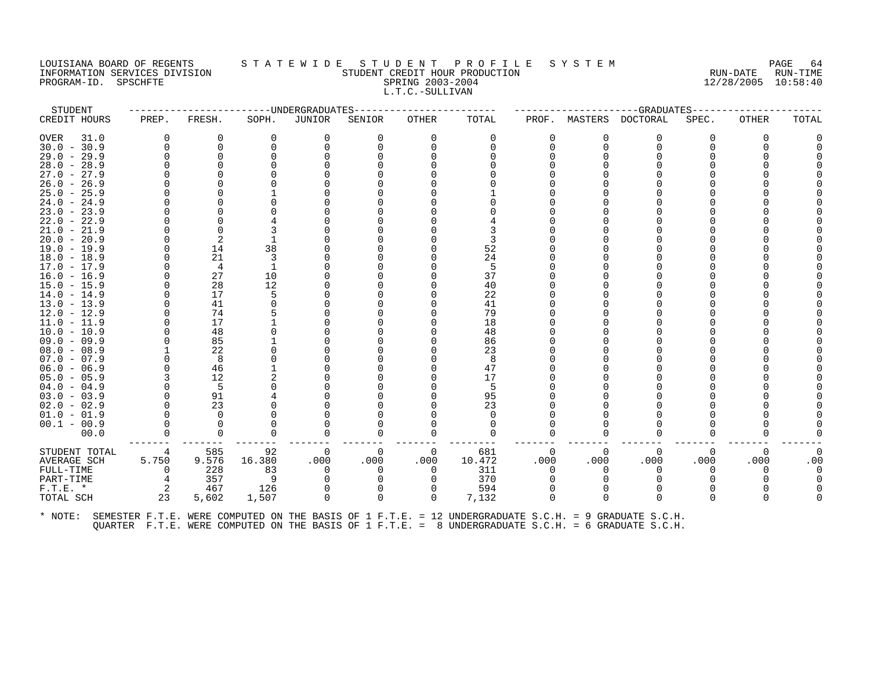### LOUISIANA BOARD OF REGENTS STATEWIDE STUDENT PROFILE SYSTEM NAGE 64 INFORMATION SERVICES DIVISION SUNGLERICAL STUDENT CREDIT HOUR PRODUCTION SERVICHING RUN-DATE RUN-TIME RUN-TIME<br>PROGRAM-ID. SPSCHFTE SERING 2003-2004 SPRING 2003-2004 PROGRAM-ID. SPSCHFTE SPRING 2003-2004 L.T.C.-SULLIVAN

| STUDENT                                                                                                      |          |          |          | --------------WNDERGRADUATES- |          | --------------- |          |      |          | -------------------GRADUATES------ |          |          |       |
|--------------------------------------------------------------------------------------------------------------|----------|----------|----------|-------------------------------|----------|-----------------|----------|------|----------|------------------------------------|----------|----------|-------|
| CREDIT HOURS                                                                                                 | PREP.    | FRESH.   | SOPH.    | JUNIOR                        | SENIOR   | OTHER           | TOTAL    |      |          | PROF. MASTERS DOCTORAL             | SPEC.    | OTHER    | TOTAL |
| OVER<br>31.0                                                                                                 | $\Omega$ | $\Omega$ | $\Omega$ | 0                             | $\Omega$ | $\Omega$        | 0        |      | 0        | $\Omega$                           | $\Omega$ | $\Omega$ |       |
| $30.0 - 30.9$                                                                                                |          | 0        | $\Omega$ | $\Omega$                      |          | $\Omega$        | $\Omega$ |      | $\Omega$ | $\Omega$                           |          |          |       |
| $29.0 - 29.9$                                                                                                |          | 0        |          |                               |          |                 |          |      |          | O                                  |          |          |       |
| $28.0 - 28.9$                                                                                                |          |          |          |                               |          |                 |          |      |          |                                    |          |          |       |
| $27.0 - 27.9$                                                                                                |          |          |          |                               |          |                 |          |      |          |                                    |          |          |       |
| $26.0 - 26.9$                                                                                                |          |          |          |                               |          |                 |          |      |          |                                    |          |          |       |
| $25.0 - 25.9$                                                                                                |          |          |          |                               |          |                 |          |      |          |                                    |          |          |       |
| $24.0 - 24.9$                                                                                                |          |          |          |                               |          |                 |          |      |          |                                    |          |          |       |
| $23.0 - 23.9$                                                                                                |          |          |          |                               |          |                 |          |      |          |                                    |          |          |       |
| $22.0 - 22.9$                                                                                                |          |          |          |                               |          |                 |          |      |          |                                    |          |          |       |
| $21.0 - 21.9$                                                                                                |          | $\Omega$ |          |                               |          |                 |          |      |          |                                    |          |          |       |
| $20.0 - 20.9$                                                                                                |          | 2        |          |                               |          |                 |          |      |          |                                    |          |          |       |
| $19.0 - 19.9$                                                                                                |          | 14       | 38       |                               |          |                 | 52       |      |          |                                    |          |          |       |
| $18.0 - 18.9$                                                                                                |          | 21       |          |                               |          |                 | 24       |      |          |                                    |          |          |       |
| $17.0 - 17.9$                                                                                                |          | 4        |          |                               |          |                 | 5        |      |          |                                    |          |          |       |
| $16.0 - 16.9$                                                                                                |          | 27       | 10       |                               |          |                 | 37       |      |          |                                    |          |          |       |
| $15.0 - 15.9$                                                                                                |          | 28       | 12       |                               |          |                 | 40       |      |          |                                    |          |          |       |
| $14.0 - 14.9$                                                                                                |          | 17       | 5        |                               |          |                 | 22       |      |          |                                    |          |          |       |
| $13.0 - 13.9$                                                                                                |          | 41       |          |                               |          |                 | 41       |      |          |                                    |          |          |       |
| $12.0 - 12.9$                                                                                                |          | 74       |          |                               |          |                 | 79       |      |          |                                    |          |          |       |
| 11.0 - 11.9                                                                                                  |          | 17       |          |                               |          |                 | 18       |      |          |                                    |          |          |       |
| $10.0 - 10.9$                                                                                                |          | 48       |          |                               |          |                 | 48       |      |          |                                    |          |          |       |
| $09.0 - 09.9$                                                                                                |          | 85       |          |                               |          |                 | 86       |      |          |                                    |          |          |       |
| $08.0 - 08.9$                                                                                                |          | 22       |          |                               |          |                 | 23       |      |          |                                    |          |          |       |
| $07.0 - 07.9$                                                                                                |          | 8        |          |                               |          |                 | 8        |      |          |                                    |          |          |       |
| $06.0 - 06.9$                                                                                                |          | 46       |          |                               |          |                 | 47       |      |          |                                    |          |          |       |
| $05.0 - 05.9$                                                                                                |          | 12       |          |                               |          |                 | 17       |      |          |                                    |          |          |       |
| $04.0 - 04.9$                                                                                                |          | -5       |          |                               |          |                 | 5        |      |          |                                    |          |          |       |
| $03.0 - 03.9$                                                                                                |          | 91       |          |                               |          |                 | 95       |      |          |                                    |          |          |       |
| $02.0 - 02.9$                                                                                                |          | 23       |          |                               |          |                 | 23       |      |          |                                    |          |          |       |
| $01.0 - 01.9$                                                                                                |          | $\Omega$ |          |                               |          |                 | $\Omega$ |      |          |                                    |          |          |       |
| $00.1 - 00.9$                                                                                                |          | $\Omega$ |          |                               |          |                 | $\Omega$ |      |          |                                    |          |          |       |
| 00.0                                                                                                         |          | $\Omega$ | O        | $\Omega$                      | 0        | $\Omega$        | $\Omega$ |      |          | $\Omega$                           | ∩        |          |       |
| STUDENT TOTAL                                                                                                | 4        | 585      | 92       | 0                             | $\Omega$ | 0               | 681      |      | $\Omega$ | $\Omega$                           | $\Omega$ | $\Omega$ | 0     |
| AVERAGE SCH                                                                                                  | 5.750    | 9.576    | 16.380   | .000                          | .000     | .000            | 10.472   | .000 | .000     | .000                               | .000     | .000     | .00   |
| FULL-TIME                                                                                                    | $\Omega$ | 228      | 83       | $\Omega$                      | $\Omega$ | $\Omega$        | 311      |      | 0        | $\Omega$                           | $\Omega$ | $\Omega$ |       |
| PART-TIME                                                                                                    | 4        | 357      | -9       |                               |          | $\Omega$        | 370      |      |          |                                    |          |          |       |
| $F.T.E. *$                                                                                                   | -2       | 467      | 126      | 0                             |          | 0               | 594      |      | 0        | $\Omega$                           |          |          |       |
| TOTAL SCH                                                                                                    | 23       | 5,602    | 1,507    | $\Omega$                      | $\Omega$ | $\Omega$        | 7,132    |      | $\Omega$ | $\Omega$                           |          |          |       |
| * NOTE: SEMESTER F.T.E. WERE COMPUTED ON THE BASIS OF 1 F.T.E. = 12 UNDERGRADUATE S.C.H. = 9 GRADUATE S.C.H. |          |          |          |                               |          |                 |          |      |          |                                    |          |          |       |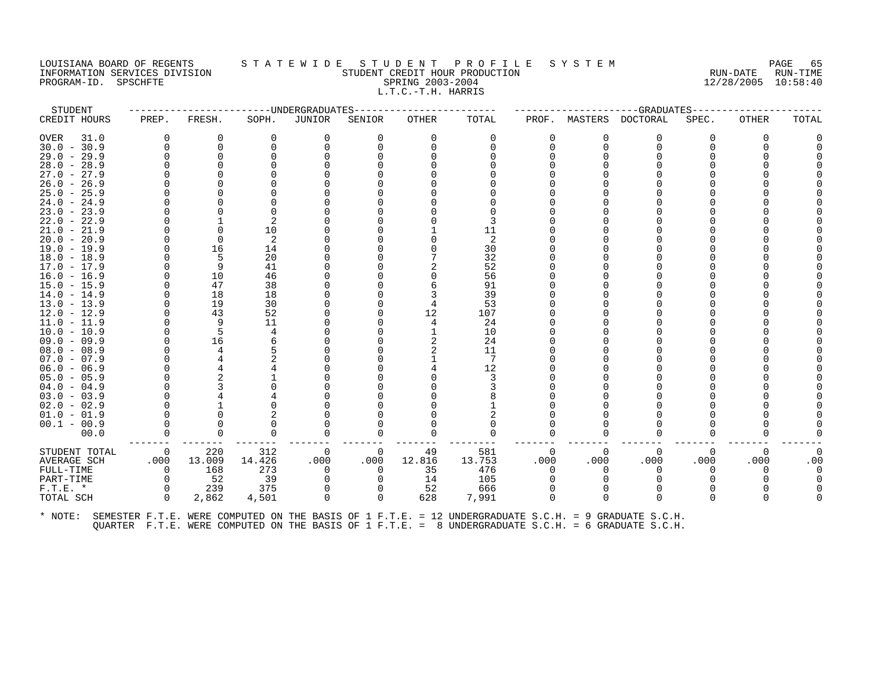# LOUISIANA BOARD OF REGENTS STATEWIDE STUDENT PROFILE SYSTEM PAGE 65<br>INFORMATION SERVICES DIVISION STATEWIST STUDENT CREDIT HOUR PRODUCTION IOUISIANA BOARD OF REGENTS (2014 LE NOTE IN THE ROLL BACK PRODUCTION RUN-DATE RUN-TIME<br>INFORMATION SERVICES DIVISION STUDENT CREDIT HOUR PRODUCTION RUN-DATE RUN-TIME<br>PROGRAM-ID. SPSCHFTE (2013-2003-2004) SPRING 2003-2004 PROGRAM-ID. SPSCHFTE SERIES SPRING 2003-2004 L.T.C.-T.H. HARRIS

STUDENT ------------------------UNDERGRADUATES------------------------ ---------------------GRADUATES----------------------

| CREDIT HOURS            | PREP.    | FRESH.   | SOPH.  | JUNIOR   | SENIOR   | <b>OTHER</b> | TOTAL    | PROF.    | MASTERS  | DOCTORAL | SPEC.    | <b>OTHER</b> | TOTAL |
|-------------------------|----------|----------|--------|----------|----------|--------------|----------|----------|----------|----------|----------|--------------|-------|
| OVER<br>31.0            | $\Omega$ | $\Omega$ | 0      | 0        | 0        | $\Omega$     | 0        | 0        | 0        | 0        | 0        | $\Omega$     |       |
| $30.0 - 30.9$           | $\Omega$ | $\Omega$ |        |          |          |              | $\Omega$ | 0        | $\Omega$ | 0        |          |              |       |
| $29.0 - 29.9$           |          |          |        |          |          |              |          |          |          |          |          |              |       |
| $28.0 - 28.9$           |          |          |        |          |          |              |          |          |          |          |          |              |       |
| $27.0 - 27.9$           |          |          |        |          |          |              |          |          |          |          |          |              |       |
| $26.0 - 26.9$           |          |          |        |          |          |              |          |          |          |          |          |              |       |
| $25.0 - 25.9$           |          |          |        |          |          |              |          |          |          |          |          |              |       |
| $24.0 - 24.9$           |          |          |        |          |          |              |          |          |          |          |          |              |       |
| $23.0 - 23.9$           |          |          |        |          |          |              |          |          |          |          |          |              |       |
| $22.0 - 22.9$           |          |          |        |          |          |              |          |          |          |          |          |              |       |
| $21.0 - 21.9$           |          |          | 10     |          |          |              | 11       |          |          |          |          |              |       |
| $20.0 - 20.9$           |          | n        | 2      |          |          |              | 2        |          |          |          |          |              |       |
| 19.0 - 19.9             |          | 16       | 14     |          |          |              | 30       |          |          |          |          |              |       |
| $18.0 - 18.9$           |          | 5        | 20     |          |          |              | 32       |          |          |          |          |              |       |
| $17.0 - 17.9$           |          | 9        | 41     |          |          |              | 52       |          |          |          |          |              |       |
| $16.0 - 16.9$           |          | 10       | 46     |          |          |              | 56       |          |          |          |          |              |       |
| 15.0 - 15.9             |          | 47       | 38     |          |          |              | 91       |          |          |          |          |              |       |
| $14.0 - 14.9$           |          | 18       | 18     |          |          |              | 39       |          |          |          |          |              |       |
| $13.0 - 13.9$           |          | 19       | 30     |          |          |              | 53       |          |          |          |          |              |       |
| $12.0 - 12.9$           |          | 43       | 52     |          |          | 12           | 107      |          |          |          |          |              |       |
| $11.0 - 11.9$           |          | 9        | 11     |          |          |              | 24       |          |          |          |          |              |       |
| $10.0 - 10.9$           |          | 5        |        |          |          |              | 10       |          |          |          |          |              |       |
| $09.0 - 09.9$           | $\Omega$ | 16       |        |          |          |              | 24       |          |          |          |          |              |       |
| $08.0 - 08.9$           |          |          |        |          |          |              | 11       |          |          |          |          |              |       |
| $07.0 - 07.9$           |          |          |        |          |          |              | 7        |          |          |          |          |              |       |
| $06.0 - 06.9$           |          |          |        |          |          |              | 12       |          |          |          |          |              |       |
| $05.0 - 05.9$           |          |          |        |          |          |              |          |          |          |          |          |              |       |
| $04.0 - 04.9$           |          |          |        |          |          |              |          |          |          |          |          |              |       |
| $03.0 - 03.9$           |          |          |        |          |          |              |          |          |          |          |          |              |       |
| $02.0 - 02.9$           |          |          |        |          |          |              |          |          |          |          |          |              |       |
| $01.0 - 01.9$           |          |          |        |          |          |              |          |          |          |          |          |              |       |
| $00.1 - 00.9$           |          |          |        |          |          |              |          |          |          |          |          |              |       |
| 00.0                    | $\Omega$ | $\Omega$ | 0      |          |          |              | $\Omega$ | U        | 0        | $\Omega$ |          |              |       |
| STUDENT TOTAL           | 0        | 220      | 312    | 0        | 0        | 49           | 581      | 0        | $\Omega$ | 0        | $\Omega$ | 0            |       |
| AVERAGE SCH             | .000     | 13.009   | 14.426 | .000     | .000     | 12.816       | 13.753   | .000     | .000     | .000     | .000     | .000         | .00   |
| FULL-TIME               | $\Omega$ | 168      | 273    | $\Omega$ | $\Omega$ | 35           | 476      | $\Omega$ | O        | $\Omega$ |          | O            |       |
| PART-TIME               | $\Omega$ | 52       | 39     |          | U        | 14           | 105      |          |          |          |          |              |       |
|                         | $\Omega$ | 239      | 375    |          |          |              | 666      |          |          |          |          |              |       |
| $F.T.E. *$<br>TOTAL SCH | $\Omega$ | 2,862    | 4,501  | $\Omega$ | $\Omega$ | 52<br>628    | 7,991    | U        | ∩        | $\Omega$ | 0        | $\Omega$     |       |
|                         |          |          |        |          |          |              |          |          |          |          |          |              |       |
|                         |          |          |        |          |          |              |          |          |          |          |          |              |       |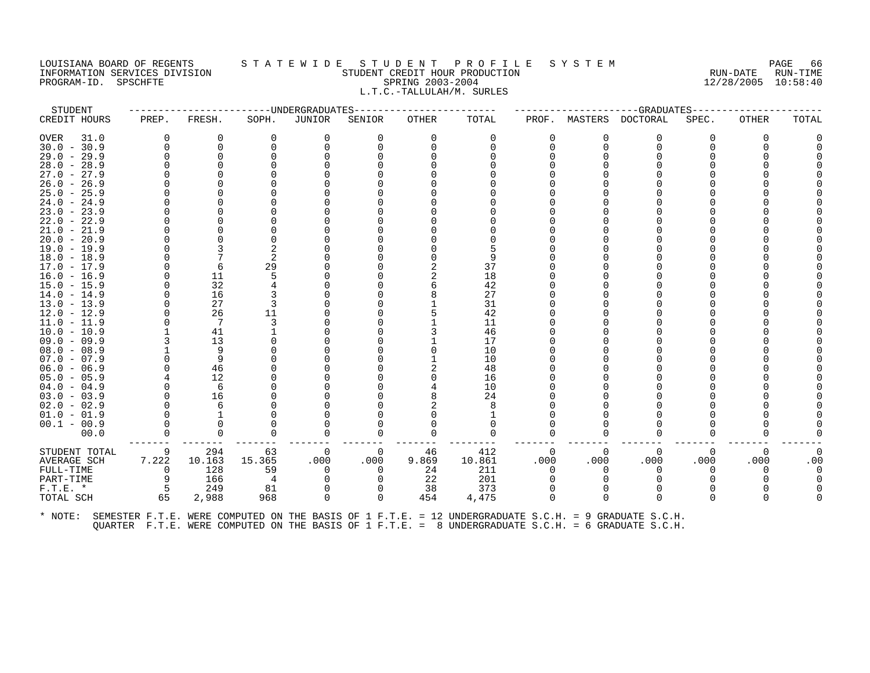#### LOUISIANA BOARD OF REGENTS S T A T E W I D E S T U D E N T P R O F I L E S Y S T E M PAGE 66 INFORMATION SERVICES DIVISION STUDENT CREDIT HOUR PRODUCTION RUN-DATE RUN-TIME PROGRAM-ID. SPSCHFTE SPRING 2003-2004 12/28/2005 10:58:40 L.T.C.-TALLULAH/M. SURLES

| STUDENT<br>CREDIT HOURS | PREP.    | FRESH.   | SOPH.  | ------------------------UNDERGRADUATES |            |          |        |          |          | ------------------GRADUATES--------- |          |              |       |
|-------------------------|----------|----------|--------|----------------------------------------|------------|----------|--------|----------|----------|--------------------------------------|----------|--------------|-------|
|                         |          |          |        | JUNIOR                                 | SENIOR     | OTHER    | TOTAL  | PROF.    |          | MASTERS DOCTORAL                     | SPEC.    | OTHER        | TOTAL |
| 31.0<br>OVER            | $\Omega$ | 0        | 0      | 0                                      | 0          | $\Omega$ | 0      | 0        |          | 0                                    | $\Omega$ | 0            |       |
| $30.0 - 30.9$           | $\Omega$ | 0        |        |                                        |            |          |        | $\Omega$ | $\Omega$ | 0                                    |          |              |       |
| $29.0 - 29.9$           |          | 0        |        |                                        |            |          |        |          |          |                                      |          |              |       |
| $28.0 - 28.9$           |          |          |        |                                        |            |          |        |          |          |                                      |          |              |       |
| $27.0 - 27.9$           |          |          |        |                                        |            |          |        |          |          |                                      |          |              |       |
| $26.0 - 26.9$           |          |          |        |                                        |            |          |        |          |          |                                      |          |              |       |
| $25.0 - 25.9$           |          |          |        |                                        |            |          |        |          |          |                                      |          |              |       |
| $24.0 - 24.9$           |          |          |        |                                        |            |          |        |          |          |                                      |          |              |       |
| $23.0 - 23.9$           |          |          |        |                                        |            |          |        |          |          |                                      |          |              |       |
| $22.0 - 22.9$           |          |          |        |                                        |            |          |        |          |          |                                      |          |              |       |
| $21.0 - 21.9$           |          |          |        |                                        |            |          |        |          |          |                                      |          |              |       |
| $20.0 - 20.9$           |          |          |        |                                        |            |          |        |          |          |                                      |          |              |       |
| $19.0 - 19.9$           |          |          |        |                                        |            |          |        |          |          |                                      |          |              |       |
| $18.0 - 18.9$           |          |          |        |                                        |            |          |        |          |          |                                      |          |              |       |
| $17.0 - 17.9$           |          | 6        | 29     |                                        |            |          | 37     |          |          |                                      |          |              |       |
| $16.0 - 16.9$           |          | 11       |        |                                        |            |          | 18     |          |          |                                      |          |              |       |
| $15.0 - 15.9$           |          | 32       |        |                                        |            |          | 42     |          |          |                                      |          |              |       |
| $14.0 - 14.9$           |          | 16       |        |                                        |            |          | 27     |          |          |                                      |          |              |       |
| $13.0 - 13.9$           |          | 27       |        |                                        |            |          | 31     |          |          |                                      |          |              |       |
| $12.0 - 12.9$           |          | 26       | 11     |                                        |            |          | 42     |          |          |                                      |          |              |       |
| $11.0 - 11.9$           |          | 7        |        |                                        |            |          | 11     |          |          |                                      |          |              |       |
| $10.0 - 10.9$           |          | 41       |        |                                        |            |          | 46     |          |          |                                      |          |              |       |
| $09.0 - 09.9$           |          | 13       |        |                                        |            |          | 17     |          |          |                                      |          |              |       |
| $08.0 - 08.9$           |          | 9        |        |                                        |            |          | 10     |          |          |                                      |          |              |       |
| $07.0 - 07.9$           |          | -9       |        |                                        |            |          | 10     |          |          |                                      |          |              |       |
| $06.0 - 06.9$           |          | 46       |        |                                        |            |          | 48     |          |          |                                      |          |              |       |
| $05.0 - 05.9$           |          | 12       |        |                                        |            |          | 16     |          |          |                                      |          |              |       |
| $04.0 - 04.9$           |          | 6        |        |                                        |            |          | 10     |          |          |                                      |          |              |       |
| $03.0 - 03.9$           |          | 16       |        |                                        |            |          | 24     |          |          |                                      |          |              |       |
| $02.0 - 02.9$           |          | 6        |        |                                        |            |          |        |          |          |                                      |          |              |       |
| $01.0 - 01.9$           |          |          |        |                                        |            |          |        |          |          |                                      |          |              |       |
| $00.1 - 00.9$           |          | $\Omega$ |        |                                        |            |          |        |          |          |                                      |          |              |       |
| 00.0                    |          | 0        |        |                                        | 0          |          | 0      |          |          | 0                                    |          |              |       |
| STUDENT TOTAL           | 9        | 294      | 63     | 0                                      | -----<br>0 | 46       | 412    | 0        | $\Omega$ | $\Omega$                             | $\Omega$ | $\Omega$     |       |
| AVERAGE SCH             | 7.222    | 10.163   | 15.365 | .000                                   | .000       | 9.869    | 10.861 | .000     | .000     | .000                                 | .000     | .000         | .00   |
| FULL-TIME               | $\Omega$ | 128      | 59     | $\Omega$                               | $\Omega$   | 24       | 211    | $\Omega$ | $\cap$   | $\Omega$                             | $\Omega$ | 0            |       |
| PART-TIME               | 9        | 166      | 4      |                                        | 0          | 22       | 201    |          |          |                                      |          |              |       |
| $F.T.E. *$              | 5        | 249      | 81     | 0                                      | 0          | 38       | 373    | 0        |          | $\Omega$                             |          |              |       |
| TOTAL SCH               | 65       | 2,988    | 968    | $\Omega$                               | $\Omega$   | 454      | 4,475  | $\Omega$ | $\Omega$ | $\Omega$                             |          | <sup>0</sup> |       |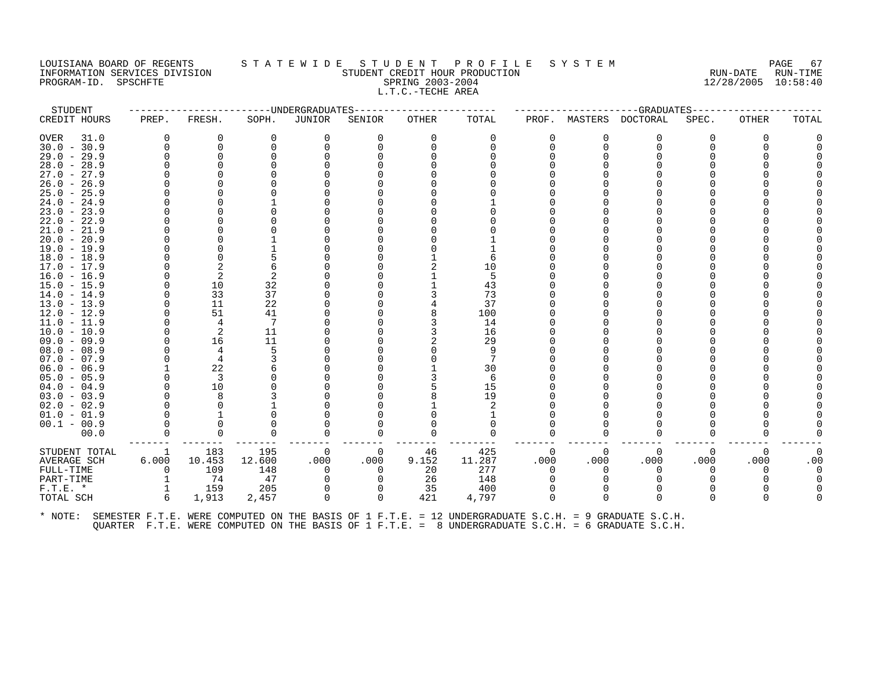#### LOUISIANA BOARD OF REGENTS STATEWIDE STUDENT PROFILE SYSTEM PAGE 67<br>INFORMATION SERVICES DIVISION STATEWIDENT CREDIT HOUR PRODUCTION PRODUCTION 10.000 PATE RUN-END INFORMATION SERVICES DIVISION STUDENT CREDIT HOUR PRODUCTION RUN-DATE RUN-TIME PROGRAM-ID. SPSCHFTE SPRING 2003-2004 12/28/2005 10:58:40 L.T.C.-TECHE AREA

STUDENT ------------------------UNDERGRADUATES------------------------ ---------------------GRADUATES----------------------

| 0<br>0<br>$\Omega$   | $\Omega$     |
|----------------------|--------------|
|                      |              |
|                      |              |
|                      |              |
|                      |              |
|                      |              |
|                      |              |
|                      |              |
|                      |              |
|                      |              |
|                      |              |
|                      |              |
|                      |              |
|                      |              |
|                      |              |
|                      |              |
|                      |              |
|                      |              |
|                      |              |
|                      |              |
|                      |              |
|                      |              |
|                      |              |
|                      |              |
|                      |              |
|                      |              |
|                      |              |
|                      |              |
|                      |              |
|                      |              |
|                      |              |
|                      |              |
|                      |              |
| O                    |              |
|                      |              |
| 0<br>0               | $\mathbf 0$  |
|                      | .000<br>.00  |
| 0<br>0               | O            |
|                      |              |
|                      |              |
| $\Omega$<br>$\Omega$ | 0            |
|                      | .000<br>.000 |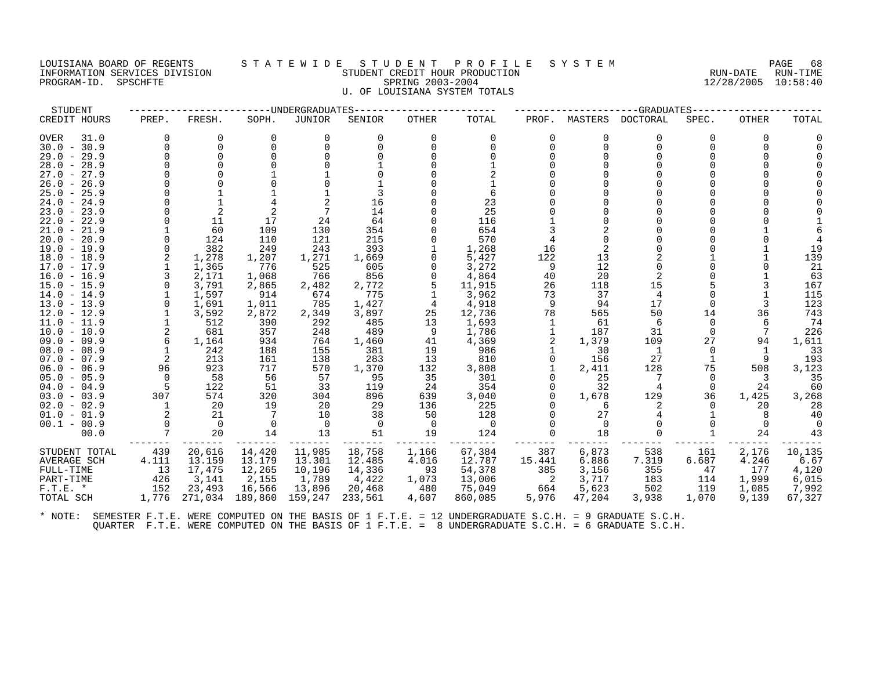#### LOUISIANA BOARD OF REGENTS S T A T E W I D E S T U D E N T P R O F I L E S Y S T E M PAGE 68 INFORMATION SERVICES DIVISION STUDENT CREDIT HOUR PRODUCTION RUN-DATE RUN-TIME PROGRAM-ID. SPSCHFTE SPRING 2003-2004 12/28/2005 10:58:40 U. OF LOUISIANA SYSTEM TOTALS

STUDENT ------------------------UNDERGRADUATES------------------------ ---------------------GRADUATES---------------------- CREDIT HOURS PREP. FRESH. SOPH. JUNIOR SENIOR OTHER TOTAL PROF. MASTERS DOCTORAL SPEC. OTHER TOTAL OVER 31.0 0 0 0 0 0 0 0 0 0 0 0 0 0 30.0 - 30.9 0 0 0 0 0 0 0 0 0 0 0 0 0 29.0 - 29.9 0 0 0 0 0 0 0 0 0 0 0 0 0 28.0 - 28.9 0 0 0 0 1 0 1 0 0 0 0 0 0 27.0 - 27.9 0 0 1 1 0 0 2 0 0 0 0 0 0 26.0 - 26.9 0 0 0 0 1 0 1 0 0 0 0 0 0 25.0 - 25.9 0 1 1 1 3 0 6 0 0 0 0 0 0 24.0 - 24.9 0 1 4 2 16 0 23 0 0 0 0 0 0 23.0 - 23.9 0 2 2 7 14 0 25 0 0 0 0 0 0 22.0 - 22.9 0 11 17 24 64 0 116 1 0 0 0 0 1 21.0 - 21.9 1 60 109 130 354 0 654 3 2 0 0 1 6 20.0 - 20.9 0 124 110 121 215 0 570 4 0 0 0 0 4 19.0 - 19.9 0 382 249 243 393 1 1,268 16 2 0 0 1 19 18.0 - 18.9 2 1,278 1,207 1,271 1,669 0 5,427 122 13 2 1 1 139 17.0 - 17.9 1 1,365 776 525 605 0 3,272 9 12 0 0 0 21 16.0 - 16.9 3 2,171 1,068 766 856 0 4,864 40 20 2 0 1 63 15.0 - 15.9 0 3,791 2,865 2,482 2,772 5 11,915 26 118 15 5 3 167 14.0 - 14.9 1 1,597 914 674 775 1 3,962 73 37 4 0 1 115 13.0 - 13.9 0 1,691 1,011 785 1,427 4 4,918 9 94 17 0 3 123 12.0 - 12.9 1 3,592 2,872 2,349 3,897 25 12,736 78 565 50 14 36 743 11.0 - 11.9 1 512 390 292 485 13 1,693 1 61 6 0 6 74 10.0 - 10.9 2 681 357 248 489 9 1,786 1 187 31 0 7 226 09.0 - 09.9 6 1,164 934 764 1,460 41 4,369 2 1,379 109 27 94 1,611 08.0 - 08.9 1 242 188 155 381 19 986 1 30 1 0 1 33 07.0 - 07.9 2 213 161 138 283 13 810 0 156 27 1 9 193 06.0 - 06.9 96 923 717 570 1,370 132 3,808 1 2,411 128 75 508 3,123 05.0 - 05.9 0 58 56 57 95 35 301 0 25 7 0 3 35 04.0 - 04.9 5 122 51 33 119 24 354 0 32 4 0 24 60 03.0 - 03.9 307 574 320 304 896 639 3,040 0 1,678 129 36 1,425 3,268 02.0 - 02.9 1 20 19 20 29 136 225 0 6 2 0 20 28 01.0 - 01.9 2 21 7 10 38 50 128 0 27 4 1 8 40 00.1 - 00.9 0 0 0 0 0 0 0 0 0 0 0 0 0 00.0 7 20 14 13 51 19 124 0 18 0 1 24 43 ------- ------- ------- ------- ------- ------- -------- ------- ------- ------- ------- ------- ------- STUDENT TOTAL 439 20,616 14,420 11,985 18,758 1,166 67,384 387 6,873 538 161 2,176 10,135<br>AVERAGE SCH 4.111 13.159 13.179 13.301 12.485 4.016 12.787 15 FULL-TIME 13 17,475 12,265 10,196 14,336 93 54,378 385 3,156 355 47 177 4,120 PART-TIME 426 3,141 2,155 1,789 4,422 1,073 13,006 2 3,717 183 114 1,999 6,015 F.T.E. \* 152 23,493 16,566 13,896 20,468 480 75,049 664 5,623 502 119 1,085 7,992 TOTAL SCH 1,776 271,034 189,860 159,247 233,561 4,607 860,085 5,976 47,204 3,938 1,070 9,139 67,327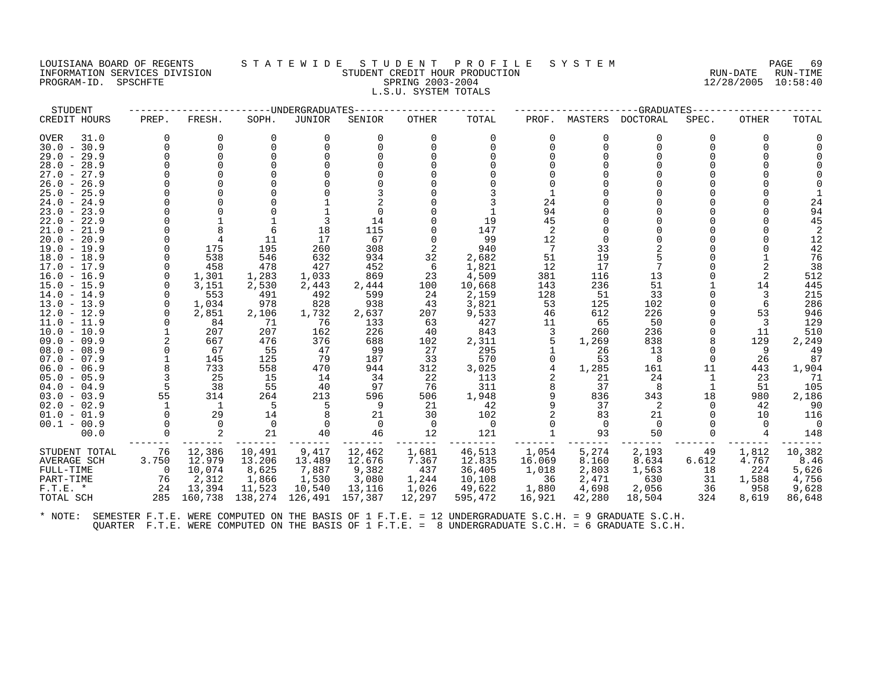# LOUISIANA BOARD OF REGENTS STATEWIDE STUDENT PROFILE SYSTEM PAGE 69<br>INFORMATION SERVICES DIVISION STATEWIST STUDENT CREDIT HOUR PRODUCTION INFORMATION STUDENT CREDIT HOUR PRODUCTION SERVICES AND RUN-DATE RUN-TIME SPRING 2003-2004 PROGRAM-ID. SPSCHFTE SERING 2003-2004 L.S.U. SYSTEM TOTALS

| STUDENT                                  |              |             |          | ---UNDERGRADUATES |           |              |                |          |                | -GRADUATES |       |              |                |
|------------------------------------------|--------------|-------------|----------|-------------------|-----------|--------------|----------------|----------|----------------|------------|-------|--------------|----------------|
| CREDIT HOURS                             | PREP.        | FRESH.      | SOPH.    | JUNIOR            | SENIOR    | <b>OTHER</b> | TOTAL          | PROF.    | MASTERS        | DOCTORAL   | SPEC. | <b>OTHER</b> | TOTAL          |
| OVER<br>31.0                             |              | 0           | 0        | 0                 |           | 0            | 0              | O        | 0              | 0          |       | $\Omega$     |                |
| $30.0 - 30.9$                            |              | $\mathbf 0$ | $\Omega$ | 0                 |           |              | $\Omega$       | $\Omega$ | $\Omega$       | $\Omega$   |       |              |                |
| $29.0 - 29.9$                            |              | ∩           |          |                   |           |              |                |          |                |            |       |              |                |
| $28.0 - 28.9$                            |              | ∩           |          |                   |           |              |                |          |                |            |       |              |                |
| $27.0 - 27.9$                            |              |             |          |                   |           |              |                |          |                |            |       |              |                |
| $26.0 - 26.9$                            |              |             |          |                   |           |              |                |          |                |            |       |              |                |
| $25.0 - 25.9$                            |              |             |          |                   |           |              |                |          |                |            |       |              |                |
| 24.0 -<br>24.9                           |              |             |          |                   |           |              |                | 24       |                |            |       |              | 24             |
| $23.0 - 23.9$                            |              |             |          |                   |           |              |                | 94       |                |            |       |              | 94             |
| $22.0 - 22.9$                            |              |             |          |                   | 14        |              | 19             | 45       |                |            |       |              | 45             |
| 21.0<br>21.9<br>$\overline{\phantom{a}}$ |              |             | 11       | 18<br>17          | 115       |              | 147            |          |                |            |       |              |                |
| $20.0 - 20.9$<br>$19.0 - 19.9$           |              | 175         | 195      | 260               | 67<br>308 |              | 99<br>940      | 12       | $\Omega$<br>33 |            |       |              | 12<br>42       |
| $18.0 - 18.9$                            |              | 538         | 546      | 632               | 934       | 32           | 2,682          | 51       | 19             |            |       |              | 76             |
| 17.0 - 17.9                              | $\Omega$     | 458         | 478      | 427               | 452       | 6            | 1,821          | 12       | 17             | 7          |       |              | 38             |
| $16.0 - 16.9$                            | $\Omega$     | 1,301       | 1,283    | 1,033             | 869       | 23           | 4,509          | 381      | 116            | 13         |       |              | 512            |
| $15.0 - 15.9$                            |              | 3,151       | 2,530    | 2,443             | 2,444     | 100          | 10,668         | 143      | 236            | 51         |       | 14           | 445            |
| 14.0 - 14.9                              |              | 553         | 491      | 492               | 599       | 24           | 2,159          | 128      | 51             | 33         |       | 3            | 215            |
| $13.0 - 13.9$                            |              | 1,034       | 978      | 828               | 938       | 43           | 3,821          | 53       | 125            | 102        |       | 6            | 286            |
| $12.0 - 12.9$                            |              | 2,851       | 2,106    | 1,732             | 2,637     | 207          | 9,533          | 46       | 612            | 226        |       | 53           | 946            |
| $11.0 - 11.9$                            |              | 84          | 71       | 76                | 133       | 63           | 427            | 11       | 65             | 50         |       |              | 129            |
| $10.0 - 10.9$                            |              | 207         | 207      | 162               | 226       | 40           | 843            |          | 260            | 236        |       | 11           | 510            |
| $09.0 - 09.9$                            |              | 667         | 476      | 376               | 688       | 102          | 2,311          |          | 1,269          | 838        |       | 129          | 2,249          |
| $08.0 - 08.9$                            |              | 67          | 55       | 47                | 99        | 27           | 295            |          | 26             | 13         |       | 9            | 49             |
| $07.0 - 07.9$                            |              | 145         | 125      | 79                | 187       | 33           | 570            |          | 53             | 8          |       | 26           | 87             |
| $06.0 - 06.9$                            |              | 733         | 558      | 470               | 944       | 312          | 3,025          |          | 1,285          | 161        | 11    | 443          | 1,904          |
| $05.0 - 05.9$                            | 3            | 25          | 15       | 14                | 34        | 22           | 113            |          | 21             | 24         |       | 23           | 71             |
| $04.0 - 04.9$                            | 5            | 38          | 55       | 40                | 97        | 76           | 311            |          | 37             | -8         |       | 51           | 105            |
| $03.0 - 03.9$                            | 55           | 314         | 264      | 213               | 596       | 506          | 1,948          |          | 836            | 343        | 18    | 980          | 2,186          |
| $02.0 - 02.9$                            | $\mathbf{1}$ | -1          | 5        |                   | 9         | 21           | 42             |          | 37             | 2          | ∩     | 42           | -90            |
| $01.0 - 01.9$                            |              | 29          | 14       |                   | 21        | 30           | 102            |          | 83             | 21         |       | 10           | 116            |
| $00.1 - 00.9$                            |              | $\Omega$    | $\Omega$ | $\Omega$          | $\Omega$  | - 0          | $\overline{0}$ |          | $\Omega$       | $\Omega$   |       | $\Omega$     | $\overline{0}$ |
| 00.0                                     |              | 2           | 21       | 40                | 46        | 12           | 121            |          | 93             | 50         |       |              | 148            |
| STUDENT TOTAL                            | 76           | 12,386      | 10,491   | 9,417             | 12,462    | 1,681        | 46,513         | 1,054    | 5,274          | 2,193      | 49    | 1,812        | 10,382         |
| AVERAGE SCH                              | 3.750        | 12.979      | 13.206   | 13.489            | 12.676    | 7.367        | 12.835         | 16.069   | 8.160          | 8.634      | 6.612 | 4.767        | 8.46           |
| FULL-TIME                                | $\Omega$     | 10,074      | 8,625    | 7,887             | 9,382     | 437          | 36,405         | 1,018    | 2,803          | 1,563      | 18    | 224          | 5,626          |
| PART-TIME                                | 76           | 2,312       | 1,866    | 1,530             | 3,080     | 1,244        | 10,108         | 36       | 2,471          | 630        | 31    | 1,588        | 4,756          |
| $F.T.E. *$                               | 24           | 13,394      | 11,523   | 10,540            | 13,116    | 1,026        | 49,622         | 1,880    | 4,698          | 2,056      | 36    | 958          | 9,628          |
| TOTAL SCH                                | 285          | 160,738     | 138,274  | 126,491           | 157,387   | 12,297       | 595,472        | 16,921   | 42,280         | 18,504     | 324   | 8,619        | 86,648         |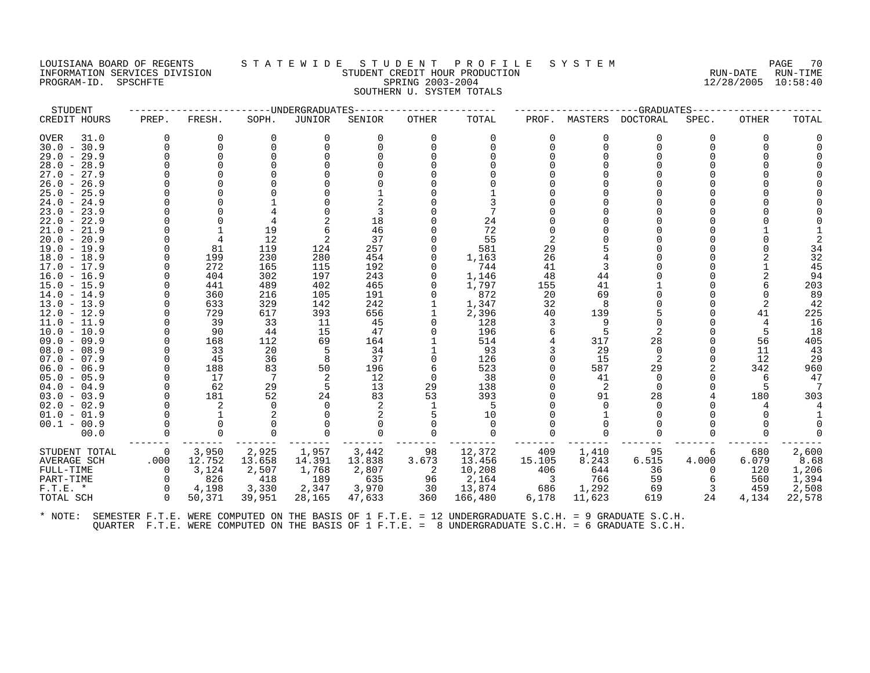# LOUISIANA BOARD OF REGENTS STATEWIDE STUDENT PROFILE SYSTEM PAGE 70<br>INFORMATION SERVICES DIVISION STUDENT CREDIT HOUR PRODUCTION PROFICE RUN-DATE RUN-TIME INFORMATION SERVICES DIVISION STUDENT CREDIT HOUR PRODUCTION RUN-DATE RUN-TIME PROGRAM-ID. SPSCHFTE SPRING 2003-2004 12/28/2005 10:58:40 SOUTHERN U. SYSTEM TOTALS

STUDENT ------------------------UNDERGRADUATES------------------------ ---------------------GRADUATES---------------------- CREDIT HOURS PREP. FRESH. SOPH. JUNIOR SENIOR OTHER TOTAL PROF. MASTERS DOCTORAL SPEC. OTHER TOTAL OVER 31.0 0 0 0 0 0 0 0 0 0 0 0 0 0 30.0 - 30.9 0 0 0 0 0 0 0 0 0 0 0 0 0 29.0 - 29.9 0 0 0 0 0 0 0 0 0 0 0 0 0 28.0 - 28.9 0 0 0 0 0 0 0 0 0 0 0 0 0 27.0 - 27.9 0 0 0 0 0 0 0 0 0 0 0 0 0 26.0 - 26.9 0 0 0 0 0 0 0 0 0 0 0 0 0 25.0 - 25.9 0 0 0 0 1 0 1 0 0 0 0 0 0 24.0 - 24.9 0 0 1 0 2 0 3 0 0 0 0 0 0 23.0 - 23.9 0 0 4 0 3 0 7 0 0 0 0 0 0 22.0 - 22.9 0 0 4 2 18 0 24 0 0 0 0 0 0 21.0 - 21.9 0 1 19 6 46 0 72 0 0 0 0 1 1 20.0 - 20.9 0 4 12 2 37 0 55 2 0 0 0 0 2 19.0 - 19.9 0 81 119 124 257 0 581 29 5 0 0 0 34 18.0 - 18.9 0 199 230 280 454 0 1,163 26 4 0 0 2 32 17.0 - 17.9 0 272 165 115 192 0 744 41 3 0 0 1 45 16.0 - 16.9 0 404 302 197 243 0 1,146 48 44 0 0 2 94 15.0 - 15.9 0 441 489 402 465 0 1,797 155 41 1 0 6 203 14.0 - 14.9 0 360 216 105 191 0 872 20 69 0 0 0 89 13.0 - 13.9 0 633 329 142 242 1 1,347 32 8 0 0 2 42 12.0 - 12.9 0 729 617 393 656 1 2,396 40 139 5 0 41 225 11.0 - 11.9 0 39 33 11 45 0 128 3 9 0 0 4 16 10.0 - 10.9 0 90 44 15 47 0 196 6 5 2 0 5 18 09.0 - 09.9 0 168 112 69 164 1 514 4 317 28 0 56 405 08.0 - 08.9 0 33 20 5 34 1 93 3 29 0 0 11 43 07.0 - 07.9 0 45 36 8 37 0 126 0 15 2 0 12 29  $\begin{array}{cccccccccccc} \bar{0} & \bar{0} & \bar{0} & \bar{0} & \bar{0} & \bar{0} & \bar{0} & \bar{0} & \bar{0} & \bar{0} & \bar{0} & \bar{0} & \bar{0} & \bar{0} & \bar{0} & \bar{0} & \bar{0} & \bar{0} & \bar{0} & \bar{0} & \bar{0} & \bar{0} & \bar{0} & \bar{0} & \bar{0} & \bar{0} & \bar{0} & \bar{0} & \bar{0} & \bar{0} & \bar{0} & \bar{0} & \bar{0} & \bar{0} & \bar{0} & \$ 05.0 - 05.9 0 17 7 2 12 0 38 0 41 0 0 6 47 04.0 - 04.9 0 62 29 5 13 29 138 0 2 0 0 5 7 03.0 - 03.9 0 181 52 24 83 53 393 0 91 28 4 180 303 02.0 - 02.9 0 2 0 0 2 1 5 0 0 0 0 4 4 01.0 - 01.9 0 1 2 0 2 5 10 0 1 0 0 0 1 00.1 - 00.9 0 0 0 0 0 0 0 0 0 0 0 0 0 00.0 0 0 0 0 0 0 0 0 0 0 0 0 0 ------- ------- ------- ------- ------- ------- -------- ------- ------- ------- ------- ------- ------- STUDENT TOTAL 0 3,950 2,925 1,957 3,442 98 12,372 409 1,410 95 6 680 2,600 AVERAGE SCH .000 12.752 13.658 14.391 13.838 3.673 13.456 15.105 8.243 6.515 4.000 6.079 8.68 FULL-TIME 0 3,124 2,507 1,768 2,807 2 10,208 406 644 36 0 120 1,206 PART-TIME 0 826 418 189 635 96 2,164 3 766 59 6 560 1,394 F.T.E. \* 0 4,198 3,330 2,347 3,970 30 13,874 686 1,292 69 3 459 2,508 TOTAL SCH 0 50,371 39,951 28,165 47,633 360 166,480 6,178 11,623 619 24 4,134 22,578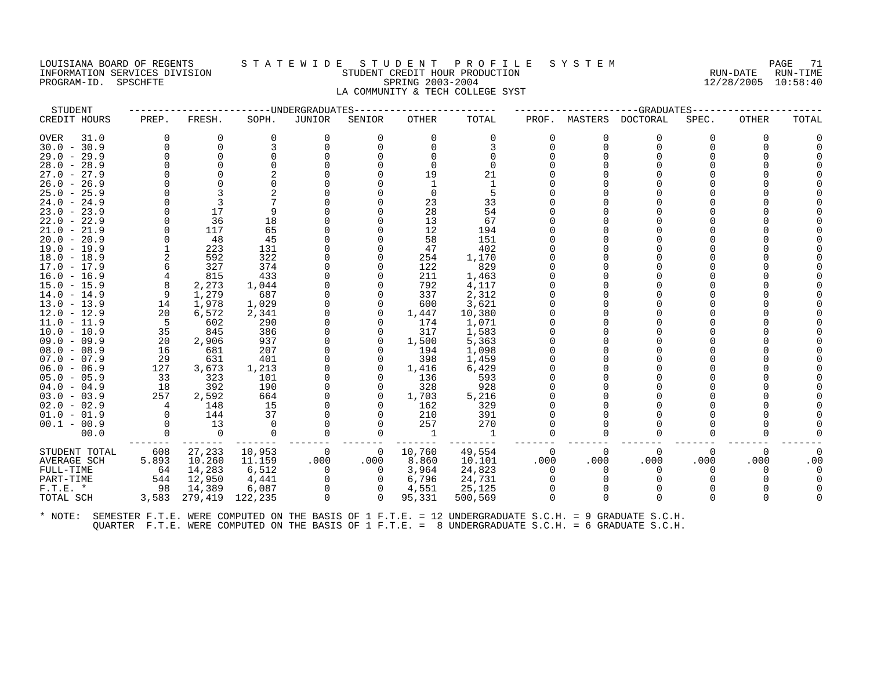# LOUISIANA BOARD OF REGENTS STATEWIDE STUDE STUDENT PROFILE SYSTEM PAGE 71<br>INFORMATION SERVICES DIVISION STATE WITHE STUDENT CREDIT HOUR PRODUCTION INFORMATION SERVICES DIVISION STUDENT CREDIT HOUR PRODUCTION RUN-DATE RUN-TIME PROGRAM-ID. SPSCHFTE SPRING 2003-2004 12/28/2005 10:58:40 LA COMMUNITY & TECH COLLEGE SYST

STUDENT ------------------------UNDERGRADUATES------------------------ ---------------------GRADUATES---------------------- CREDIT HOURS PREP. FRESH. SOPH. JUNIOR SENIOR OTHER TOTAL PROF. MASTERS DOCTORAL SPEC. OTHER TOTAL OVER 31.0 0 0 0 0 0 0 0 0 0 0 0 0 0 30.0 - 30.9 0 0 3 0 0 0 3 0 0 0 0 0 0 29.0 - 29.9 0 0 0 0 0 0 0 0 0 0 0 0 0 28.0 - 28.9 0 0 0 0 0 0 0 0 0 0 0 0 0 27.0 - 27.9 0 0 2 0 0 19 21 0 0 0 0 0 0 26.0 - 26.9 0 0 0 0 0 1 1 0 0 0 0 0 0 25.0 - 25.9 0 3 2 0 0 0 5 0 0 0 0 0 0 24.0 - 24.9 0 3 7 0 0 23 33 0 0 0 0 0 0 23.0 - 23.9 0 17 9 0 0 28 54 0 0 0 0 0 0 22.0 - 22.9 0 36 18 0 0 13 67 0 0 0 0 0 0 21.0 - 21.9 0 117 65 0 0 12 194 0 0 0 0 0 0 20.0 - 20.9 0 48 45 0 0 58 151 0 0 0 0 0 0 19.0 - 19.9 1 223 131 0 0 47 402 0 0 0 0 0 0 18.0 - 18.9 2 592 322 0 0 254 1,170 0 0 0 0 0 0 17.0 - 17.9 6 327 374 0 0 122 829 0 0 0 0 0 0 16.0 - 16.9 4 815 433 0 0 211 1,463 0 0 0 0 0 0 15.0 - 15.9 8 2,273 1,044 0 0 792 4,117 0 0 0 0 0 0 14.0 - 14.9 9 1,279 687 0 0 337 2,312 0 0 0 0 0 0 13.0 - 13.9 14 1,978 1,029 0 0 600 3,621 0 0 0 0 0 0 12.0 - 12.9 20 6,572 2,341 0 0 1,447 10,380 0 0 0 0 0 0 11.0 - 11.9 5 602 290 0 0 174 1,071 0 0 0 0 0 0 10.0 - 10.9 35 845 386 0 0 317 1,583 0 0 0 0 0 0 09.0 - 09.9 20 2,906 937 0 0 1,500 5,363 0 0 0 0 0 0 08.0 - 08.9 16 681 207 0 0 194 1,098 0 0 0 0 0 0 07.0 - 07.9 29 631 401 0 0 398 1,459 0 0 0 0 0 0 06.0 - 06.9 127 3,673 1,213 0 0 1,416 6,429 0 0 0 0 0 0 0<br>05.0 - 05.9 33 323 101 0 0 136 593 0 0 0 0 0 0 04.0 - 04.9 18 392 190 0 0 328 928 0 0 0 0 0 0 03.0 - 03.9 257 2,592 664 0 0 1,703 5,216 0 0 0 0 0 0 02.0 - 02.9 4 148 15 0 0 162 329 0 0 0 0 0 0 01.0 - 01.9 0 144 37 0 0 210 391 0 0 0 0 0 0 00.1 - 00.9 0 13 0 0 0 257 270 0 0 0 0 0 0 00.0 0 0 0 0 0 1 1 0 0 0 0 0 0 ------- ------- ------- ------- ------- ------- -------- ------- ------- ------- ------- ------- ------- STUDENT TOTAL 608 27,233 10,953 0 0 10,760 49,554 0 0 0 0 0 0 AVERAGE SCH 5.893 10.260 11.159 .000 .000 8.860 10.101 .000 .000 .000 .000 .000 .00 FULL-TIME 64 14,283 6,512 0 0 3,964 24,823 0 0 0 0 0 0 PART-TIME 544 12,950 4,441 0 0 6,796 24,731 0 0 0 0 0 0 F.T.E. \* 98 14,389 6,087 0 0 4,551 25,125 0 0 0 0 0 0 TOTAL SCH 3,583 279,419 122,235 0 0 95,331 500,569 0 0 0 0 0 0